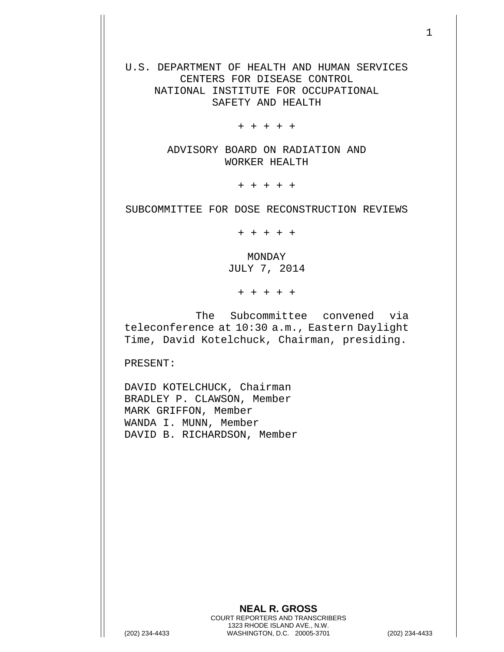U.S. DEPARTMENT OF HEALTH AND HUMAN SERVICES CENTERS FOR DISEASE CONTROL NATIONAL INSTITUTE FOR OCCUPATIONAL SAFETY AND HEALTH

+ + + + +

ADVISORY BOARD ON RADIATION AND WORKER HEALTH

+ + + + +

SUBCOMMITTEE FOR DOSE RECONSTRUCTION REVIEWS

+ + + + +

MONDAY JULY 7, 2014

+ + + + +

The Subcommittee convened via teleconference at 10:30 a.m., Eastern Daylight Time, David Kotelchuck, Chairman, presiding.

PRESENT:

DAVID KOTELCHUCK, Chairman BRADLEY P. CLAWSON, Member MARK GRIFFON, Member WANDA I. MUNN, Member DAVID B. RICHARDSON, Member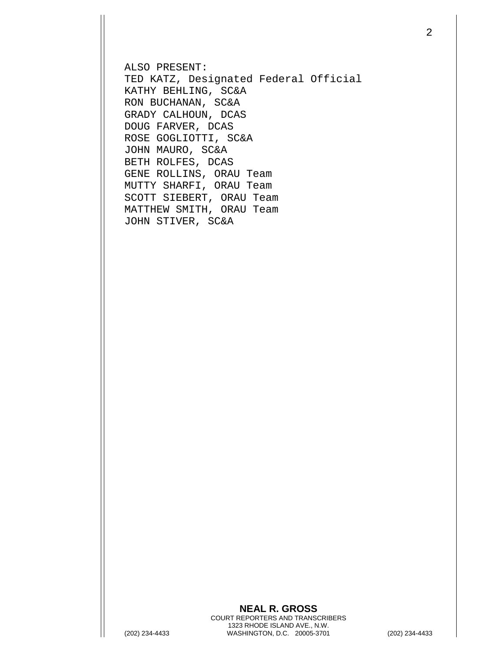ALSO PRESENT: TED KATZ, Designated Federal Official KATHY BEHLING, SC&A RON BUCHANAN, SC&A GRADY CALHOUN, DCAS DOUG FARVER, DCAS ROSE GOGLIOTTI, SC&A JOHN MAURO, SC&A BETH ROLFES, DCAS GENE ROLLINS, ORAU Team MUTTY SHARFI, ORAU Team SCOTT SIEBERT, ORAU Team MATTHEW SMITH, ORAU Team JOHN STIVER, SC&A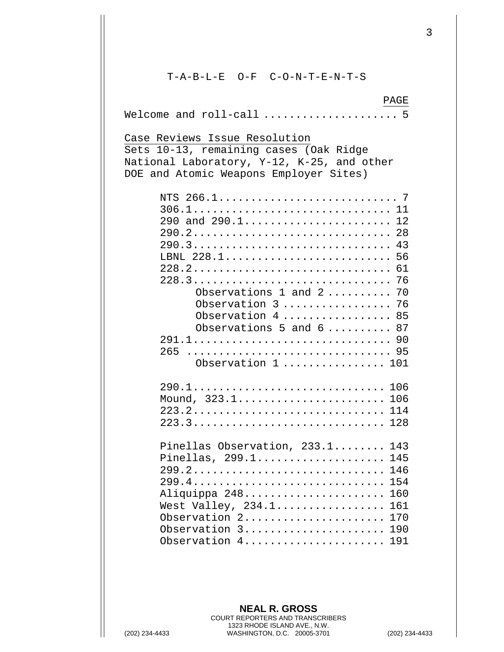T-A-B-L-E O-F C-O-N-T-E-N-T-S PAGE Welcome and roll-call ..................... 5 Case Reviews Issue Resolution Sets 10-13, remaining cases (Oak Ridge National Laboratory, Y-12, K-25, and other DOE and Atomic Weapons Employer Sites) NTS 266.1............................ 7 306.1............................... 11 290 and 290.1......................... 12 290.2............................... 28 290.3............................... 43 LBNL 228.1.......................... 56 228.2............................... 61 228.3............................... 76 Observations 1 and 2.......... 70 Observation 3..................... 76 Observation 4.................. 85 Observations 5 and  $6... \ldots$  87 291.1............................... 90 265 ................................ 95 Observation 1 ................ 101 290.1.............................. 106 Mound, 323.1........................... 106 223.2.............................. 114 223.3.............................. 128 Pinellas Observation, 233.1........ 143 Pinellas, 299.1...................... 145 299.2.............................. 146 299.4.............................. 154 Aliquippa 248........................ 160 West Valley, 234.1.................. 161 Observation 2....................... 170 Observation 3........................ 190 Observation 4.......................... 191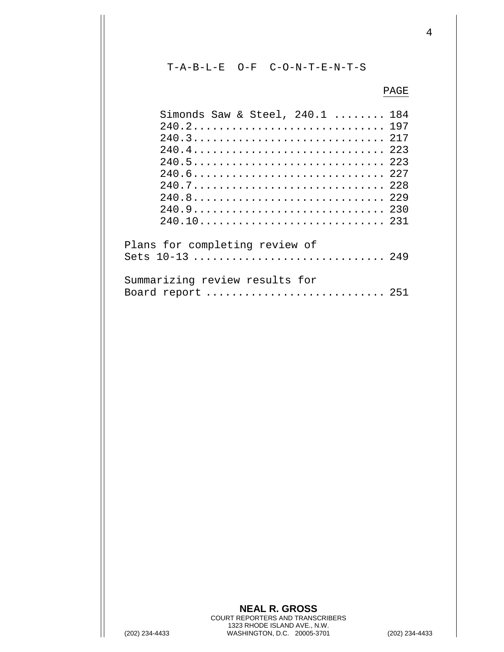T-A-B-L-E O-F C-O-N-T-E-N-T-S

## PAGE

| Simonds Saw & Steel, 240.1  184                   |  |
|---------------------------------------------------|--|
| 240.2 197                                         |  |
| 240.3 217                                         |  |
| 240.4 223                                         |  |
| 240.5 223                                         |  |
| 240.6 227                                         |  |
| 240.7 228                                         |  |
| 240.8 229                                         |  |
| 240.9 230                                         |  |
|                                                   |  |
| Plans for completing review of<br>Sets 10-13  249 |  |
| Summarizing review results for                    |  |
| Board report  251                                 |  |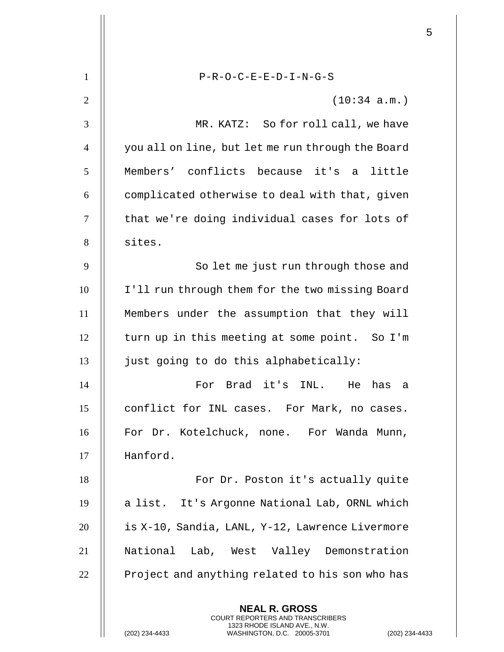| $\mathbf{1}$   | $P-R-O-C-E-E-D-I-N-G-S$                                                                                                                                   |
|----------------|-----------------------------------------------------------------------------------------------------------------------------------------------------------|
| $\overline{2}$ | (10:34 a.m.)                                                                                                                                              |
| 3              | MR. KATZ: So for roll call, we have                                                                                                                       |
| $\overline{4}$ | you all on line, but let me run through the Board                                                                                                         |
| 5              | Members' conflicts because it's a little                                                                                                                  |
| 6              | complicated otherwise to deal with that, given                                                                                                            |
| $\tau$         | that we're doing individual cases for lots of                                                                                                             |
| 8              | sites.                                                                                                                                                    |
| 9              | So let me just run through those and                                                                                                                      |
| 10             | I'll run through them for the two missing Board                                                                                                           |
| 11             | Members under the assumption that they will                                                                                                               |
| 12             | turn up in this meeting at some point. So I'm                                                                                                             |
| 13             | just going to do this alphabetically:                                                                                                                     |
| 14             | For Brad it's INL. He<br>has a                                                                                                                            |
| 15             | conflict for INL cases. For Mark, no cases.                                                                                                               |
| 16             | For Dr. Kotelchuck, none. For Wanda Munn,                                                                                                                 |
| 17             | Hanford.                                                                                                                                                  |
| 18             | For Dr. Poston it's actually quite                                                                                                                        |
| 19             | a list. It's Argonne National Lab, ORNL which                                                                                                             |
| 20             | is X-10, Sandia, LANL, Y-12, Lawrence Livermore                                                                                                           |
| 21             | National Lab, West Valley Demonstration                                                                                                                   |
| 22             | Project and anything related to his son who has                                                                                                           |
|                | <b>NEAL R. GROSS</b><br>COURT REPORTERS AND TRANSCRIBERS<br>1323 RHODE ISLAND AVE., N.W.<br>(202) 234-4433<br>(202) 234-44<br>WASHINGTON, D.C. 20005-3701 |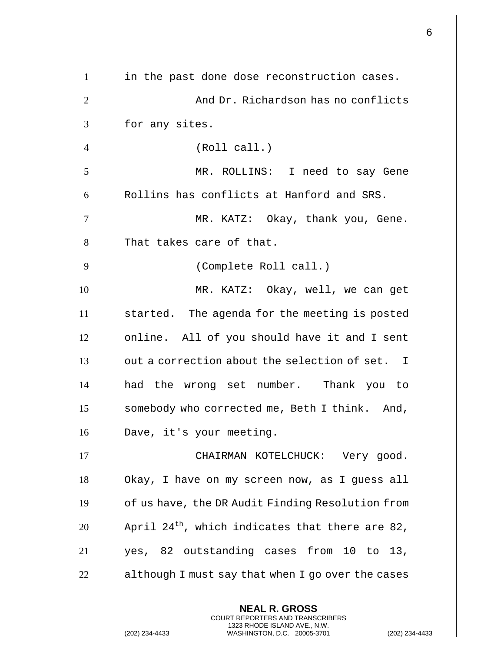| $\mathbf{1}$   | in the past done dose reconstruction cases.                                                                                                                |
|----------------|------------------------------------------------------------------------------------------------------------------------------------------------------------|
| $\overline{2}$ | And Dr. Richardson has no conflicts                                                                                                                        |
| 3              | for any sites.                                                                                                                                             |
| $\overline{4}$ | (Roll call.)                                                                                                                                               |
| 5              | MR. ROLLINS: I need to say Gene                                                                                                                            |
| 6              | Rollins has conflicts at Hanford and SRS.                                                                                                                  |
| $\tau$         | MR. KATZ: Okay, thank you, Gene.                                                                                                                           |
| 8              | That takes care of that.                                                                                                                                   |
| 9              | (Complete Roll call.)                                                                                                                                      |
| 10             | MR. KATZ: Okay, well, we can get                                                                                                                           |
| 11             | started. The agenda for the meeting is posted                                                                                                              |
| 12             | online. All of you should have it and I sent                                                                                                               |
| 13             | out a correction about the selection of set. I                                                                                                             |
| 14             | had the wrong set number. Thank you to                                                                                                                     |
| 15             | somebody who corrected me, Beth I think. And,                                                                                                              |
| 16             | Dave, it's your meeting.                                                                                                                                   |
| 17             | CHAIRMAN KOTELCHUCK: Very good.                                                                                                                            |
| 18             | Okay, I have on my screen now, as I guess all                                                                                                              |
| 19             | of us have, the DR Audit Finding Resolution from                                                                                                           |
| 20             | April 24 <sup>th</sup> , which indicates that there are 82,                                                                                                |
| 21             | yes, 82 outstanding cases from 10 to 13,                                                                                                                   |
| 22             | although I must say that when I go over the cases                                                                                                          |
|                | <b>NEAL R. GROSS</b><br>COURT REPORTERS AND TRANSCRIBERS<br>1323 RHODE ISLAND AVE., N.W.<br>(202) 234-4433<br>WASHINGTON, D.C. 20005-3701<br>$(202)$ 234-4 |

 $\begin{array}{c} \hline \end{array}$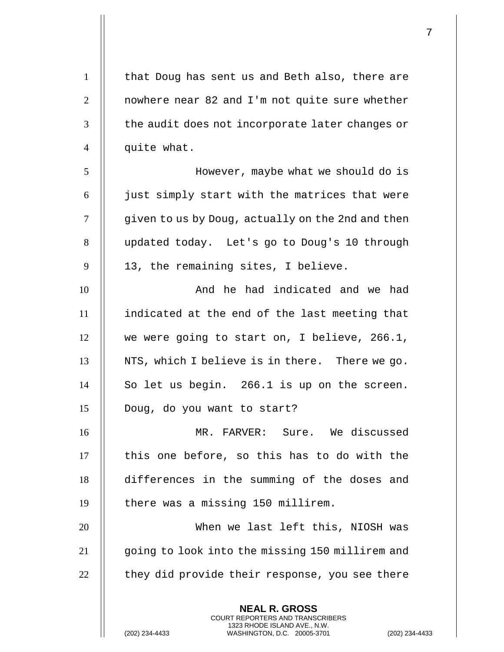**NEAL R. GROSS** COURT REPORTERS AND TRANSCRIBERS 1323 RHODE ISLAND AVE., N.W. 1 | that Doug has sent us and Beth also, there are  $\parallel$  nowhere near 82 and I'm not quite sure whether  $\parallel$  the audit does not incorporate later changes or 4 || quite what. However, maybe what we should do is || just simply start with the matrices that were  $\parallel$  qiven to us by Doug, actually on the 2nd and then 8 | updated today. Let's go to Doug's 10 through | 13, the remaining sites, I believe. 10 || The had indicated and we had indicated at the end of the last meeting that 12 || we were going to start on, I believe, 266.1,  $\parallel$  NTS, which I believe is in there. There we go. So let us begin. 266.1 is up on the screen. Doug, do you want to start? MR. FARVER: Sure. We discussed  $\parallel$  this one before, so this has to do with the differences in the summing of the doses and 19 || there was a missing 150 millirem. When we last left this, NIOSH was going to look into the missing 150 millirem and  $\parallel$  they did provide their response, you see there

(202) 234-4433 WASHINGTON, D.C. 20005-3701 (202) 234-4433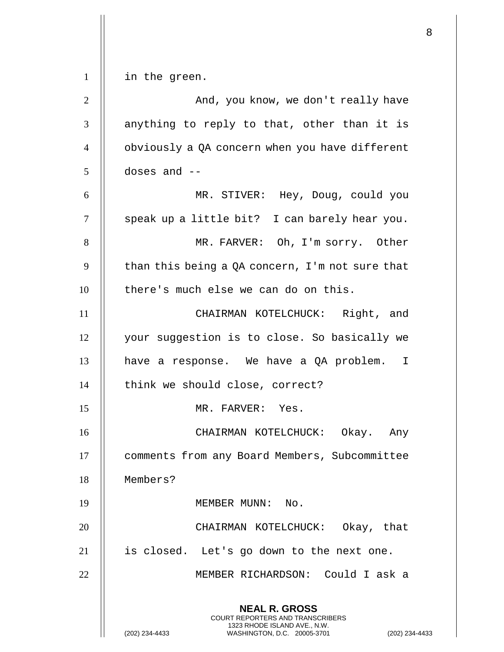|                |                                                                                                                                                                    | 8 |
|----------------|--------------------------------------------------------------------------------------------------------------------------------------------------------------------|---|
| $\mathbf{1}$   | in the green.                                                                                                                                                      |   |
| $\overline{2}$ | And, you know, we don't really have                                                                                                                                |   |
| 3              | anything to reply to that, other than it is                                                                                                                        |   |
| $\overline{4}$ |                                                                                                                                                                    |   |
|                | obviously a QA concern when you have different                                                                                                                     |   |
| 5              | doses and $--$                                                                                                                                                     |   |
| 6              | MR. STIVER: Hey, Doug, could you                                                                                                                                   |   |
| $\overline{7}$ | speak up a little bit? I can barely hear you.                                                                                                                      |   |
| 8              | MR. FARVER: Oh, I'm sorry. Other                                                                                                                                   |   |
| 9              | than this being a QA concern, I'm not sure that                                                                                                                    |   |
| 10             | there's much else we can do on this.                                                                                                                               |   |
| 11             | CHAIRMAN KOTELCHUCK: Right, and                                                                                                                                    |   |
| 12             | your suggestion is to close. So basically we                                                                                                                       |   |
| 13             | have a response. We have a QA problem. I                                                                                                                           |   |
| 14             | think we should close, correct?                                                                                                                                    |   |
| 15             | MR. FARVER: Yes.                                                                                                                                                   |   |
| 16             | CHAIRMAN KOTELCHUCK: Okay. Any                                                                                                                                     |   |
| 17             | comments from any Board Members, Subcommittee                                                                                                                      |   |
| 18             | Members?                                                                                                                                                           |   |
| 19             | MEMBER MUNN: No.                                                                                                                                                   |   |
| 20             | CHAIRMAN KOTELCHUCK: Okay, that                                                                                                                                    |   |
| 21             | is closed. Let's go down to the next one.                                                                                                                          |   |
| 22             | MEMBER RICHARDSON: Could I ask a                                                                                                                                   |   |
|                | <b>NEAL R. GROSS</b><br><b>COURT REPORTERS AND TRANSCRIBERS</b><br>1323 RHODE ISLAND AVE., N.W.<br>WASHINGTON, D.C. 20005-3701<br>(202) 234-4433<br>(202) 234-4433 |   |

 $\mathbf{I}$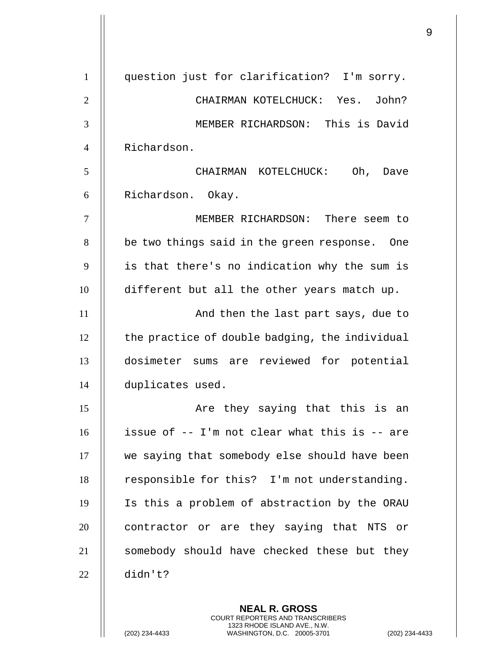question just for clarification? I'm sorry. CHAIRMAN KOTELCHUCK: Yes. John? MEMBER RICHARDSON: This is David Richardson. CHAIRMAN KOTELCHUCK: Oh, Dave 6 || Richardson. Okay. MEMBER RICHARDSON: There seem to 8 | be two things said in the green response. One | is that there's no indication why the sum is different but all the other years match up. And then the last part says, due to  $\parallel$  the practice of double badging, the individual dosimeter sums are reviewed for potential duplicates used. Are they saying that this is an issue of -- I'm not clear what this is -- are we saying that somebody else should have been | responsible for this? I'm not understanding. Is this a problem of abstraction by the ORAU 20 || contractor or are they saying that NTS or 21 || somebody should have checked these but they didn't?

> **NEAL R. GROSS** COURT REPORTERS AND TRANSCRIBERS 1323 RHODE ISLAND AVE., N.W.

(202) 234-4433 WASHINGTON, D.C. 20005-3701 (202) 234-4433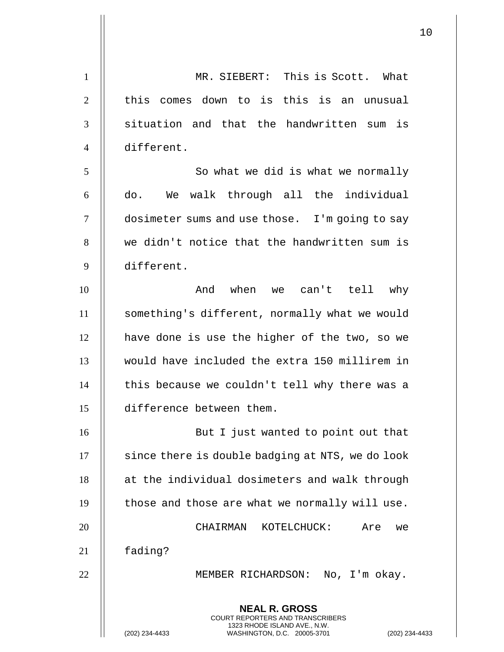**NEAL R. GROSS** COURT REPORTERS AND TRANSCRIBERS 1323 RHODE ISLAND AVE., N.W. (202) 234-4433 WASHINGTON, D.C. 20005-3701 (202) 234-4433 1 | MR. SIEBERT: This is Scott. What  $\parallel$  this comes down to is this is an unusual  $\parallel$  situation and that the handwritten sum is different. 5 || So what we did is what we normally do. We walk through all the individual dosimeter sums and use those. I'm going to say 8 || we didn't notice that the handwritten sum is different. And when we can't tell why something's different, normally what we would | have done is use the higher of the two, so we would have included the extra 150 millirem in  $\parallel$  this because we couldn't tell why there was a difference between them. 16 || But I just wanted to point out that  $\parallel$  since there is double badging at NTS, we do look 18 || at the individual dosimeters and walk through  $\parallel$  those and those are what we normally will use. CHAIRMAN KOTELCHUCK: Are we 21 || fading? MEMBER RICHARDSON: No, I'm okay.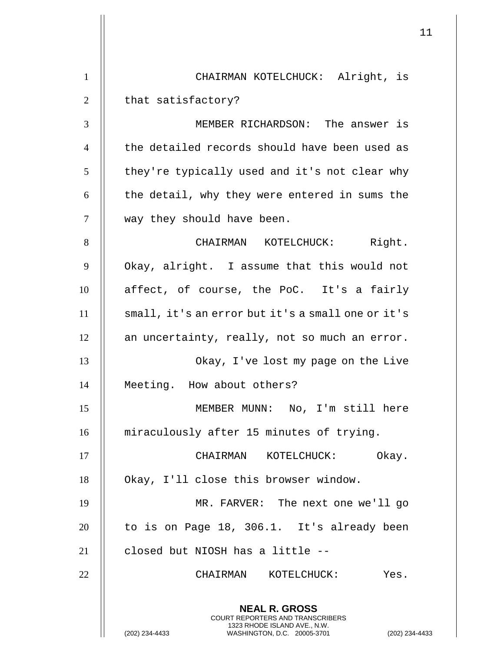|                |                                                                                                                                                             | 11 |
|----------------|-------------------------------------------------------------------------------------------------------------------------------------------------------------|----|
| $\mathbf{1}$   | CHAIRMAN KOTELCHUCK: Alright, is                                                                                                                            |    |
| $\overline{2}$ | that satisfactory?                                                                                                                                          |    |
| 3              | MEMBER RICHARDSON: The answer is                                                                                                                            |    |
| $\overline{4}$ | the detailed records should have been used as                                                                                                               |    |
| 5              | they're typically used and it's not clear why                                                                                                               |    |
| 6              |                                                                                                                                                             |    |
|                | the detail, why they were entered in sums the                                                                                                               |    |
| $\tau$         | way they should have been.                                                                                                                                  |    |
| 8              | CHAIRMAN KOTELCHUCK: Right.                                                                                                                                 |    |
| 9              | Okay, alright. I assume that this would not                                                                                                                 |    |
| 10             | affect, of course, the PoC. It's a fairly                                                                                                                   |    |
| 11             | small, it's an error but it's a small one or it's                                                                                                           |    |
| 12             | an uncertainty, really, not so much an error.                                                                                                               |    |
| 13             | Okay, I've lost my page on the Live                                                                                                                         |    |
| 14             | Meeting. How about others?                                                                                                                                  |    |
| 15             | MEMBER MUNN: No, I'm still here                                                                                                                             |    |
| 16             | miraculously after 15 minutes of trying.                                                                                                                    |    |
| 17             | CHAIRMAN KOTELCHUCK: Okay.                                                                                                                                  |    |
| 18             | Okay, I'll close this browser window.                                                                                                                       |    |
| 19             | MR. FARVER: The next one we'll go                                                                                                                           |    |
| 20             | to is on Page 18, 306.1. It's already been                                                                                                                  |    |
| 21             | closed but NIOSH has a little --                                                                                                                            |    |
| 22             | CHAIRMAN KOTELCHUCK:<br>Yes.                                                                                                                                |    |
|                | <b>NEAL R. GROSS</b><br>COURT REPORTERS AND TRANSCRIBERS<br>1323 RHODE ISLAND AVE., N.W.<br>(202) 234-4433<br>WASHINGTON, D.C. 20005-3701<br>(202) 234-4433 |    |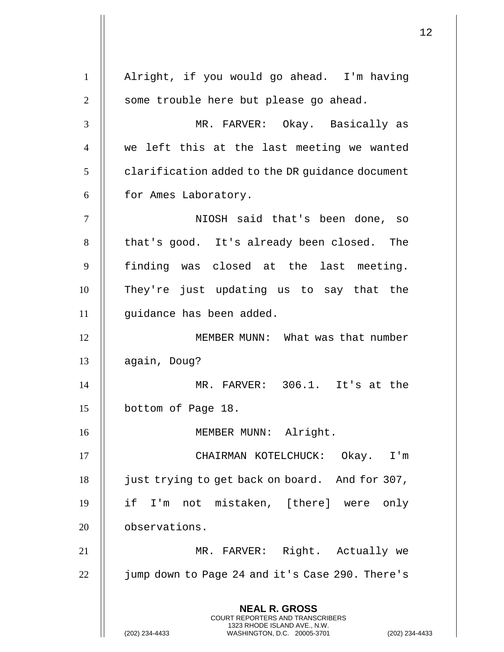**NEAL R. GROSS** COURT REPORTERS AND TRANSCRIBERS 1323 RHODE ISLAND AVE., N.W. (202) 234-4433 WASHINGTON, D.C. 20005-3701 (202) 234-4433 1 Alright, if you would go ahead. I'm having 2 || some trouble here but please go ahead. 3 MR. FARVER: Okay. Basically as 4 we left this at the last meeting we wanted  $5$  | clarification added to the DR guidance document 6 | for Ames Laboratory. 7 NIOSH said that's been done, so 8 | that's good. It's already been closed. The 9 || finding was closed at the last meeting. 10 They're just updating us to say that the 11 || guidance has been added. 12 MEMBER MUNN: What was that number 13 || again, Doug? 14 MR. FARVER: 306.1. It's at the 15 | bottom of Page 18. 16 MEMBER MUNN: Alright. 17 || CHAIRMAN KOTELCHUCK: Okay. I'm 18 | just trying to get back on board. And for 307, 19 if I'm not mistaken, [there] were only 20 | observations. 21 MR. FARVER: Right. Actually we 22 | jump down to Page 24 and it's Case 290. There's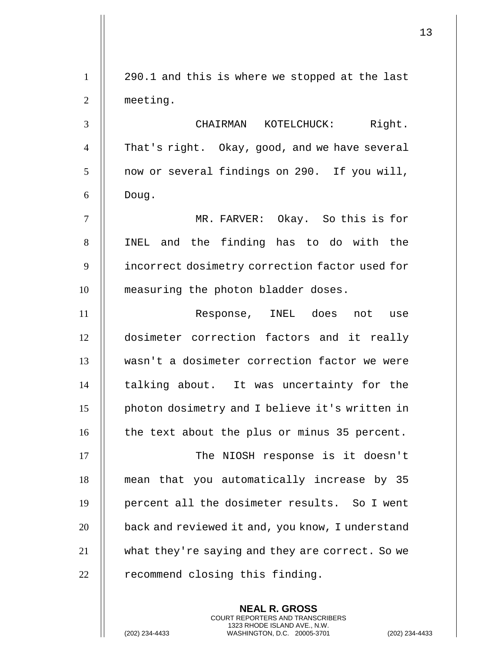1 290.1 and this is where we stopped at the last 2 meeting. 3 CHAIRMAN KOTELCHUCK: Right. 4 | That's right. Okay, good, and we have several  $5 \parallel$  now or several findings on 290. If you will,  $6 \parallel$  Doug. 7 MR. FARVER: Okay. So this is for 8 || INEL and the finding has to do with the 9 | incorrect dosimetry correction factor used for 10 || measuring the photon bladder doses. 11 || Response, INEL does not use 12 dosimeter correction factors and it really 13 wasn't a dosimeter correction factor we were 14 || talking about. It was uncertainty for the 15 photon dosimetry and I believe it's written in 16 | the text about the plus or minus 35 percent. 17 || The NIOSH response is it doesn't 18 mean that you automatically increase by 35 19 percent all the dosimeter results. So I went 20 | back and reviewed it and, you know, I understand 21 what they're saying and they are correct. So we  $22$   $\parallel$  recommend closing this finding.

> **NEAL R. GROSS** COURT REPORTERS AND TRANSCRIBERS 1323 RHODE ISLAND AVE., N.W.

(202) 234-4433 WASHINGTON, D.C. 20005-3701 (202) 234-4433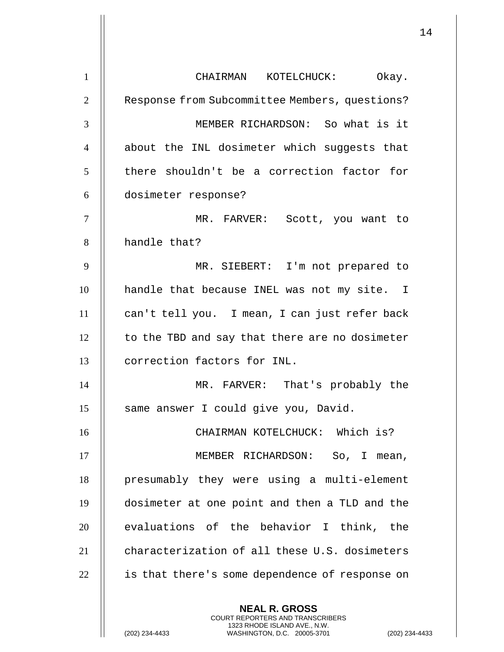**NEAL R. GROSS** COURT REPORTERS AND TRANSCRIBERS 1 || CHAIRMAN KOTELCHUCK: Okay. 2 | Response from Subcommittee Members, questions? 3 || MEMBER RICHARDSON: So what is it 4 || about the INL dosimeter which suggests that 5 | there shouldn't be a correction factor for 6 dosimeter response? 7 MR. FARVER: Scott, you want to 8 | handle that? 9 MR. SIEBERT: I'm not prepared to 10 handle that because INEL was not my site. I 11 can't tell you. I mean, I can just refer back  $12$  | to the TBD and say that there are no dosimeter 13 correction factors for INL. 14 MR. FARVER: That's probably the 15 | same answer I could give you, David. 16 CHAIRMAN KOTELCHUCK: Which is? 17 || MEMBER RICHARDSON: So, I mean, 18 || presumably they were using a multi-element 19 dosimeter at one point and then a TLD and the  $20$   $\parallel$  evaluations of the behavior I think, the 21 **characterization of all these U.S. dosimeters**  $22$  | is that there's some dependence of response on

1323 RHODE ISLAND AVE., N.W.

(202) 234-4433 WASHINGTON, D.C. 20005-3701 (202) 234-4433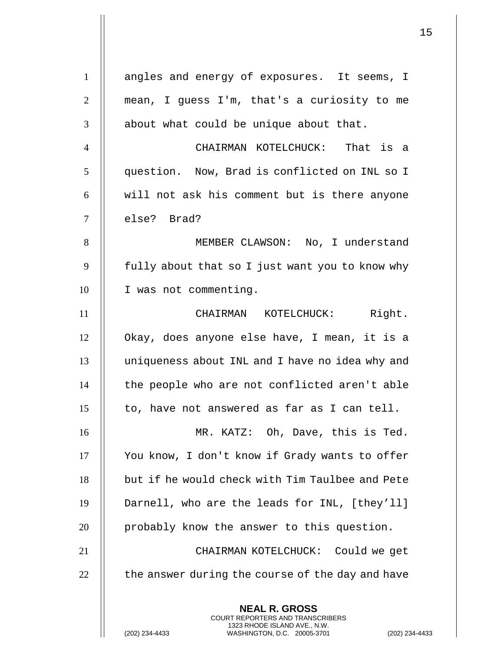| $\mathbf{1}$   | angles and energy of exposures. It seems, I                                                   |
|----------------|-----------------------------------------------------------------------------------------------|
| $\overline{2}$ | mean, I guess I'm, that's a curiosity to me                                                   |
| 3              | about what could be unique about that.                                                        |
| $\overline{4}$ | CHAIRMAN KOTELCHUCK: That is a                                                                |
| 5              | question. Now, Brad is conflicted on INL so I                                                 |
| 6              | will not ask his comment but is there anyone                                                  |
| $\tau$         | else? Brad?                                                                                   |
| 8              | MEMBER CLAWSON: No, I understand                                                              |
| 9              | fully about that so I just want you to know why                                               |
| 10             | I was not commenting.                                                                         |
| 11             | CHAIRMAN KOTELCHUCK: Right.                                                                   |
| 12             | Okay, does anyone else have, I mean, it is a                                                  |
| 13             | uniqueness about INL and I have no idea why and                                               |
| 14             | the people who are not conflicted aren't able                                                 |
| 15             | to, have not answered as far as I can tell.                                                   |
| 16             | MR. KATZ: Oh, Dave, this is Ted.                                                              |
| 17             | You know, I don't know if Grady wants to offer                                                |
| 18             | but if he would check with Tim Taulbee and Pete                                               |
| 19             | Darnell, who are the leads for INL, [they'll]                                                 |
| 20             | probably know the answer to this question.                                                    |
| 21             | CHAIRMAN KOTELCHUCK: Could we get                                                             |
| 22             | the answer during the course of the day and have                                              |
|                | <b>NEAL R. GROSS</b><br>COURT REPORTERS AND TRANSCRIBERS                                      |
|                | 1323 RHODE ISLAND AVE., N.W.<br>(202) 234-4433<br>WASHINGTON, D.C. 20005-3701<br>$(202)$ 234- |

 $\mathsf{I}$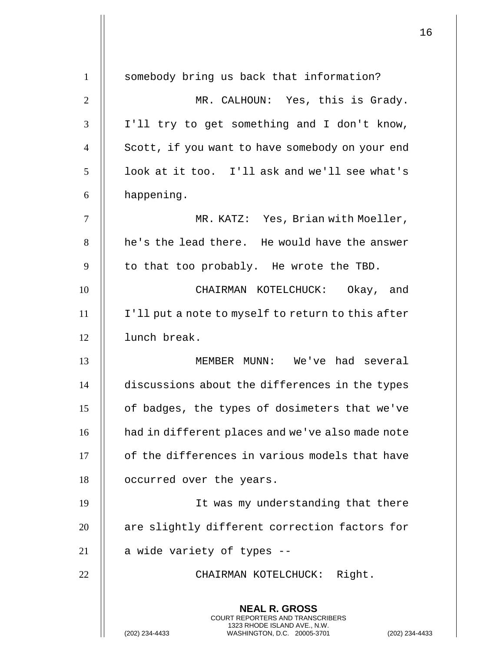| $\mathbf{1}$   | somebody bring us back that information?                                                                                                                          |
|----------------|-------------------------------------------------------------------------------------------------------------------------------------------------------------------|
| $\overline{2}$ | MR. CALHOUN: Yes, this is Grady.                                                                                                                                  |
| 3              | I'll try to get something and I don't know,                                                                                                                       |
| $\overline{4}$ | Scott, if you want to have somebody on your end                                                                                                                   |
| 5              | look at it too. I'll ask and we'll see what's                                                                                                                     |
| 6              | happening.                                                                                                                                                        |
| 7              | MR. KATZ: Yes, Brian with Moeller,                                                                                                                                |
| 8              | he's the lead there. He would have the answer                                                                                                                     |
| 9              | to that too probably. He wrote the TBD.                                                                                                                           |
| 10             | CHAIRMAN KOTELCHUCK: Okay, and                                                                                                                                    |
| 11             | I'll put a note to myself to return to this after                                                                                                                 |
| 12             | lunch break.                                                                                                                                                      |
| 13             | MEMBER MUNN: We've had several                                                                                                                                    |
| 14             | discussions about the differences in the types                                                                                                                    |
| 15             | of badges, the types of dosimeters that we've                                                                                                                     |
|                |                                                                                                                                                                   |
| 16             | had in different places and we've also made note                                                                                                                  |
| 17             | of the differences in various models that have                                                                                                                    |
| 18             | occurred over the years.                                                                                                                                          |
| 19             | It was my understanding that there                                                                                                                                |
| 20             | are slightly different correction factors for                                                                                                                     |
| 21             | a wide variety of types --                                                                                                                                        |
| 22             | CHAIRMAN KOTELCHUCK: Right.                                                                                                                                       |
|                | <b>NEAL R. GROSS</b><br><b>COURT REPORTERS AND TRANSCRIBERS</b><br>1323 RHODE ISLAND AVE., N.W.<br>(202) 234-4433<br>$(202)$ 234-4<br>WASHINGTON, D.C. 20005-3701 |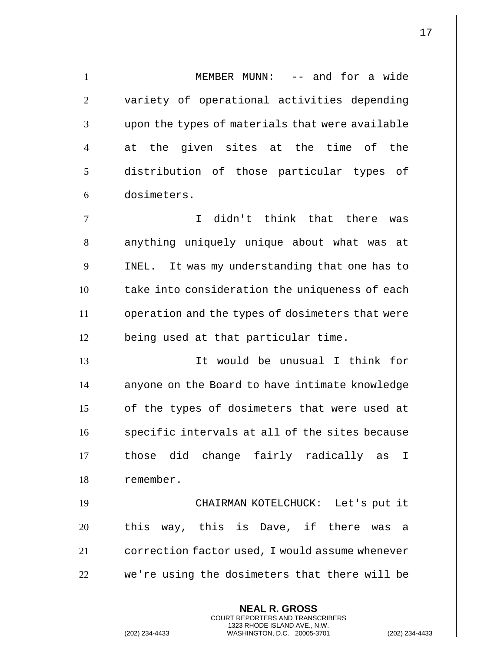**NEAL R. GROSS** COURT REPORTERS AND TRANSCRIBERS 1323 RHODE ISLAND AVE., N.W. 1 || MEMBER MUNN: -- and for a wide 2 || variety of operational activities depending 3 || upon the types of materials that were available 4  $\parallel$  at the given sites at the time of the 5 distribution of those particular types of 6 dosimeters. 7 I didn't think that there was 8 || anything uniquely unique about what was at 9 | INEL. It was my understanding that one has to 10 | take into consideration the uniqueness of each 11 operation and the types of dosimeters that were 12 | being used at that particular time. 13 It would be unusual I think for 14 | anyone on the Board to have intimate knowledge 15 | of the types of dosimeters that were used at  $16$  specific intervals at all of the sites because 17 || those did change fairly radically as I 18 remember. 19 CHAIRMAN KOTELCHUCK: Let's put it 20 || this way, this is Dave, if there was a 21 **correction factor used, I would assume whenever**  $22$   $\parallel$  we're using the dosimeters that there will be

(202) 234-4433 WASHINGTON, D.C. 20005-3701 (202) 234-4433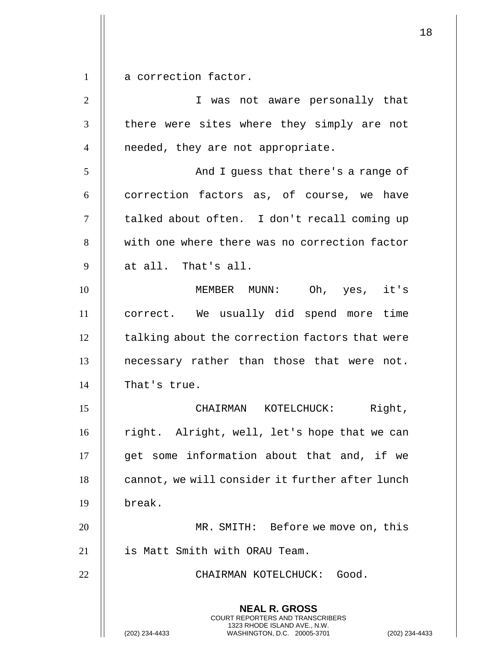1 | a correction factor.

**NEAL R. GROSS** COURT REPORTERS AND TRANSCRIBERS 1323 RHODE ISLAND AVE., N.W. (202) 234-4433 WASHINGTON, D.C. 20005-3701 (202) 234-4433 2 I was not aware personally that 3 || there were sites where they simply are not 4 || needed, they are not appropriate. 5 And I guess that there's a range of  $6 \parallel$  correction factors as, of course, we have 7 || talked about often. I don't recall coming up 8 | with one where there was no correction factor  $9 \parallel$  at all. That's all. 10 MEMBER MUNN: Oh, yes, it's 11 correct. We usually did spend more time 12 | talking about the correction factors that were 13 || necessary rather than those that were not. 14 | That's true. 15 CHAIRMAN KOTELCHUCK: Right, 16 | right. Alright, well, let's hope that we can 17 || get some information about that and, if we  $18$   $\parallel$  cannot, we will consider it further after lunch 19 break. 20 MR. SMITH: Before we move on, this 21 || is Matt Smith with ORAU Team. 22 || CHAIRMAN KOTELCHUCK: Good.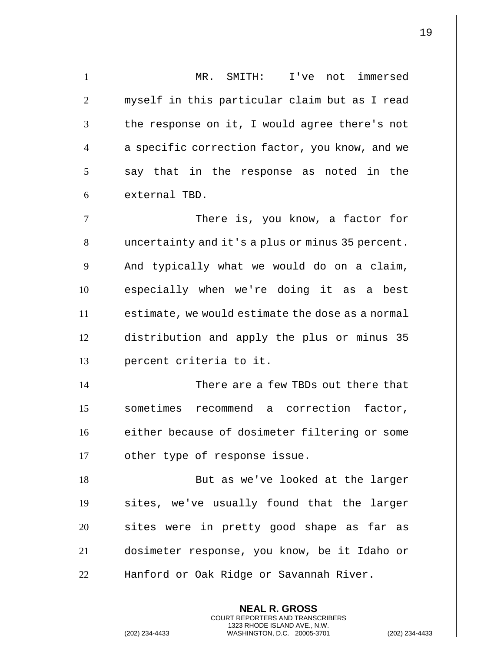| $\mathbf{1}$   | I've not immersed<br>MR. SMITH:                     |
|----------------|-----------------------------------------------------|
| $\overline{2}$ | myself in this particular claim but as I read       |
| 3              | the response on it, I would agree there's not       |
| $\overline{4}$ | a specific correction factor, you know, and we      |
| 5              | say that in the response as<br>noted in the         |
| 6              | external TBD.                                       |
| $\tau$         | There is, you know, a factor for                    |
| 8              | uncertainty and it's a plus or minus 35 percent.    |
| 9              | And typically what we would do on a claim,          |
| 10             | especially when we're doing it as a best            |
| 11             | estimate, we would estimate the dose as a normal    |
| 12             | distribution and apply the plus or minus 35         |
| 13             | percent criteria to it.                             |
| 14             | There are a few TBDs out there that                 |
| 15             | sometimes recommend<br>correction<br>factor,<br>a a |
| 16             | either because of dosimeter filtering or some       |
| 17             | other type of response issue.                       |
| 18             | But as we've looked at the larger                   |
| 19             | sites, we've usually found that the larger          |
| 20             | sites were in pretty good shape as far as           |
| 21             | dosimeter response, you know, be it Idaho or        |
| 22             | Hanford or Oak Ridge or Savannah River.             |
|                |                                                     |

**NEAL R. GROSS** COURT REPORTERS AND TRANSCRIBERS 1323 RHODE ISLAND AVE., N.W.

(202) 234-4433 WASHINGTON, D.C. 20005-3701 (202) 234-4433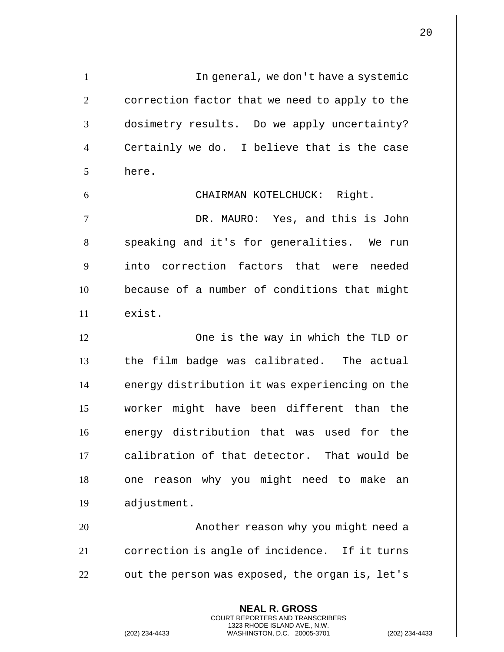**NEAL R. GROSS** COURT REPORTERS AND TRANSCRIBERS 1323 RHODE ISLAND AVE., N.W. 1 In general, we don't have a systemic 2  $\parallel$  correction factor that we need to apply to the 3 | dosimetry results. Do we apply uncertainty? 4 || Certainly we do. I believe that is the case 5 | here. 6 || CHAIRMAN KOTELCHUCK: Right. 7 DR. MAURO: Yes, and this is John 8 || speaking and it's for generalities. We run 9 || into correction factors that were needed 10 **because of a number of conditions that might**  $11$   $\parallel$  exist. 12 || One is the way in which the TLD or  $13$   $\parallel$  the film badge was calibrated. The actual 14 | energy distribution it was experiencing on the 15 worker might have been different than the 16 **energy distribution that was used for the** 17 | calibration of that detector. That would be 18 || one reason why you might need to make an 19 adjustment. 20 || Another reason why you might need a 21 || correction is angle of incidence. If it turns  $22$  | out the person was exposed, the organ is, let's

(202) 234-4433 WASHINGTON, D.C. 20005-3701 (202) 234-4433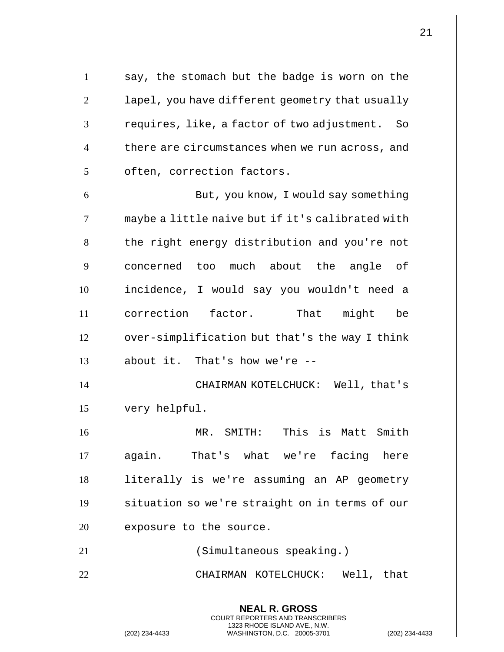**NEAL R. GROSS** COURT REPORTERS AND TRANSCRIBERS 1323 RHODE ISLAND AVE., N.W. 1 | say, the stomach but the badge is worn on the  $2 \parallel$  lapel, you have different geometry that usually  $3$  || requires, like, a factor of two adjustment. So 4 | there are circumstances when we run across, and 5 | often, correction factors. 6 But, you know, I would say something 7 | maybe a little naive but if it's calibrated with 8 | the right energy distribution and you're not 9 || concerned too much about the angle of 10 incidence, I would say you wouldn't need a 11 correction factor. That might be 12 | over-simplification but that's the way I think  $13$  | about it. That's how we're  $-$ 14 CHAIRMAN KOTELCHUCK: Well, that's 15 very helpful. 16 MR. SMITH: This is Matt Smith 17 || again. That's what we're facing here 18 literally is we're assuming an AP geometry 19 | situation so we're straight on in terms of our  $20$  | exposure to the source. 21 (Simultaneous speaking.) 22 CHAIRMAN KOTELCHUCK: Well, that

(202) 234-4433 WASHINGTON, D.C. 20005-3701 (202) 234-4433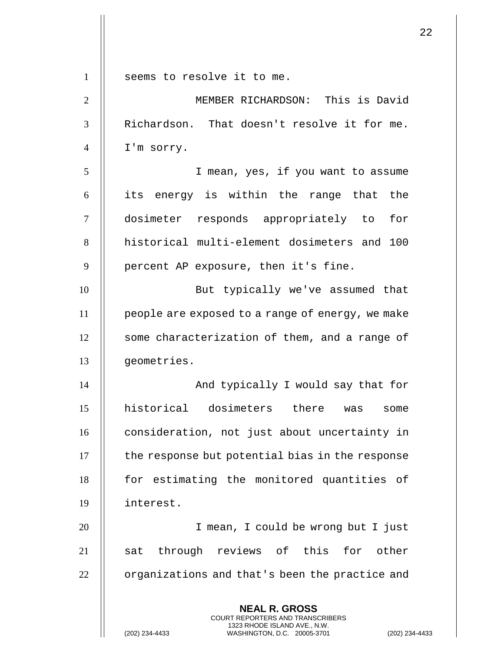| $\mathbf{1}$   | seems to resolve it to me.                                                                                                                               |
|----------------|----------------------------------------------------------------------------------------------------------------------------------------------------------|
| $\overline{2}$ | MEMBER RICHARDSON: This is David                                                                                                                         |
| 3              | Richardson. That doesn't resolve it for me.                                                                                                              |
| $\overline{4}$ | I'm sorry.                                                                                                                                               |
| 5              | I mean, yes, if you want to assume                                                                                                                       |
| 6              | its energy is within the range that the                                                                                                                  |
| $\tau$         | dosimeter responds appropriately to<br>for                                                                                                               |
| 8              | historical multi-element dosimeters and 100                                                                                                              |
| 9              | percent AP exposure, then it's fine.                                                                                                                     |
| 10             | But typically we've assumed that                                                                                                                         |
| 11             | people are exposed to a range of energy, we make                                                                                                         |
| 12             | some characterization of them, and a range of                                                                                                            |
| 13             | geometries.                                                                                                                                              |
| 14             | And typically I would say that for                                                                                                                       |
| 15             | historical dosimeters<br>there<br>was<br>some                                                                                                            |
| 16             | consideration, not just about uncertainty in                                                                                                             |
| 17             | the response but potential bias in the response                                                                                                          |
| 18             | for estimating the monitored quantities of                                                                                                               |
| 19             | interest.                                                                                                                                                |
| 20             | I mean, I could be wrong but I just                                                                                                                      |
| 21             | through reviews of this for other<br>sat                                                                                                                 |
| 22             | organizations and that's been the practice and                                                                                                           |
|                | <b>NEAL R. GROSS</b><br>COURT REPORTERS AND TRANSCRIBERS<br>1323 RHODE ISLAND AVE., N.W.<br>(202) 234-4433<br>$(202)$ 234<br>WASHINGTON, D.C. 20005-3701 |

(202) 234-4433 WASHINGTON, D.C. 20005-3701 (202) 234-4433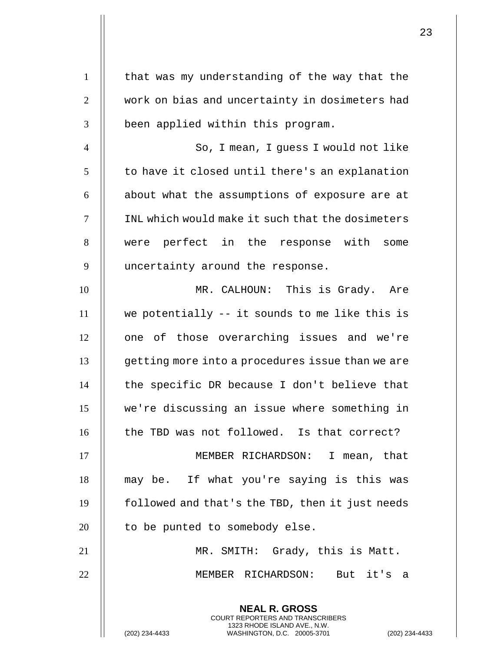**NEAL R. GROSS** COURT REPORTERS AND TRANSCRIBERS 1323 RHODE ISLAND AVE., N.W.  $1$  | that was my understanding of the way that the 2 | work on bias and uncertainty in dosimeters had  $3$   $\parallel$  been applied within this program. 4  $\parallel$  So, I mean, I guess I would not like  $5$  | to have it closed until there's an explanation  $6$  || about what the assumptions of exposure are at 7 INL which would make it such that the dosimeters 8 || were perfect in the response with some 9 || uncertainty around the response. 10 MR. CALHOUN: This is Grady. Are  $11$   $\parallel$  we potentially -- it sounds to me like this is 12 || one of those overarching issues and we're 13 | qetting more into a procedures issue than we are  $14$   $\parallel$  the specific DR because I don't believe that 15 we're discussing an issue where something in 16 || the TBD was not followed. Is that correct? 17 MEMBER RICHARDSON: I mean, that 18 || may be. If what you're saying is this was 19 | followed and that's the TBD, then it just needs  $20$  || to be punted to somebody else. 21 MR. SMITH: Grady, this is Matt. 22 MEMBER RICHARDSON: But it's a

(202) 234-4433 WASHINGTON, D.C. 20005-3701 (202) 234-4433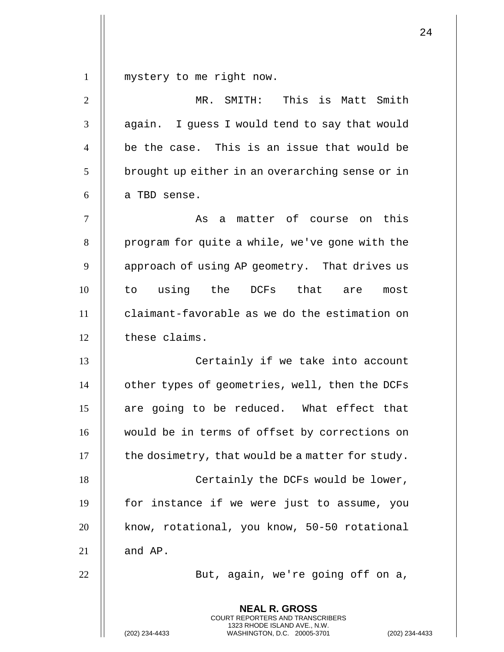1 || mystery to me right now.

| $\overline{2}$ | MR. SMITH: This is Matt Smith                                                                                                                               |
|----------------|-------------------------------------------------------------------------------------------------------------------------------------------------------------|
| 3              | again. I guess I would tend to say that would                                                                                                               |
| $\overline{4}$ | be the case. This is an issue that would be                                                                                                                 |
| 5              | brought up either in an overarching sense or in                                                                                                             |
| 6              | a TBD sense.                                                                                                                                                |
| $\overline{7}$ | a matter of course on this<br>As                                                                                                                            |
| 8              | program for quite a while, we've gone with the                                                                                                              |
| 9              | approach of using AP geometry. That drives us                                                                                                               |
| 10             | using the<br>DCFs that are<br>to<br>most                                                                                                                    |
| 11             | claimant-favorable as we do the estimation on                                                                                                               |
| 12             | these claims.                                                                                                                                               |
| 13             | Certainly if we take into account                                                                                                                           |
| 14             | other types of geometries, well, then the DCFs                                                                                                              |
| 15             | are going to be reduced. What effect that                                                                                                                   |
| 16             | would be in terms of offset by corrections on                                                                                                               |
| 17             | the dosimetry, that would be a matter for study.                                                                                                            |
| 18             | Certainly the DCFs would be lower,                                                                                                                          |
| 19             | for instance if we were just to assume, you                                                                                                                 |
| 20             | know, rotational, you know, 50-50 rotational                                                                                                                |
| 21             | and AP.                                                                                                                                                     |
| 22             | But, again, we're going off on a,                                                                                                                           |
|                | <b>NEAL R. GROSS</b><br>COURT REPORTERS AND TRANSCRIBERS<br>1323 RHODE ISLAND AVE., N.W.<br>(202) 234-4433<br>WASHINGTON, D.C. 20005-3701<br>(202) 234-4433 |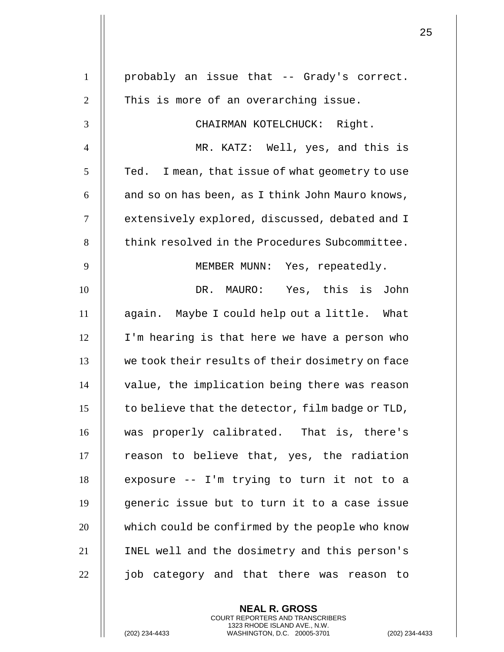| $\mathbf{1}$   | probably an issue that -- Grady's correct.         |
|----------------|----------------------------------------------------|
| $\overline{2}$ | This is more of an overarching issue.              |
| 3              | CHAIRMAN KOTELCHUCK: Right.                        |
| $\overline{4}$ | MR. KATZ: Well, yes, and this is                   |
| 5              | I mean, that issue of what geometry to use<br>Ted. |
| 6              | and so on has been, as I think John Mauro knows,   |
| $\tau$         | extensively explored, discussed, debated and I     |
| 8              | think resolved in the Procedures Subcommittee.     |
| 9              | MEMBER MUNN: Yes, repeatedly.                      |
| 10             | DR. MAURO: Yes, this is John                       |
| 11             | again. Maybe I could help out a little. What       |
| 12             | I'm hearing is that here we have a person who      |
| 13             | we took their results of their dosimetry on face   |
| 14             | value, the implication being there was reason      |
| 15             | to believe that the detector, film badge or TLD,   |
| 16             | was properly calibrated. That is, there's          |
| 17             | reason to believe that, yes, the radiation         |
| 18             | exposure -- I'm trying to turn it not to a         |
| 19             | generic issue but to turn it to a case issue       |
| 20             | which could be confirmed by the people who know    |
| 21             | INEL well and the dosimetry and this person's      |
| 22             | job category and that there was reason<br>to to    |
|                |                                                    |

**NEAL R. GROSS** COURT REPORTERS AND TRANSCRIBERS 1323 RHODE ISLAND AVE., N.W.

(202) 234-4433 WASHINGTON, D.C. 20005-3701 (202) 234-4433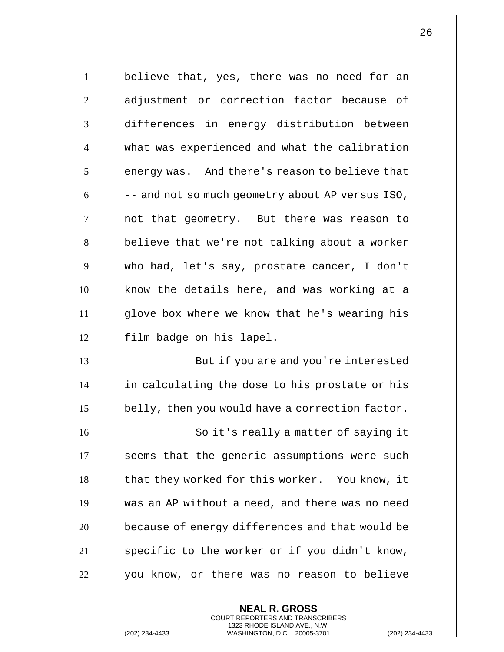1 | believe that, yes, there was no need for an 2 || adjustment or correction factor because of 3 differences in energy distribution between 4 what was experienced and what the calibration  $5 \parallel$  energy was. And there's reason to believe that  $6$   $\parallel$  -- and not so much geometry about AP versus ISO, 7 || not that geometry. But there was reason to 8 || believe that we're not talking about a worker 9 who had, let's say, prostate cancer, I don't  $10$  || know the details here, and was working at a 11 glove box where we know that he's wearing his 12 || film badge on his lapel. 13 || But if you are and you're interested 14 in calculating the dose to his prostate or his  $15$  | belly, then you would have a correction factor. 16 || So it's really a matter of saying it 17 || seems that the generic assumptions were such 18 | that they worked for this worker. You know, it 19 was an AP without a need, and there was no need 20 **because of energy differences and that would be** 21 | specific to the worker or if you didn't know, 22 | you know, or there was no reason to believe

> **NEAL R. GROSS** COURT REPORTERS AND TRANSCRIBERS 1323 RHODE ISLAND AVE., N.W.

(202) 234-4433 WASHINGTON, D.C. 20005-3701 (202) 234-4433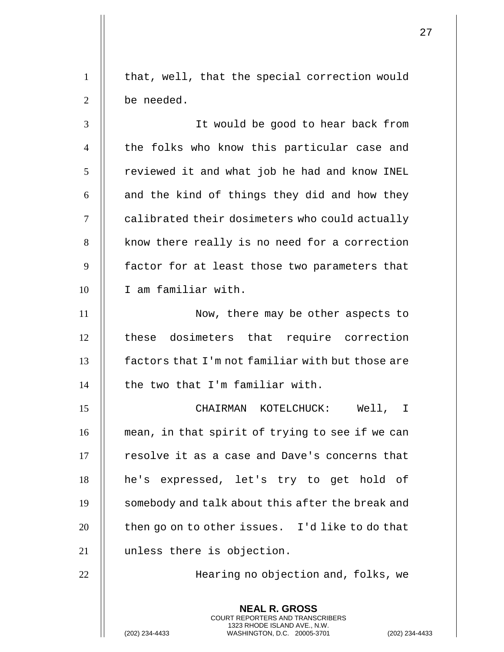1 | that, well, that the special correction would 2 | be needed.

3 It would be good to hear back from 4 || the folks who know this particular case and  $5$  | reviewed it and what job he had and know INEL  $6$  || and the kind of things they did and how they 7 | calibrated their dosimeters who could actually 8 | know there really is no need for a correction  $9$   $\parallel$  factor for at least those two parameters that 10 | I am familiar with.

11 || Now, there may be other aspects to 12 || these dosimeters that require correction 13 **factors that I'm not familiar with but those are**  $14$  | the two that I'm familiar with.

15 CHAIRMAN KOTELCHUCK: Well, I 16 | mean, in that spirit of trying to see if we can 17 || resolve it as a case and Dave's concerns that 18 he's expressed, let's try to get hold of 19 | somebody and talk about this after the break and  $20$  || then go on to other issues. I'd like to do that 21 unless there is objection.

22 Hearing no objection and, folks, we

**NEAL R. GROSS** COURT REPORTERS AND TRANSCRIBERS 1323 RHODE ISLAND AVE., N.W.

(202) 234-4433 WASHINGTON, D.C. 20005-3701 (202) 234-4433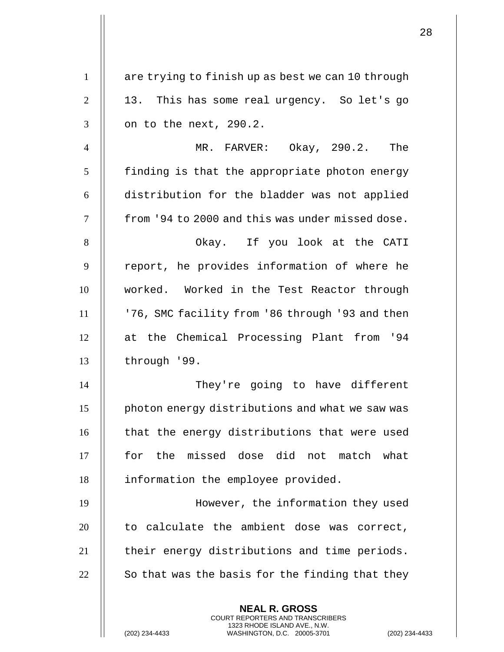| $\mathbf{1}$   | are trying to finish up as best we can 10 through                                                                                        |
|----------------|------------------------------------------------------------------------------------------------------------------------------------------|
| $\overline{2}$ | 13. This has some real urgency. So let's go                                                                                              |
| 3              | on to the next, 290.2.                                                                                                                   |
| $\overline{4}$ | MR. FARVER: Okay, 290.2. The                                                                                                             |
| 5              | finding is that the appropriate photon energy                                                                                            |
| 6              | distribution for the bladder was not applied                                                                                             |
| $\tau$         | from '94 to 2000 and this was under missed dose.                                                                                         |
| 8              | Okay. If you look at the CATI                                                                                                            |
| 9              | report, he provides information of where he                                                                                              |
| 10             | worked. Worked in the Test Reactor through                                                                                               |
| 11             | '76, SMC facility from '86 through '93 and then                                                                                          |
| 12             | at the Chemical Processing Plant from '94                                                                                                |
| 13             | through '99.                                                                                                                             |
| 14             | They're going to have different                                                                                                          |
| 15             | photon energy distributions and what we saw was                                                                                          |
| 16             | that the energy distributions that were used                                                                                             |
| 17             | for the missed dose did not match what                                                                                                   |
| 18             | information the employee provided.                                                                                                       |
| 19             | However, the information they used                                                                                                       |
| 20             | to calculate the ambient dose was correct,                                                                                               |
| 21             | their energy distributions and time periods.                                                                                             |
| 22             | So that was the basis for the finding that they                                                                                          |
|                | <b>NEAL R. GROSS</b>                                                                                                                     |
|                | <b>COURT REPORTERS AND TRANSCRIBERS</b><br>1323 RHODE ISLAND AVE., N.W.<br>(202) 234-4433<br>WASHINGTON, D.C. 20005-3701<br>$(202)$ 234- |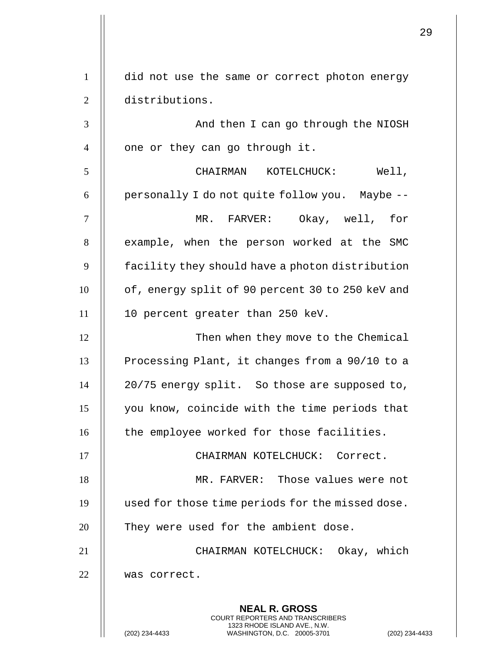| $\mathbf{1}$   | did not use the same or correct photon energy                                                                                      |
|----------------|------------------------------------------------------------------------------------------------------------------------------------|
| $\overline{2}$ | distributions.                                                                                                                     |
| 3              | And then I can go through the NIOSH                                                                                                |
| $\overline{4}$ | one or they can go through it.                                                                                                     |
| 5              | Well,<br>CHAIRMAN KOTELCHUCK:                                                                                                      |
| 6              | personally I do not quite follow you. Maybe --                                                                                     |
| $\tau$         | MR. FARVER: Okay, well, for                                                                                                        |
| 8              | example, when the person worked at the SMC                                                                                         |
| 9              | facility they should have a photon distribution                                                                                    |
| 10             | of, energy split of 90 percent 30 to 250 keV and                                                                                   |
| 11             | 10 percent greater than 250 keV.                                                                                                   |
| 12             | Then when they move to the Chemical                                                                                                |
| 13             | Processing Plant, it changes from a 90/10 to a                                                                                     |
| 14             | 20/75 energy split. So those are supposed to,                                                                                      |
| 15             | you know, coincide with the time periods that                                                                                      |
| 16             | the employee worked for those facilities.                                                                                          |
| 17             | CHAIRMAN KOTELCHUCK: Correct.                                                                                                      |
| 18             | MR. FARVER: Those values were not                                                                                                  |
| 19             | used for those time periods for the missed dose.                                                                                   |
| 20             | They were used for the ambient dose.                                                                                               |
| 21             | CHAIRMAN KOTELCHUCK: Okay, which                                                                                                   |
| 22             | was correct.                                                                                                                       |
|                | <b>NEAL R. GROSS</b>                                                                                                               |
|                | COURT REPORTERS AND TRANSCRIBERS<br>1323 RHODE ISLAND AVE., N.W.<br>(202) 234-4433<br>WASHINGTON, D.C. 20005-3701<br>$(202)$ 234-4 |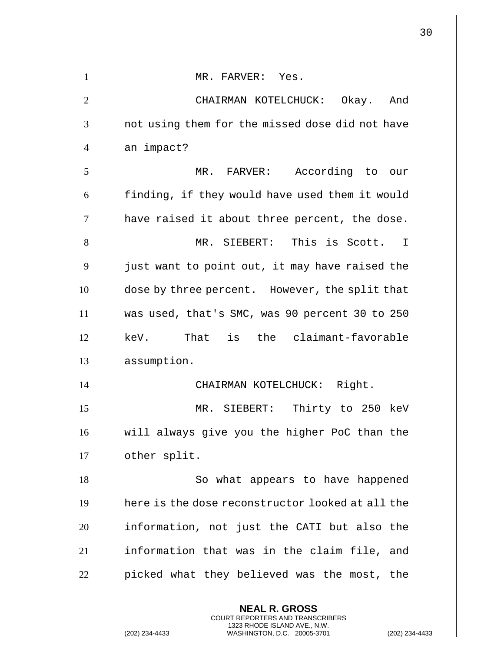|                |                                                                                                                                                                    | 30 |
|----------------|--------------------------------------------------------------------------------------------------------------------------------------------------------------------|----|
| $\mathbf{1}$   | MR. FARVER: Yes.                                                                                                                                                   |    |
| $\overline{2}$ | CHAIRMAN KOTELCHUCK: Okay. And                                                                                                                                     |    |
| 3              |                                                                                                                                                                    |    |
|                | not using them for the missed dose did not have                                                                                                                    |    |
| $\overline{4}$ | an impact?                                                                                                                                                         |    |
| 5              | MR. FARVER: According to our                                                                                                                                       |    |
| 6              | finding, if they would have used them it would                                                                                                                     |    |
| $\overline{7}$ | have raised it about three percent, the dose.                                                                                                                      |    |
| 8              | MR. SIEBERT: This is Scott. I                                                                                                                                      |    |
| 9              | just want to point out, it may have raised the                                                                                                                     |    |
| 10             | dose by three percent. However, the split that                                                                                                                     |    |
| 11             | was used, that's SMC, was 90 percent 30 to 250                                                                                                                     |    |
| 12             | That is the claimant-favorable<br>keV.                                                                                                                             |    |
| 13             | assumption.                                                                                                                                                        |    |
| 14             | CHAIRMAN KOTELCHUCK: Right.                                                                                                                                        |    |
| 15             | MR. SIEBERT: Thirty to 250 keV                                                                                                                                     |    |
| 16             | will always give you the higher PoC than the                                                                                                                       |    |
| 17             | other split.                                                                                                                                                       |    |
| 18             | So what appears to have happened                                                                                                                                   |    |
| 19             | here is the dose reconstructor looked at all the                                                                                                                   |    |
| 20             | information, not just the CATI but also the                                                                                                                        |    |
| 21             | information that was in the claim file, and                                                                                                                        |    |
| 22             | picked what they believed was the most, the                                                                                                                        |    |
|                | <b>NEAL R. GROSS</b><br><b>COURT REPORTERS AND TRANSCRIBERS</b><br>1323 RHODE ISLAND AVE., N.W.<br>(202) 234-4433<br>WASHINGTON, D.C. 20005-3701<br>(202) 234-4433 |    |

 $\begin{array}{c} \hline \end{array}$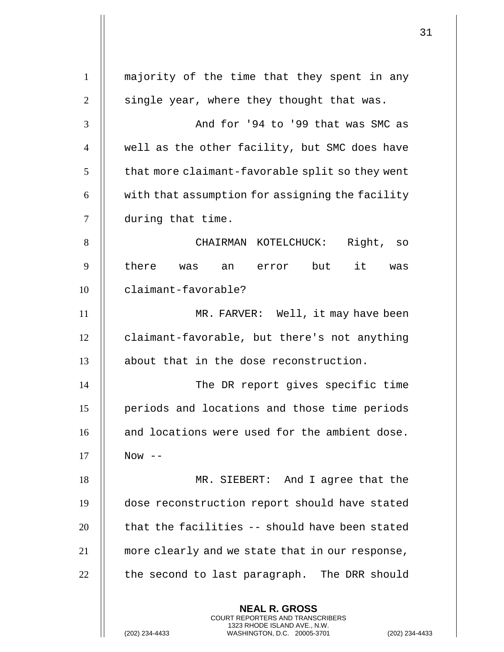**NEAL R. GROSS** COURT REPORTERS AND TRANSCRIBERS 1323 RHODE ISLAND AVE., N.W. majority of the time that they spent in any  $\parallel$  single year, where they thought that was.  $\parallel$   $\qquad$   $\qquad$   $\qquad$   $\qquad$   $\qquad$   $\qquad$   $\qquad$   $\qquad$   $\qquad$   $\qquad$   $\qquad$   $\qquad$   $\qquad$   $\qquad$   $\qquad$   $\qquad$   $\qquad$   $\qquad$   $\qquad$   $\qquad$   $\qquad$   $\qquad$   $\qquad$   $\qquad$   $\qquad$   $\qquad$   $\qquad$   $\qquad$   $\qquad$   $\qquad$   $\qquad$   $\qquad$   $\qquad$   $\qquad$   $\qquad$   $\$  well as the other facility, but SMC does have | that more claimant-favorable split so they went  $\parallel$  with that assumption for assigning the facility 7 || during that time. CHAIRMAN KOTELCHUCK: Right, so  $9\,$   $\parallel$  there was an error but it was claimant-favorable? MR. FARVER: Well, it may have been 12 | claimant-favorable, but there's not anything 13 || about that in the dose reconstruction. 14 || The DR report gives specific time periods and locations and those time periods and locations were used for the ambient dose.  $\parallel$  Now  $-$ 18 || MR. SIEBERT: And I agree that the dose reconstruction report should have stated  $\parallel$  that the facilities -- should have been stated more clearly and we state that in our response,  $\parallel$  the second to last paragraph. The DRR should

(202) 234-4433 WASHINGTON, D.C. 20005-3701 (202) 234-4433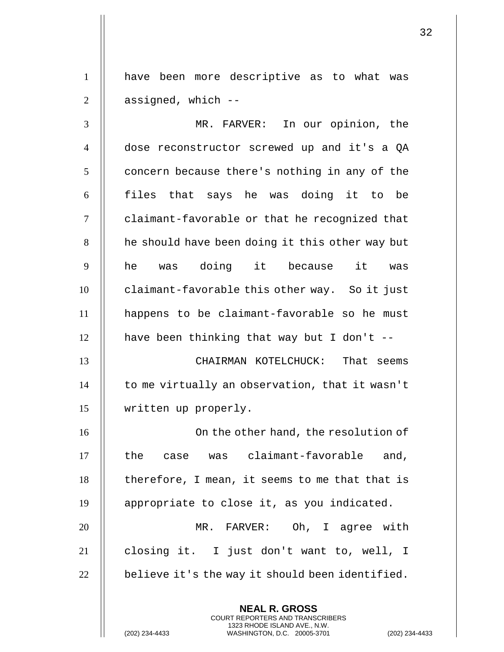have been more descriptive as to what was  $2 \parallel$  assigned, which  $-$ 

 MR. FARVER: In our opinion, the dose reconstructor screwed up and it's a QA | concern because there's nothing in any of the || files that says he was doing it to be 7 | claimant-favorable or that he recognized that | he should have been doing it this other way but  $9\,$   $\parallel$   $\,$  he  $\,$  was doing it  $\,$  because it  $\,$  was  $\,$ **claimant-favorable this other way.** So it just happens to be claimant-favorable so he must  $\parallel$  have been thinking that way but I don't -- CHAIRMAN KOTELCHUCK: That seems  $\parallel$  to me virtually an observation, that it wasn't written up properly. 16 || Conthe other hand, the resolution of  $\parallel$  the case was claimant-favorable and, | therefore, I mean, it seems to me that that is 19 | appropriate to close it, as you indicated. MR. FARVER: Oh, I agree with closing it. I just don't want to, well, I  $\parallel$  believe it's the way it should been identified.

> **NEAL R. GROSS** COURT REPORTERS AND TRANSCRIBERS 1323 RHODE ISLAND AVE., N.W.

(202) 234-4433 WASHINGTON, D.C. 20005-3701 (202) 234-4433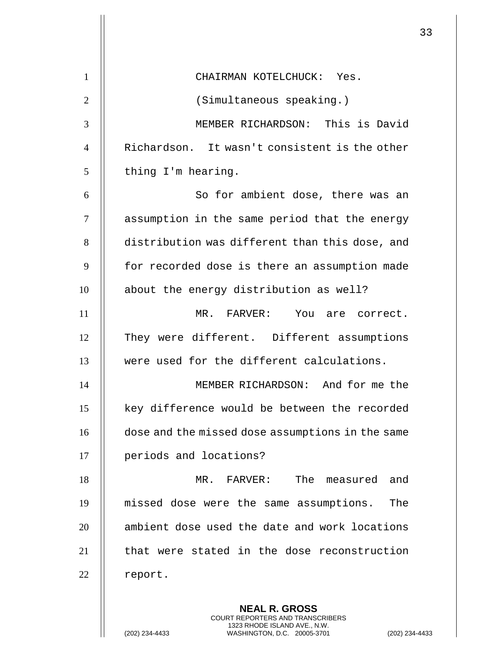|                |                                                  | 33 |
|----------------|--------------------------------------------------|----|
|                |                                                  |    |
| $\mathbf{1}$   | CHAIRMAN KOTELCHUCK: Yes.                        |    |
| $\overline{2}$ | (Simultaneous speaking.)                         |    |
| 3              | MEMBER RICHARDSON: This is David                 |    |
| $\overline{4}$ | Richardson. It wasn't consistent is the other    |    |
| 5              | thing I'm hearing.                               |    |
| 6              | So for ambient dose, there was an                |    |
| 7              | assumption in the same period that the energy    |    |
| 8              | distribution was different than this dose, and   |    |
| 9              | for recorded dose is there an assumption made    |    |
| 10             | about the energy distribution as well?           |    |
| 11             | MR. FARVER: You are correct.                     |    |
| 12             | They were different. Different assumptions       |    |
| 13             | were used for the different calculations.        |    |
| 14             | MEMBER RICHARDSON: And for me the                |    |
| 15             | key difference would be between the recorded     |    |
| 16             | dose and the missed dose assumptions in the same |    |
| 17             | periods and locations?                           |    |
| 18             | The<br>$MR$ .<br>FARVER:<br>and<br>measured      |    |
| 19             | missed dose were the same assumptions.<br>The    |    |
| 20             | ambient dose used the date and work locations    |    |
| 21             | that were stated in the dose reconstruction      |    |
| 22             | report.                                          |    |
|                |                                                  |    |
|                | <b>NEAL R. GROSS</b>                             |    |

COURT REPORTERS AND TRANSCRIBERS 1323 RHODE ISLAND AVE., N.W.

(202) 234-4433 WASHINGTON, D.C. 20005-3701 (202) 234-4433

 $\mathsf{II}$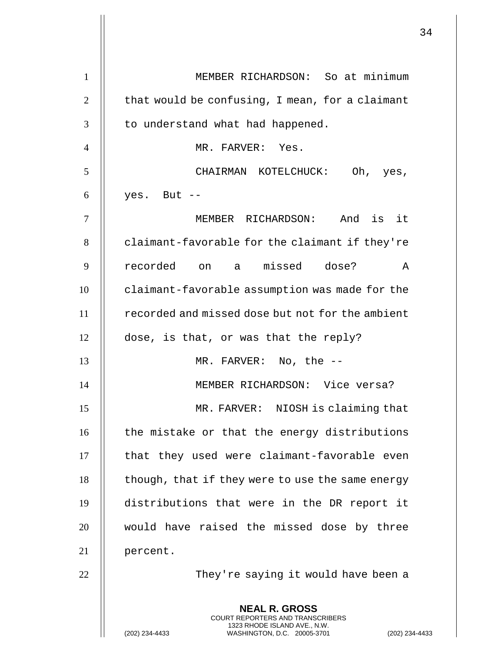| 1              | MEMBER RICHARDSON: So at minimum                                                         |
|----------------|------------------------------------------------------------------------------------------|
| $\overline{2}$ | that would be confusing, I mean, for a claimant                                          |
| 3              | to understand what had happened.                                                         |
| $\overline{4}$ | MR. FARVER: Yes.                                                                         |
| 5              | CHAIRMAN KOTELCHUCK: Oh, yes,                                                            |
| 6              | yes. But --                                                                              |
| 7              | MEMBER RICHARDSON: And is it                                                             |
| 8              | claimant-favorable for the claimant if they're                                           |
| 9              | recorded on a missed dose?<br>$\mathbb A$                                                |
| 10             | claimant-favorable assumption was made for the                                           |
| 11             | recorded and missed dose but not for the ambient                                         |
| 12             | dose, is that, or was that the reply?                                                    |
| 13             | MR. FARVER: No, the --                                                                   |
| 14             | MEMBER RICHARDSON: Vice versa?                                                           |
| 15             | MR. FARVER: NIOSH is claiming that                                                       |
| 16             | the mistake or that the energy distributions                                             |
| 17             | that they used were claimant-favorable even                                              |
| 18             | though, that if they were to use the same energy                                         |
| 19             | distributions that were in the DR report it                                              |
| 20             | would have raised the missed dose by three                                               |
| 21             | percent.                                                                                 |
| 22             | They're saying it would have been a                                                      |
|                | <b>NEAL R. GROSS</b><br>COURT REPORTERS AND TRANSCRIBERS<br>1323 RHODE ISLAND AVE., N.W. |
|                | (202) 234-4433<br>WASHINGTON, D.C. 20005-3701<br>$(202)$ 234-4                           |

 $\mathbf{1}$  $\mathsf{l}$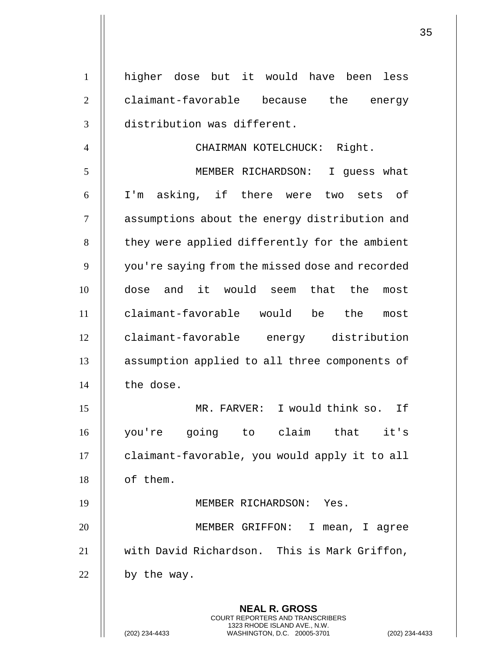| $\mathbf{1}$   | higher dose but it would have been<br>less                                                                                                                       |
|----------------|------------------------------------------------------------------------------------------------------------------------------------------------------------------|
| $\overline{2}$ | claimant-favorable because the<br>energy                                                                                                                         |
| 3              | distribution was different.                                                                                                                                      |
| $\overline{4}$ | Right.<br>CHAIRMAN KOTELCHUCK:                                                                                                                                   |
| 5              | MEMBER RICHARDSON:<br>I guess what                                                                                                                               |
| 6              | I'm asking, if there were two sets of                                                                                                                            |
| 7              | assumptions about the energy distribution and                                                                                                                    |
| 8              | they were applied differently for the ambient                                                                                                                    |
| 9              | you're saying from the missed dose and recorded                                                                                                                  |
| 10             | dose and it would seem that the<br>most                                                                                                                          |
| 11             | claimant-favorable would be the<br>most                                                                                                                          |
| 12             | claimant-favorable energy distribution                                                                                                                           |
| 13             | assumption applied to all three components of                                                                                                                    |
| 14             | the dose.                                                                                                                                                        |
| 15             | MR. FARVER: I would think so. If                                                                                                                                 |
| 16             | you're going to claim that it's                                                                                                                                  |
| 17             | claimant-favorable, you would apply it to all                                                                                                                    |
| 18             | of them.                                                                                                                                                         |
| 19             | MEMBER RICHARDSON: Yes.                                                                                                                                          |
| 20             | MEMBER GRIFFON:<br>$\mathbf I$<br>mean, I agree                                                                                                                  |
| 21             | with David Richardson. This is Mark Griffon,                                                                                                                     |
| 22             | by the way.                                                                                                                                                      |
|                | <b>NEAL R. GROSS</b><br><b>COURT REPORTERS AND TRANSCRIBERS</b><br>1323 RHODE ISLAND AVE., N.W.<br>(202) 234-4433<br>WASHINGTON, D.C. 20005-3701<br>$(202)$ 234- |

 $\mathsf{I}$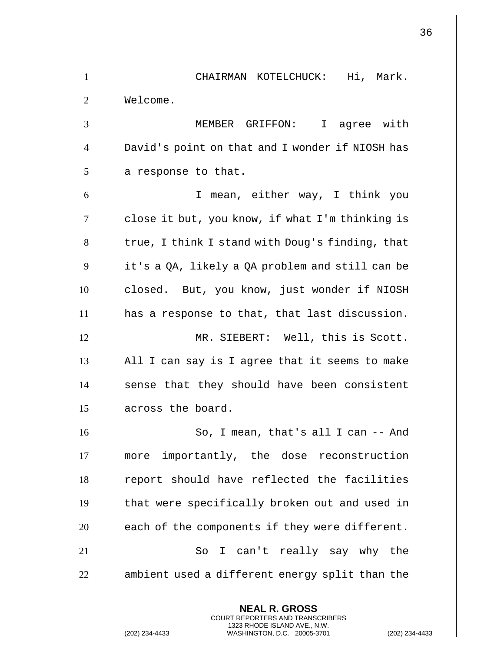**NEAL R. GROSS** COURT REPORTERS AND TRANSCRIBERS 1 | CHAIRMAN KOTELCHUCK: Hi, Mark. 2 Welcome. 3 MEMBER GRIFFON: I agree with 4 David's point on that and I wonder if NIOSH has  $5$  | a response to that. 6 I mean, either way, I think you  $7$  | close it but, you know, if what I'm thinking is  $8$  | true, I think I stand with Doug's finding, that 9  $\parallel$  it's a QA, likely a QA problem and still can be 10 closed. But, you know, just wonder if NIOSH 11 | has a response to that, that last discussion. 12 MR. SIEBERT: Well, this is Scott.  $13$  || All I can say is I agree that it seems to make  $14$   $\parallel$  sense that they should have been consistent 15 || across the board. 16 || So, I mean, that's all I can -- And 17 more importantly, the dose reconstruction 18 || report should have reflected the facilities  $19$   $\parallel$  that were specifically broken out and used in  $20$  || each of the components if they were different. 21 || So I can't really say why the  $22$   $\parallel$  ambient used a different energy split than the

1323 RHODE ISLAND AVE., N.W.

(202) 234-4433 WASHINGTON, D.C. 20005-3701 (202) 234-4433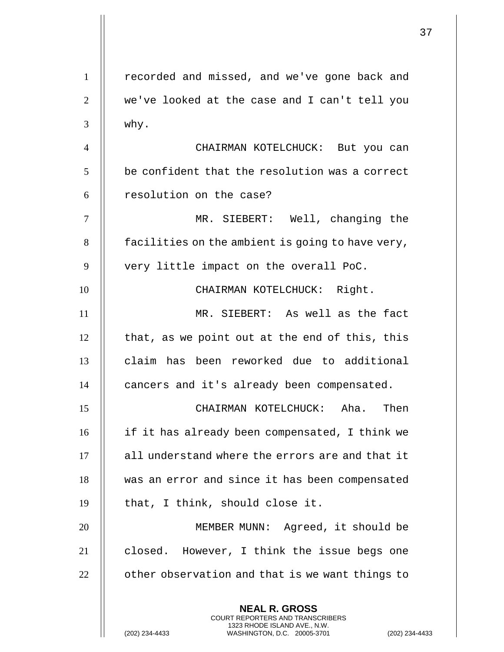**NEAL R. GROSS** COURT REPORTERS AND TRANSCRIBERS 1323 RHODE ISLAND AVE., N.W. 1 | recorded and missed, and we've gone back and 2 we've looked at the case and I can't tell you  $3 \parallel$  why. 4 CHAIRMAN KOTELCHUCK: But you can  $5$   $\parallel$  be confident that the resolution was a correct 6 | resolution on the case? 7 MR. SIEBERT: Well, changing the  $8$  | facilities on the ambient is going to have very, 9 || very little impact on the overall PoC. 10 || CHAIRMAN KOTELCHUCK: Right. 11 MR. SIEBERT: As well as the fact  $12$  | that, as we point out at the end of this, this 13 declaim has been reworked due to additional 14 **cancers** and it's already been compensated. 15 CHAIRMAN KOTELCHUCK: Aha. Then 16 if it has already been compensated, I think we 17 || all understand where the errors are and that it 18 || was an error and since it has been compensated  $19$  || that, I think, should close it. 20 MEMBER MUNN: Agreed, it should be 21 || closed. However, I think the issue begs one  $22$   $\parallel$  other observation and that is we want things to

(202) 234-4433 WASHINGTON, D.C. 20005-3701 (202) 234-4433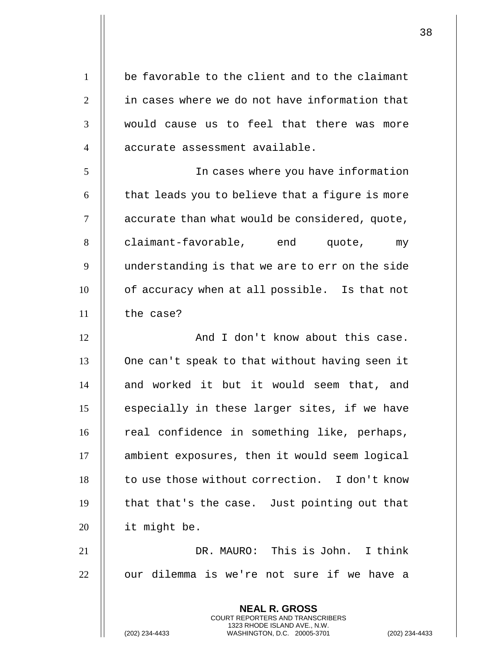1 | be favorable to the client and to the claimant 2 II in cases where we do not have information that 3 would cause us to feel that there was more 4 || accurate assessment available.

 In cases where you have information  $\parallel$  that leads you to believe that a figure is more  $\parallel$  accurate than what would be considered, quote, 8 claimant-favorable, end quote, my 9 || understanding is that we are to err on the side **o** of accuracy when at all possible. Is that not the case?

12 || And I don't know about this case. 13 | One can't speak to that without having seen it 14 || and worked it but it would seem that, and 15 || especially in these larger sites, if we have 16 || real confidence in something like, perhaps, 17 | ambient exposures, then it would seem logical 18 | to use those without correction. I don't know  $19$   $\parallel$  that that's the case. Just pointing out that 20 it might be.

21 DR. MAURO: This is John. I think  $22$   $\parallel$  our dilemma is we're not sure if we have a

> **NEAL R. GROSS** COURT REPORTERS AND TRANSCRIBERS 1323 RHODE ISLAND AVE., N.W.

(202) 234-4433 WASHINGTON, D.C. 20005-3701 (202) 234-4433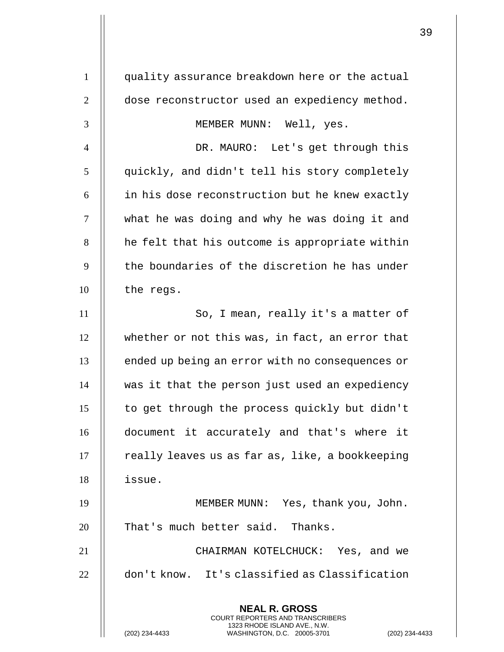| $\mathbf{1}$   | quality assurance breakdown here or the actual                                                                                                                     |
|----------------|--------------------------------------------------------------------------------------------------------------------------------------------------------------------|
| $\overline{2}$ | dose reconstructor used an expediency method.                                                                                                                      |
| 3              | MEMBER MUNN: Well, yes.                                                                                                                                            |
| $\overline{4}$ | DR. MAURO: Let's get through this                                                                                                                                  |
| 5              | quickly, and didn't tell his story completely                                                                                                                      |
| 6              | in his dose reconstruction but he knew exactly                                                                                                                     |
| 7              | what he was doing and why he was doing it and                                                                                                                      |
| 8              | he felt that his outcome is appropriate within                                                                                                                     |
| 9              | the boundaries of the discretion he has under                                                                                                                      |
| 10             | the regs.                                                                                                                                                          |
| 11             | So, I mean, really it's a matter of                                                                                                                                |
| 12             | whether or not this was, in fact, an error that                                                                                                                    |
| 13             | ended up being an error with no consequences or                                                                                                                    |
| 14             | was it that the person just used an expediency                                                                                                                     |
| 15             | to get through the process quickly but didn't                                                                                                                      |
| 16             | document it accurately and that's where it                                                                                                                         |
| 17             | really leaves us as far as, like, a bookkeeping                                                                                                                    |
| 18             | issue.                                                                                                                                                             |
| 19             | MEMBER MUNN: Yes, thank you, John.                                                                                                                                 |
| 20             | That's much better said. Thanks.                                                                                                                                   |
| 21             | CHAIRMAN KOTELCHUCK: Yes, and we                                                                                                                                   |
| 22             | don't know. It's classified as Classification                                                                                                                      |
|                | <b>NEAL R. GROSS</b><br><b>COURT REPORTERS AND TRANSCRIBERS</b><br>1323 RHODE ISLAND AVE., N.W.<br>(202) 234-4433<br>WASHINGTON, D.C. 20005-3701<br>(202) 234-4433 |

 $\mathsf{I}$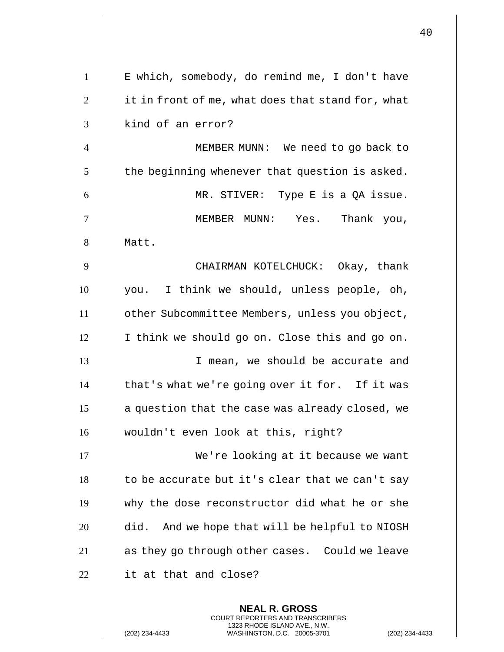| $\mathbf{1}$   | E which, somebody, do remind me, I don't have                                                                                                                     |
|----------------|-------------------------------------------------------------------------------------------------------------------------------------------------------------------|
| $\overline{2}$ | it in front of me, what does that stand for, what                                                                                                                 |
| 3              | kind of an error?                                                                                                                                                 |
| $\overline{4}$ | MEMBER MUNN: We need to go back to                                                                                                                                |
| 5              | the beginning whenever that question is asked.                                                                                                                    |
| 6              | MR. STIVER: Type E is a QA issue.                                                                                                                                 |
| 7              | MEMBER MUNN: Yes. Thank you,                                                                                                                                      |
| 8              | Matt.                                                                                                                                                             |
| 9              | CHAIRMAN KOTELCHUCK: Okay, thank                                                                                                                                  |
| 10             | you. I think we should, unless people, oh,                                                                                                                        |
| 11             | other Subcommittee Members, unless you object,                                                                                                                    |
| 12             | I think we should go on. Close this and go on.                                                                                                                    |
| 13             | I mean, we should be accurate and                                                                                                                                 |
| 14             | that's what we're going over it for. If it was                                                                                                                    |
| 15             | a question that the case was already closed, we                                                                                                                   |
| 16             | wouldn't even look at this, right?                                                                                                                                |
| 17             | We're looking at it because we want                                                                                                                               |
| 18             | to be accurate but it's clear that we can't say                                                                                                                   |
| 19             | why the dose reconstructor did what he or she                                                                                                                     |
| 20             | did. And we hope that will be helpful to NIOSH                                                                                                                    |
| 21             | as they go through other cases. Could we leave                                                                                                                    |
| 22             | it at that and close?                                                                                                                                             |
|                | <b>NEAL R. GROSS</b><br><b>COURT REPORTERS AND TRANSCRIBERS</b><br>1323 RHODE ISLAND AVE., N.W.<br>(202) 234-4433<br>WASHINGTON, D.C. 20005-3701<br>$(202)$ 234-4 |

 $\mathbf{1}$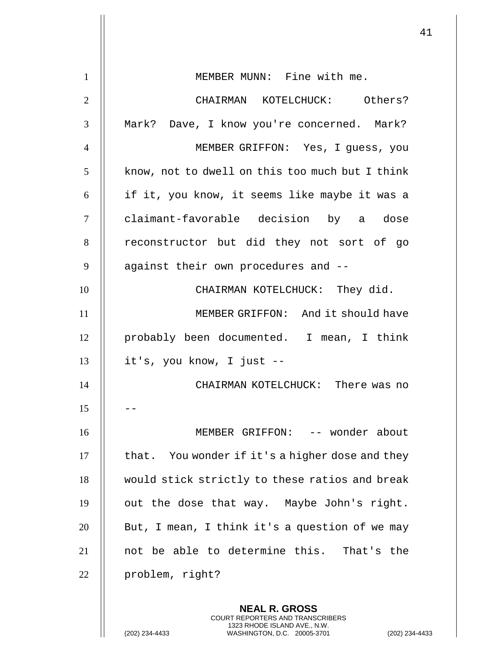|                |                                                                                                                                                             | 41 |
|----------------|-------------------------------------------------------------------------------------------------------------------------------------------------------------|----|
| $\mathbf{1}$   | MEMBER MUNN: Fine with me.                                                                                                                                  |    |
| $\overline{2}$ | CHAIRMAN KOTELCHUCK: Others?                                                                                                                                |    |
| 3              | Mark? Dave, I know you're concerned. Mark?                                                                                                                  |    |
| $\overline{4}$ | MEMBER GRIFFON: Yes, I guess, you                                                                                                                           |    |
| 5              | know, not to dwell on this too much but I think                                                                                                             |    |
| 6              | if it, you know, it seems like maybe it was a                                                                                                               |    |
| $\overline{7}$ | claimant-favorable decision by a dose                                                                                                                       |    |
| 8              | reconstructor but did they not sort of go                                                                                                                   |    |
| 9              | against their own procedures and --                                                                                                                         |    |
| 10             | CHAIRMAN KOTELCHUCK: They did.                                                                                                                              |    |
| 11             | MEMBER GRIFFON: And it should have                                                                                                                          |    |
| 12             | probably been documented. I mean, I think                                                                                                                   |    |
| 13             | it's, you know, I just --                                                                                                                                   |    |
| 14             | CHAIRMAN KOTELCHUCK:<br>There was no                                                                                                                        |    |
| 15             |                                                                                                                                                             |    |
| 16             | MEMBER GRIFFON: -- wonder about                                                                                                                             |    |
| 17             | that. You wonder if it's a higher dose and they                                                                                                             |    |
| 18             | would stick strictly to these ratios and break                                                                                                              |    |
| 19             | out the dose that way. Maybe John's right.                                                                                                                  |    |
| 20             | But, I mean, I think it's a question of we may                                                                                                              |    |
| 21             | not be able to determine this. That's the                                                                                                                   |    |
| 22             | problem, right?                                                                                                                                             |    |
|                | <b>NEAL R. GROSS</b><br>COURT REPORTERS AND TRANSCRIBERS<br>1323 RHODE ISLAND AVE., N.W.<br>(202) 234-4433<br>(202) 234-4433<br>WASHINGTON, D.C. 20005-3701 |    |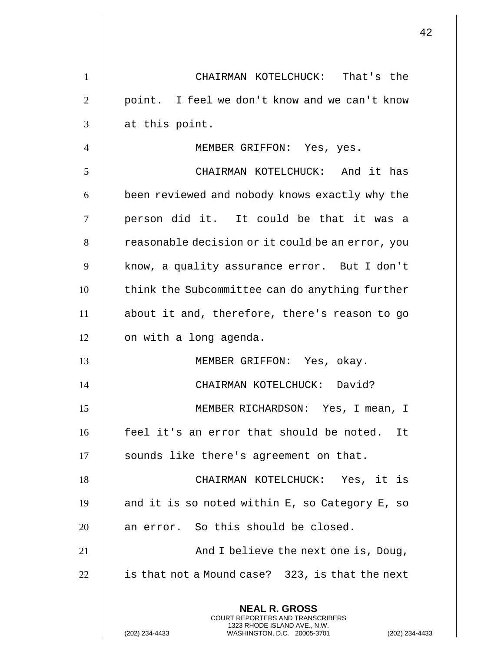|                |                                                                                                                                                                    | 42 |
|----------------|--------------------------------------------------------------------------------------------------------------------------------------------------------------------|----|
| $\mathbf{1}$   | CHAIRMAN KOTELCHUCK: That's the                                                                                                                                    |    |
| $\overline{2}$ | point. I feel we don't know and we can't know                                                                                                                      |    |
| 3              | at this point.                                                                                                                                                     |    |
| $\overline{4}$ | MEMBER GRIFFON: Yes, yes.                                                                                                                                          |    |
| 5              | CHAIRMAN KOTELCHUCK: And it has                                                                                                                                    |    |
| 6              | been reviewed and nobody knows exactly why the                                                                                                                     |    |
| $\tau$         | person did it. It could be that it was a                                                                                                                           |    |
| 8              | reasonable decision or it could be an error, you                                                                                                                   |    |
| 9              | know, a quality assurance error. But I don't                                                                                                                       |    |
| 10             | think the Subcommittee can do anything further                                                                                                                     |    |
| 11             | about it and, therefore, there's reason to go                                                                                                                      |    |
| 12             | on with a long agenda.                                                                                                                                             |    |
| 13             | MEMBER GRIFFON: Yes, okay.                                                                                                                                         |    |
| 14             | CHAIRMAN KOTELCHUCK: David?                                                                                                                                        |    |
| 15             | MEMBER RICHARDSON: Yes, I mean, I                                                                                                                                  |    |
| 16             | feel it's an error that should be noted. It                                                                                                                        |    |
| 17             | sounds like there's agreement on that.                                                                                                                             |    |
| 18             | CHAIRMAN KOTELCHUCK: Yes, it is                                                                                                                                    |    |
| 19             | and it is so noted within E, so Category E, so                                                                                                                     |    |
| 20             | an error. So this should be closed.                                                                                                                                |    |
| 21             | And I believe the next one is, Doug,                                                                                                                               |    |
| 22             | is that not a Mound case? 323, is that the next                                                                                                                    |    |
|                | <b>NEAL R. GROSS</b><br><b>COURT REPORTERS AND TRANSCRIBERS</b><br>1323 RHODE ISLAND AVE., N.W.<br>(202) 234-4433<br>WASHINGTON, D.C. 20005-3701<br>(202) 234-4433 |    |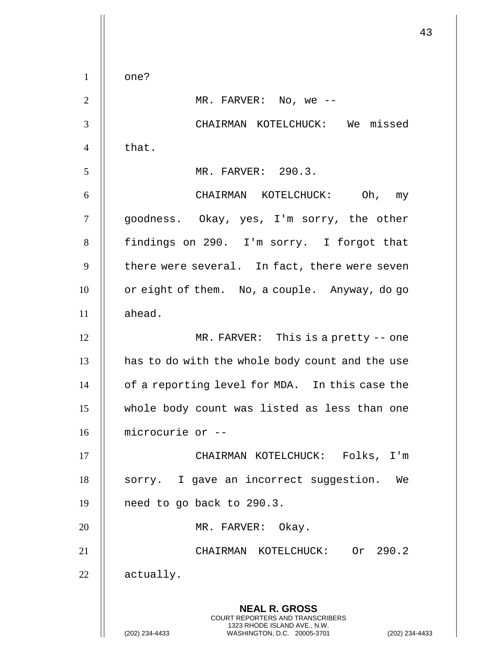43 **NEAL R. GROSS** COURT REPORTERS AND TRANSCRIBERS 1323 RHODE ISLAND AVE., N.W. (202) 234-4433 WASHINGTON, D.C. 20005-3701 (202) 234-4433  $1 \parallel$  one?  $2 \parallel$  MR. FARVER: No, we --3 || CHAIRMAN KOTELCHUCK: We missed 4 II that. 5 MR. FARVER: 290.3. 6 CHAIRMAN KOTELCHUCK: Oh, my 7 goodness. Okay, yes, I'm sorry, the other 8 | findings on 290. I'm sorry. I forgot that  $9$  | there were several. In fact, there were seven 10 | or eight of them. No, a couple. Anyway, do go  $11$   $\parallel$  ahead. 12 || MR. FARVER: This is a pretty -- one  $13$  || has to do with the whole body count and the use 14 | of a reporting level for MDA. In this case the 15 whole body count was listed as less than one 16 microcurie or -- 17 CHAIRMAN KOTELCHUCK: Folks, I'm 18 || sorry. I gave an incorrect suggestion. We 19 | need to go back to 290.3. 20 || MR. FARVER: Okay. 21 || CHAIRMAN KOTELCHUCK: Or 290.2 22 | actually.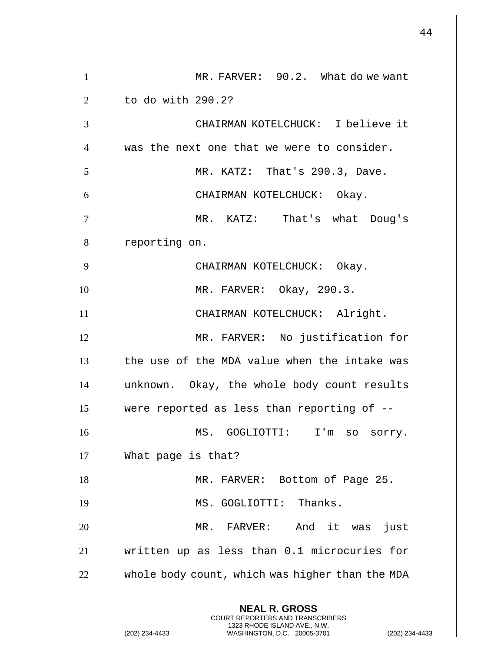|                |                                                                                                                                                             | 44 |
|----------------|-------------------------------------------------------------------------------------------------------------------------------------------------------------|----|
| $\mathbf{1}$   | MR. FARVER: 90.2. What do we want                                                                                                                           |    |
| $\overline{2}$ | to do with 290.2?                                                                                                                                           |    |
| 3              | CHAIRMAN KOTELCHUCK: I believe it                                                                                                                           |    |
| $\overline{4}$ | was the next one that we were to consider.                                                                                                                  |    |
| 5              | MR. KATZ: That's 290.3, Dave.                                                                                                                               |    |
| 6              | CHAIRMAN KOTELCHUCK: Okay.                                                                                                                                  |    |
| $\overline{7}$ | MR. KATZ: That's what Doug's                                                                                                                                |    |
| 8              | reporting on.                                                                                                                                               |    |
| 9              | CHAIRMAN KOTELCHUCK: Okay.                                                                                                                                  |    |
| 10             | MR. FARVER: Okay, 290.3.                                                                                                                                    |    |
| 11             |                                                                                                                                                             |    |
|                | CHAIRMAN KOTELCHUCK: Alright.                                                                                                                               |    |
| 12             | MR. FARVER: No justification for                                                                                                                            |    |
| 13             | the use of the MDA value when the intake was                                                                                                                |    |
| 14             | unknown. Okay, the whole body count results                                                                                                                 |    |
| 15             | were reported as less than reporting of --                                                                                                                  |    |
| 16             | MS. GOGLIOTTI:<br>I'm<br>SO<br>sorry.                                                                                                                       |    |
| 17             | What page is that?                                                                                                                                          |    |
| 18             | MR. FARVER: Bottom of Page 25.                                                                                                                              |    |
| 19             | MS. GOGLIOTTI: Thanks.                                                                                                                                      |    |
| 20             | MR. FARVER: And it was just                                                                                                                                 |    |
| 21             | written up as less than 0.1 microcuries for                                                                                                                 |    |
| 22             | whole body count, which was higher than the MDA                                                                                                             |    |
|                | <b>NEAL R. GROSS</b><br>COURT REPORTERS AND TRANSCRIBERS<br>1323 RHODE ISLAND AVE., N.W.<br>(202) 234-4433<br>WASHINGTON, D.C. 20005-3701<br>(202) 234-4433 |    |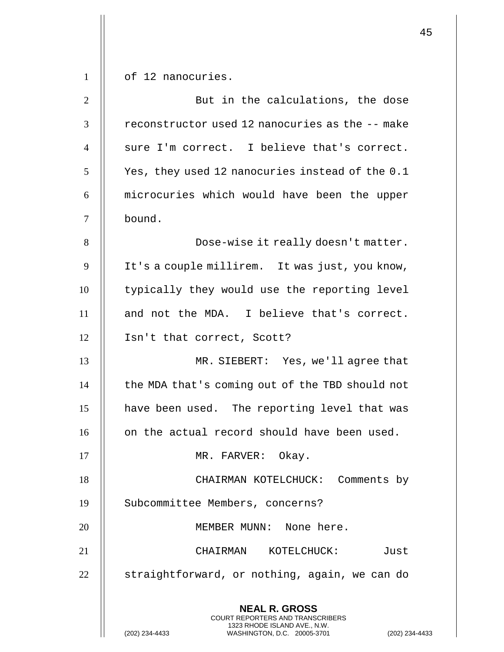| $\mathbf{1}$   | of 12 nanocuries.                                                                             |
|----------------|-----------------------------------------------------------------------------------------------|
| $\overline{2}$ | But in the calculations, the dose                                                             |
| 3              | reconstructor used 12 nanocuries as the -- make                                               |
| $\overline{4}$ | sure I'm correct. I believe that's correct.                                                   |
| 5              | Yes, they used 12 nanocuries instead of the 0.1                                               |
| 6              | microcuries which would have been the upper                                                   |
| $\tau$         | bound.                                                                                        |
| 8              | Dose-wise it really doesn't matter.                                                           |
| 9              | It's a couple millirem. It was just, you know,                                                |
| 10             | typically they would use the reporting level                                                  |
| 11             | and not the MDA. I believe that's correct.                                                    |
| 12             | Isn't that correct, Scott?                                                                    |
| 13             | MR. SIEBERT: Yes, we'll agree that                                                            |
| 14             | the MDA that's coming out of the TBD should not                                               |
| 15             | have been used. The reporting level that was                                                  |
| 16             | on the actual record should have been used.                                                   |
| 17             | MR. FARVER: Okay.                                                                             |
| 18             | CHAIRMAN KOTELCHUCK: Comments by                                                              |
| 19             | Subcommittee Members, concerns?                                                               |
| 20             | MEMBER MUNN: None here.                                                                       |
| 21             | KOTELCHUCK:<br>CHAIRMAN<br>Just                                                               |
| 22             | straightforward, or nothing, again, we can do                                                 |
|                | <b>NEAL R. GROSS</b><br>COURT REPORTERS AND TRANSCRIBERS                                      |
|                | 1323 RHODE ISLAND AVE., N.W.<br>(202) 234-4433<br>WASHINGTON, D.C. 20005-3701<br>$(202)$ 234- |

 $\mathbf{1}$  $\mathsf{l}\mathsf{l}$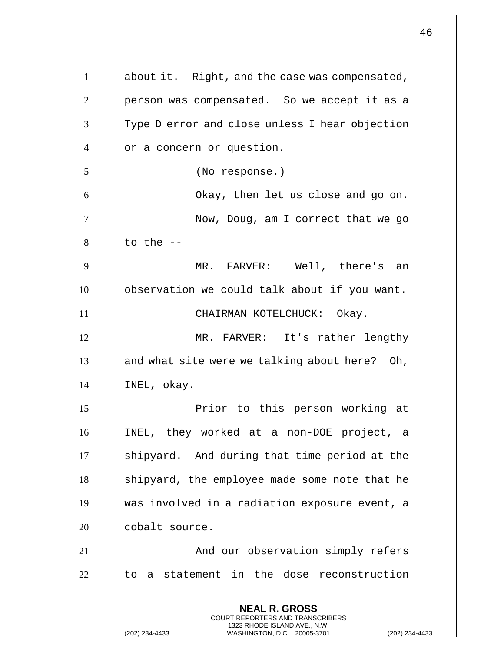|                |                                                                                                                                                             | 46 |
|----------------|-------------------------------------------------------------------------------------------------------------------------------------------------------------|----|
| $\mathbf{1}$   | about it. Right, and the case was compensated,                                                                                                              |    |
|                |                                                                                                                                                             |    |
| $\overline{2}$ | person was compensated. So we accept it as a                                                                                                                |    |
| 3              | Type D error and close unless I hear objection                                                                                                              |    |
| $\overline{4}$ | or a concern or question.                                                                                                                                   |    |
| 5              | (No response.)                                                                                                                                              |    |
| 6              | Okay, then let us close and go on.                                                                                                                          |    |
| 7              | Now, Doug, am I correct that we go                                                                                                                          |    |
| 8              | to the $-$                                                                                                                                                  |    |
| 9              | MR. FARVER: Well, there's an                                                                                                                                |    |
| 10             | observation we could talk about if you want.                                                                                                                |    |
| 11             | CHAIRMAN KOTELCHUCK: Okay.                                                                                                                                  |    |
| 12             | MR. FARVER: It's rather lengthy                                                                                                                             |    |
| 13             | and what site were we talking about here? Oh,                                                                                                               |    |
| 14             | INEL, okay.                                                                                                                                                 |    |
| 15             | Prior to this person working at                                                                                                                             |    |
| 16             | INEL, they worked at a non-DOE project, a                                                                                                                   |    |
| 17             | shipyard. And during that time period at the                                                                                                                |    |
| 18             | shipyard, the employee made some note that he                                                                                                               |    |
| 19             | was involved in a radiation exposure event, a                                                                                                               |    |
| 20             | cobalt source.                                                                                                                                              |    |
| 21             | And our observation simply refers                                                                                                                           |    |
| 22             | to a statement in the dose reconstruction                                                                                                                   |    |
|                | <b>NEAL R. GROSS</b><br>COURT REPORTERS AND TRANSCRIBERS<br>1323 RHODE ISLAND AVE., N.W.<br>(202) 234-4433<br>WASHINGTON, D.C. 20005-3701<br>(202) 234-4433 |    |

 $\overline{1}$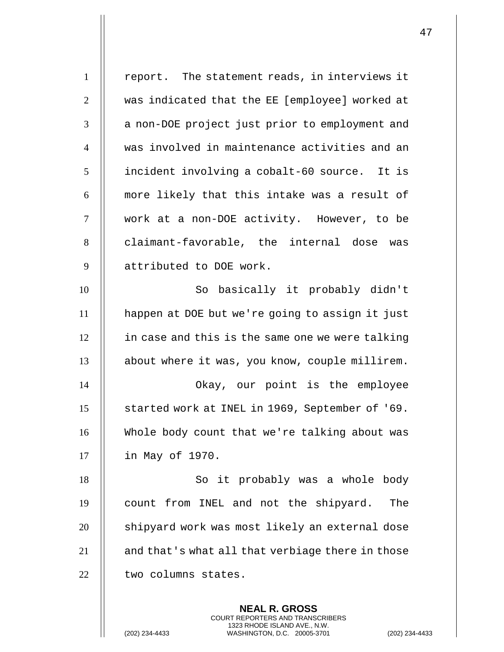| $\mathbf{1}$   | report. The statement reads, in interviews it    |
|----------------|--------------------------------------------------|
| $\overline{2}$ | was indicated that the EE [employee] worked at   |
| 3              | a non-DOE project just prior to employment and   |
| $\overline{4}$ | was involved in maintenance activities and an    |
| 5              | incident involving a cobalt-60 source. It is     |
| 6              | more likely that this intake was a result of     |
| $\tau$         | work at a non-DOE activity. However, to be       |
| 8              | claimant-favorable, the internal dose was        |
| 9              | attributed to DOE work.                          |
| 10             | So basically it probably didn't                  |
| 11             | happen at DOE but we're going to assign it just  |
| 12             | in case and this is the same one we were talking |
| 13             | about where it was, you know, couple millirem.   |
| 14             | Okay, our point is the employee                  |
| 15             | started work at INEL in 1969, September of '69.  |
| 16             | Whole body count that we're talking about was    |
| 17             | in May of 1970.                                  |
| 18             | So it probably was a whole body                  |
| 19             | count from INEL and not the shipyard.<br>The     |
| 20             | shipyard work was most likely an external dose   |
| 21             | and that's what all that verbiage there in those |
| 22             | two columns states.                              |
|                |                                                  |

**NEAL R. GROSS** COURT REPORTERS AND TRANSCRIBERS 1323 RHODE ISLAND AVE., N.W.

(202) 234-4433 WASHINGTON, D.C. 20005-3701 (202) 234-4433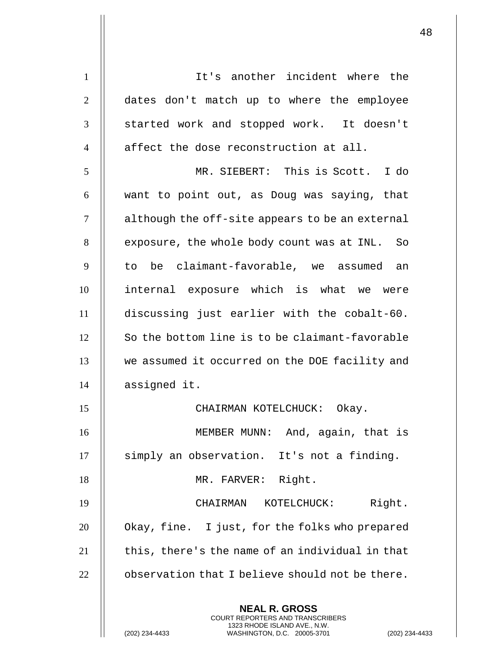**NEAL R. GROSS** COURT REPORTERS AND TRANSCRIBERS 1323 RHODE ISLAND AVE., N.W. 1 || It's another incident where the 2 || dates don't match up to where the employee 3 || started work and stopped work. It doesn't  $4$   $\parallel$  affect the dose reconstruction at all. 5 MR. SIEBERT: This is Scott. I do  $6$  || want to point out, as Doug was saying, that 7 | although the off-site appears to be an external 8 | exposure, the whole body count was at INL. So  $9$   $\parallel$  to be claimant-favorable, we assumed an 10 internal exposure which is what we were 11 discussing just earlier with the cobalt-60.  $12$   $\parallel$  So the bottom line is to be claimant-favorable 13 || we assumed it occurred on the DOE facility and 14 assigned it. 15 CHAIRMAN KOTELCHUCK: Okay. 16 MEMBER MUNN: And, again, that is 17 || simply an observation. It's not a finding. 18 || MR. FARVER: Right. 19 CHAIRMAN KOTELCHUCK: Right.  $20$  | Okay, fine. I just, for the folks who prepared  $21$   $\parallel$  this, there's the name of an individual in that  $22$   $\parallel$  observation that I believe should not be there.

(202) 234-4433 WASHINGTON, D.C. 20005-3701 (202) 234-4433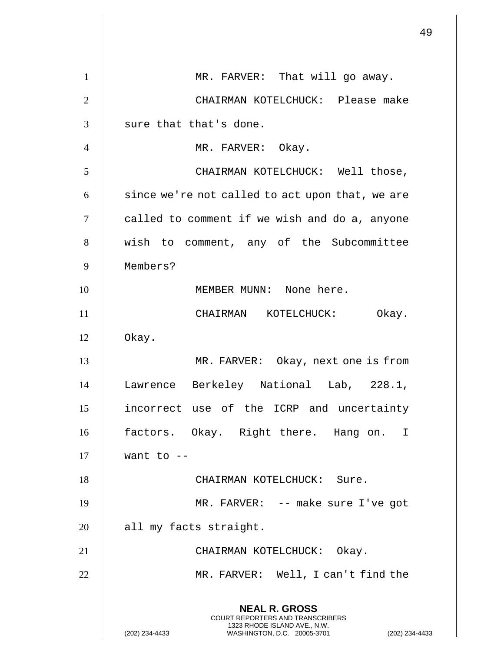|                |                                                                                                                                                                    | 49 |
|----------------|--------------------------------------------------------------------------------------------------------------------------------------------------------------------|----|
| 1              | MR. FARVER: That will go away.                                                                                                                                     |    |
| $\overline{2}$ | CHAIRMAN KOTELCHUCK: Please make                                                                                                                                   |    |
| 3              | sure that that's done.                                                                                                                                             |    |
| $\overline{4}$ | MR. FARVER: Okay.                                                                                                                                                  |    |
| 5              | CHAIRMAN KOTELCHUCK: Well those,                                                                                                                                   |    |
| 6              | since we're not called to act upon that, we are                                                                                                                    |    |
| $\tau$         | called to comment if we wish and do a, anyone                                                                                                                      |    |
| 8              | wish to comment, any of the Subcommittee                                                                                                                           |    |
| 9              | Members?                                                                                                                                                           |    |
| 10             | MEMBER MUNN: None here.                                                                                                                                            |    |
| 11             | CHAIRMAN KOTELCHUCK: Okay.                                                                                                                                         |    |
| 12             | Okay.                                                                                                                                                              |    |
| 13             | MR. FARVER: Okay, next one is from                                                                                                                                 |    |
| 14             | Lawrence Berkeley National Lab, 228.1,                                                                                                                             |    |
| 15             | incorrect use of the ICRP and uncertainty                                                                                                                          |    |
| 16             | factors. Okay. Right there. Hang on. I                                                                                                                             |    |
| 17             | want to $-$                                                                                                                                                        |    |
| 18             | CHAIRMAN KOTELCHUCK: Sure.                                                                                                                                         |    |
| 19             | MR. FARVER: -- make sure I've got                                                                                                                                  |    |
| 20             | all my facts straight.                                                                                                                                             |    |
| 21             | CHAIRMAN KOTELCHUCK: Okay.                                                                                                                                         |    |
| 22             | MR. FARVER: Well, I can't find the                                                                                                                                 |    |
|                | <b>NEAL R. GROSS</b><br><b>COURT REPORTERS AND TRANSCRIBERS</b><br>1323 RHODE ISLAND AVE., N.W.<br>(202) 234-4433<br>WASHINGTON, D.C. 20005-3701<br>(202) 234-4433 |    |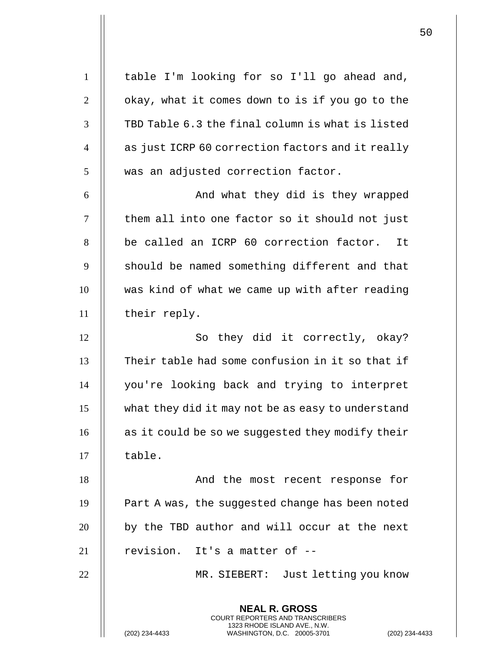**NEAL R. GROSS** COURT REPORTERS AND TRANSCRIBERS 1323 RHODE ISLAND AVE., N.W. 1 | table I'm looking for so I'll go ahead and,  $2 \parallel$  okay, what it comes down to is if you go to the  $3$   $\parallel$  TBD Table 6.3 the final column is what is listed 4 || as just ICRP 60 correction factors and it really  $5$   $\parallel$  was an adjusted correction factor. 6 And what they did is they wrapped  $7$   $\parallel$  them all into one factor so it should not just 8 || be called an ICRP 60 correction factor. It  $9$   $\parallel$  should be named something different and that 10 || was kind of what we came up with after reading 11 | their reply. 12 || So they did it correctly, okay?  $13$   $\parallel$  Their table had some confusion in it so that if 14 you're looking back and trying to interpret 15 what they did it may not be as easy to understand 16 || as it could be so we suggested they modify their  $17$   $\parallel$  table. 18 And the most recent response for  $19$  | Part A was, the suggested change has been noted  $20$  || by the TBD author and will occur at the next  $21$  || revision. It's a matter of  $-$ 22 MR. SIEBERT: Just letting you know

(202) 234-4433 WASHINGTON, D.C. 20005-3701 (202) 234-4433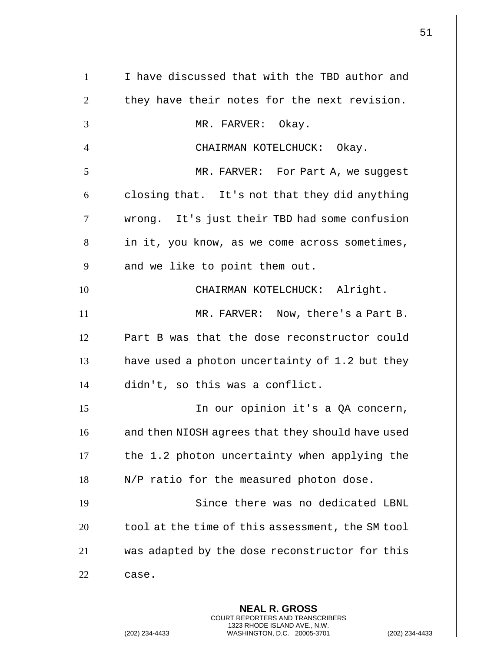| $\mathbf{1}$   | I have discussed that with the TBD author and                                                                                                                     |
|----------------|-------------------------------------------------------------------------------------------------------------------------------------------------------------------|
| $\overline{2}$ | they have their notes for the next revision.                                                                                                                      |
| 3              | MR. FARVER: Okay.                                                                                                                                                 |
| $\overline{4}$ | CHAIRMAN KOTELCHUCK: Okay.                                                                                                                                        |
| 5              | MR. FARVER: For Part A, we suggest                                                                                                                                |
| 6              | closing that. It's not that they did anything                                                                                                                     |
| 7              | wrong. It's just their TBD had some confusion                                                                                                                     |
| 8              | in it, you know, as we come across sometimes,                                                                                                                     |
| 9              | and we like to point them out.                                                                                                                                    |
| 10             | CHAIRMAN KOTELCHUCK: Alright.                                                                                                                                     |
| 11             | MR. FARVER: Now, there's a Part B.                                                                                                                                |
| 12             | Part B was that the dose reconstructor could                                                                                                                      |
| 13             | have used a photon uncertainty of 1.2 but they                                                                                                                    |
| 14             | didn't, so this was a conflict.                                                                                                                                   |
| 15             | In our opinion it's a QA concern,                                                                                                                                 |
| 16             | and then NIOSH agrees that they should have used                                                                                                                  |
| 17             | the 1.2 photon uncertainty when applying the                                                                                                                      |
| 18             | N/P ratio for the measured photon dose.                                                                                                                           |
| 19             | Since there was no dedicated LBNL                                                                                                                                 |
| 20             | tool at the time of this assessment, the SM tool                                                                                                                  |
| 21             | was adapted by the dose reconstructor for this                                                                                                                    |
| 22             | case.                                                                                                                                                             |
|                | <b>NEAL R. GROSS</b><br><b>COURT REPORTERS AND TRANSCRIBERS</b><br>1323 RHODE ISLAND AVE., N.W.<br>WASHINGTON, D.C. 20005-3701<br>(202) 234-4433<br>$(202)$ 234-4 |

 $\mathsf{I}$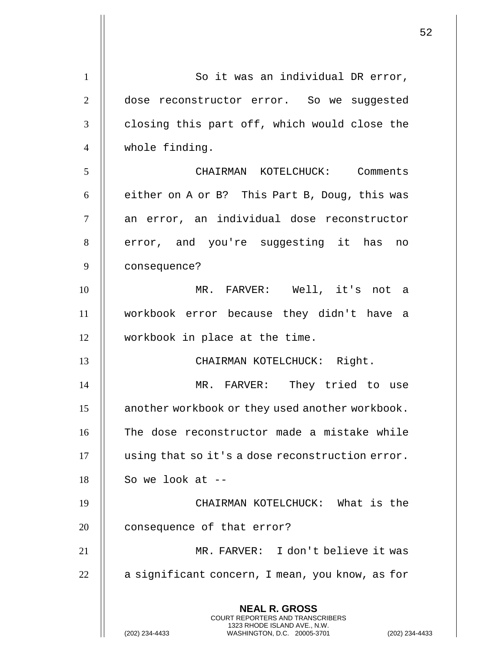**NEAL R. GROSS** COURT REPORTERS AND TRANSCRIBERS 1323 RHODE ISLAND AVE., N.W. (202) 234-4433 WASHINGTON, D.C. 20005-3701 (202) 234-4433 1 | So it was an individual DR error, 2 | dose reconstructor error. So we suggested  $3$   $\parallel$  closing this part off, which would close the 4 | whole finding. 5 CHAIRMAN KOTELCHUCK: Comments  $6 \parallel$  either on A or B? This Part B, Doug, this was 7 || an error, an individual dose reconstructor 8 || error, and you're suggesting it has no 9 consequence? 10 MR. FARVER: Well, it's not a 11 workbook error because they didn't have a 12 workbook in place at the time. 13 || CHAIRMAN KOTELCHUCK: Right. 14 || MR. FARVER: They tried to use 15 **another workbook or they used another workbook.** 16 || The dose reconstructor made a mistake while 17 | using that so it's a dose reconstruction error.  $18$  | So we look at --19 CHAIRMAN KOTELCHUCK: What is the 20 | consequence of that error? 21 MR. FARVER: I don't believe it was 22 | a significant concern, I mean, you know, as for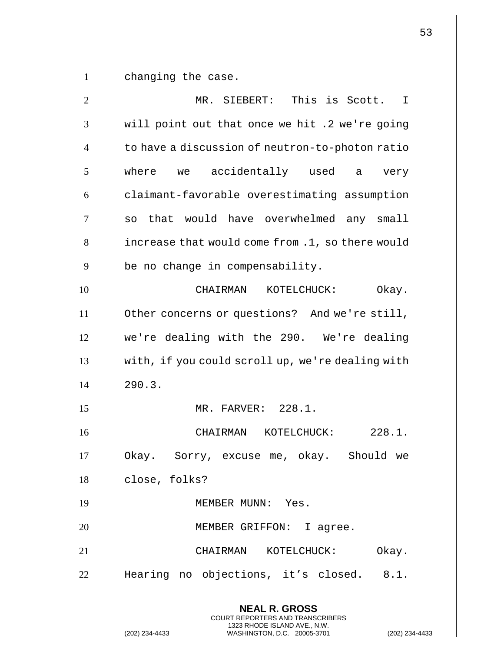$1 \parallel$  changing the case.

| $\overline{2}$ | MR. SIEBERT: This is Scott. I                                                            |
|----------------|------------------------------------------------------------------------------------------|
| 3              | will point out that once we hit .2 we're going                                           |
| $\overline{4}$ | to have a discussion of neutron-to-photon ratio                                          |
| 5              | where we accidentally used a<br>very                                                     |
| 6              | claimant-favorable overestimating assumption                                             |
| 7              | so that would have overwhelmed any small                                                 |
| 8              | increase that would come from .1, so there would                                         |
| 9              | be no change in compensability.                                                          |
| 10             | CHAIRMAN KOTELCHUCK:<br>Okay.                                                            |
| 11             | Other concerns or questions? And we're still,                                            |
| 12             | we're dealing with the 290. We're dealing                                                |
| 13             | with, if you could scroll up, we're dealing with                                         |
| 14             | 290.3.                                                                                   |
| 15             | MR. FARVER: 228.1.                                                                       |
| 16             | CHAIRMAN KOTELCHUCK: 228.1.                                                              |
| 17             | Sorry, excuse me, okay.  Should we<br>Okay.                                              |
| 18             | close, folks?                                                                            |
| 19             | MEMBER MUNN: Yes.                                                                        |
| 20             | MEMBER GRIFFON: I agree.                                                                 |
| 21             | CHAIRMAN KOTELCHUCK:<br>Okay.                                                            |
| 22             | Hearing no objections, it's closed. 8.1.                                                 |
|                | <b>NEAL R. GROSS</b><br>COURT REPORTERS AND TRANSCRIBERS<br>1323 RHODE ISLAND AVE., N.W. |
|                | (202) 234-4433<br>WASHINGTON, D.C. 20005-3701<br>(202) 234-4433                          |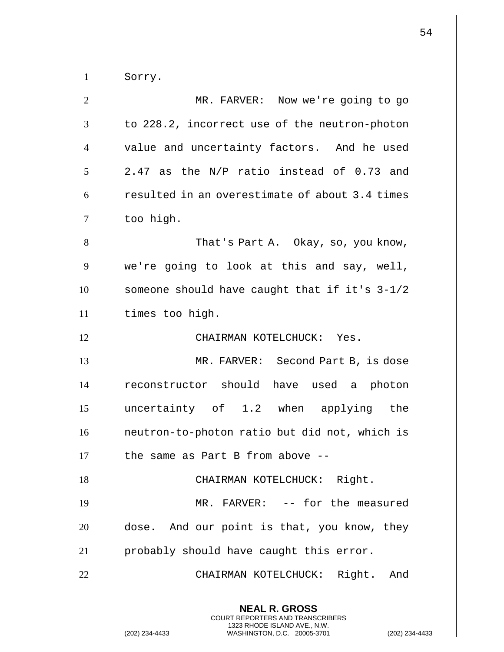| $\mathbf{1}$     | Sorry.                                                                                                                                                   |
|------------------|----------------------------------------------------------------------------------------------------------------------------------------------------------|
| $\mathbf{2}$     | MR. FARVER: Now we're going to go                                                                                                                        |
| 3                | to 228.2, incorrect use of the neutron-photon                                                                                                            |
| $\overline{4}$   | value and uncertainty factors. And he used                                                                                                               |
| 5                | 2.47 as the N/P ratio instead of 0.73 and                                                                                                                |
| 6                | resulted in an overestimate of about 3.4 times                                                                                                           |
| $\boldsymbol{7}$ | too high.                                                                                                                                                |
| 8                | That's Part A. Okay, so, you know,                                                                                                                       |
| 9                | we're going to look at this and say, well,                                                                                                               |
| 10               | someone should have caught that if it's 3-1/2                                                                                                            |
| 11               | times too high.                                                                                                                                          |
| 12               | CHAIRMAN KOTELCHUCK: Yes.                                                                                                                                |
| 13               | MR. FARVER: Second Part B, is dose                                                                                                                       |
| 14               | reconstructor should have used a photon                                                                                                                  |
| 15               | uncertainty of 1.2 when applying the                                                                                                                     |
| 16               | neutron-to-photon ratio but did not, which is                                                                                                            |
| 17               | the same as Part B from above --                                                                                                                         |
| 18               | CHAIRMAN KOTELCHUCK: Right.                                                                                                                              |
| 19               | MR. FARVER: -- for the measured                                                                                                                          |
| 20               | dose. And our point is that, you know, they                                                                                                              |
| 21               | probably should have caught this error.                                                                                                                  |
| 22               | CHAIRMAN KOTELCHUCK: Right. And                                                                                                                          |
|                  |                                                                                                                                                          |
|                  | <b>NEAL R. GROSS</b><br>COURT REPORTERS AND TRANSCRIBERS<br>1323 RHODE ISLAND AVE., N.W.<br>WASHINGTON, D.C. 20005-3701<br>(202) 234-4433<br>$(202)$ 234 |

(202) 234-4433 WASHINGTON, D.C. 20005-3701 (202) 234-4433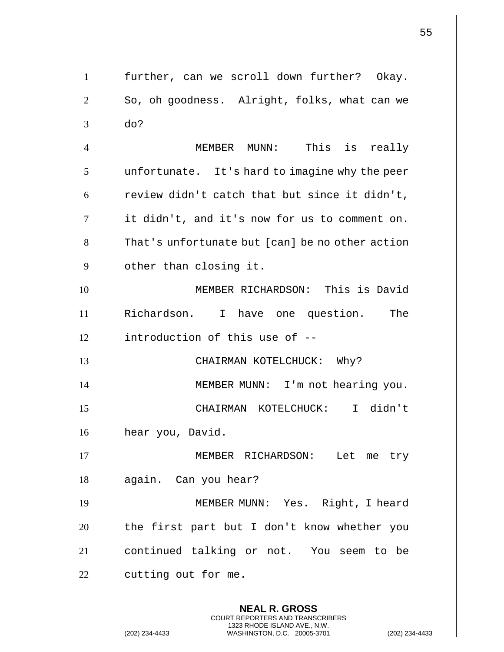**NEAL R. GROSS** COURT REPORTERS AND TRANSCRIBERS 1323 RHODE ISLAND AVE., N.W. 1 further, can we scroll down further? Okay.  $2 \parallel$  So, oh goodness. Alright, folks, what can we  $3 \parallel$  do? 4 MEMBER MUNN: This is really  $5$  | unfortunate. It's hard to imagine why the peer 6  $\parallel$  review didn't catch that but since it didn't, 7 it didn't, and it's now for us to comment on. 8 That's unfortunate but [can] be no other action 9 | other than closing it. 10 MEMBER RICHARDSON: This is David 11 Richardson. I have one question. The 12 introduction of this use of -- 13 || CHAIRMAN KOTELCHUCK: Why? 14 || MEMBER MUNN: I'm not hearing you. 15 CHAIRMAN KOTELCHUCK: I didn't 16 | hear you, David. 17 MEMBER RICHARDSON: Let me try 18 | again. Can you hear? 19 MEMBER MUNN: Yes. Right, I heard  $20$  || the first part but I don't know whether you 21 || continued talking or not. You seem to be  $22$  | cutting out for me.

(202) 234-4433 WASHINGTON, D.C. 20005-3701 (202) 234-4433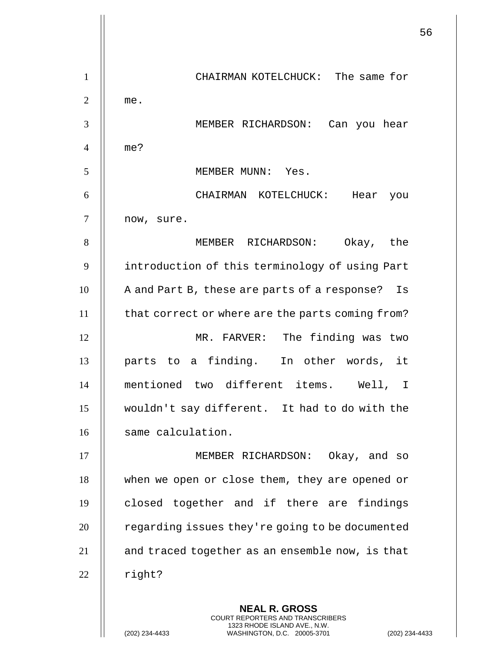56 **NEAL R. GROSS** COURT REPORTERS AND TRANSCRIBERS 1 CHAIRMAN KOTELCHUCK: The same for  $2 \parallel$  me. 3 MEMBER RICHARDSON: Can you hear 4 me? 5 MEMBER MUNN: Yes. 6 CHAIRMAN KOTELCHUCK: Hear you 7 | now, sure. 8 MEMBER RICHARDSON: Okay, the 9 | introduction of this terminology of using Part 10 | A and Part B, these are parts of a response? Is 11 | that correct or where are the parts coming from? 12 MR. FARVER: The finding was two 13 || parts to a finding. In other words, it 14 mentioned two different items. Well, I 15 wouldn't say different. It had to do with the 16 | same calculation. 17 || MEMBER RICHARDSON: Okay, and so 18 || when we open or close them, they are opened or 19 || closed together and if there are findings 20 | regarding issues they're going to be documented 21 | and traced together as an ensemble now, is that  $22$  | right?

1323 RHODE ISLAND AVE., N.W.

(202) 234-4433 WASHINGTON, D.C. 20005-3701 (202) 234-4433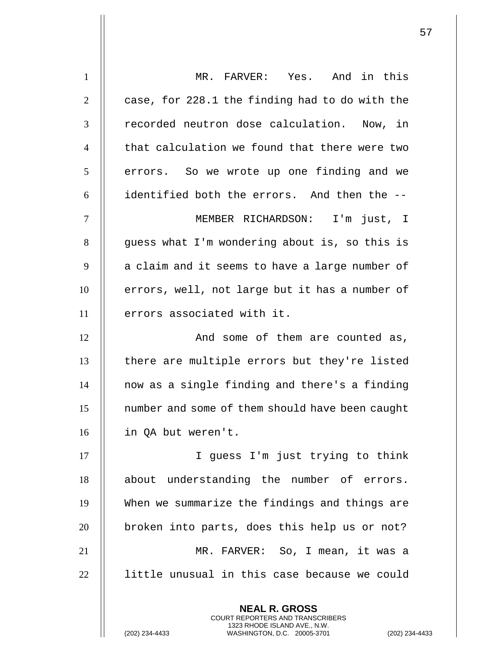| MR. FARVER: Yes. And in this                    |
|-------------------------------------------------|
| case, for 228.1 the finding had to do with the  |
| recorded neutron dose calculation. Now, in      |
| that calculation we found that there were two   |
| errors. So we wrote up one finding and we       |
| identified both the errors. And then the --     |
| MEMBER RICHARDSON: I'm just, I                  |
| guess what I'm wondering about is, so this is   |
| a claim and it seems to have a large number of  |
| errors, well, not large but it has a number of  |
| errors associated with it.                      |
| And some of them are counted as,                |
| there are multiple errors but they're listed    |
| now as a single finding and there's a finding   |
| number and some of them should have been caught |
| in QA but weren't.                              |
| I guess I'm just trying to think                |
| about understanding the number of errors.       |
| When we summarize the findings and things are   |
| broken into parts, does this help us or not?    |
| MR. FARVER: So, I mean, it was a                |
| little unusual in this case because we could    |
| <b>NEAL R. GROSS</b>                            |
|                                                 |

COURT REPORTERS AND TRANSCRIBERS 1323 RHODE ISLAND AVE., N.W.

(202) 234-4433 WASHINGTON, D.C. 20005-3701 (202) 234-4433

 $\mathsf{II}$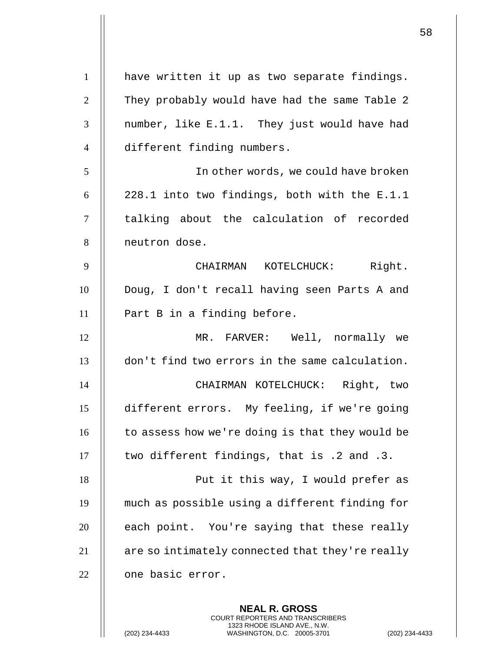| $\mathbf{1}$   | have written it up as two separate findings.    |
|----------------|-------------------------------------------------|
| $\overline{2}$ | They probably would have had the same Table 2   |
| 3              | number, like E.1.1. They just would have had    |
| $\overline{4}$ | different finding numbers.                      |
| 5              | In other words, we could have broken            |
| 6              | 228.1 into two findings, both with the E.1.1    |
| $\tau$         | talking about the calculation of recorded       |
| 8              | neutron dose.                                   |
| 9              | CHAIRMAN KOTELCHUCK: Right.                     |
| 10             | Doug, I don't recall having seen Parts A and    |
| 11             | Part B in a finding before.                     |
| 12             | MR. FARVER: Well, normally we                   |
| 13             | don't find two errors in the same calculation.  |
| 14             | CHAIRMAN KOTELCHUCK: Right, two                 |
| 15             | different errors. My feeling, if we're going    |
| 16             | to assess how we're doing is that they would be |
| 17             | two different findings, that is .2 and .3.      |
| 18             | Put it this way, I would prefer as              |
| 19             | much as possible using a different finding for  |
| 20             | each point. You're saying that these really     |
| 21             | are so intimately connected that they're really |
| 22             | one basic error.                                |
|                |                                                 |

**NEAL R. GROSS** COURT REPORTERS AND TRANSCRIBERS 1323 RHODE ISLAND AVE., N.W.

(202) 234-4433 WASHINGTON, D.C. 20005-3701 (202) 234-4433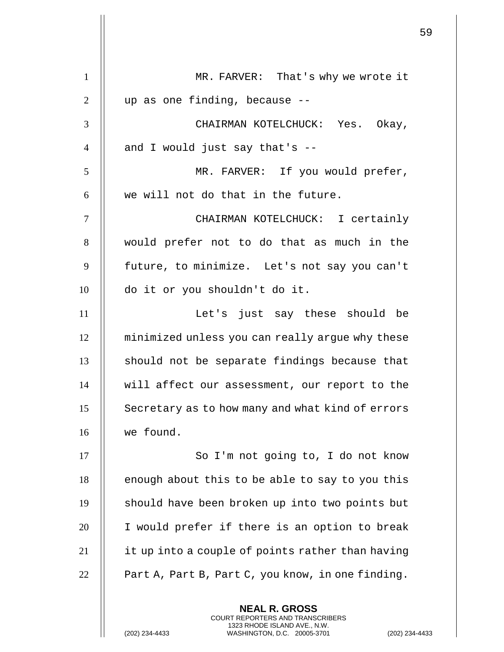| $\mathbf{1}$   | MR. FARVER: That's why we wrote it                |
|----------------|---------------------------------------------------|
| $\overline{2}$ | up as one finding, because --                     |
| 3              | CHAIRMAN KOTELCHUCK: Yes. Okay,                   |
| $\overline{4}$ | and I would just say that's --                    |
| 5              | MR. FARVER: If you would prefer,                  |
| 6              | we will not do that in the future.                |
| $\tau$         | CHAIRMAN KOTELCHUCK: I certainly                  |
| 8              | would prefer not to do that as much in the        |
| 9              | future, to minimize. Let's not say you can't      |
| 10             | do it or you shouldn't do it.                     |
| 11             | Let's just say these should be                    |
| 12             | minimized unless you can really argue why these   |
| 13             | should not be separate findings because that      |
| 14             | will affect our assessment, our report to the     |
| 15             | Secretary as to how many and what kind of errors  |
| 16             | we found.                                         |
| 17             | So I'm not going to, I do not know                |
| 18             | enough about this to be able to say to you this   |
| 19             | should have been broken up into two points but    |
| 20             | I would prefer if there is an option to break     |
| 21             | it up into a couple of points rather than having  |
| 22             | Part A, Part B, Part C, you know, in one finding. |
|                | <b>NEAL R. GROSS</b>                              |

COURT REPORTERS AND TRANSCRIBERS 1323 RHODE ISLAND AVE., N.W.

(202) 234-4433 WASHINGTON, D.C. 20005-3701 (202) 234-4433

 $\prod$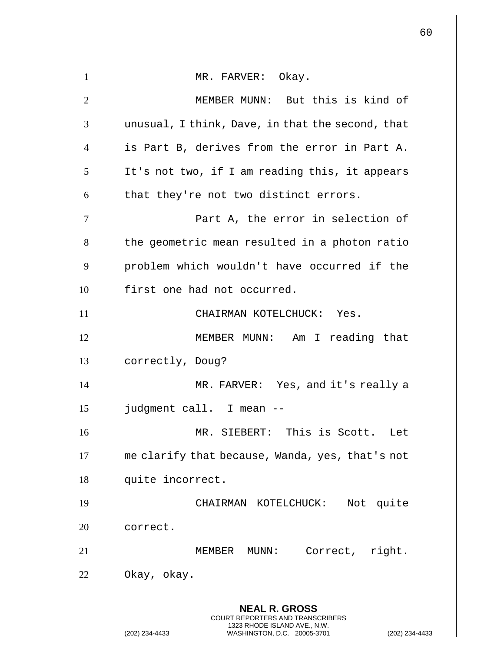|                |                                                                                                 | 60 |
|----------------|-------------------------------------------------------------------------------------------------|----|
| $\mathbf{1}$   | MR. FARVER: Okay.                                                                               |    |
| $\overline{2}$ | MEMBER MUNN: But this is kind of                                                                |    |
| 3              | unusual, I think, Dave, in that the second, that                                                |    |
| $\overline{4}$ | is Part B, derives from the error in Part A.                                                    |    |
| 5              | It's not two, if I am reading this, it appears                                                  |    |
|                |                                                                                                 |    |
| 6              | that they're not two distinct errors.                                                           |    |
| $\tau$         | Part A, the error in selection of                                                               |    |
| 8              | the geometric mean resulted in a photon ratio                                                   |    |
| 9              | problem which wouldn't have occurred if the                                                     |    |
| 10             | first one had not occurred.                                                                     |    |
| 11             | CHAIRMAN KOTELCHUCK: Yes.                                                                       |    |
| 12             | MEMBER MUNN: Am I reading that                                                                  |    |
| 13             | correctly, Doug?                                                                                |    |
| 14             | MR. FARVER: Yes, and it's really a                                                              |    |
| 15             | judgment call. I mean --                                                                        |    |
| 16             | MR. SIEBERT: This is Scott. Let                                                                 |    |
| 17             | me clarify that because, Wanda, yes, that's not                                                 |    |
| 18             | quite incorrect.                                                                                |    |
| 19             | CHAIRMAN KOTELCHUCK:<br>Not quite                                                               |    |
| 20             | correct.                                                                                        |    |
| 21             | Correct, right.<br>MEMBER MUNN:                                                                 |    |
| 22             | Okay, okay.                                                                                     |    |
|                | <b>NEAL R. GROSS</b><br><b>COURT REPORTERS AND TRANSCRIBERS</b>                                 |    |
|                | 1323 RHODE ISLAND AVE., N.W.<br>(202) 234-4433<br>WASHINGTON, D.C. 20005-3701<br>(202) 234-4433 |    |

 $\overline{\mathsf{I}}$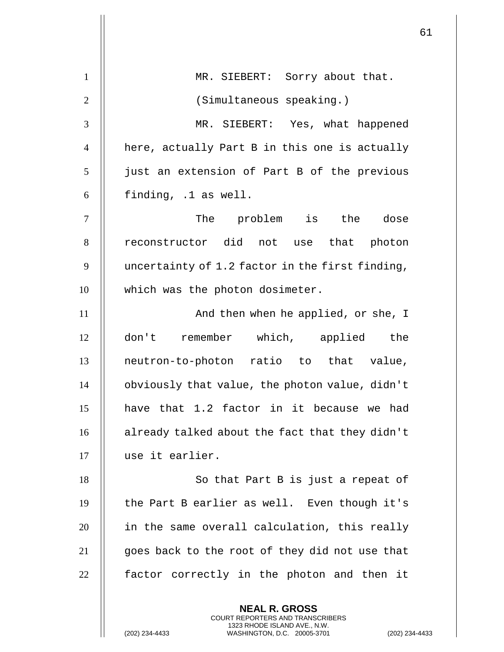|                |                                                 | 61 |
|----------------|-------------------------------------------------|----|
| $\mathbf{1}$   | MR. SIEBERT: Sorry about that.                  |    |
| $\overline{2}$ |                                                 |    |
|                | (Simultaneous speaking.)                        |    |
| 3              | MR. SIEBERT: Yes, what happened                 |    |
| $\overline{4}$ | here, actually Part B in this one is actually   |    |
| 5              | just an extension of Part B of the previous     |    |
| 6              | finding, .1 as well.                            |    |
| $\tau$         | The problem is the<br>dose                      |    |
| 8              | reconstructor did not use that photon           |    |
| 9              | uncertainty of 1.2 factor in the first finding, |    |
| 10             | which was the photon dosimeter.                 |    |
| 11             | And then when he applied, or she, I             |    |
| 12             | don't remember which, applied the               |    |
| 13             | neutron-to-photon ratio to that value,          |    |
| 14             | obviously that value, the photon value, didn't  |    |
| 15             | have that 1.2 factor in it because we had       |    |
| 16             | already talked about the fact that they didn't  |    |
| 17             | use it earlier.                                 |    |
| 18             | So that Part B is just a repeat of              |    |
| 19             | the Part B earlier as well. Even though it's    |    |
| 20             | in the same overall calculation, this really    |    |
| 21             | goes back to the root of they did not use that  |    |
| 22             | factor correctly in the photon and then it      |    |
|                | <b>NEAL R. GROSS</b>                            |    |

COURT REPORTERS AND TRANSCRIBERS 1323 RHODE ISLAND AVE., N.W.

(202) 234-4433 WASHINGTON, D.C. 20005-3701 (202) 234-4433

 $\mathsf{II}$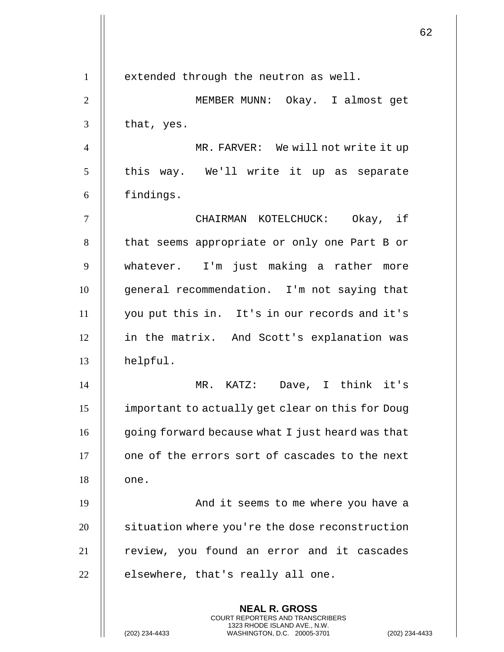**NEAL R. GROSS** COURT REPORTERS AND TRANSCRIBERS 1323 RHODE ISLAND AVE., N.W. 1 | extended through the neutron as well. 2 MEMBER MUNN: Okay. I almost get  $3 \parallel$  that, yes. 4 | MR. FARVER: We will not write it up  $5$  || this way. We'll write it up as separate 6 || findings. 7 CHAIRMAN KOTELCHUCK: Okay, if 8 | that seems appropriate or only one Part B or 9 whatever. I'm just making a rather more 10 | qeneral recommendation. I'm not saying that 11 you put this in. It's in our records and it's 12 || in the matrix. And Scott's explanation was 13 helpful. 14 MR. KATZ: Dave, I think it's 15 important to actually get clear on this for Doug 16 || going forward because what I just heard was that  $17$   $\parallel$  one of the errors sort of cascades to the next  $18$   $\parallel$  one. 19 And it seems to me where you have a 20 | situation where you're the dose reconstruction 21 || review, you found an error and it cascades  $22$   $\parallel$  elsewhere, that's really all one.

(202) 234-4433 WASHINGTON, D.C. 20005-3701 (202) 234-4433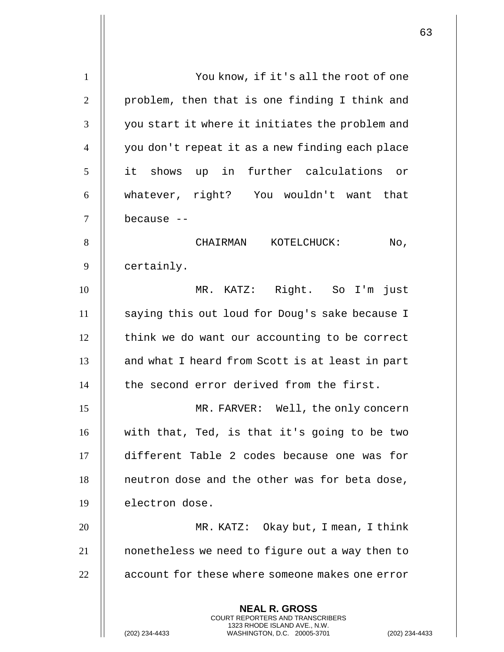**NEAL R. GROSS** COURT REPORTERS AND TRANSCRIBERS 1323 RHODE ISLAND AVE., N.W. 1 | You know, if it's all the root of one  $2 \parallel$  problem, then that is one finding I think and 3 || you start it where it initiates the problem and 4 you don't repeat it as a new finding each place 5 it shows up in further calculations or 6 whatever, right? You wouldn't want that 7 because -- 8 | CHAIRMAN KOTELCHUCK: No, 9 | certainly. 10 MR. KATZ: Right. So I'm just 11 || saying this out loud for Doug's sake because I 12 | think we do want our accounting to be correct 13 || and what I heard from Scott is at least in part 14 | the second error derived from the first. 15 || MR. FARVER: Well, the only concern  $16$  || with that, Ted, is that it's going to be two 17 different Table 2 codes because one was for  $18$  || neutron dose and the other was for beta dose, 19 | electron dose. 20 MR. KATZ: Okay but, I mean, I think 21 nonetheless we need to figure out a way then to  $22$   $\parallel$  account for these where someone makes one error

(202) 234-4433 WASHINGTON, D.C. 20005-3701 (202) 234-4433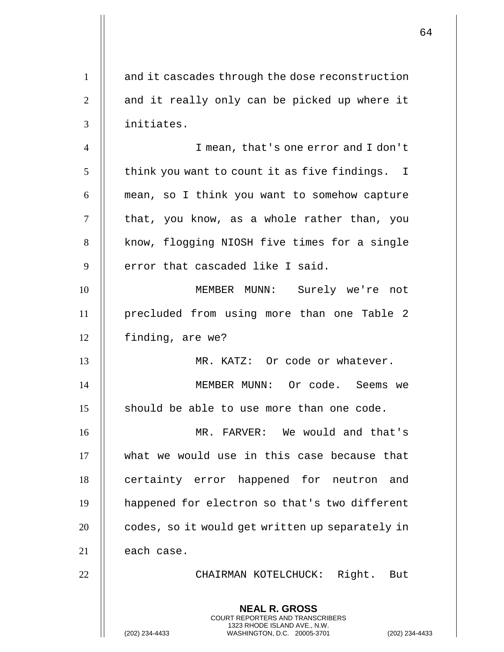|                |                                                                                                                                                                    | 64 |
|----------------|--------------------------------------------------------------------------------------------------------------------------------------------------------------------|----|
| $\mathbf{1}$   | and it cascades through the dose reconstruction                                                                                                                    |    |
| $\overline{2}$ | and it really only can be picked up where it                                                                                                                       |    |
| 3              | initiates.                                                                                                                                                         |    |
| $\overline{4}$ | I mean, that's one error and I don't                                                                                                                               |    |
| 5              | think you want to count it as five findings. I                                                                                                                     |    |
| 6              | mean, so I think you want to somehow capture                                                                                                                       |    |
| 7              | that, you know, as a whole rather than, you                                                                                                                        |    |
| 8              | know, flogging NIOSH five times for a single                                                                                                                       |    |
| 9              | error that cascaded like I said.                                                                                                                                   |    |
| 10             | MEMBER MUNN: Surely we're not                                                                                                                                      |    |
| 11             | precluded from using more than one Table 2                                                                                                                         |    |
| 12             | finding, are we?                                                                                                                                                   |    |
| 13             | MR. KATZ: Or code or whatever.                                                                                                                                     |    |
| 14             | MEMBER MUNN: Or code. Seems we                                                                                                                                     |    |
| 15             | should be able to use more than one code.                                                                                                                          |    |
| 16             | MR. FARVER: We would and that's                                                                                                                                    |    |
| 17             | what we would use in this case because that                                                                                                                        |    |
| 18             | certainty error happened for neutron and                                                                                                                           |    |
| 19             | happened for electron so that's two different                                                                                                                      |    |
| 20             | codes, so it would get written up separately in                                                                                                                    |    |
| 21             | each case.                                                                                                                                                         |    |
| 22             | CHAIRMAN KOTELCHUCK: Right. But                                                                                                                                    |    |
|                | <b>NEAL R. GROSS</b><br><b>COURT REPORTERS AND TRANSCRIBERS</b><br>1323 RHODE ISLAND AVE., N.W.<br>WASHINGTON, D.C. 20005-3701<br>(202) 234-4433<br>(202) 234-4433 |    |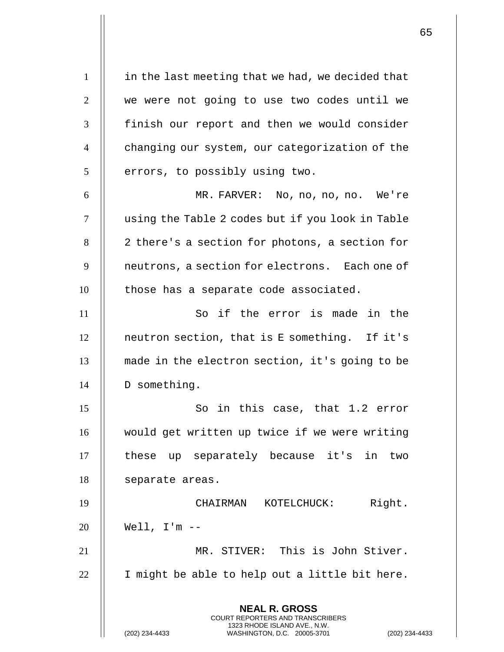**NEAL R. GROSS** COURT REPORTERS AND TRANSCRIBERS 1323 RHODE ISLAND AVE., N.W.  $1 \parallel$  in the last meeting that we had, we decided that 2 we were not going to use two codes until we 3 || finish our report and then we would consider 4 | changing our system, our categorization of the  $5$  | errors, to possibly using two. 6 MR. FARVER: No, no, no, no. We're 7 using the Table 2 codes but if you look in Table  $8 \parallel 2$  there's a section for photons, a section for 9 | neutrons, a section for electrons. Each one of 10 || those has a separate code associated. 11 || So if the error is made in the 12 neutron section, that is E something. If it's 13 || made in the electron section, it's going to be 14 | D something. 15 || So in this case, that 1.2 error 16 || would get written up twice if we were writing 17 || these up separately because it's in two 18 | separate areas. 19 CHAIRMAN KOTELCHUCK: Right. 20 Well, I'm -- 21 MR. STIVER: This is John Stiver. 22  $\parallel$  I might be able to help out a little bit here.

(202) 234-4433 WASHINGTON, D.C. 20005-3701 (202) 234-4433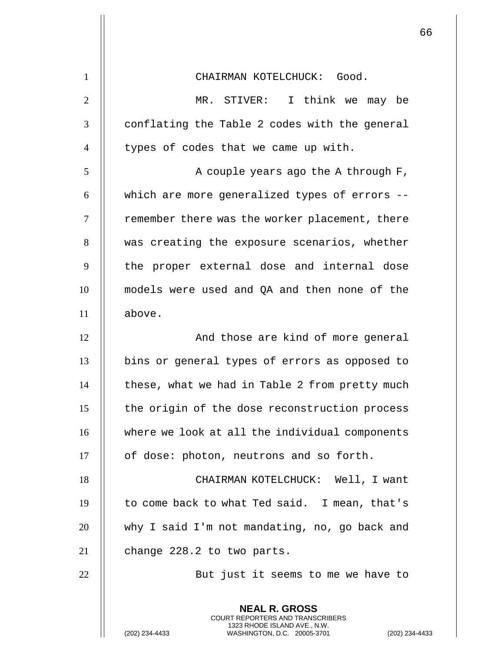| $\mathbf{1}$   | CHAIRMAN KOTELCHUCK: Good.                                                                                                                                      |
|----------------|-----------------------------------------------------------------------------------------------------------------------------------------------------------------|
| $\overline{2}$ | MR. STIVER: I think we may be                                                                                                                                   |
| 3              | conflating the Table 2 codes with the general                                                                                                                   |
| $\overline{4}$ | types of codes that we came up with.                                                                                                                            |
| 5              | A couple years ago the A through F,                                                                                                                             |
| 6              | which are more generalized types of errors --                                                                                                                   |
| $\tau$         | remember there was the worker placement, there                                                                                                                  |
| 8              | was creating the exposure scenarios, whether                                                                                                                    |
| 9              | the proper external dose and internal dose                                                                                                                      |
| 10             | models were used and QA and then none of the                                                                                                                    |
| 11             | above.                                                                                                                                                          |
| 12             | And those are kind of more general                                                                                                                              |
| 13             | bins or general types of errors as opposed to                                                                                                                   |
| 14             | these, what we had in Table 2 from pretty much                                                                                                                  |
| 15             | the origin of the dose reconstruction process                                                                                                                   |
| 16             | where we look at all the individual components                                                                                                                  |
| 17             | of dose: photon, neutrons and so forth.                                                                                                                         |
| 18             | CHAIRMAN KOTELCHUCK: Well, I want                                                                                                                               |
| 19             | to come back to what Ted said. I mean, that's                                                                                                                   |
| 20             | why I said I'm not mandating, no, go back and                                                                                                                   |
| 21             | change 228.2 to two parts.                                                                                                                                      |
| 22             | But just it seems to me we have to                                                                                                                              |
|                | <b>NEAL R. GROSS</b><br><b>COURT REPORTERS AND TRANSCRIBERS</b><br>1323 RHODE ISLAND AVE., N.W.<br>WASHINGTON, D.C. 20005-3701<br>(202) 234-4433<br>$(202)$ 234 |

(202) 234-4433 WASHINGTON, D.C. 20005-3701 (202) 234-4433

Η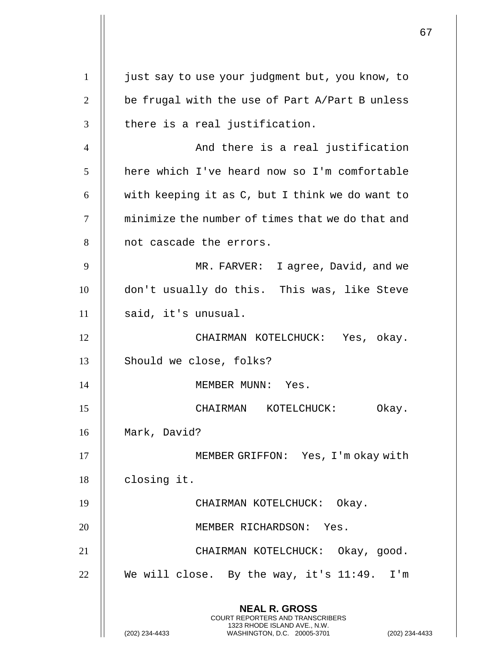**NEAL R. GROSS** COURT REPORTERS AND TRANSCRIBERS 1323 RHODE ISLAND AVE., N.W. (202) 234-4433 WASHINGTON, D.C. 20005-3701 (202) 234-4433 1 | just say to use your judgment but, you know, to 2  $\parallel$  be frugal with the use of Part A/Part B unless  $3$  | there is a real justification. 4 | And there is a real justification 5 | here which I've heard now so I'm comfortable 6  $\parallel$  with keeping it as C, but I think we do want to 7 | minimize the number of times that we do that and 8 || not cascade the errors. 9 MR. FARVER: I agree, David, and we 10 don't usually do this. This was, like Steve  $11$  || said, it's unusual. 12 CHAIRMAN KOTELCHUCK: Yes, okay. 13 || Should we close, folks? 14 || MEMBER MUNN: Yes. 15 CHAIRMAN KOTELCHUCK: Okay. 16 Mark, David? 17 || MEMBER GRIFFON: Yes, I'm okay with 18 | closing it. 19 || CHAIRMAN KOTELCHUCK: Okay. 20 || MEMBER RICHARDSON: Yes. 21 CHAIRMAN KOTELCHUCK: Okay, good. 22  $\parallel$  We will close. By the way, it's 11:49. I'm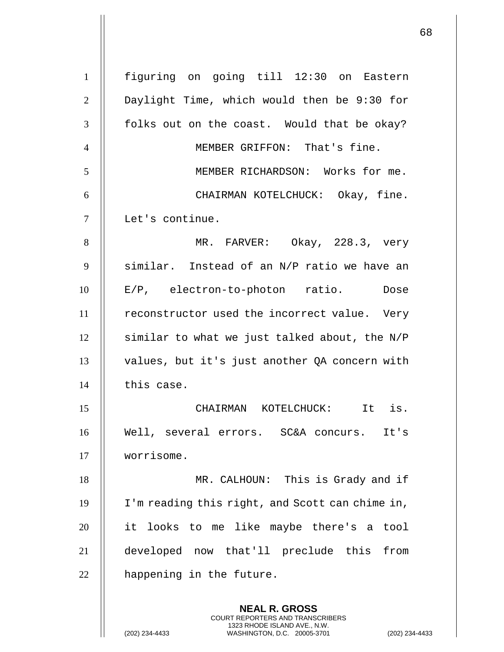| 1              | figuring on going till 12:30 on Eastern                                                                                                                           |
|----------------|-------------------------------------------------------------------------------------------------------------------------------------------------------------------|
| $\overline{2}$ | Daylight Time, which would then be 9:30 for                                                                                                                       |
| 3              | folks out on the coast. Would that be okay?                                                                                                                       |
| $\overline{4}$ | MEMBER GRIFFON: That's fine.                                                                                                                                      |
| 5              | MEMBER RICHARDSON: Works for me.                                                                                                                                  |
| 6              | CHAIRMAN KOTELCHUCK: Okay, fine.                                                                                                                                  |
| $\tau$         | Let's continue.                                                                                                                                                   |
| 8              | MR. FARVER: Okay, 228.3, very                                                                                                                                     |
| 9              | similar. Instead of an N/P ratio we have an                                                                                                                       |
| 10             | E/P, electron-to-photon ratio. Dose                                                                                                                               |
| 11             | reconstructor used the incorrect value. Very                                                                                                                      |
| 12             | similar to what we just talked about, the N/P                                                                                                                     |
| 13             | values, but it's just another QA concern with                                                                                                                     |
| 14             | this case.                                                                                                                                                        |
| 15             | CHAIRMAN KOTELCHUCK: It is.                                                                                                                                       |
| 16             | Well, several errors. SC&A concurs. It's                                                                                                                          |
| 17             | worrisome.                                                                                                                                                        |
| 18             | MR. CALHOUN: This is Grady and if                                                                                                                                 |
| 19             | I'm reading this right, and Scott can chime in,                                                                                                                   |
| 20             | it looks to me like maybe there's a tool                                                                                                                          |
| 21             | developed now that'll preclude this from                                                                                                                          |
| 22             | happening in the future.                                                                                                                                          |
|                | <b>NEAL R. GROSS</b><br><b>COURT REPORTERS AND TRANSCRIBERS</b><br>1323 RHODE ISLAND AVE., N.W.<br>WASHINGTON, D.C. 20005-3701<br>(202) 234-4433<br>$(202)$ 234-4 |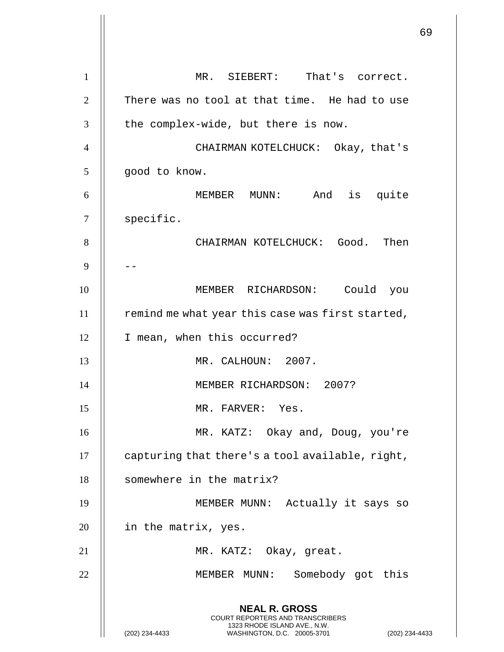**NEAL R. GROSS** COURT REPORTERS AND TRANSCRIBERS 1323 RHODE ISLAND AVE., N.W. (202) 234-4433 WASHINGTON, D.C. 20005-3701 (202) 234-4433 1 || MR. SIEBERT: That's correct.  $2$   $\parallel$  There was no tool at that time. He had to use  $3$  | the complex-wide, but there is now. 4 CHAIRMAN KOTELCHUCK: Okay, that's 5 | good to know. 6 MEMBER MUNN: And is quite 7 | specific. 8 **B** CHAIRMAN KOTELCHUCK: Good. Then 9 || --10 MEMBER RICHARDSON: Could you  $11$  | remind me what year this case was first started, 12 | I mean, when this occurred? 13 MR. CALHOUN: 2007. 14 || MEMBER RICHARDSON: 2007? 15 MR. FARVER: Yes. 16 MR. KATZ: Okay and, Doug, you're  $17$   $\parallel$  capturing that there's a tool available, right, 18 | somewhere in the matrix? 19 || MEMBER MUNN: Actually it says so 20 | in the matrix, yes. 21 || MR. KATZ: Okay, great. 22 MEMBER MUNN: Somebody got this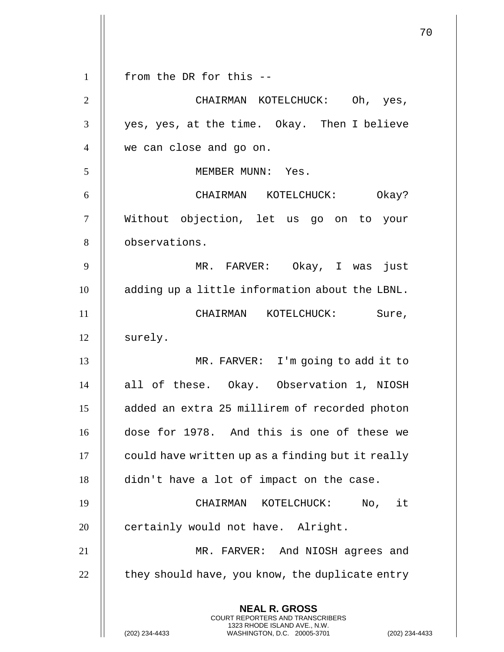**NEAL R. GROSS** COURT REPORTERS AND TRANSCRIBERS 1323 RHODE ISLAND AVE., N.W. (202) 234-4433 WASHINGTON, D.C. 20005-3701 (202) 234-4433 1 || from the DR for this --2 CHAIRMAN KOTELCHUCK: Oh, yes, 3 || yes, yes, at the time. Okay. Then I believe 4 we can close and go on. 5 MEMBER MUNN: Yes. 6 CHAIRMAN KOTELCHUCK: Okay? 7 Without objection, let us go on to your 8 **b**servations. 9 MR. FARVER: Okay, I was just 10 adding up a little information about the LBNL. 11 || CHAIRMAN KOTELCHUCK: Sure, 12 | surely. 13 MR. FARVER: I'm going to add it to 14 all of these. Okay. Observation 1, NIOSH 15 added an extra 25 millirem of recorded photon 16 dose for 1978. And this is one of these we 17 | could have written up as a finding but it really 18 didn't have a lot of impact on the case. 19 CHAIRMAN KOTELCHUCK: No, it 20 | certainly would not have. Alright. 21 MR. FARVER: And NIOSH agrees and  $22$   $\parallel$  they should have, you know, the duplicate entry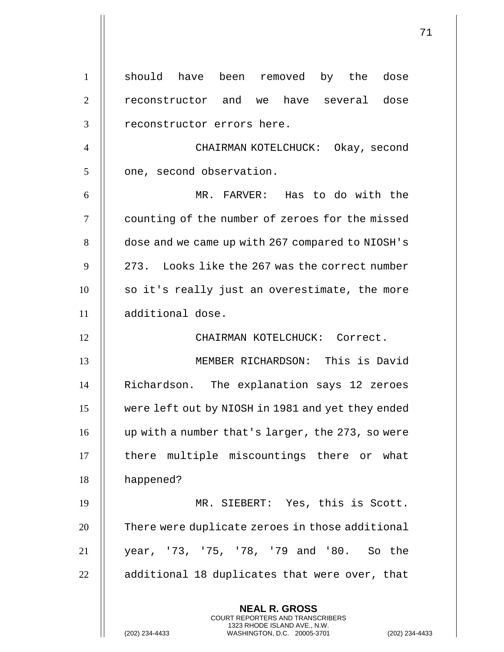**NEAL R. GROSS** COURT REPORTERS AND TRANSCRIBERS 1323 RHODE ISLAND AVE., N.W. (202) 234-4433 WASHINGTON, D.C. 20005-3701 (202) 234-4433 1 || should have been removed by the dose 2 || reconstructor and we have several dose 3 || reconstructor errors here. 4 CHAIRMAN KOTELCHUCK: Okay, second  $5 \parallel$  one, second observation. 6 MR. FARVER: Has to do with the 7 | counting of the number of zeroes for the missed 8 | dose and we came up with 267 compared to NIOSH's  $9 \parallel 273$ . Looks like the 267 was the correct number 10 || so it's really just an overestimate, the more 11 additional dose. 12 CHAIRMAN KOTELCHUCK: Correct. 13 MEMBER RICHARDSON: This is David 14 | Richardson. The explanation says 12 zeroes 15 were left out by NIOSH in 1981 and yet they ended 16 up with a number that's larger, the 273, so were 17 || there multiple miscountings there or what 18 happened? 19 || MR. SIEBERT: Yes, this is Scott. 20 | There were duplicate zeroes in those additional 21 year, '73, '75, '78, '79 and '80. So the  $22$   $\parallel$  additional 18 duplicates that were over, that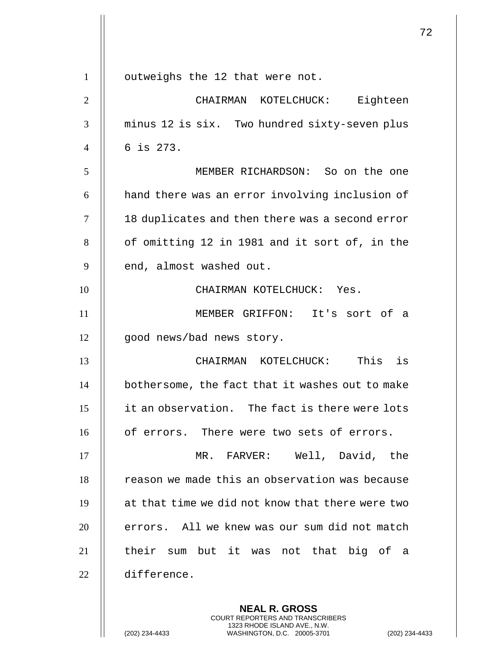|                |                                                  | 72 |
|----------------|--------------------------------------------------|----|
|                |                                                  |    |
| $\mathbf{1}$   | outweighs the 12 that were not.                  |    |
| $\overline{2}$ | CHAIRMAN KOTELCHUCK: Eighteen                    |    |
| 3              | minus 12 is six. Two hundred sixty-seven plus    |    |
| $\overline{4}$ | 6 is 273.                                        |    |
| 5              | MEMBER RICHARDSON: So on the one                 |    |
| 6              | hand there was an error involving inclusion of   |    |
| $\overline{7}$ | 18 duplicates and then there was a second error  |    |
| 8              | of omitting 12 in 1981 and it sort of, in the    |    |
| 9              | end, almost washed out.                          |    |
| 10             | CHAIRMAN KOTELCHUCK: Yes.                        |    |
| 11             | MEMBER GRIFFON: It's sort of a                   |    |
| 12             | good news/bad news story.                        |    |
| 13             | CHAIRMAN KOTELCHUCK: This<br>is                  |    |
| 14             | bothersome, the fact that it washes out to make  |    |
| 15             | it an observation. The fact is there were lots   |    |
| 16             | of errors. There were two sets of errors.        |    |
| 17             | MR. FARVER: Well, David, the                     |    |
| 18             | reason we made this an observation was because   |    |
| 19             | at that time we did not know that there were two |    |
| 20             | errors. All we knew was our sum did not match    |    |
| 21             | their sum but it was not that big of a           |    |
| 22             | difference.                                      |    |
|                |                                                  |    |
|                | <b>NEAL R. GROSS</b>                             |    |

COURT REPORTERS AND TRANSCRIBERS 1323 RHODE ISLAND AVE., N.W.

(202) 234-4433 WASHINGTON, D.C. 20005-3701 (202) 234-4433

 $\mathsf{II}$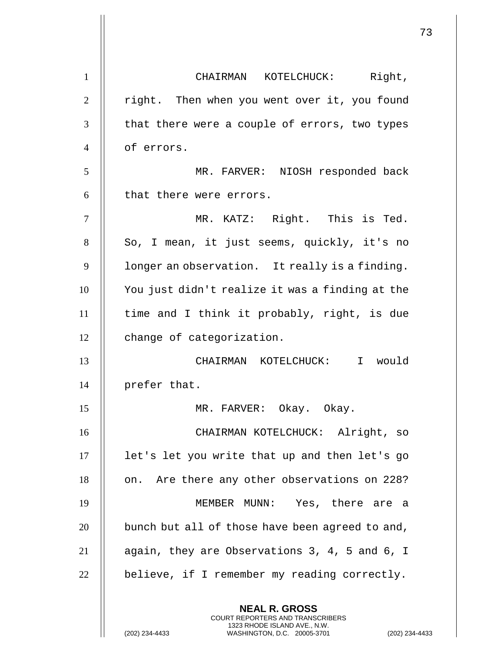| $\mathbf{1}$   | CHAIRMAN KOTELCHUCK: Right,                                                                                                             |
|----------------|-----------------------------------------------------------------------------------------------------------------------------------------|
| $\overline{2}$ | right. Then when you went over it, you found                                                                                            |
| 3              | that there were a couple of errors, two types                                                                                           |
| $\overline{4}$ | of errors.                                                                                                                              |
| 5              | MR. FARVER: NIOSH responded back                                                                                                        |
| 6              | that there were errors.                                                                                                                 |
| $\overline{7}$ | MR. KATZ: Right. This is Ted.                                                                                                           |
| 8              | So, I mean, it just seems, quickly, it's no                                                                                             |
| 9              | longer an observation. It really is a finding.                                                                                          |
| 10             | You just didn't realize it was a finding at the                                                                                         |
| 11             | time and I think it probably, right, is due                                                                                             |
| 12             | change of categorization.                                                                                                               |
| 13             | CHAIRMAN KOTELCHUCK: I would                                                                                                            |
| 14             | prefer that.                                                                                                                            |
| 15             | MR. FARVER: Okay. Okay.                                                                                                                 |
| 16             | CHAIRMAN KOTELCHUCK: Alright, so                                                                                                        |
| 17             | let's let you write that up and then let's go                                                                                           |
| 18             | on. Are there any other observations on 228?                                                                                            |
| 19             | MEMBER MUNN: Yes, there are a                                                                                                           |
| 20             | bunch but all of those have been agreed to and,                                                                                         |
| 21             | again, they are Observations 3, 4, 5 and 6, I                                                                                           |
| 22             | believe, if I remember my reading correctly.                                                                                            |
|                | <b>NEAL R. GROSS</b>                                                                                                                    |
|                | <b>COURT REPORTERS AND TRANSCRIBERS</b><br>1323 RHODE ISLAND AVE., N.W.<br>(202) 234-4433<br>WASHINGTON, D.C. 20005-3701<br>$(202)$ 234 |

(202) 234-4433 WASHINGTON, D.C. 20005-3701 (202) 234-4433

 $\mathsf{I}$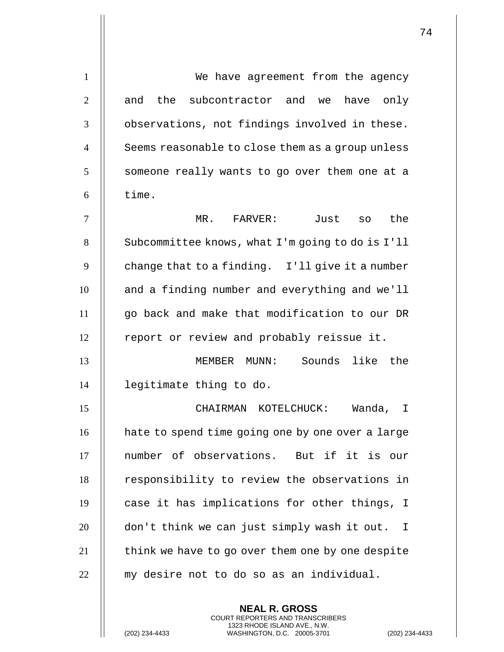1 | We have agreement from the agency  $2$   $\parallel$  and the subcontractor and we have only  $3$   $\parallel$  observations, not findings involved in these. 4 || Seems reasonable to close them as a group unless  $5$  | someone really wants to go over them one at a  $6$   $\parallel$  time. 7 MR. FARVER: Just so the 8 | Subcommittee knows, what I'm going to do is I'll  $9 \parallel$  change that to a finding. I'll give it a number 10 || and a finding number and everything and we'll 11 go back and make that modification to our DR 12 | report or review and probably reissue it. 13 MEMBER MUNN: Sounds like the 14 legitimate thing to do. 15 CHAIRMAN KOTELCHUCK: Wanda, I 16 | hate to spend time going one by one over a large 17 number of observations. But if it is our 18 || responsibility to review the observations in 19  $\parallel$  case it has implications for other things, I 20 || don't think we can just simply wash it out. I  $21$   $\parallel$  think we have to go over them one by one despite  $22$   $\parallel$  my desire not to do so as an individual.

> **NEAL R. GROSS** COURT REPORTERS AND TRANSCRIBERS 1323 RHODE ISLAND AVE., N.W.

(202) 234-4433 WASHINGTON, D.C. 20005-3701 (202) 234-4433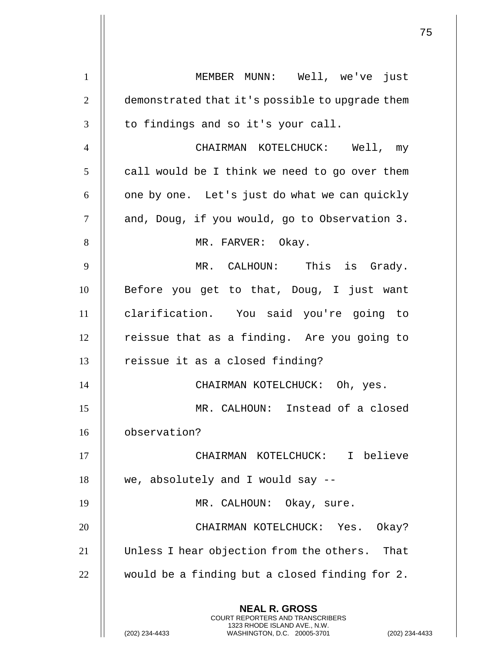**NEAL R. GROSS** COURT REPORTERS AND TRANSCRIBERS 1323 RHODE ISLAND AVE., N.W. 1 || MEMBER MUNN: Well, we've just 2 | demonstrated that it's possible to upgrade them  $3$   $\parallel$  to findings and so it's your call. 4 CHAIRMAN KOTELCHUCK: Well, my  $5 \parallel$  call would be I think we need to go over them  $6 \parallel$  one by one. Let's just do what we can quickly  $7$  | and, Doug, if you would, go to Observation 3. 8 || MR. FARVER: Okay. 9 MR. CALHOUN: This is Grady. 10 **Before** you get to that, Doug, I just want 11 clarification. You said you're going to  $12$  | reissue that as a finding. Are you going to  $13$  | reissue it as a closed finding? 14 || CHAIRMAN KOTELCHUCK: Oh, yes. 15 MR. CALHOUN: Instead of a closed 16 observation? 17 || CHAIRMAN KOTELCHUCK: I believe  $18$  || we, absolutely and I would say  $-$ -19 || MR. CALHOUN: Okay, sure. 20 CHAIRMAN KOTELCHUCK: Yes. Okay? 21 Unless I hear objection from the others. That 22  $\parallel$  would be a finding but a closed finding for 2.

(202) 234-4433 WASHINGTON, D.C. 20005-3701 (202) 234-4433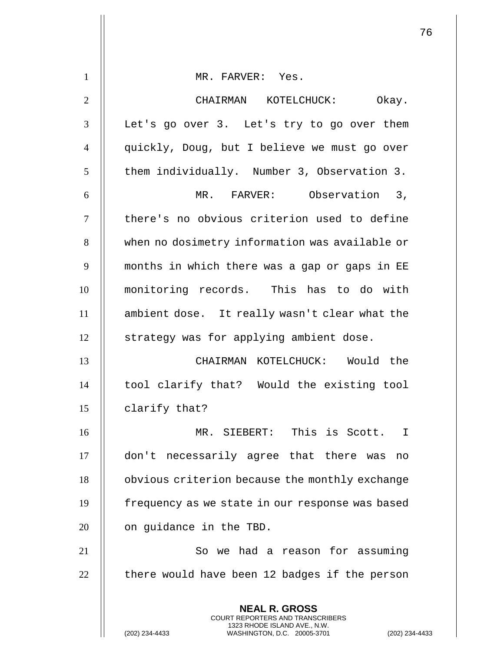| $\mathbf{1}$   | MR. FARVER: Yes.                                                                                                                   |  |
|----------------|------------------------------------------------------------------------------------------------------------------------------------|--|
| $\overline{2}$ | CHAIRMAN KOTELCHUCK: Okay.                                                                                                         |  |
| 3              | Let's go over 3. Let's try to go over them                                                                                         |  |
| $\overline{4}$ | quickly, Doug, but I believe we must go over                                                                                       |  |
| 5              | them individually. Number 3, Observation 3.                                                                                        |  |
| 6              | MR. FARVER: Observation 3,                                                                                                         |  |
| $\tau$         | there's no obvious criterion used to define                                                                                        |  |
| 8              | when no dosimetry information was available or                                                                                     |  |
| 9              | months in which there was a gap or gaps in EE                                                                                      |  |
| 10             | monitoring records. This has to do with                                                                                            |  |
| 11             | ambient dose. It really wasn't clear what the                                                                                      |  |
| 12             | strategy was for applying ambient dose.                                                                                            |  |
| 13             | CHAIRMAN KOTELCHUCK: Would the                                                                                                     |  |
| 14             | tool clarify that? Would the existing tool                                                                                         |  |
| 15             | clarify that?                                                                                                                      |  |
| 16             | MR. SIEBERT: This is Scott. I                                                                                                      |  |
| 17             | don't necessarily agree that there was<br>no                                                                                       |  |
| 18             | obvious criterion because the monthly exchange                                                                                     |  |
| 19             | frequency as we state in our response was based                                                                                    |  |
| 20             | on guidance in the TBD.                                                                                                            |  |
| 21             | So we had a reason for assuming                                                                                                    |  |
| 22             | there would have been 12 badges if the person                                                                                      |  |
|                | <b>NEAL R. GROSS</b>                                                                                                               |  |
|                | COURT REPORTERS AND TRANSCRIBERS<br>1323 RHODE ISLAND AVE., N.W.<br>(202) 234-4433<br>WASHINGTON, D.C. 20005-3701<br>$(202)$ 234-4 |  |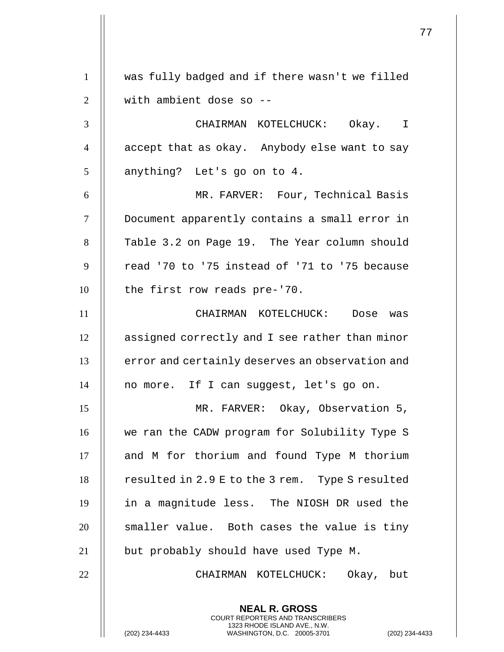**NEAL R. GROSS** COURT REPORTERS AND TRANSCRIBERS 1323 RHODE ISLAND AVE., N.W. 1 was fully badged and if there wasn't we filled 2 || with ambient dose so --3 CHAIRMAN KOTELCHUCK: Okay. I 4 | accept that as okay. Anybody else want to say  $5 \parallel$  anything? Let's go on to 4. 6 MR. FARVER: Four, Technical Basis 7 Document apparently contains a small error in 8 | Table 3.2 on Page 19. The Year column should  $9$   $\parallel$  read '70 to '75 instead of '71 to '75 because 10 | the first row reads pre-'70. 11 CHAIRMAN KOTELCHUCK: Dose was 12 | assigned correctly and I see rather than minor 13 | error and certainly deserves an observation and 14 | no more. If I can suggest, let's go on. 15 MR. FARVER: Okay, Observation 5, 16 || we ran the CADW program for Solubility Type S 17 || and M for thorium and found Type M thorium 18 | resulted in 2.9 E to the 3 rem. Type S resulted 19 in a magnitude less. The NIOSH DR used the  $20$   $\parallel$  smaller value. Both cases the value is tiny 21 || but probably should have used Type M. 22 CHAIRMAN KOTELCHUCK: Okay, but

(202) 234-4433 WASHINGTON, D.C. 20005-3701 (202) 234-4433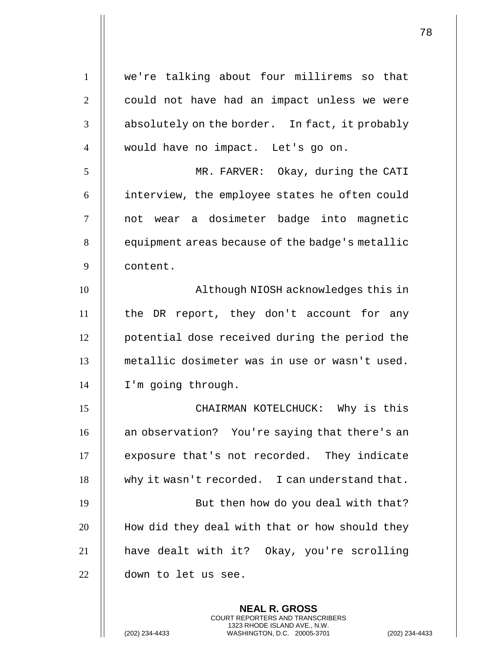| $\mathbf{1}$   | we're talking about four millirems so that      |
|----------------|-------------------------------------------------|
| $\mathbf{2}$   | could not have had an impact unless we were     |
| 3              | absolutely on the border. In fact, it probably  |
| $\overline{4}$ | would have no impact. Let's go on.              |
| 5              | MR. FARVER: Okay, during the CATI               |
| 6              | interview, the employee states he often could   |
| $\overline{7}$ | not wear a dosimeter badge into magnetic        |
| 8              | equipment areas because of the badge's metallic |
| 9              | content.                                        |
| 10             | Although NIOSH acknowledges this in             |
| 11             | the DR report, they don't account for any       |
| 12             | potential dose received during the period the   |
| 13             | metallic dosimeter was in use or wasn't used.   |
| 14             | I'm going through.                              |
| 15             | CHAIRMAN KOTELCHUCK: Why is this                |
| 16             | an observation? You're saying that there's an   |
| 17             | exposure that's not recorded. They indicate     |
| 18             | why it wasn't recorded. I can understand that.  |
| 19             | But then how do you deal with that?             |
| 20             | How did they deal with that or how should they  |
| 21             | have dealt with it? Okay, you're scrolling      |
| 22             | down to let us see.                             |
|                | <b>NEAL R. GROSS</b>                            |
|                |                                                 |

COURT REPORTERS AND TRANSCRIBERS 1323 RHODE ISLAND AVE., N.W.

(202) 234-4433 WASHINGTON, D.C. 20005-3701 (202) 234-4433

 $\mathsf{II}$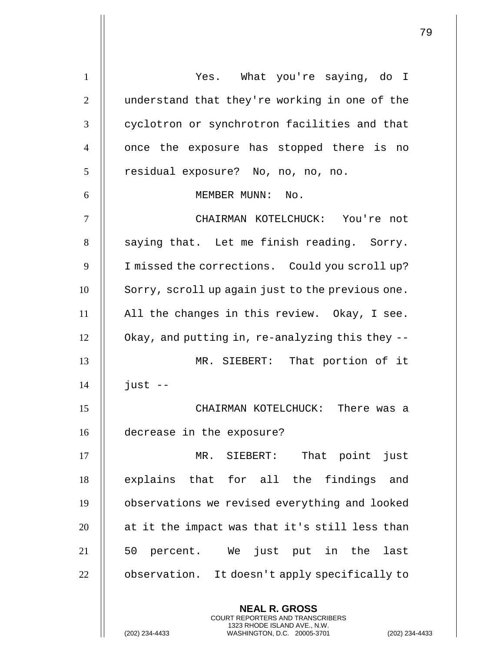**NEAL R. GROSS** COURT REPORTERS AND TRANSCRIBERS 1 | Yes. What you're saying, do I 2 | understand that they're working in one of the 3 | cyclotron or synchrotron facilities and that 4 || once the exposure has stopped there is no 5 | residual exposure? No, no, no, no. 6 || MEMBER MUNN: No. 7 CHAIRMAN KOTELCHUCK: You're not  $8$  || saying that. Let me finish reading. Sorry. 9 | I missed the corrections. Could you scroll up? 10 | Sorry, scroll up again just to the previous one. 11 All the changes in this review. Okay, I see. 12 Okay, and putting in, re-analyzing this they -- 13 MR. SIEBERT: That portion of it  $14$  | just  $-$ 15 CHAIRMAN KOTELCHUCK: There was a 16 decrease in the exposure? 17 MR. SIEBERT: That point just 18 || explains that for all the findings and 19 observations we revised everything and looked  $20$   $\parallel$  at it the impact was that it's still less than 21 || 50 percent. We just put in the last 22 | observation. It doesn't apply specifically to

1323 RHODE ISLAND AVE., N.W.

(202) 234-4433 WASHINGTON, D.C. 20005-3701 (202) 234-4433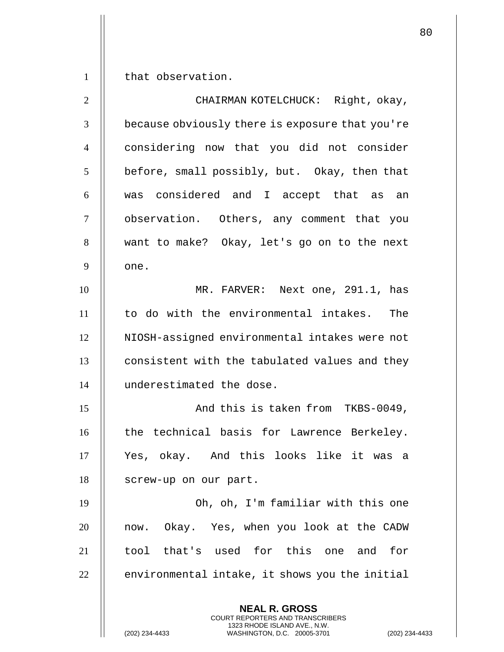1 | that observation.

**NEAL R. GROSS** COURT REPORTERS AND TRANSCRIBERS 2 CHAIRMAN KOTELCHUCK: Right, okay, 3 | because obviously there is exposure that you're 4 considering now that you did not consider  $5$  | before, small possibly, but. Okay, then that 6 was considered and I accept that as an 7 || observation. Others, any comment that you 8 || want to make? Okay, let's go on to the next  $9 \parallel$  one. 10 MR. FARVER: Next one, 291.1, has 11 to do with the environmental intakes. The 12 | NIOSH-assigned environmental intakes were not  $13$   $\parallel$  consistent with the tabulated values and they 14 underestimated the dose. 15 And this is taken from TKBS-0049, 16 || the technical basis for Lawrence Berkeley. 17 || Yes, okay. And this looks like it was a 18 | screw-up on our part. 19 Oh, oh, I'm familiar with this one 20 || now. Okay. Yes, when you look at the CADW 21 || tool that's used for this one and for  $22$   $\parallel$  environmental intake, it shows you the initial

1323 RHODE ISLAND AVE., N.W.

(202) 234-4433 WASHINGTON, D.C. 20005-3701 (202) 234-4433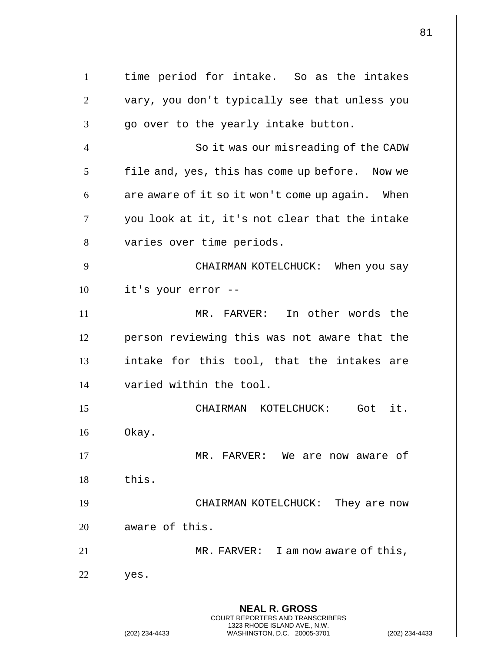**NEAL R. GROSS** COURT REPORTERS AND TRANSCRIBERS 1323 RHODE ISLAND AVE., N.W. (202) 234-4433 WASHINGTON, D.C. 20005-3701 (202) 234-4433 1 | time period for intake. So as the intakes 2 | vary, you don't typically see that unless you  $3 \parallel$  go over to the yearly intake button. 4 | So it was our misreading of the CADW  $5$  | file and, yes, this has come up before. Now we  $6 \parallel$  are aware of it so it won't come up again. When 7 || you look at it, it's not clear that the intake 8 || varies over time periods. 9 CHAIRMAN KOTELCHUCK: When you say  $10$  | it's your error --11 MR. FARVER: In other words the 12 || person reviewing this was not aware that the  $13$  || intake for this tool, that the intakes are 14 varied within the tool. 15 CHAIRMAN KOTELCHUCK: Got it.  $16$  || Okay. 17 MR. FARVER: We are now aware of  $18$   $\parallel$  this. 19 || CHAIRMAN KOTELCHUCK: They are now 20 || aware of this. 21 MR. FARVER: I am now aware of this,  $22$  | yes.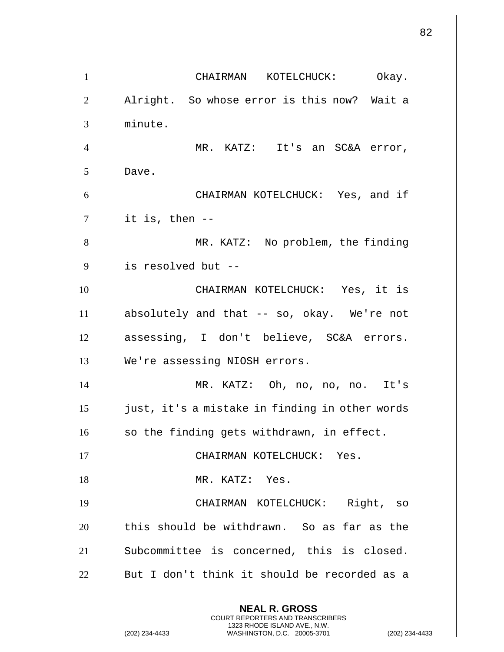**NEAL R. GROSS** COURT REPORTERS AND TRANSCRIBERS 1323 RHODE ISLAND AVE., N.W. (202) 234-4433 WASHINGTON, D.C. 20005-3701 (202) 234-4433 1 | CHAIRMAN KOTELCHUCK: Okay. 2 | Alright. So whose error is this now? Wait a 3 minute. 4 MR. KATZ: It's an SC&A error, 5 Dave. 6 CHAIRMAN KOTELCHUCK: Yes, and if  $7 \parallel$  it is, then --8 || MR. KATZ: No problem, the finding 9 is resolved but -- 10 CHAIRMAN KOTELCHUCK: Yes, it is 11 absolutely and that -- so, okay. We're not 12 || assessing, I don't believe, SC&A errors. 13 We're assessing NIOSH errors. 14 MR. KATZ: Oh, no, no, no. It's 15 just, it's a mistake in finding in other words 16 || so the finding gets withdrawn, in effect. 17 || CHAIRMAN KOTELCHUCK: Yes. 18 || MR. KATZ: Yes. 19 CHAIRMAN KOTELCHUCK: Right, so 20 || this should be withdrawn. So as far as the 21 || Subcommittee is concerned, this is closed.  $22$  || But I don't think it should be recorded as a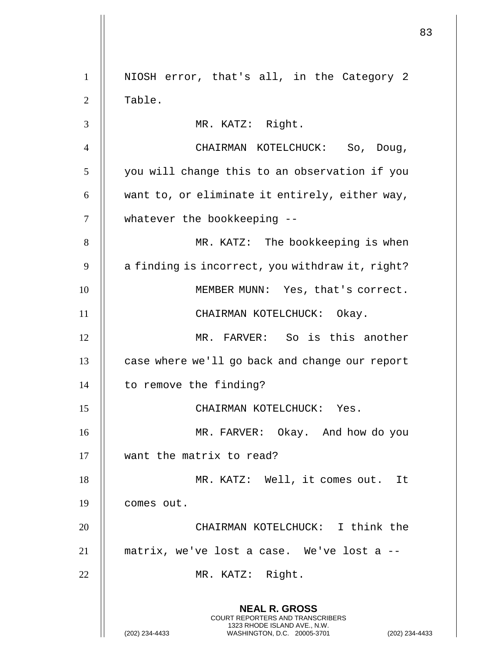**NEAL R. GROSS** COURT REPORTERS AND TRANSCRIBERS 1323 RHODE ISLAND AVE., N.W. (202) 234-4433 WASHINGTON, D.C. 20005-3701 (202) 234-4433 1 || NIOSH error, that's all, in the Category 2 2 | Table. 3 MR. KATZ: Right. 4 CHAIRMAN KOTELCHUCK: So, Doug,  $5$  | you will change this to an observation if you  $6$  || want to, or eliminate it entirely, either way, 7 || whatever the bookkeeping --8 || MR. KATZ: The bookkeeping is when  $9 \parallel$  a finding is incorrect, you withdraw it, right? 10 | MEMBER MUNN: Yes, that's correct. 11 || CHAIRMAN KOTELCHUCK: Okay. 12 MR. FARVER: So is this another 13 | case where we'll go back and change our report 14 | to remove the finding? 15 CHAIRMAN KOTELCHUCK: Yes. 16 MR. FARVER: Okay. And how do you 17 want the matrix to read? 18 || MR. KATZ: Well, it comes out. It 19 comes out. 20 CHAIRMAN KOTELCHUCK: I think the 21 matrix, we've lost a case. We've lost a -- 22 || MR. KATZ: Right.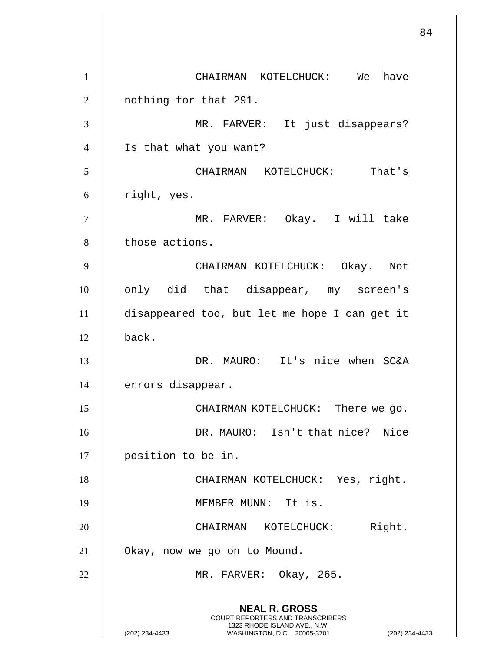**NEAL R. GROSS** COURT REPORTERS AND TRANSCRIBERS 1323 RHODE ISLAND AVE., N.W. (202) 234-4433 WASHINGTON, D.C. 20005-3701 (202) 234-4433 1 CHAIRMAN KOTELCHUCK: We have 2 | nothing for that 291. 3 MR. FARVER: It just disappears? 4 Is that what you want? 5 CHAIRMAN KOTELCHUCK: That's  $6$  | right, yes. 7 MR. FARVER: Okay. I will take 8 | those actions. 9 CHAIRMAN KOTELCHUCK: Okay. Not 10 || only did that disappear, my screen's 11 disappeared too, but let me hope I can get it  $12$   $\parallel$  back. 13 DR. MAURO: It's nice when SC&A 14 | errors disappear. 15 CHAIRMAN KOTELCHUCK: There we go. 16 DR. MAURO: Isn't that nice? Nice 17 position to be in. 18 || CHAIRMAN KOTELCHUCK: Yes, right. 19 || MEMBER MUNN: It is. 20 || CHAIRMAN KOTELCHUCK: Right. 21 Okay, now we go on to Mound. 22 || MR. FARVER: Okay, 265.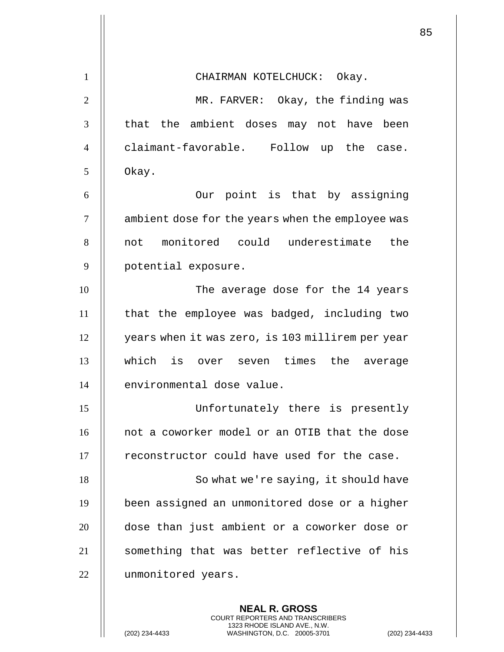| $\mathbf{1}$   | CHAIRMAN KOTELCHUCK: Okay.                       |
|----------------|--------------------------------------------------|
| $\overline{2}$ | MR. FARVER: Okay, the finding was                |
| 3              | that the ambient doses may not have been         |
| $\overline{4}$ | claimant-favorable. Follow up the case.          |
| 5              | Okay.                                            |
| 6              | Our point is that by assigning                   |
| $\tau$         | ambient dose for the years when the employee was |
| 8              | not monitored could underestimate<br>the         |
| 9              | potential exposure.                              |
| 10             | The average dose for the 14 years                |
| 11             | that the employee was badged, including two      |
| 12             | years when it was zero, is 103 millirem per year |
| 13             | which is over seven times the average            |
| 14             | environmental dose value.                        |
| 15             | Unfortunately there is presently                 |
| 16             | not a coworker model or an OTIB that the dose    |
| 17             | reconstructor could have used for the case.      |
| 18             | So what we're saying, it should have             |
| 19             | been assigned an unmonitored dose or a higher    |
| 20             | dose than just ambient or a coworker dose or     |
| 21             | something that was better reflective of his      |
| 22             | unmonitored years.                               |

**NEAL R. GROSS** COURT REPORTERS AND TRANSCRIBERS 1323 RHODE ISLAND AVE., N.W.

(202) 234-4433 WASHINGTON, D.C. 20005-3701 (202) 234-4433

 $\mathsf{l}$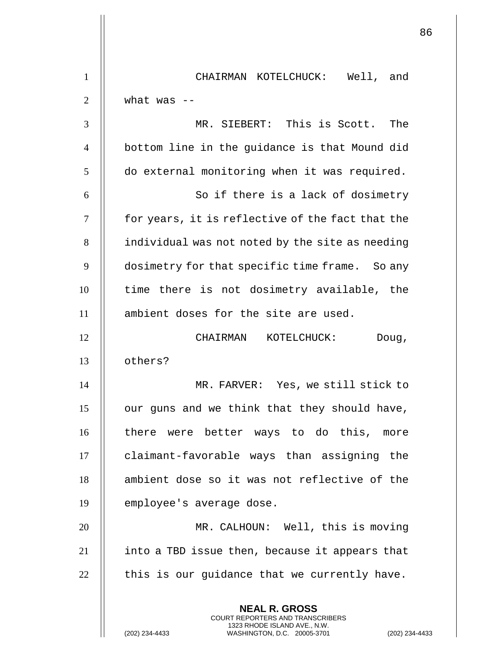| $\mathbf{1}$   | CHAIRMAN KOTELCHUCK: Well, and                                                                                                                                   |
|----------------|------------------------------------------------------------------------------------------------------------------------------------------------------------------|
| $\overline{2}$ | what was $-$                                                                                                                                                     |
| 3              | MR. SIEBERT: This is Scott. The                                                                                                                                  |
| $\overline{4}$ | bottom line in the guidance is that Mound did                                                                                                                    |
| 5              | do external monitoring when it was required.                                                                                                                     |
| 6              | So if there is a lack of dosimetry                                                                                                                               |
| 7              | for years, it is reflective of the fact that the                                                                                                                 |
| 8              | individual was not noted by the site as needing                                                                                                                  |
| 9              | dosimetry for that specific time frame. So any                                                                                                                   |
| 10             | time there is not dosimetry available, the                                                                                                                       |
| 11             | ambient doses for the site are used.                                                                                                                             |
| 12             | CHAIRMAN KOTELCHUCK:<br>Doug,                                                                                                                                    |
| 13             | others?                                                                                                                                                          |
| 14             | MR. FARVER: Yes, we still stick to                                                                                                                               |
| 15             | our guns and we think that they should have,                                                                                                                     |
| 16             | there were better ways to do this, more                                                                                                                          |
| 17             | claimant-favorable ways than assigning the                                                                                                                       |
| 18             | ambient dose so it was not reflective of the                                                                                                                     |
| 19             | employee's average dose.                                                                                                                                         |
| 20             | MR. CALHOUN: Well, this is moving                                                                                                                                |
| 21             | into a TBD issue then, because it appears that                                                                                                                   |
| 22             | this is our guidance that we currently have.                                                                                                                     |
|                | <b>NEAL R. GROSS</b><br><b>COURT REPORTERS AND TRANSCRIBERS</b><br>1323 RHODE ISLAND AVE., N.W.<br>(202) 234-4433<br>WASHINGTON, D.C. 20005-3701<br>$(202)$ 234- |

 $\mathbf{1}$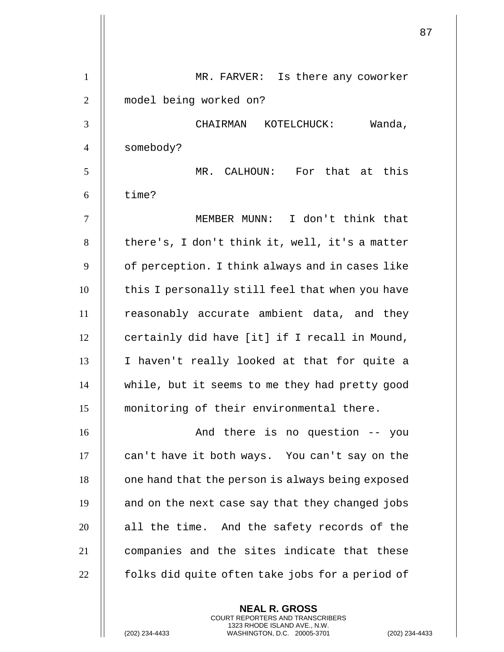| $\mathbf{1}$   | Is there any coworker<br>MR. FARVER:             |
|----------------|--------------------------------------------------|
| $\overline{2}$ | model being worked on?                           |
| 3              | CHAIRMAN KOTELCHUCK:<br>Wanda,                   |
| $\overline{4}$ | somebody?                                        |
| 5              | MR. CALHOUN: For that at this                    |
| 6              | time?                                            |
| $\overline{7}$ | MEMBER MUNN: I don't think that                  |
| 8              | there's, I don't think it, well, it's a matter   |
| 9              | of perception. I think always and in cases like  |
| 10             | this I personally still feel that when you have  |
| 11             | reasonably accurate ambient data, and they       |
| 12             | certainly did have [it] if I recall in Mound,    |
| 13             | I haven't really looked at that for quite a      |
| 14             | while, but it seems to me they had pretty good   |
| 15             | monitoring of their environmental there.         |
| 16             | And there is no question -- you                  |
| 17             | can't have it both ways. You can't say on the    |
| 18             | one hand that the person is always being exposed |
| 19             | and on the next case say that they changed jobs  |
| 20             | all the time. And the safety records of the      |
| 21             | companies and the sites indicate that these      |
| 22             | folks did quite often take jobs for a period of  |
|                |                                                  |

**NEAL R. GROSS** COURT REPORTERS AND TRANSCRIBERS 1323 RHODE ISLAND AVE., N.W.

(202) 234-4433 WASHINGTON, D.C. 20005-3701 (202) 234-4433

 $\mathsf{l}\mathsf{l}$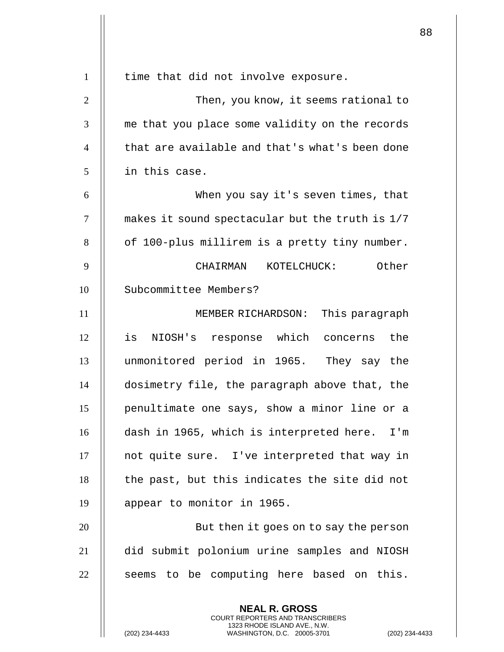| $\mathbf{1}$   | time that did not involve exposure.                      |
|----------------|----------------------------------------------------------|
| $\overline{2}$ | Then, you know, it seems rational to                     |
| 3              | me that you place some validity on the records           |
| $\overline{4}$ | that are available and that's what's been done           |
| 5              | in this case.                                            |
| 6              | When you say it's seven times, that                      |
| $\tau$         | makes it sound spectacular but the truth is 1/7          |
| 8              | of 100-plus millirem is a pretty tiny number.            |
| 9              | KOTELCHUCK: Other<br>CHAIRMAN                            |
| 10             | Subcommittee Members?                                    |
| 11             | This paragraph<br>MEMBER RICHARDSON:                     |
| 12             | NIOSH's response which concerns the<br>is                |
| 13             | unmonitored period in 1965. They say the                 |
| 14             | dosimetry file, the paragraph above that, the            |
| 15             | penultimate one says, show a minor line or a             |
| 16             | dash in 1965, which is interpreted here. I'm             |
| 17             | not quite sure. I've interpreted that way in             |
| 18             | the past, but this indicates the site did not            |
| 19             | appear to monitor in 1965.                               |
| 20             | But then it goes on to say the person                    |
| 21             | did submit polonium urine samples and NIOSH              |
| 22             | seems to be computing here based on this.                |
|                | <b>NEAL R. GROSS</b><br>COURT REPORTERS AND TRANSCRIBERS |

1323 RHODE ISLAND AVE., N.W.

(202) 234-4433 WASHINGTON, D.C. 20005-3701 (202) 234-4433

 $\parallel$ 

 $\mathsf{l}\mathsf{l}$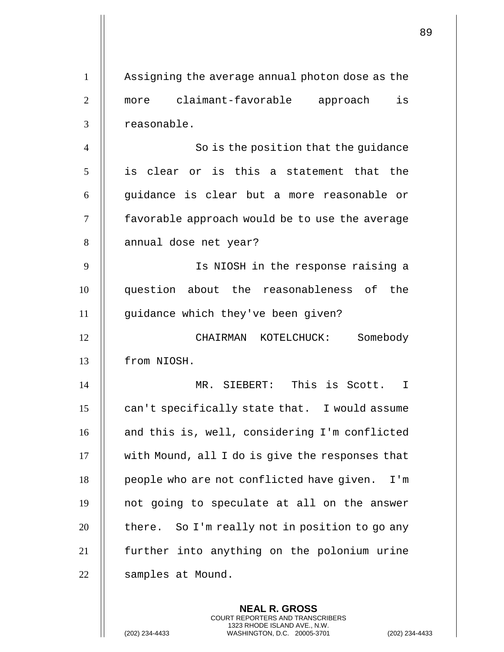| $\mathbf{1}$   | Assigning the average annual photon dose as the  |
|----------------|--------------------------------------------------|
| $\overline{2}$ | is<br>claimant-favorable approach<br>more        |
| 3              | reasonable.                                      |
| $\overline{4}$ | So is the position that the guidance             |
| 5              | is clear or is this a statement that the         |
| 6              | guidance is clear but a more reasonable or       |
| $\tau$         | favorable approach would be to use the average   |
| 8              | annual dose net year?                            |
| 9              | Is NIOSH in the response raising a               |
| 10             | question about the reasonableness of the         |
| 11             | guidance which they've been given?               |
| 12             | Somebody<br>CHAIRMAN KOTELCHUCK:                 |
| 13             | from NIOSH.                                      |
| 14             | MR. SIEBERT: This is Scott.<br>I                 |
| 15             | can't specifically state that. I would assume    |
| 16             | and this is, well, considering I'm conflicted    |
| 17             | with Mound, all I do is give the responses that  |
| 18             | people who are not conflicted have given.<br>I'm |
| 19             | not going to speculate at all on the answer      |
| 20             | there. So I'm really not in position to go any   |
| 21             | further into anything on the polonium urine      |
| 22             | samples at Mound.                                |
|                |                                                  |

**NEAL R. GROSS** COURT REPORTERS AND TRANSCRIBERS 1323 RHODE ISLAND AVE., N.W.

(202) 234-4433 WASHINGTON, D.C. 20005-3701 (202) 234-4433

 $\mathbf{1}$  $\mathsf{I}$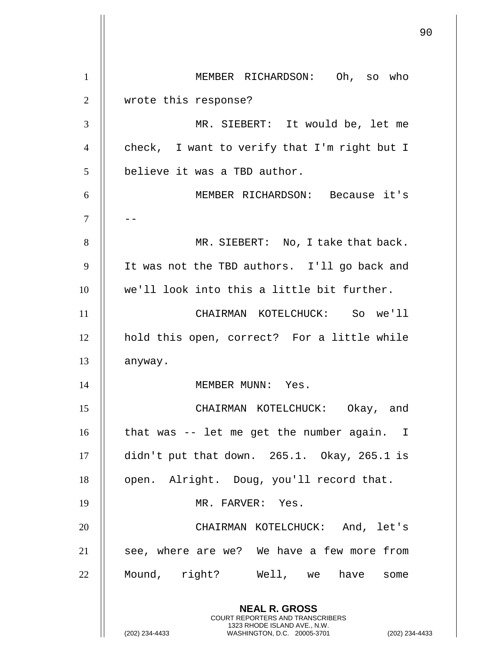**NEAL R. GROSS** COURT REPORTERS AND TRANSCRIBERS 1323 RHODE ISLAND AVE., N.W. (202) 234-4433 WASHINGTON, D.C. 20005-3701 (202) 234-4433 1 | MEMBER RICHARDSON: Oh, so who 2 || wrote this response? 3 MR. SIEBERT: It would be, let me 4 || check, I want to verify that I'm right but I 5 | believe it was a TBD author. 6 MEMBER RICHARDSON: Because it's 7 || --8 || MR. SIEBERT: No, I take that back. 9 || It was not the TBD authors. I'll go back and 10 || we'll look into this a little bit further. 11 CHAIRMAN KOTELCHUCK: So we'll 12 hold this open, correct? For a little while 13 | anyway. 14 || MEMBER MUNN: Yes. 15 CHAIRMAN KOTELCHUCK: Okay, and 16 || that was -- let me get the number again. I 17 didn't put that down. 265.1. Okay, 265.1 is 18 | open. Alright. Doug, you'll record that. 19 MR. FARVER: Yes. 20 CHAIRMAN KOTELCHUCK: And, let's  $21$  || see, where are we? We have a few more from 22 || Mound, right? Well, we have some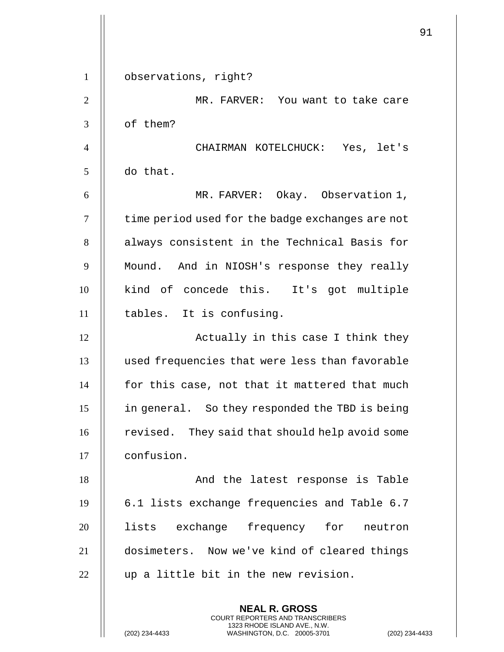|                |                                                  | 91 |
|----------------|--------------------------------------------------|----|
| $\mathbf{1}$   | observations, right?                             |    |
| $\overline{2}$ | MR. FARVER: You want to take care                |    |
| 3              | of them?                                         |    |
| $\overline{4}$ | CHAIRMAN KOTELCHUCK: Yes, let's                  |    |
| 5              | do that.                                         |    |
| 6              | MR. FARVER: Okay. Observation 1,                 |    |
| $\tau$         | time period used for the badge exchanges are not |    |
| 8              | always consistent in the Technical Basis for     |    |
| 9              | Mound. And in NIOSH's response they really       |    |
| 10             | kind of concede this. It's got multiple          |    |
| 11             | tables. It is confusing.                         |    |
| 12             | Actually in this case I think they               |    |
| 13             | used frequencies that were less than favorable   |    |
| 14             | for this case, not that it mattered that much    |    |
| 15             | in general. So they responded the TBD is being   |    |
| 16             | revised. They said that should help avoid some   |    |
| 17             | confusion.                                       |    |
| 18             | And the latest response is Table                 |    |
| 19             | 6.1 lists exchange frequencies and Table 6.7     |    |
| 20             | lists exchange frequency for<br>neutron          |    |
| 21             | dosimeters. Now we've kind of cleared things     |    |
| 22             | up a little bit in the new revision.             |    |
|                | <b>NEAL R. GROSS</b>                             |    |

COURT REPORTERS AND TRANSCRIBERS 1323 RHODE ISLAND AVE., N.W.

(202) 234-4433 WASHINGTON, D.C. 20005-3701 (202) 234-4433

 $\prod$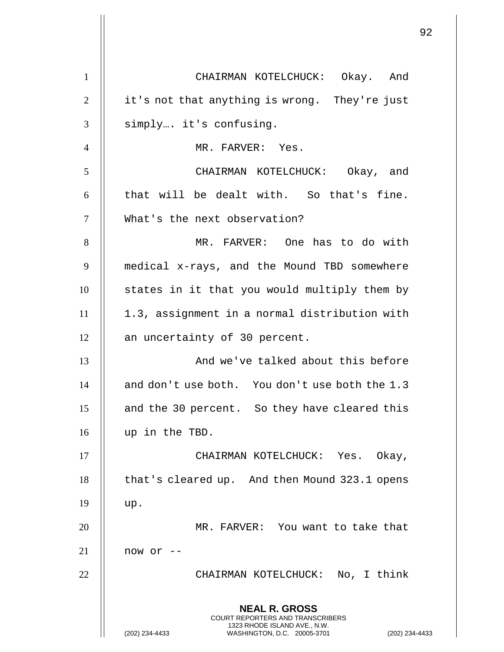|                |                                                                                          | 92 |
|----------------|------------------------------------------------------------------------------------------|----|
| $\mathbf{1}$   | CHAIRMAN KOTELCHUCK: Okay. And                                                           |    |
| 2              | it's not that anything is wrong. They're just                                            |    |
| 3              | simply it's confusing.                                                                   |    |
| $\overline{4}$ | MR. FARVER: Yes.                                                                         |    |
| 5              | CHAIRMAN KOTELCHUCK: Okay, and                                                           |    |
| 6              | that will be dealt with. So that's fine.                                                 |    |
| $\tau$         | What's the next observation?                                                             |    |
| 8              | MR. FARVER: One has to do with                                                           |    |
| 9              | medical x-rays, and the Mound TBD somewhere                                              |    |
| 10             | states in it that you would multiply them by                                             |    |
| 11             | 1.3, assignment in a normal distribution with                                            |    |
| 12             | an uncertainty of 30 percent.                                                            |    |
| 13             | And we've talked about this before                                                       |    |
| 14             | and don't use both. You don't use both the 1.3                                           |    |
| 15             | and the 30 percent. So they have cleared this                                            |    |
| 16             | up in the TBD.                                                                           |    |
| 17             | CHAIRMAN KOTELCHUCK: Yes. Okay,                                                          |    |
| 18             | that's cleared up. And then Mound 323.1 opens                                            |    |
| 19             | up.                                                                                      |    |
| 20             | MR. FARVER: You want to take that                                                        |    |
| 21             | now or $--$                                                                              |    |
| 22             | CHAIRMAN KOTELCHUCK: No, I think                                                         |    |
|                | <b>NEAL R. GROSS</b><br>COURT REPORTERS AND TRANSCRIBERS<br>1323 RHODE ISLAND AVE., N.W. |    |
|                | (202) 234-4433<br>WASHINGTON, D.C. 20005-3701<br>(202) 234-4433                          |    |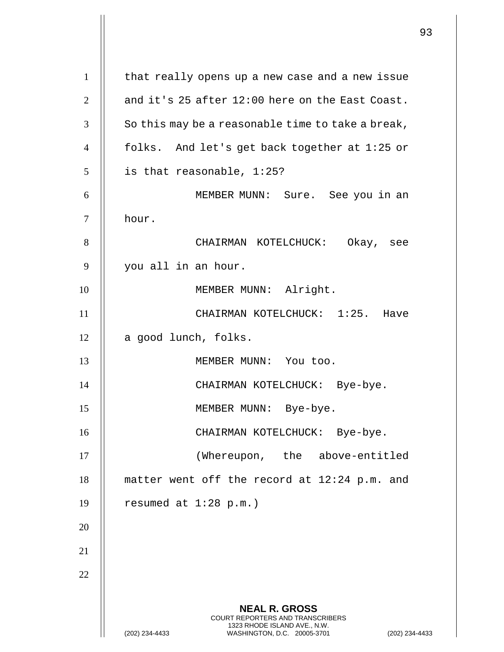**NEAL R. GROSS** COURT REPORTERS AND TRANSCRIBERS 1323 RHODE ISLAND AVE., N.W. (202) 234-4433 WASHINGTON, D.C. 20005-3701 (202) 234-4433 1 | that really opens up a new case and a new issue 2  $\parallel$  and it's 25 after 12:00 here on the East Coast.  $3 \parallel$  So this may be a reasonable time to take a break, 4 folks. And let's get back together at 1:25 or  $5 \parallel$  is that reasonable, 1:25? 6 MEMBER MUNN: Sure. See you in an 7 hour. 8 CHAIRMAN KOTELCHUCK: Okay, see 9 | you all in an hour. 10 || MEMBER MUNN: Alright. 11 CHAIRMAN KOTELCHUCK: 1:25. Have  $12$  | a good lunch, folks. 13 || MEMBER MUNN: You too. 14 || CHAIRMAN KOTELCHUCK: Bye-bye. 15 || MEMBER MUNN: Bye-bye. 16 CHAIRMAN KOTELCHUCK: Bye-bye. 17 || (Whereupon, the above-entitled 18 matter went off the record at 12:24 p.m. and 19  $\parallel$  resumed at 1:28 p.m.) 20 21 22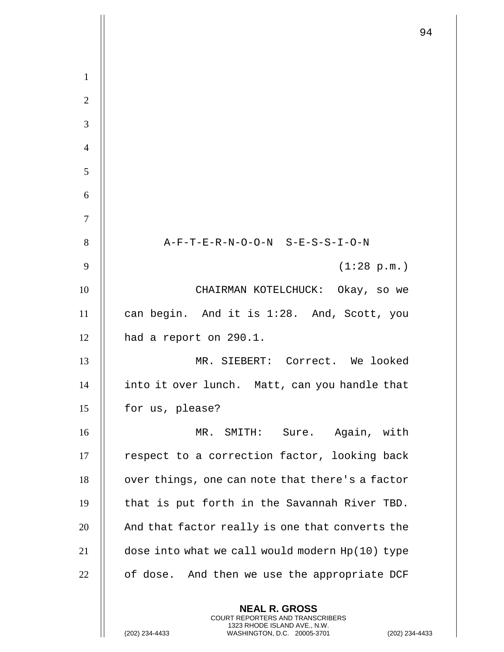|                |                                                          | 94 |
|----------------|----------------------------------------------------------|----|
|                |                                                          |    |
| $\mathbf{1}$   |                                                          |    |
| $\overline{2}$ |                                                          |    |
| 3              |                                                          |    |
| $\overline{4}$ |                                                          |    |
| 5              |                                                          |    |
| 6              |                                                          |    |
| $\overline{7}$ |                                                          |    |
| 8              | A-F-T-E-R-N-O-O-N S-E-S-S-I-O-N                          |    |
| 9              | (1:28 p.m.)                                              |    |
| 10             | CHAIRMAN KOTELCHUCK: Okay, so we                         |    |
| 11             | can begin. And it is 1:28. And, Scott, you               |    |
| 12             | had a report on 290.1.                                   |    |
| 13             | MR. SIEBERT: Correct. We looked                          |    |
| 14             | into it over lunch. Matt, can you handle that            |    |
| 15             | for us, please?                                          |    |
| 16             | Sure. Again, with<br>MR. SMITH:                          |    |
| 17             | respect to a correction factor, looking back             |    |
| 18             | over things, one can note that there's a factor          |    |
| 19             | that is put forth in the Savannah River TBD.             |    |
| 20             | And that factor really is one that converts the          |    |
| 21             | dose into what we call would modern Hp(10) type          |    |
| 22             | of dose. And then we use the appropriate DCF             |    |
|                | <b>NEAL R. GROSS</b><br>COURT REPORTERS AND TRANSCRIBERS |    |

1323 RHODE ISLAND AVE., N.W.

(202) 234-4433 WASHINGTON, D.C. 20005-3701 (202) 234-4433

 $\prod$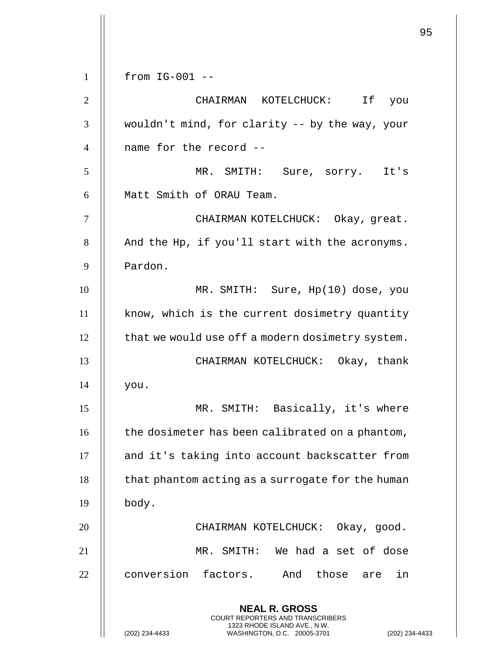**NEAL R. GROSS** COURT REPORTERS AND TRANSCRIBERS 1323 RHODE ISLAND AVE., N.W. (202) 234-4433 WASHINGTON, D.C. 20005-3701 (202) 234-4433 from IG-001 -- CHAIRMAN KOTELCHUCK: If you wouldn't mind, for clarity -- by the way, your 4 || name for the record -- MR. SMITH: Sure, sorry. It's 6 || Matt Smith of ORAU Team. CHAIRMAN KOTELCHUCK: Okay, great. | And the Hp, if you'll start with the acronyms. Pardon. MR. SMITH: Sure, Hp(10) dose, you 11 | know, which is the current dosimetry quantity  $\parallel$  that we would use off a modern dosimetry system. CHAIRMAN KOTELCHUCK: Okay, thank | you. MR. SMITH: Basically, it's where 16 | the dosimeter has been calibrated on a phantom, 17 || and it's taking into account backscatter from | that phantom acting as a surrogate for the human  $\parallel$  body. CHAIRMAN KOTELCHUCK: Okay, good. MR. SMITH: We had a set of dose 22 conversion factors. And those are in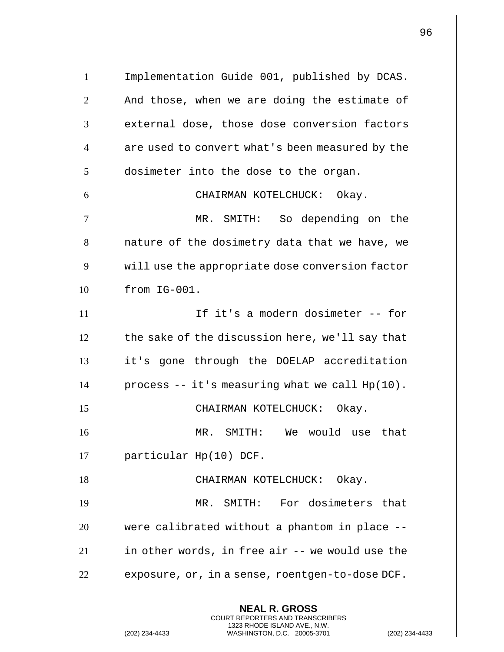**NEAL R. GROSS** COURT REPORTERS AND TRANSCRIBERS 1323 RHODE ISLAND AVE., N.W. (202) 234-4433 WASHINGTON, D.C. 20005-3701 (202) 234-4433 1 | Implementation Guide 001, published by DCAS.  $2 \parallel$  And those, when we are doing the estimate of 3 || external dose, those dose conversion factors 4 || are used to convert what's been measured by the  $5$  | dosimeter into the dose to the organ. 6 CHAIRMAN KOTELCHUCK: Okay. 7 MR. SMITH: So depending on the 8 || nature of the dosimetry data that we have, we 9 | will use the appropriate dose conversion factor 10 from IG-001. 11 If it's a modern dosimeter -- for  $12$   $\parallel$  the sake of the discussion here, we'll say that 13 it's gone through the DOELAP accreditation 14 | process  $- -$  it's measuring what we call  $Hp(10)$ . 15 CHAIRMAN KOTELCHUCK: Okay. 16 MR. SMITH: We would use that 17 || particular Hp(10) DCF. 18 || CHAIRMAN KOTELCHUCK: Okay. 19 MR. SMITH: For dosimeters that  $20$   $\parallel$  were calibrated without a phantom in place -- $21$  | in other words, in free air  $-$ - we would use the  $22$  | exposure, or, in a sense, roentgen-to-dose DCF.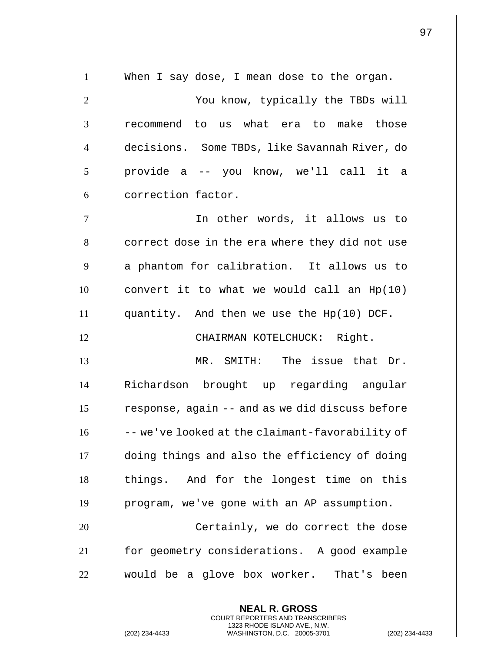| $\mathbf{1}$   | When I say dose, I mean dose to the organ.      |
|----------------|-------------------------------------------------|
| $\overline{2}$ | You know, typically the TBDs will               |
| 3              | recommend to us what era to make those          |
| $\overline{4}$ | decisions. Some TBDs, like Savannah River, do   |
| 5              | provide a -- you know, we'll call it a          |
| 6              | correction factor.                              |
| $\overline{7}$ | In other words, it allows us to                 |
| 8              | correct dose in the era where they did not use  |
| 9              | a phantom for calibration. It allows us to      |
| 10             | convert it to what we would call an $Hp(10)$    |
| 11             | quantity. And then we use the Hp(10) DCF.       |
| 12             | CHAIRMAN KOTELCHUCK: Right.                     |
| 13             | MR. SMITH: The issue that Dr.                   |
| 14             | Richardson brought up regarding angular         |
| 15             | response, again -- and as we did discuss before |
| 16             | -- we've looked at the claimant-favorability of |
| 17             | doing things and also the efficiency of doing   |
| 18             | things. And for the longest time on this        |
| 19             | program, we've gone with an AP assumption.      |
| 20             | Certainly, we do correct the dose               |
| 21             | for geometry considerations. A good example     |
| 22             | would be a glove box worker. That's been        |
|                | <b>NEAL R. GROSS</b>                            |

COURT REPORTERS AND TRANSCRIBERS 1323 RHODE ISLAND AVE., N.W.

(202) 234-4433 WASHINGTON, D.C. 20005-3701 (202) 234-4433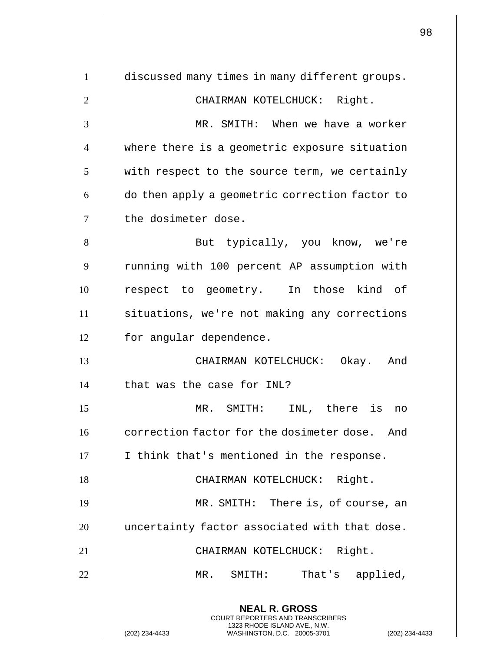**NEAL R. GROSS** COURT REPORTERS AND TRANSCRIBERS 1323 RHODE ISLAND AVE., N.W. (202) 234-4433 WASHINGTON, D.C. 20005-3701 (202) 234-4433 1 discussed many times in many different groups. 2 || CHAIRMAN KOTELCHUCK: Right. 3 MR. SMITH: When we have a worker 4 where there is a geometric exposure situation  $5$   $\parallel$  with respect to the source term, we certainly  $6$   $\parallel$  do then apply a geometric correction factor to 7 || the dosimeter dose. 8 || But typically, you know, we're 9 || running with 100 percent AP assumption with 10 || respect to geometry. In those kind of 11 | situations, we're not making any corrections 12 | for angular dependence. 13 CHAIRMAN KOTELCHUCK: Okay. And  $14$  | that was the case for INL? 15 MR. SMITH: INL, there is no 16 **correction factor for the dosimeter dose.** And 17 || I think that's mentioned in the response. 18 || CHAIRMAN KOTELCHUCK: Right. 19 MR. SMITH: There is, of course, an 20 || uncertainty factor associated with that dose. 21 || CHAIRMAN KOTELCHUCK: Right. 22 MR. SMITH: That's applied,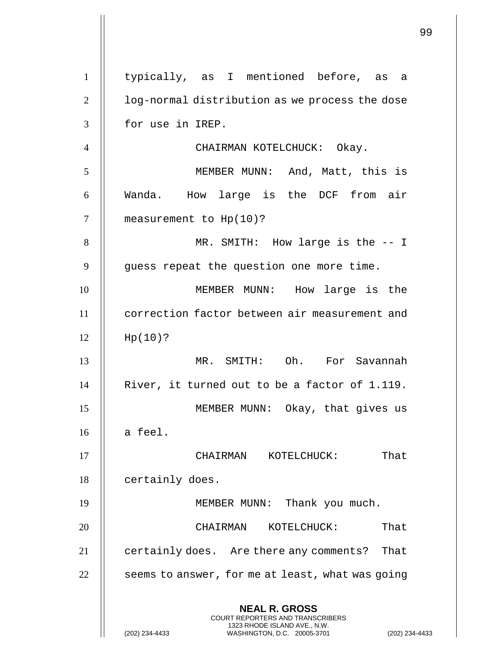|                |                                                                                                                                                                    | 99 |
|----------------|--------------------------------------------------------------------------------------------------------------------------------------------------------------------|----|
| $\mathbf{1}$   | typically, as I mentioned before, as a                                                                                                                             |    |
| $\overline{2}$ | log-normal distribution as we process the dose                                                                                                                     |    |
| 3              | for use in IREP.                                                                                                                                                   |    |
| $\overline{4}$ | CHAIRMAN KOTELCHUCK: Okay.                                                                                                                                         |    |
| 5              | MEMBER MUNN: And, Matt, this is                                                                                                                                    |    |
| 6              | Wanda. How large is the DCF from air                                                                                                                               |    |
| 7              | measurement to $Hp(10)?$                                                                                                                                           |    |
| 8              | MR. SMITH: How large is the $-$ - I                                                                                                                                |    |
| 9              | guess repeat the question one more time.                                                                                                                           |    |
| 10             | MEMBER MUNN: How large is the                                                                                                                                      |    |
| 11             | correction factor between air measurement and                                                                                                                      |    |
| 12             | Hp(10)?                                                                                                                                                            |    |
| 13             | MR. SMITH: Oh. For Savannah                                                                                                                                        |    |
| 14             | River, it turned out to be a factor of 1.119.                                                                                                                      |    |
| 15             | MEMBER MUNN: Okay, that gives us                                                                                                                                   |    |
| 16             | a feel.                                                                                                                                                            |    |
| 17             | That<br>CHAIRMAN KOTELCHUCK:                                                                                                                                       |    |
| 18             | certainly does.                                                                                                                                                    |    |
| 19             | MEMBER MUNN: Thank you much.                                                                                                                                       |    |
| 20             | That<br>CHAIRMAN<br>KOTELCHUCK:                                                                                                                                    |    |
| 21             | certainly does. Are there any comments?<br>That                                                                                                                    |    |
| 22             | seems to answer, for me at least, what was going                                                                                                                   |    |
|                | <b>NEAL R. GROSS</b><br><b>COURT REPORTERS AND TRANSCRIBERS</b><br>1323 RHODE ISLAND AVE., N.W.<br>(202) 234-4433<br>WASHINGTON, D.C. 20005-3701<br>(202) 234-4433 |    |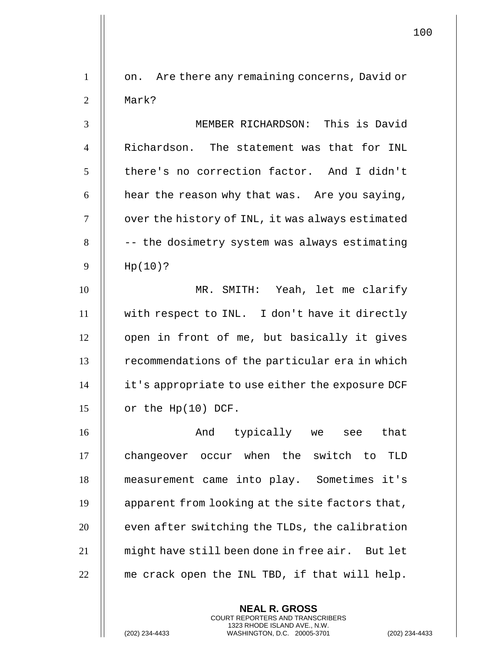1 | on. Are there any remaining concerns, David or 2 || Mark? 3 MEMBER RICHARDSON: This is David 4 || Richardson. The statement was that for INL 5 | there's no correction factor. And I didn't 6  $\parallel$  hear the reason why that was. Are you saying, 7 | over the history of INL, it was always estimated  $8$   $\vert$  -- the dosimetry system was always estimating 9 Hp(10)? 10 MR. SMITH: Yeah, let me clarify 11 with respect to INL. I don't have it directly 12 | open in front of me, but basically it gives 13 | recommendations of the particular era in which 14 it's appropriate to use either the exposure DCF  $15$  | or the Hp(10) DCF. 16 And typically we see that 17 | changeover occur when the switch to TLD 18 measurement came into play. Sometimes it's 19  $\parallel$  apparent from looking at the site factors that,  $20$   $\parallel$  even after switching the TLDs, the calibration 21 || might have still been done in free air. But let  $22$   $\parallel$  me crack open the INL TBD, if that will help.

> **NEAL R. GROSS** COURT REPORTERS AND TRANSCRIBERS 1323 RHODE ISLAND AVE., N.W.

(202) 234-4433 WASHINGTON, D.C. 20005-3701 (202) 234-4433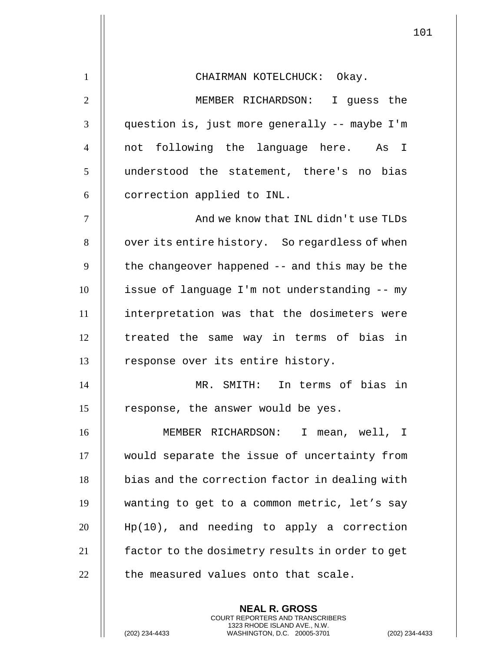| $\mathbf{1}$   | CHAIRMAN KOTELCHUCK: Okay.                      |
|----------------|-------------------------------------------------|
| $\overline{2}$ | MEMBER RICHARDSON: I guess the                  |
| 3              | question is, just more generally -- maybe I'm   |
| $\overline{4}$ | not following the language here. As I           |
| 5              | understood the statement, there's no bias       |
| 6              | correction applied to INL.                      |
| $\tau$         | And we know that INL didn't use TLDs            |
| 8              | over its entire history. So regardless of when  |
| 9              | the changeover happened -- and this may be the  |
| 10             | issue of language I'm not understanding -- my   |
| 11             | interpretation was that the dosimeters were     |
| 12             | treated the same way in terms of bias in        |
| 13             | response over its entire history.               |
| 14             | MR. SMITH: In terms of bias in                  |
| 15             | response, the answer would be yes.              |
| 16             | MEMBER RICHARDSON:<br>I mean, well, I           |
| 17             | would separate the issue of uncertainty from    |
| 18             | bias and the correction factor in dealing with  |
| 19             | wanting to get to a common metric, let's say    |
| 20             | $Hp(10)$ , and needing to apply a correction    |
| 21             | factor to the dosimetry results in order to get |
| 22             | the measured values onto that scale.            |

**NEAL R. GROSS** COURT REPORTERS AND TRANSCRIBERS 1323 RHODE ISLAND AVE., N.W.

(202) 234-4433 WASHINGTON, D.C. 20005-3701 (202) 234-4433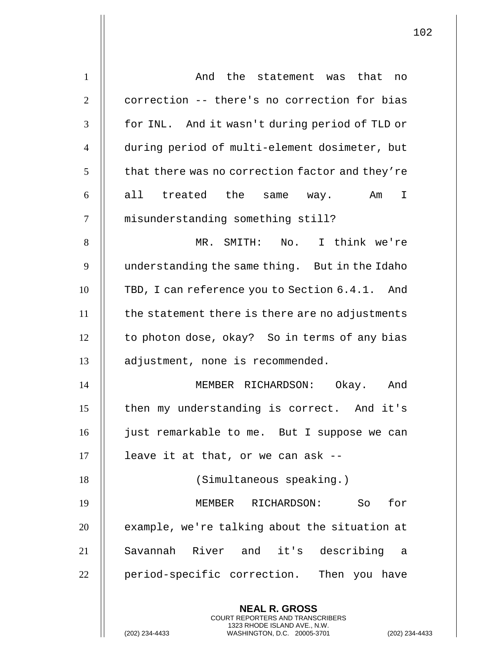| $\mathbf{1}$     | And the statement was that no                                                                                                                            |
|------------------|----------------------------------------------------------------------------------------------------------------------------------------------------------|
| $\overline{2}$   | correction -- there's no correction for bias                                                                                                             |
| 3                | for INL. And it wasn't during period of TLD or                                                                                                           |
| $\overline{4}$   | during period of multi-element dosimeter, but                                                                                                            |
| 5                | that there was no correction factor and they're                                                                                                          |
| 6                | all treated the<br>Am<br>I<br>same way.                                                                                                                  |
| $\boldsymbol{7}$ | misunderstanding something still?                                                                                                                        |
| 8                | MR. SMITH: No. I think we're                                                                                                                             |
| 9                | understanding the same thing. But in the Idaho                                                                                                           |
| 10               | TBD, I can reference you to Section 6.4.1. And                                                                                                           |
| 11               | the statement there is there are no adjustments                                                                                                          |
| 12               | to photon dose, okay? So in terms of any bias                                                                                                            |
| 13               | adjustment, none is recommended.                                                                                                                         |
| 14               | MEMBER RICHARDSON: Okay. And                                                                                                                             |
| 15               | then my understanding is correct. And it's                                                                                                               |
| 16               | just remarkable to me. But I suppose we can                                                                                                              |
| 17               | leave it at that, or we can ask --                                                                                                                       |
| 18               | (Simultaneous speaking.)                                                                                                                                 |
| 19               | for<br>MEMBER RICHARDSON:<br>So                                                                                                                          |
| 20               | example, we're talking about the situation at                                                                                                            |
| 21               | Savannah River and it's describing a                                                                                                                     |
| 22               | period-specific correction. Then you have                                                                                                                |
|                  | <b>NEAL R. GROSS</b><br>COURT REPORTERS AND TRANSCRIBERS<br>1323 RHODE ISLAND AVE., N.W.<br>(202) 234-4433<br>WASHINGTON, D.C. 20005-3701<br>$(202)$ 234 |

(202) 234-4433 WASHINGTON, D.C. 20005-3701 (202) 234-4433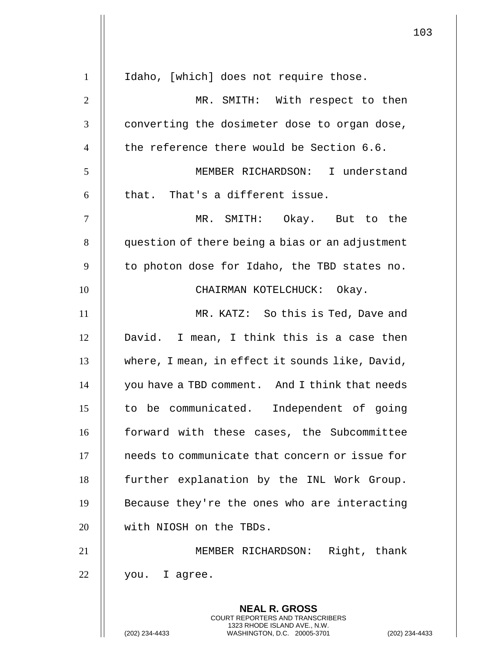|                |                                                                                                                                                  | 103            |
|----------------|--------------------------------------------------------------------------------------------------------------------------------------------------|----------------|
| $\mathbf{1}$   | Idaho, [which] does not require those.                                                                                                           |                |
| $\overline{2}$ | MR. SMITH: With respect to then                                                                                                                  |                |
| 3              | converting the dosimeter dose to organ dose,                                                                                                     |                |
| $\overline{4}$ | the reference there would be Section 6.6.                                                                                                        |                |
| 5              | MEMBER RICHARDSON: I understand                                                                                                                  |                |
| 6              | that. That's a different issue.                                                                                                                  |                |
| 7              | MR. SMITH: Okay. But to the                                                                                                                      |                |
| 8              | question of there being a bias or an adjustment                                                                                                  |                |
| 9              | to photon dose for Idaho, the TBD states no.                                                                                                     |                |
| 10             | CHAIRMAN KOTELCHUCK: Okay.                                                                                                                       |                |
| 11             | MR. KATZ: So this is Ted, Dave and                                                                                                               |                |
| 12             | David. I mean, I think this is a case then                                                                                                       |                |
| 13             | where, I mean, in effect it sounds like, David,                                                                                                  |                |
| 14             | you have a TBD comment. And I think that needs                                                                                                   |                |
| 15             | to be communicated. Independent of going                                                                                                         |                |
| 16             | forward with these cases, the Subcommittee                                                                                                       |                |
| 17             | needs to communicate that concern or issue for                                                                                                   |                |
| 18             | further explanation by the INL Work Group.                                                                                                       |                |
| 19             | Because they're the ones who are interacting                                                                                                     |                |
| 20             | with NIOSH on the TBDs.                                                                                                                          |                |
| 21             | MEMBER RICHARDSON: Right, thank                                                                                                                  |                |
| 22             | you. I agree.                                                                                                                                    |                |
|                | <b>NEAL R. GROSS</b><br><b>COURT REPORTERS AND TRANSCRIBERS</b><br>1323 RHODE ISLAND AVE., N.W.<br>(202) 234-4433<br>WASHINGTON, D.C. 20005-3701 | (202) 234-4433 |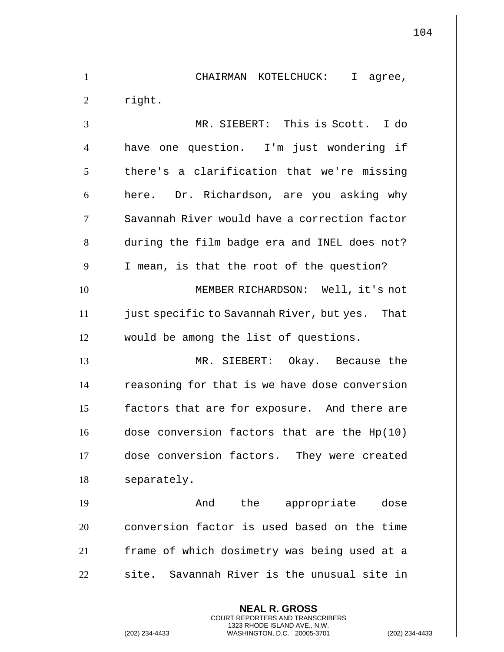|                |                                                                                                                                                                    | 104 |
|----------------|--------------------------------------------------------------------------------------------------------------------------------------------------------------------|-----|
| $\mathbf{1}$   | CHAIRMAN KOTELCHUCK: I agree,                                                                                                                                      |     |
| $\overline{2}$ | right.                                                                                                                                                             |     |
| 3              | MR. SIEBERT: This is Scott. I do                                                                                                                                   |     |
| $\overline{4}$ | have one question. I'm just wondering if                                                                                                                           |     |
| 5              | there's a clarification that we're missing                                                                                                                         |     |
| 6              | here. Dr. Richardson, are you asking why                                                                                                                           |     |
| $\tau$         | Savannah River would have a correction factor                                                                                                                      |     |
| 8              | during the film badge era and INEL does not?                                                                                                                       |     |
| 9              | I mean, is that the root of the question?                                                                                                                          |     |
| 10             | MEMBER RICHARDSON: Well, it's not                                                                                                                                  |     |
| 11             | just specific to Savannah River, but yes. That                                                                                                                     |     |
| 12             | would be among the list of questions.                                                                                                                              |     |
| 13             | MR. SIEBERT: Okay. Because the                                                                                                                                     |     |
| 14             | reasoning for that is we have dose conversion                                                                                                                      |     |
| 15             | factors that are for exposure. And there are                                                                                                                       |     |
| 16             | dose conversion factors that are the Hp(10)                                                                                                                        |     |
| 17             | dose conversion factors. They were created                                                                                                                         |     |
| 18             | separately.                                                                                                                                                        |     |
| 19             | And the appropriate dose                                                                                                                                           |     |
| 20             | conversion factor is used based on the time                                                                                                                        |     |
| 21             | frame of which dosimetry was being used at a                                                                                                                       |     |
| 22             | site. Savannah River is the unusual site in                                                                                                                        |     |
|                | <b>NEAL R. GROSS</b><br><b>COURT REPORTERS AND TRANSCRIBERS</b><br>1323 RHODE ISLAND AVE., N.W.<br>(202) 234-4433<br>WASHINGTON, D.C. 20005-3701<br>(202) 234-4433 |     |

 $\mathbf{1}$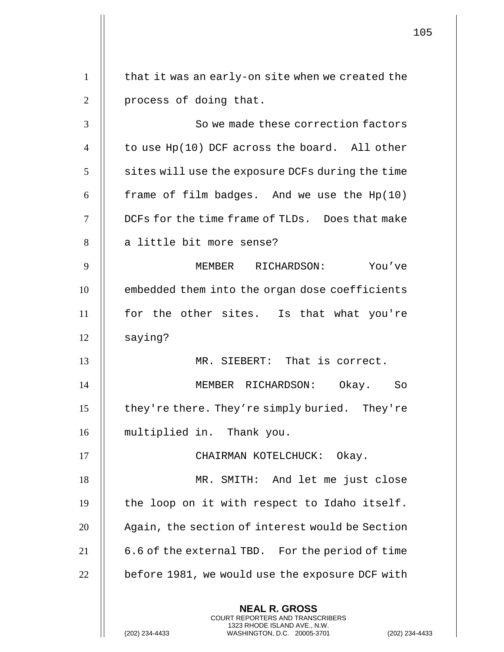**NEAL R. GROSS** COURT REPORTERS AND TRANSCRIBERS 1323 RHODE ISLAND AVE., N.W.  $1 \parallel$  that it was an early-on site when we created the 2 || process of doing that. 3 | So we made these correction factors 4  $\parallel$  to use Hp(10) DCF across the board. All other  $5$  | sites will use the exposure DCFs during the time 6  $\parallel$  frame of film badges. And we use the Hp(10) 7  $\parallel$  DCFs for the time frame of TLDs. Does that make 8 || a little bit more sense? 9 MEMBER RICHARDSON: You've 10 **e**mbedded them into the organ dose coefficients 11 for the other sites. Is that what you're 12 || saying? 13 MR. SIEBERT: That is correct. 14 MEMBER RICHARDSON: Okay. So 15 | they're there. They're simply buried. They're 16 multiplied in. Thank you. 17 || CHAIRMAN KOTELCHUCK: Okay. 18 || MR. SMITH: And let me just close  $19$  | the loop on it with respect to Idaho itself. 20 | Again, the section of interest would be Section 21  $\parallel$  6.6 of the external TBD. For the period of time  $22$   $\parallel$  before 1981, we would use the exposure DCF with

(202) 234-4433 WASHINGTON, D.C. 20005-3701 (202) 234-4433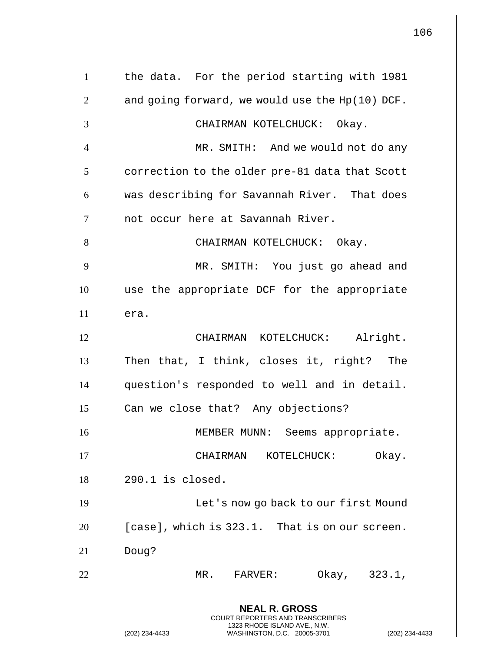|                |                                                                                                                                                             | 106 |
|----------------|-------------------------------------------------------------------------------------------------------------------------------------------------------------|-----|
| $\mathbf{1}$   | the data. For the period starting with 1981                                                                                                                 |     |
| $\overline{2}$ | and going forward, we would use the Hp(10) DCF.                                                                                                             |     |
| 3              | CHAIRMAN KOTELCHUCK: Okay.                                                                                                                                  |     |
| $\overline{4}$ | MR. SMITH: And we would not do any                                                                                                                          |     |
| 5              | correction to the older pre-81 data that Scott                                                                                                              |     |
| 6              | was describing for Savannah River. That does                                                                                                                |     |
| $\tau$         | not occur here at Savannah River.                                                                                                                           |     |
| 8              | CHAIRMAN KOTELCHUCK: Okay.                                                                                                                                  |     |
| 9              | MR. SMITH: You just go ahead and                                                                                                                            |     |
| 10             | use the appropriate DCF for the appropriate                                                                                                                 |     |
| 11             | era.                                                                                                                                                        |     |
| 12             | CHAIRMAN KOTELCHUCK: Alright.                                                                                                                               |     |
| 13             | Then that, I think, closes it, right? The                                                                                                                   |     |
| 14             | question's responded to well and in detail.                                                                                                                 |     |
| 15             | Can we close that? Any objections?                                                                                                                          |     |
| 16             | MEMBER MUNN: Seems appropriate.                                                                                                                             |     |
| 17             | CHAIRMAN<br>KOTELCHUCK:<br>Okay.                                                                                                                            |     |
| 18             | $290.1$ is closed.                                                                                                                                          |     |
| 19             | Let's now go back to our first Mound                                                                                                                        |     |
| 20             | [case], which is 323.1. That is on our screen.                                                                                                              |     |
| 21             | Doug?                                                                                                                                                       |     |
| 22             | Okay, 323.1,<br>MR. FARVER:                                                                                                                                 |     |
|                | <b>NEAL R. GROSS</b><br>COURT REPORTERS AND TRANSCRIBERS<br>1323 RHODE ISLAND AVE., N.W.<br>(202) 234-4433<br>WASHINGTON, D.C. 20005-3701<br>(202) 234-4433 |     |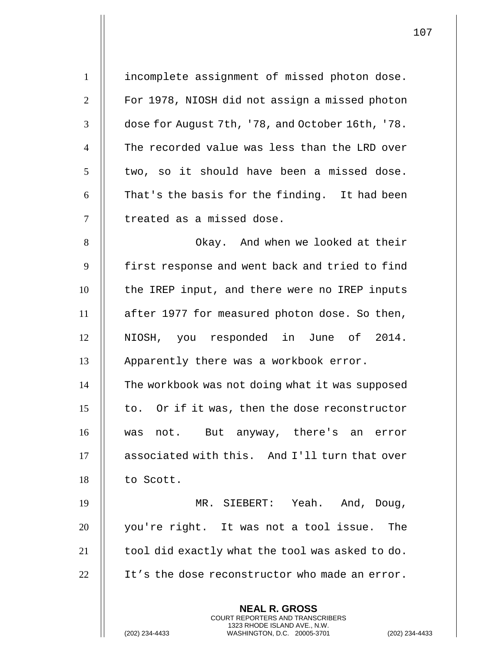| $\mathbf{1}$    | incomplete assignment of missed photon dose.                                                                                                             |
|-----------------|----------------------------------------------------------------------------------------------------------------------------------------------------------|
| $\overline{2}$  | For 1978, NIOSH did not assign a missed photon                                                                                                           |
| 3               | dose for August 7th, '78, and October 16th, '78.                                                                                                         |
| $\overline{4}$  | The recorded value was less than the LRD over                                                                                                            |
| $5\overline{)}$ | two, so it should have been a missed dose.                                                                                                               |
| 6               | That's the basis for the finding. It had been                                                                                                            |
| $\overline{7}$  | treated as a missed dose.                                                                                                                                |
| 8               | Okay. And when we looked at their                                                                                                                        |
| 9               | first response and went back and tried to find                                                                                                           |
| 10              | the IREP input, and there were no IREP inputs                                                                                                            |
| 11              | after 1977 for measured photon dose. So then,                                                                                                            |
| 12              | NIOSH, you responded in June of 2014.                                                                                                                    |
| 13              | Apparently there was a workbook error.                                                                                                                   |
| 14              | The workbook was not doing what it was supposed                                                                                                          |
| 15              | to. Or if it was, then the dose reconstructor                                                                                                            |
| 16              | was not. But anyway, there's an error                                                                                                                    |
| 17              | associated with this. And I'll turn that over                                                                                                            |
| 18              | to Scott.                                                                                                                                                |
| 19              | MR. SIEBERT: Yeah. And, Doug,                                                                                                                            |
| 20              | you're right. It was not a tool issue.<br>The                                                                                                            |
| 21              | tool did exactly what the tool was asked to do.                                                                                                          |
| 22              | It's the dose reconstructor who made an error.                                                                                                           |
|                 | <b>NEAL R. GROSS</b><br>COURT REPORTERS AND TRANSCRIBERS<br>1323 RHODE ISLAND AVE., N.W.<br>WASHINGTON, D.C. 20005-3701<br>(202) 234-4433<br>$(202)$ 234 |

(202) 234-4433 WASHINGTON, D.C. 20005-3701 (202) 234-4433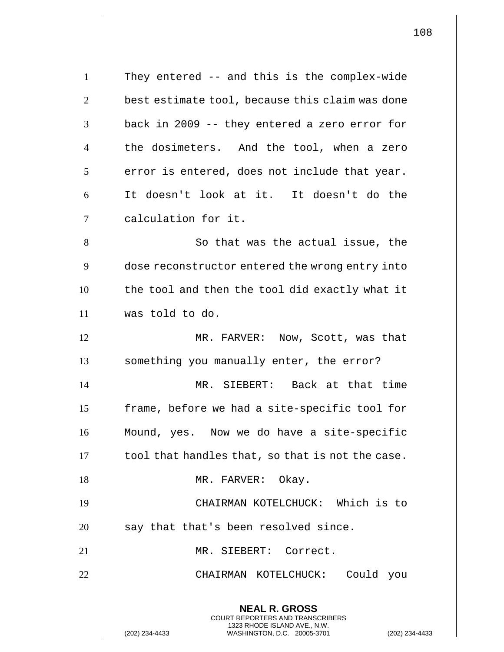| $\mathbf{1}$   | They entered -- and this is the complex-wide                                                                                                                     |
|----------------|------------------------------------------------------------------------------------------------------------------------------------------------------------------|
| $\overline{2}$ | best estimate tool, because this claim was done                                                                                                                  |
| 3              | back in 2009 -- they entered a zero error for                                                                                                                    |
| $\overline{4}$ | the dosimeters. And the tool, when a zero                                                                                                                        |
| 5              | error is entered, does not include that year.                                                                                                                    |
| 6              | It doesn't look at it. It doesn't do the                                                                                                                         |
| 7              | calculation for it.                                                                                                                                              |
| 8              | So that was the actual issue, the                                                                                                                                |
| 9              | dose reconstructor entered the wrong entry into                                                                                                                  |
| 10             | the tool and then the tool did exactly what it                                                                                                                   |
| 11             | was told to do.                                                                                                                                                  |
| 12             | MR. FARVER: Now, Scott, was that                                                                                                                                 |
| 13             | something you manually enter, the error?                                                                                                                         |
| 14             | MR. SIEBERT: Back at that time                                                                                                                                   |
| 15             | frame, before we had a site-specific tool for                                                                                                                    |
| 16             | Mound, yes. Now we do have a site-specific                                                                                                                       |
| 17             | tool that handles that, so that is not the case.                                                                                                                 |
| 18             | MR. FARVER: Okay.                                                                                                                                                |
| 19             | CHAIRMAN KOTELCHUCK: Which is to                                                                                                                                 |
| 20             | say that that's been resolved since.                                                                                                                             |
| 21             | MR. SIEBERT: Correct.                                                                                                                                            |
| 22             | Could you<br>CHAIRMAN KOTELCHUCK:                                                                                                                                |
|                | <b>NEAL R. GROSS</b><br><b>COURT REPORTERS AND TRANSCRIBERS</b><br>1323 RHODE ISLAND AVE., N.W.<br>WASHINGTON, D.C. 20005-3701<br>(202) 234-4433<br>$(202)$ 234- |

 $\mathsf{I}$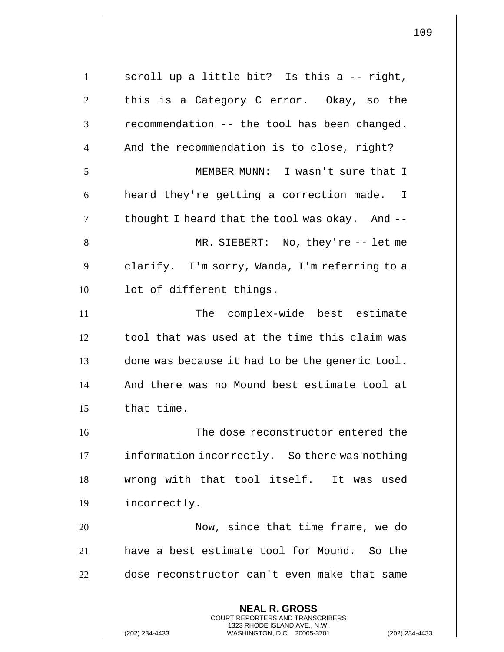| $\mathbf{1}$   | scroll up a little bit? Is this a -- right,                                                                                                               |
|----------------|-----------------------------------------------------------------------------------------------------------------------------------------------------------|
| $\overline{2}$ | this is a Category C error. Okay, so the                                                                                                                  |
| 3              | recommendation -- the tool has been changed.                                                                                                              |
| $\overline{4}$ | And the recommendation is to close, right?                                                                                                                |
| 5              | MEMBER MUNN: I wasn't sure that I                                                                                                                         |
| 6              | heard they're getting a correction made. I                                                                                                                |
| 7              | thought I heard that the tool was okay. And --                                                                                                            |
| 8              | MR. SIEBERT: No, they're $-$ - let me                                                                                                                     |
| 9              | clarify. I'm sorry, Wanda, I'm referring to a                                                                                                             |
| 10             | lot of different things.                                                                                                                                  |
| 11             | The complex-wide best estimate                                                                                                                            |
| 12             | tool that was used at the time this claim was                                                                                                             |
| 13             | done was because it had to be the generic tool.                                                                                                           |
| 14             | And there was no Mound best estimate tool at                                                                                                              |
| 15             | that time.                                                                                                                                                |
| 16             | The dose reconstructor entered the                                                                                                                        |
| 17             | information incorrectly. So there was nothing                                                                                                             |
| 18             | wrong with that tool itself. It was used                                                                                                                  |
| 19             | incorrectly.                                                                                                                                              |
| 20             | Now, since that time frame, we do                                                                                                                         |
| 21             | have a best estimate tool for Mound. So the                                                                                                               |
| 22             | dose reconstructor can't even make that same                                                                                                              |
|                | <b>NEAL R. GROSS</b><br>COURT REPORTERS AND TRANSCRIBERS<br>1323 RHODE ISLAND AVE., N.W.<br>(202) 234-4433<br>WASHINGTON, D.C. 20005-3701<br>$(202)$ 234- |

 $\mathsf{I}$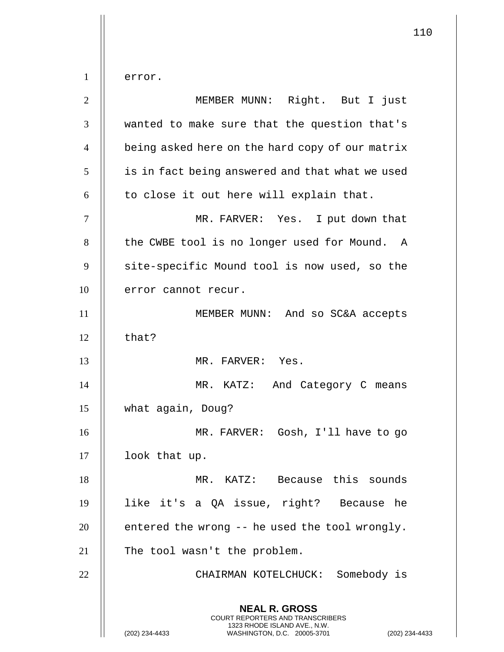error.

| $\overline{2}$ | MEMBER MUNN: Right. But I just                                                                                                                              |
|----------------|-------------------------------------------------------------------------------------------------------------------------------------------------------------|
| 3              | wanted to make sure that the question that's                                                                                                                |
| $\overline{4}$ | being asked here on the hard copy of our matrix                                                                                                             |
| 5              | is in fact being answered and that what we used                                                                                                             |
| 6              | to close it out here will explain that.                                                                                                                     |
| 7              | MR. FARVER: Yes. I put down that                                                                                                                            |
| 8              | the CWBE tool is no longer used for Mound. A                                                                                                                |
| 9              | site-specific Mound tool is now used, so the                                                                                                                |
| 10             | error cannot recur.                                                                                                                                         |
| 11             | MEMBER MUNN: And so SC&A accepts                                                                                                                            |
| 12             | that?                                                                                                                                                       |
| 13             | MR. FARVER: Yes.                                                                                                                                            |
| 14             | MR. KATZ: And Category C means                                                                                                                              |
| 15             | what again, Doug?                                                                                                                                           |
| 16             | MR. FARVER: Gosh, I'll have to go                                                                                                                           |
| 17             | look that up.                                                                                                                                               |
| 18             | MR. KATZ: Because this sounds                                                                                                                               |
| 19             | like it's a QA issue, right? Because he                                                                                                                     |
| 20             | entered the wrong -- he used the tool wrongly.                                                                                                              |
| 21             | The tool wasn't the problem.                                                                                                                                |
| 22             | CHAIRMAN KOTELCHUCK: Somebody is                                                                                                                            |
|                | <b>NEAL R. GROSS</b><br>COURT REPORTERS AND TRANSCRIBERS<br>1323 RHODE ISLAND AVE., N.W.<br>(202) 234-4433<br>WASHINGTON, D.C. 20005-3701<br>(202) 234-4433 |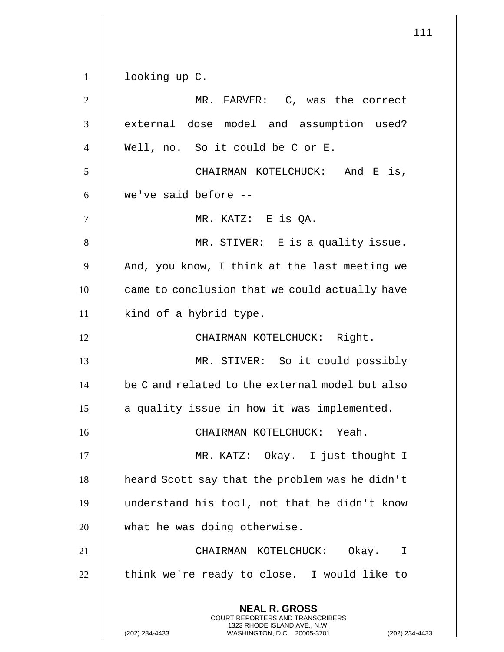111 **NEAL R. GROSS** COURT REPORTERS AND TRANSCRIBERS 1323 RHODE ISLAND AVE., N.W. (202) 234-4433 WASHINGTON, D.C. 20005-3701 (202) 234-4433 1 | looking up C. 2 MR. FARVER: C, was the correct 3 || external dose model and assumption used? 4 Well, no. So it could be C or E. 5 CHAIRMAN KOTELCHUCK: And E is,  $6$  || we've said before  $-$ 7 MR. KATZ: E is QA. 8 || MR. STIVER: E is a quality issue.  $9$  | And, you know, I think at the last meeting we 10 **came** to conclusion that we could actually have 11 || kind of a hybrid type. 12 || CHAIRMAN KOTELCHUCK: Right. 13 MR. STIVER: So it could possibly  $14$   $\parallel$  be C and related to the external model but also  $15$  || a quality issue in how it was implemented. 16 CHAIRMAN KOTELCHUCK: Yeah. 17 || MR. KATZ: Okay. I just thought I 18 | heard Scott say that the problem was he didn't 19 understand his tool, not that he didn't know 20 || what he was doing otherwise. 21 CHAIRMAN KOTELCHUCK: Okay. I  $22$   $\parallel$  think we're ready to close. I would like to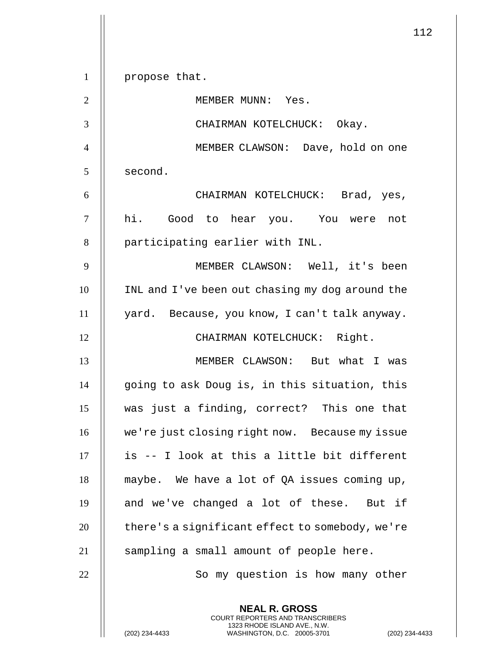|                |                                                 | 112 |
|----------------|-------------------------------------------------|-----|
| $\mathbf{1}$   | propose that.                                   |     |
| $\mathfrak{2}$ | MEMBER MUNN: Yes.                               |     |
| 3              | CHAIRMAN KOTELCHUCK: Okay.                      |     |
| $\overline{4}$ | MEMBER CLAWSON: Dave, hold on one               |     |
| 5              | second.                                         |     |
| 6              | CHAIRMAN KOTELCHUCK: Brad, yes,                 |     |
| $\tau$         | hi. Good to hear you. You were not              |     |
| 8              | participating earlier with INL.                 |     |
| 9              | MEMBER CLAWSON: Well, it's been                 |     |
| 10             | INL and I've been out chasing my dog around the |     |
| 11             | yard. Because, you know, I can't talk anyway.   |     |
| 12             | CHAIRMAN KOTELCHUCK: Right.                     |     |
| 13             | MEMBER CLAWSON: But what I was                  |     |
| 14             | going to ask Doug is, in this situation, this   |     |
| 15             | was just a finding, correct? This one that      |     |
| 16             | we're just closing right now. Because my issue  |     |
| 17             | is -- I look at this a little bit different     |     |
| 18             | maybe. We have a lot of QA issues coming up,    |     |
| 19             | and we've changed a lot of these. But if        |     |
| 20             | there's a significant effect to somebody, we're |     |
| 21             | sampling a small amount of people here.         |     |
| 22             | So my question is how many other                |     |
|                | <b>NEAL R. GROSS</b>                            |     |

COURT REPORTERS AND TRANSCRIBERS 1323 RHODE ISLAND AVE., N.W.

(202) 234-4433 WASHINGTON, D.C. 20005-3701 (202) 234-4433

 $\parallel$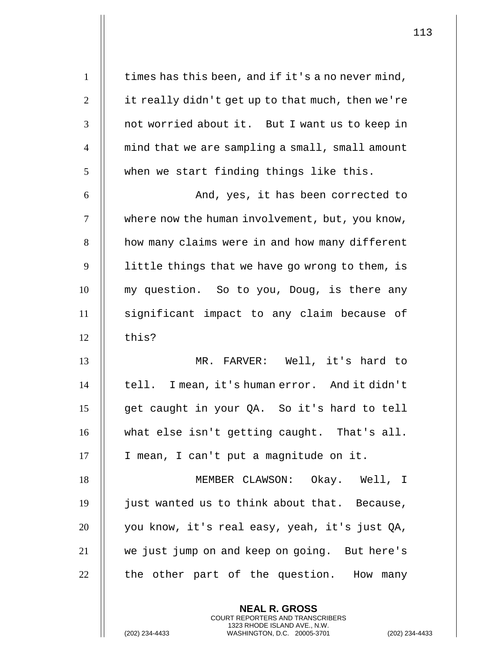| $\mathbf{1}$   | times has this been, and if it's a no never mind, |
|----------------|---------------------------------------------------|
| $\overline{2}$ | it really didn't get up to that much, then we're  |
| 3              | not worried about it. But I want us to keep in    |
| $\overline{4}$ | mind that we are sampling a small, small amount   |
| 5              | when we start finding things like this.           |
| 6              | And, yes, it has been corrected to                |
| $\tau$         | where now the human involvement, but, you know,   |
| 8              | how many claims were in and how many different    |
| 9              | little things that we have go wrong to them, is   |
| 10             | my question. So to you, Doug, is there any        |
| 11             | significant impact to any claim because of        |
| 12             | this?                                             |
| 13             | MR. FARVER: Well, it's hard to                    |
| 14             | tell. I mean, it's human error. And it didn't     |
| 15             | get caught in your QA. So it's hard to tell       |
| 16             | what else isn't getting caught. That's all.       |
| 17             | I mean, I can't put a magnitude on it.            |
| 18             | MEMBER CLAWSON: Okay. Well, I                     |
| 19             | just wanted us to think about that. Because,      |
| 20             | you know, it's real easy, yeah, it's just QA,     |
| 21             | we just jump on and keep on going. But here's     |
| 22             | the other part of the question. How many          |
|                |                                                   |

**NEAL R. GROSS** COURT REPORTERS AND TRANSCRIBERS 1323 RHODE ISLAND AVE., N.W.

(202) 234-4433 WASHINGTON, D.C. 20005-3701 (202) 234-4433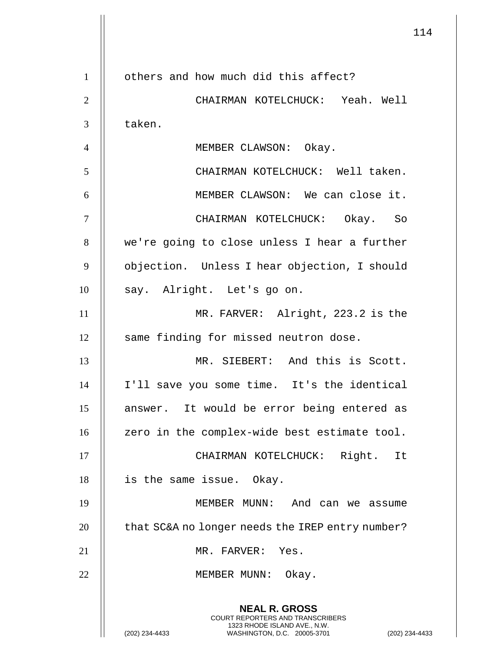|                |                                                                                                                                                                    | 114 |
|----------------|--------------------------------------------------------------------------------------------------------------------------------------------------------------------|-----|
| $\mathbf{1}$   | others and how much did this affect?                                                                                                                               |     |
| $\mathfrak{2}$ | CHAIRMAN KOTELCHUCK: Yeah. Well                                                                                                                                    |     |
| 3              | taken.                                                                                                                                                             |     |
| $\overline{4}$ | MEMBER CLAWSON: Okay.                                                                                                                                              |     |
| 5              | CHAIRMAN KOTELCHUCK: Well taken.                                                                                                                                   |     |
| 6              | MEMBER CLAWSON: We can close it.                                                                                                                                   |     |
| $\tau$         | CHAIRMAN KOTELCHUCK: Okay. So                                                                                                                                      |     |
| 8              | we're going to close unless I hear a further                                                                                                                       |     |
| 9              | objection. Unless I hear objection, I should                                                                                                                       |     |
| 10             | say. Alright. Let's go on.                                                                                                                                         |     |
| 11             | MR. FARVER: Alright, 223.2 is the                                                                                                                                  |     |
| 12             | same finding for missed neutron dose.                                                                                                                              |     |
| 13             | MR. SIEBERT: And this is Scott.                                                                                                                                    |     |
| 14             | I'll save you some time. It's the identical                                                                                                                        |     |
| 15             | answer. It would be error being entered as                                                                                                                         |     |
| 16             | zero in the complex-wide best estimate tool.                                                                                                                       |     |
| 17             | CHAIRMAN KOTELCHUCK: Right. It                                                                                                                                     |     |
| 18             | is the same issue.  Okay.                                                                                                                                          |     |
| 19             | MEMBER MUNN: And can we assume                                                                                                                                     |     |
| 20             | that SC&A no longer needs the IREP entry number?                                                                                                                   |     |
| 21             | MR. FARVER: Yes.                                                                                                                                                   |     |
| 22             | MEMBER MUNN: Okay.                                                                                                                                                 |     |
|                | <b>NEAL R. GROSS</b><br><b>COURT REPORTERS AND TRANSCRIBERS</b><br>1323 RHODE ISLAND AVE., N.W.<br>(202) 234-4433<br>WASHINGTON, D.C. 20005-3701<br>(202) 234-4433 |     |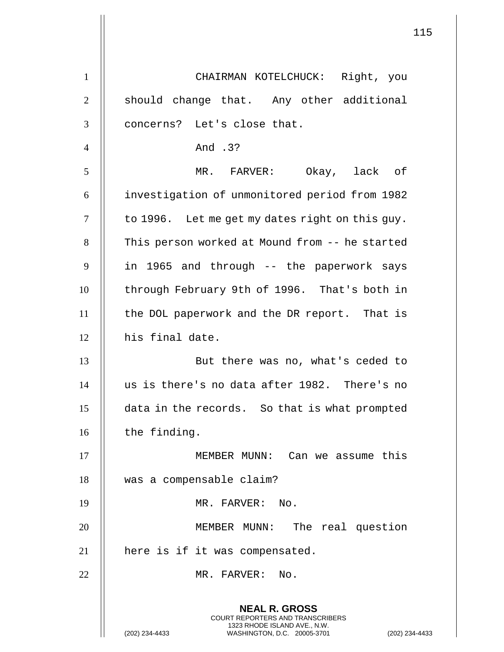|                | 115                                                                                                                                                                |
|----------------|--------------------------------------------------------------------------------------------------------------------------------------------------------------------|
| $\mathbf{1}$   | CHAIRMAN KOTELCHUCK: Right, you                                                                                                                                    |
|                |                                                                                                                                                                    |
| $\overline{2}$ | should change that. Any other additional                                                                                                                           |
| 3              | concerns? Let's close that.                                                                                                                                        |
| $\overline{4}$ | And .3?                                                                                                                                                            |
| 5              | MR. FARVER: Okay, lack of                                                                                                                                          |
| 6              | investigation of unmonitored period from 1982                                                                                                                      |
| $\tau$         | to 1996. Let me get my dates right on this guy.                                                                                                                    |
| 8              | This person worked at Mound from -- he started                                                                                                                     |
| 9              | in 1965 and through -- the paperwork says                                                                                                                          |
| 10             | through February 9th of 1996. That's both in                                                                                                                       |
| 11             | the DOL paperwork and the DR report. That is                                                                                                                       |
| 12             | his final date.                                                                                                                                                    |
| 13             | But there was no, what's ceded to                                                                                                                                  |
| 14             | us is there's no data after 1982. There's no                                                                                                                       |
| 15             | data in the records. So that is what prompted                                                                                                                      |
| 16             | the finding.                                                                                                                                                       |
| 17             | MEMBER MUNN: Can we assume this                                                                                                                                    |
| 18             | was a compensable claim?                                                                                                                                           |
| 19             | MR. FARVER: No.                                                                                                                                                    |
| 20             | MEMBER MUNN: The real question                                                                                                                                     |
| 21             | here is if it was compensated.                                                                                                                                     |
| 22             | MR. FARVER: No.                                                                                                                                                    |
|                | <b>NEAL R. GROSS</b><br><b>COURT REPORTERS AND TRANSCRIBERS</b><br>1323 RHODE ISLAND AVE., N.W.<br>(202) 234-4433<br>WASHINGTON, D.C. 20005-3701<br>(202) 234-4433 |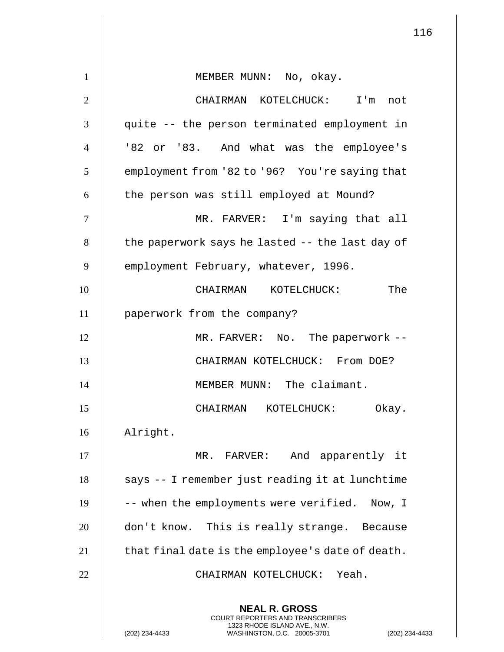| $\mathbf{1}$   | MEMBER MUNN: No, okay.                                                                                                                                    |
|----------------|-----------------------------------------------------------------------------------------------------------------------------------------------------------|
| $\overline{2}$ | CHAIRMAN KOTELCHUCK: I'm not                                                                                                                              |
| 3              | quite -- the person terminated employment in                                                                                                              |
| $\overline{4}$ | '82 or '83. And what was the employee's                                                                                                                   |
| 5              | employment from '82 to '96? You're saying that                                                                                                            |
| 6              | the person was still employed at Mound?                                                                                                                   |
| 7              | MR. FARVER: I'm saying that all                                                                                                                           |
| 8              | the paperwork says he lasted -- the last day of                                                                                                           |
| 9              | employment February, whatever, 1996.                                                                                                                      |
| 10             | CHAIRMAN KOTELCHUCK:<br>The                                                                                                                               |
| 11             |                                                                                                                                                           |
| 12             | paperwork from the company?                                                                                                                               |
|                | MR. FARVER: No. The paperwork --                                                                                                                          |
| 13             | CHAIRMAN KOTELCHUCK: From DOE?                                                                                                                            |
| 14             | MEMBER MUNN:<br>The claimant.                                                                                                                             |
| 15             | Okay.<br>CHAIRMAN<br>KOTELCHUCK:                                                                                                                          |
| 16             | Alright.                                                                                                                                                  |
| 17             | MR. FARVER: And apparently it                                                                                                                             |
| 18             | says -- I remember just reading it at lunchtime                                                                                                           |
| 19             | -- when the employments were verified. Now, I                                                                                                             |
| 20             | don't know. This is really strange. Because                                                                                                               |
| 21             | that final date is the employee's date of death.                                                                                                          |
| 22             | CHAIRMAN KOTELCHUCK: Yeah.                                                                                                                                |
|                | <b>NEAL R. GROSS</b><br>COURT REPORTERS AND TRANSCRIBERS<br>1323 RHODE ISLAND AVE., N.W.<br>(202) 234-4433<br>$(202)$ 234-<br>WASHINGTON, D.C. 20005-3701 |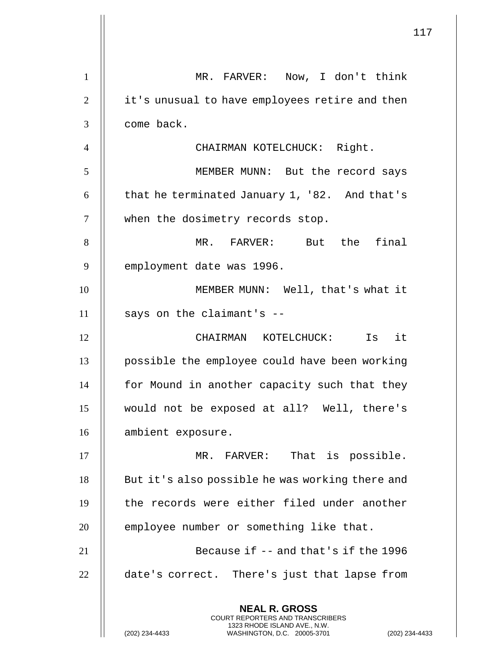| 1              | MR. FARVER: Now, I don't think                                                                  |
|----------------|-------------------------------------------------------------------------------------------------|
| $\overline{2}$ | it's unusual to have employees retire and then                                                  |
| 3              | come back.                                                                                      |
| $\overline{4}$ | CHAIRMAN KOTELCHUCK: Right.                                                                     |
| 5              | MEMBER MUNN: But the record says                                                                |
| 6              | that he terminated January 1, '82. And that's                                                   |
| $\overline{7}$ | when the dosimetry records stop.                                                                |
| 8              | But the final<br>MR. FARVER:                                                                    |
| 9              | employment date was 1996.                                                                       |
| 10             | MEMBER MUNN: Well, that's what it                                                               |
| 11             | says on the claimant's --                                                                       |
| 12             | it<br>CHAIRMAN KOTELCHUCK:<br>Is                                                                |
| 13             | possible the employee could have been working                                                   |
| 14             | for Mound in another capacity such that they                                                    |
| 15             | would not be exposed at all? Well, there's                                                      |
| 16             | ambient exposure.                                                                               |
| 17             | MR. FARVER: That is possible.                                                                   |
| 18             | But it's also possible he was working there and                                                 |
| 19             | the records were either filed under another                                                     |
| 20             | employee number or something like that.                                                         |
| 21             | Because if -- and that's if the 1996                                                            |
| 22             | date's correct. There's just that lapse from                                                    |
|                | <b>NEAL R. GROSS</b><br>COURT REPORTERS AND TRANSCRIBERS                                        |
|                | 1323 RHODE ISLAND AVE., N.W.<br>(202) 234-4433<br>WASHINGTON, D.C. 20005-3701<br>(202) 234-4433 |

 $\mathbf{1}$  $\parallel$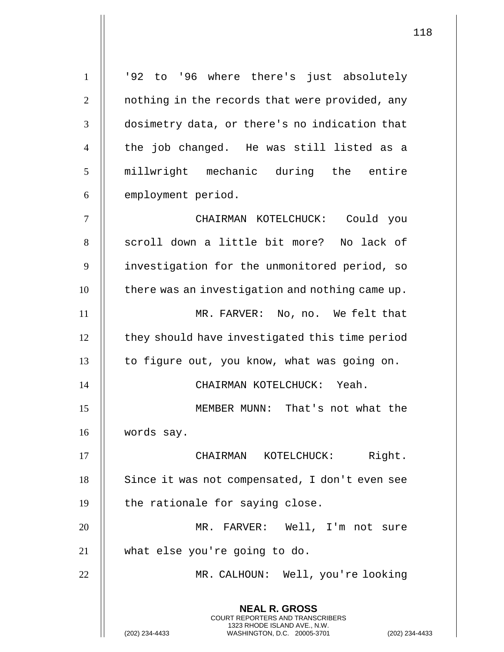**NEAL R. GROSS** COURT REPORTERS AND TRANSCRIBERS 1323 RHODE ISLAND AVE., N.W. (202) 234-4433 WASHINGTON, D.C. 20005-3701 (202) 234-4433 1 || '92 to '96 where there's just absolutely 2 | nothing in the records that were provided, any 3 || dosimetry data, or there's no indication that 4 || the job changed. He was still listed as a 5 || millwright mechanic during the entire  $6$  | employment period. 7 CHAIRMAN KOTELCHUCK: Could you 8 || scroll down a little bit more? No lack of 9 | investigation for the unmonitored period, so  $10$   $\parallel$  there was an investigation and nothing came up. 11 || MR. FARVER: No, no. We felt that 12 | they should have investigated this time period  $13$  | to figure out, you know, what was going on. 14 CHAIRMAN KOTELCHUCK: Yeah. 15 MEMBER MUNN: That's not what the 16 words say. 17 || CHAIRMAN KOTELCHUCK: Right. 18 | Since it was not compensated, I don't even see  $19$  | the rationale for saying close. 20 MR. FARVER: Well, I'm not sure 21 what else you're going to do. 22 MR. CALHOUN: Well, you're looking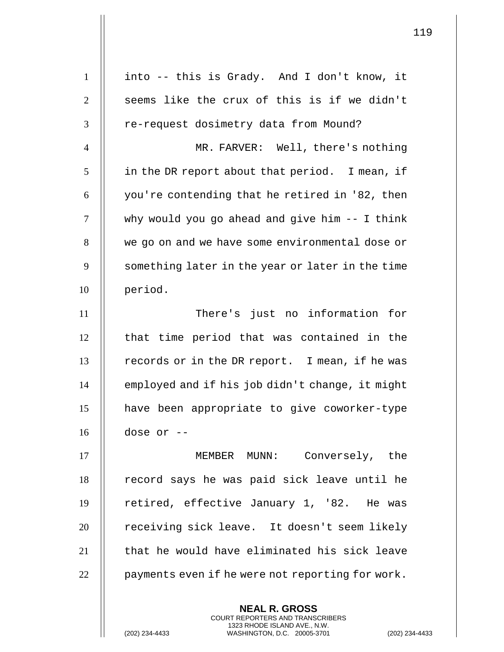| $\mathbf{1}$   | into -- this is Grady. And I don't know, it      |
|----------------|--------------------------------------------------|
| $\overline{2}$ | seems like the crux of this is if we didn't      |
| 3              | re-request dosimetry data from Mound?            |
| $\overline{4}$ | MR. FARVER: Well, there's nothing                |
| 5              | in the DR report about that period. I mean, if   |
| 6              | you're contending that he retired in '82, then   |
| $\overline{7}$ | why would you go ahead and give him -- I think   |
| 8              | we go on and we have some environmental dose or  |
| 9              | something later in the year or later in the time |
| 10             | period.                                          |
| 11             | There's just no information for                  |
| 12             | that time period that was contained in the       |
| 13             | records or in the DR report. I mean, if he was   |
| 14             | employed and if his job didn't change, it might  |
| 15             | have been appropriate to give coworker-type      |
| 16             | dose or --                                       |
| 17             | MEMBER MUNN:<br>Conversely, the                  |
| 18             | record says he was paid sick leave until he      |
| 19             | retired, effective January 1, '82. He was        |
| 20             | receiving sick leave. It doesn't seem likely     |
| 21             | that he would have eliminated his sick leave     |
| 22             | payments even if he were not reporting for work. |
|                |                                                  |

**NEAL R. GROSS** COURT REPORTERS AND TRANSCRIBERS 1323 RHODE ISLAND AVE., N.W.

(202) 234-4433 WASHINGTON, D.C. 20005-3701 (202) 234-4433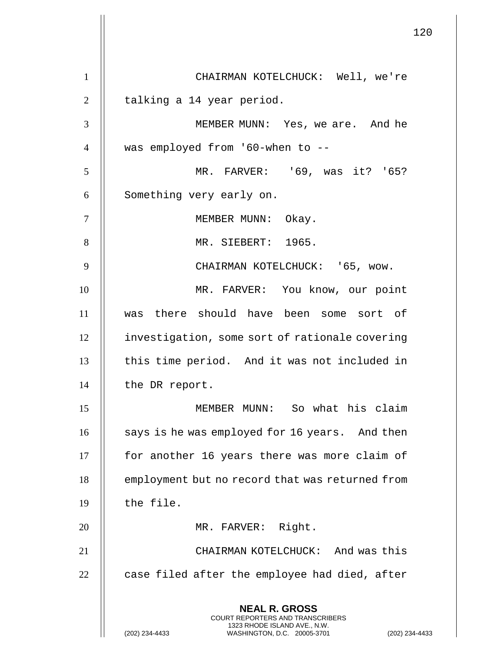**NEAL R. GROSS** COURT REPORTERS AND TRANSCRIBERS 1323 RHODE ISLAND AVE., N.W. (202) 234-4433 WASHINGTON, D.C. 20005-3701 (202) 234-4433 1 | CHAIRMAN KOTELCHUCK: Well, we're  $2 \parallel$  talking a 14 year period. 3 MEMBER MUNN: Yes, we are. And he  $4$  || was employed from '60-when to --5 MR. FARVER: '69, was it? '65? 6 | Something very early on. 7 || MEMBER MUNN: Okay. 8 || MR. SIEBERT: 1965. 9 | CHAIRMAN KOTELCHUCK: '65, wow. 10 MR. FARVER: You know, our point 11 was there should have been some sort of 12 | investigation, some sort of rationale covering 13 || this time period. And it was not included in 14 | the DR report. 15 MEMBER MUNN: So what his claim  $16$   $\parallel$  says is he was employed for 16 years. And then 17 | for another 16 years there was more claim of 18 | employment but no record that was returned from  $19$   $\parallel$  the file. 20 || MR. FARVER: Right. 21 CHAIRMAN KOTELCHUCK: And was this  $22$   $\parallel$  case filed after the employee had died, after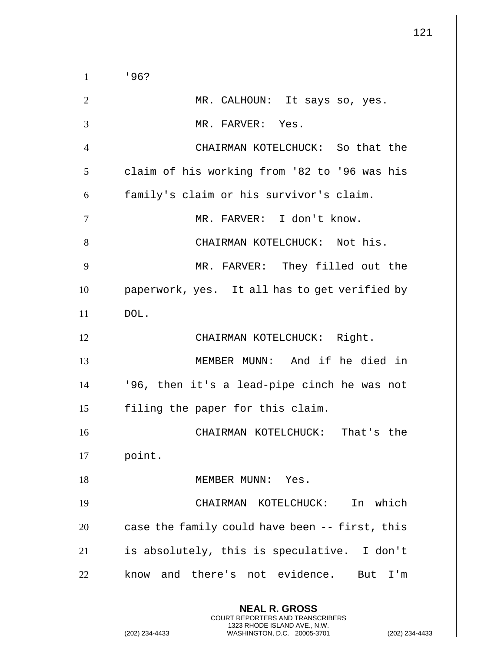|                |                                                                                                                                                                    | 121 |
|----------------|--------------------------------------------------------------------------------------------------------------------------------------------------------------------|-----|
| $\mathbf{1}$   | '96?                                                                                                                                                               |     |
| $\overline{2}$ | MR. CALHOUN: It says so, yes.                                                                                                                                      |     |
| 3              |                                                                                                                                                                    |     |
|                | MR. FARVER: Yes.                                                                                                                                                   |     |
| $\overline{4}$ | CHAIRMAN KOTELCHUCK: So that the                                                                                                                                   |     |
| 5              | claim of his working from '82 to '96 was his                                                                                                                       |     |
| 6              | family's claim or his survivor's claim.                                                                                                                            |     |
| $\tau$         | MR. FARVER: I don't know.                                                                                                                                          |     |
| 8              | CHAIRMAN KOTELCHUCK: Not his.                                                                                                                                      |     |
| 9              | MR. FARVER: They filled out the                                                                                                                                    |     |
| 10             | paperwork, yes. It all has to get verified by                                                                                                                      |     |
| 11             | DOL.                                                                                                                                                               |     |
| 12             | CHAIRMAN KOTELCHUCK: Right.                                                                                                                                        |     |
| 13             | MEMBER MUNN: And if he died in                                                                                                                                     |     |
| 14             | '96, then it's a lead-pipe cinch he was not                                                                                                                        |     |
| 15             | filing the paper for this claim.                                                                                                                                   |     |
| 16             | CHAIRMAN KOTELCHUCK: That's the                                                                                                                                    |     |
| 17             | point.                                                                                                                                                             |     |
| 18             | MEMBER MUNN: Yes.                                                                                                                                                  |     |
| 19             | In which<br>CHAIRMAN KOTELCHUCK:                                                                                                                                   |     |
| 20             | case the family could have been -- first, this                                                                                                                     |     |
| 21             | is absolutely, this is speculative. I don't                                                                                                                        |     |
| 22             | know and there's not evidence. But I'm                                                                                                                             |     |
|                | <b>NEAL R. GROSS</b><br><b>COURT REPORTERS AND TRANSCRIBERS</b><br>1323 RHODE ISLAND AVE., N.W.<br>(202) 234-4433<br>WASHINGTON, D.C. 20005-3701<br>(202) 234-4433 |     |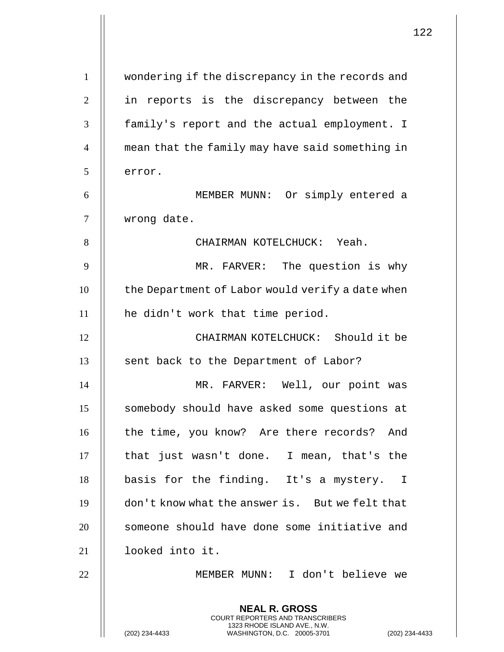|                |                                                                                                                                                             | 122 |
|----------------|-------------------------------------------------------------------------------------------------------------------------------------------------------------|-----|
| $\mathbf{1}$   | wondering if the discrepancy in the records and                                                                                                             |     |
| $\overline{2}$ | in reports is the discrepancy between the                                                                                                                   |     |
| 3              | family's report and the actual employment. I                                                                                                                |     |
| $\overline{4}$ |                                                                                                                                                             |     |
|                | mean that the family may have said something in                                                                                                             |     |
| 5              | error.                                                                                                                                                      |     |
| 6              | MEMBER MUNN: Or simply entered a                                                                                                                            |     |
| 7              | wrong date.                                                                                                                                                 |     |
| 8              | CHAIRMAN KOTELCHUCK: Yeah.                                                                                                                                  |     |
| 9              | MR. FARVER: The question is why                                                                                                                             |     |
| 10             | the Department of Labor would verify a date when                                                                                                            |     |
| 11             | he didn't work that time period.                                                                                                                            |     |
| 12             | CHAIRMAN KOTELCHUCK: Should it be                                                                                                                           |     |
| 13             | sent back to the Department of Labor?                                                                                                                       |     |
| 14             | MR. FARVER: Well, our point was                                                                                                                             |     |
| 15             | somebody should have asked some questions at                                                                                                                |     |
| 16             | the time, you know? Are there records? And                                                                                                                  |     |
| 17             | that just wasn't done. I mean, that's the                                                                                                                   |     |
| 18             | basis for the finding. It's a mystery. I                                                                                                                    |     |
| 19             | don't know what the answer is. But we felt that                                                                                                             |     |
| 20             | someone should have done some initiative and                                                                                                                |     |
| 21             | looked into it.                                                                                                                                             |     |
| 22             | MEMBER MUNN: I don't believe we                                                                                                                             |     |
|                | <b>NEAL R. GROSS</b><br>COURT REPORTERS AND TRANSCRIBERS<br>1323 RHODE ISLAND AVE., N.W.<br>(202) 234-4433<br>WASHINGTON, D.C. 20005-3701<br>(202) 234-4433 |     |

 $\overline{1}$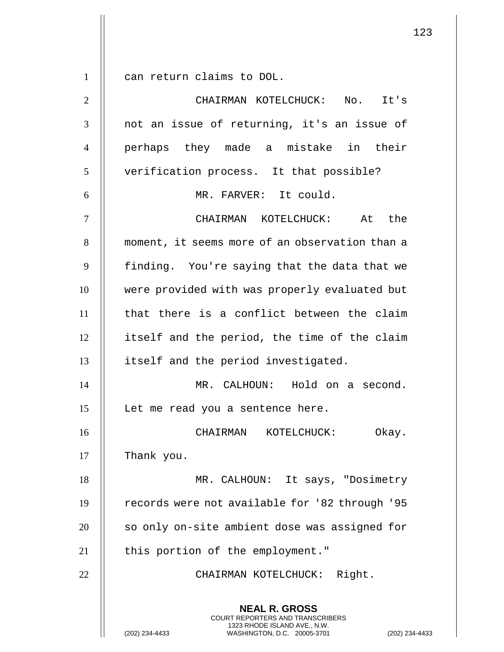$1 \parallel$  can return claims to DOL.

| $\mathbf{2}$   | CHAIRMAN KOTELCHUCK: No. It's                                                                                                                            |
|----------------|----------------------------------------------------------------------------------------------------------------------------------------------------------|
| 3              | not an issue of returning, it's an issue of                                                                                                              |
| $\overline{4}$ | perhaps they made a mistake in their                                                                                                                     |
| 5              | verification process. It that possible?                                                                                                                  |
| 6              | MR. FARVER: It could.                                                                                                                                    |
| $\tau$         | CHAIRMAN KOTELCHUCK: At the                                                                                                                              |
| 8              | moment, it seems more of an observation than a                                                                                                           |
| 9              | finding. You're saying that the data that we                                                                                                             |
| 10             | were provided with was properly evaluated but                                                                                                            |
| 11             | that there is a conflict between the claim                                                                                                               |
| 12             | itself and the period, the time of the claim                                                                                                             |
| 13             | itself and the period investigated.                                                                                                                      |
| 14             | MR. CALHOUN: Hold on a second.                                                                                                                           |
| 15             | Let me read you a sentence here.                                                                                                                         |
| 16             | Okay.<br>CHAIRMAN KOTELCHUCK:                                                                                                                            |
| 17             | Thank you.                                                                                                                                               |
| 18             | MR. CALHOUN: It says, "Dosimetry                                                                                                                         |
| 19             | records were not available for '82 through '95                                                                                                           |
| 20             | so only on-site ambient dose was assigned for                                                                                                            |
| 21             | this portion of the employment."                                                                                                                         |
| 22             | CHAIRMAN KOTELCHUCK: Right.                                                                                                                              |
|                | <b>NEAL R. GROSS</b><br>COURT REPORTERS AND TRANSCRIBERS<br>1323 RHODE ISLAND AVE., N.W.<br>(202) 234-4433<br>WASHINGTON, D.C. 20005-3701<br>$(202)$ 234 |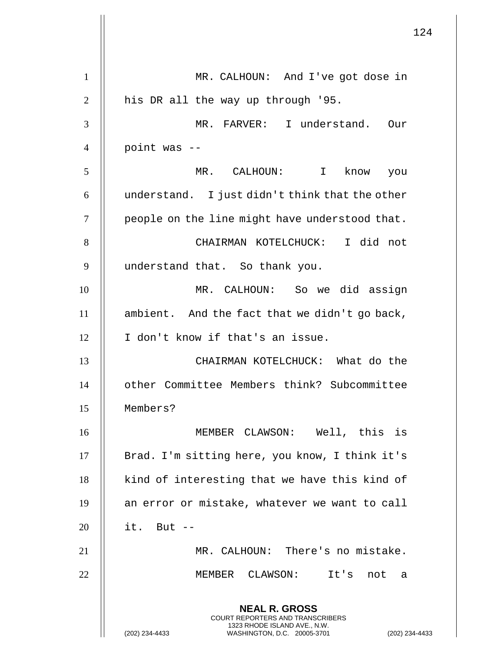**NEAL R. GROSS** COURT REPORTERS AND TRANSCRIBERS 1323 RHODE ISLAND AVE., N.W. (202) 234-4433 WASHINGTON, D.C. 20005-3701 (202) 234-4433 MR. CALHOUN: And I've got dose in  $\parallel$  his DR all the way up through '95. MR. FARVER: I understand. Our | point was  $-$  MR. CALHOUN: I know you  $\parallel$  understand. I just didn't think that the other  $\parallel$  people on the line might have understood that. CHAIRMAN KOTELCHUCK: I did not 9 || understand that. So thank you. MR. CALHOUN: So we did assign  $\parallel$  ambient. And the fact that we didn't go back, 12 | I don't know if that's an issue. CHAIRMAN KOTELCHUCK: What do the other Committee Members think? Subcommittee Members? MEMBER CLAWSON: Well, this is 17 || Brad. I'm sitting here, you know, I think it's | kind of interesting that we have this kind of 19 || an error or mistake, whatever we want to call | it. But -- MR. CALHOUN: There's no mistake. MEMBER CLAWSON: It's not a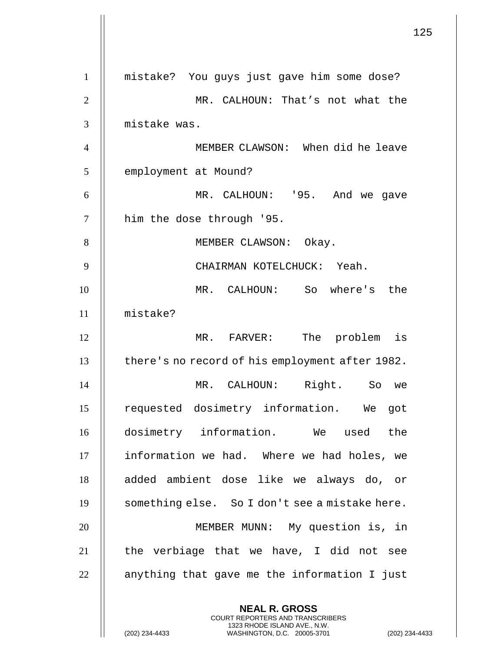125 **NEAL R. GROSS** COURT REPORTERS AND TRANSCRIBERS 1 mistake? You guys just gave him some dose? 2 MR. CALHOUN: That's not what the 3 mistake was. 4 MEMBER CLAWSON: When did he leave 5 | employment at Mound? 6 MR. CALHOUN: '95. And we gave 7 | him the dose through '95. 8 || MEMBER CLAWSON: Okay. 9 CHAIRMAN KOTELCHUCK: Yeah. 10 MR. CALHOUN: So where's the 11 mistake? 12 MR. FARVER: The problem is 13 | there's no record of his employment after 1982. 14 MR. CALHOUN: Right. So we 15 || requested dosimetry information. We got 16 dosimetry information. We used the 17 | information we had. Where we had holes, we 18 || added ambient dose like we always do, or 19 | something else. So I don't see a mistake here. 20 MEMBER MUNN: My question is, in  $21$  || the verbiage that we have, I did not see  $22$   $\parallel$  anything that gave me the information I just

1323 RHODE ISLAND AVE., N.W.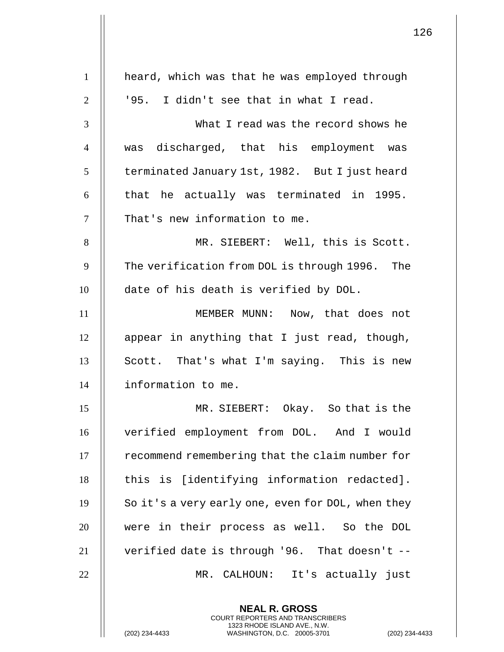|                | $1$ :                                                                                                                                                      |
|----------------|------------------------------------------------------------------------------------------------------------------------------------------------------------|
| $\mathbf{1}$   | heard, which was that he was employed through                                                                                                              |
| $\overline{2}$ | '95. I didn't see that in what I read.                                                                                                                     |
|                |                                                                                                                                                            |
| 3              | What I read was the record shows he                                                                                                                        |
| $\overline{4}$ | was discharged, that his employment was                                                                                                                    |
| 5              | terminated January 1st, 1982. But I just heard                                                                                                             |
| 6              | that he actually was terminated in 1995.                                                                                                                   |
| $\tau$         | That's new information to me.                                                                                                                              |
| 8              | MR. SIEBERT: Well, this is Scott.                                                                                                                          |
| 9              | The verification from DOL is through 1996. The                                                                                                             |
| 10             | date of his death is verified by DOL.                                                                                                                      |
| 11             | MEMBER MUNN: Now, that does not                                                                                                                            |
| 12             | appear in anything that I just read, though,                                                                                                               |
| 13             | Scott. That's what I'm saying. This is new                                                                                                                 |
| 14             | information to me.                                                                                                                                         |
| 15             | MR. SIEBERT: Okay. So that is the                                                                                                                          |
| 16             | verified employment from DOL. And I would                                                                                                                  |
| 17             | recommend remembering that the claim number for                                                                                                            |
| 18             | this is [identifying information redacted].                                                                                                                |
| 19             | So it's a very early one, even for DOL, when they                                                                                                          |
| 20             | were in their process as well. So the DOL                                                                                                                  |
| 21             | verified date is through '96. That doesn't --                                                                                                              |
| 22             | MR. CALHOUN: It's actually just                                                                                                                            |
|                | <b>NEAL R. GROSS</b><br>COURT REPORTERS AND TRANSCRIBERS<br>1323 RHODE ISLAND AVE., N.W.<br>(202) 234-4433<br>WASHINGTON, D.C. 20005-3701<br>$(202)$ 234-4 |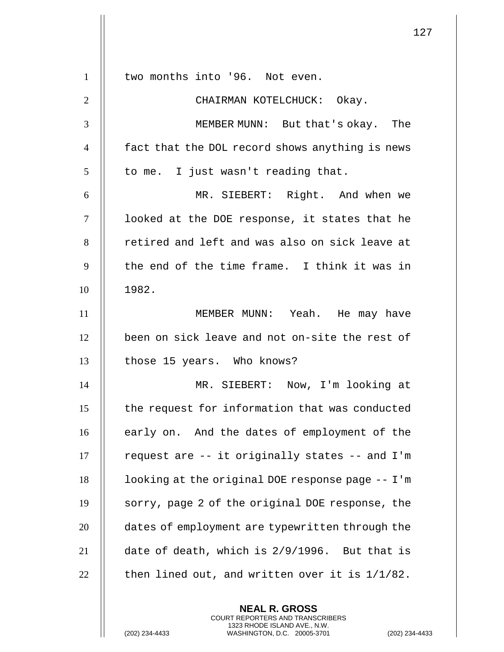| $\mathbf{1}$   | two months into '96. Not even.                    |
|----------------|---------------------------------------------------|
| $\overline{2}$ | CHAIRMAN KOTELCHUCK: Okay.                        |
| 3              | MEMBER MUNN: But that's okay. The                 |
| $\overline{4}$ | fact that the DOL record shows anything is news   |
| 5              | to me. I just wasn't reading that.                |
| 6              | MR. SIEBERT: Right. And when we                   |
| $\tau$         | looked at the DOE response, it states that he     |
| 8              | retired and left and was also on sick leave at    |
| 9              | the end of the time frame. I think it was in      |
| 10             | 1982.                                             |
| 11             | MEMBER MUNN: Yeah. He may have                    |
| 12             | been on sick leave and not on-site the rest of    |
| 13             | those 15 years. Who knows?                        |
| 14             | MR. SIEBERT: Now, I'm looking at                  |
| 15             | the request for information that was conducted    |
| 16             | early on. And the dates of employment of the      |
| 17             | request are -- it originally states -- and I'm    |
| 18             | looking at the original DOE response page -- I'm  |
| 19             | sorry, page 2 of the original DOE response, the   |
| 20             | dates of employment are typewritten through the   |
| 21             | date of death, which is 2/9/1996. But that is     |
| 22             | then lined out, and written over it is $1/1/82$ . |
|                |                                                   |

**NEAL R. GROSS** COURT REPORTERS AND TRANSCRIBERS 1323 RHODE ISLAND AVE., N.W.

(202) 234-4433 WASHINGTON, D.C. 20005-3701 (202) 234-4433

 $\mathbf{1}$  $\mathbb{I}$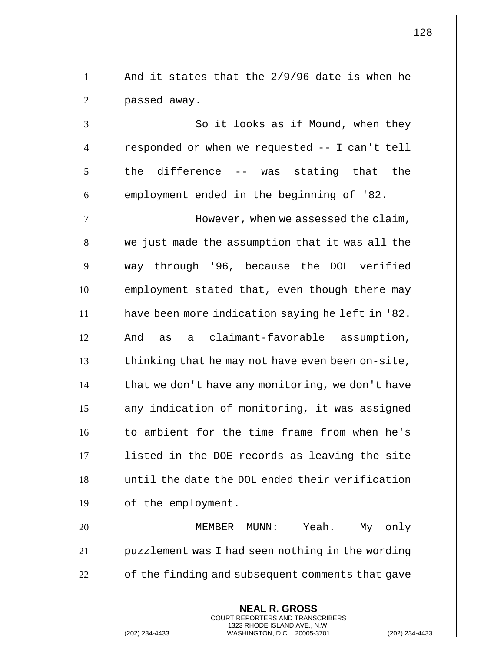|                | <b>NEAL R. GROSS</b><br>COURT REPORTERS AND TRANSCRIBERS<br>1323 RHODE ISLAND AVE., N.W.<br>(202) 234-4433<br>WASHINGTON, D.C. 20005-3701<br>$(202)$ 234- |
|----------------|-----------------------------------------------------------------------------------------------------------------------------------------------------------|
| 22             | of the finding and subsequent comments that gave                                                                                                          |
| 21             | puzzlement was I had seen nothing in the wording                                                                                                          |
| 20             | Yeah. My only<br>MEMBER MUNN:                                                                                                                             |
| 19             | of the employment.                                                                                                                                        |
| 18             | until the date the DOL ended their verification                                                                                                           |
| 17             | listed in the DOE records as leaving the site                                                                                                             |
| 16             | to ambient for the time frame from when he's                                                                                                              |
| 15             | any indication of monitoring, it was assigned                                                                                                             |
| 14             | that we don't have any monitoring, we don't have                                                                                                          |
| 13             | thinking that he may not have even been on-site,                                                                                                          |
| 12             | And as a claimant-favorable assumption,                                                                                                                   |
| 11             | have been more indication saying he left in '82.                                                                                                          |
| 10             | employment stated that, even though there may                                                                                                             |
| 9              | way through '96, because the DOL verified                                                                                                                 |
| 8              | we just made the assumption that it was all the                                                                                                           |
| $\tau$         | However, when we assessed the claim,                                                                                                                      |
| 6              | employment ended in the beginning of '82.                                                                                                                 |
| 5              | the difference -- was stating that the                                                                                                                    |
| $\overline{4}$ | responded or when we requested -- I can't tell                                                                                                            |
| 3              | So it looks as if Mound, when they                                                                                                                        |
| $\overline{2}$ | passed away.                                                                                                                                              |
| $\mathbf{1}$   | And it states that the 2/9/96 date is when he                                                                                                             |
|                |                                                                                                                                                           |

 $\mathsf{I}$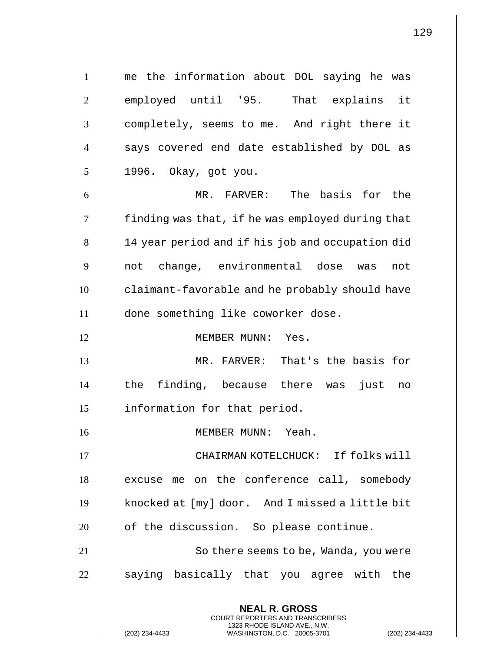**NEAL R. GROSS** COURT REPORTERS AND TRANSCRIBERS 1323 RHODE ISLAND AVE., N.W. 1 me the information about DOL saying he was 2 || employed until '95. That explains it 3 completely, seems to me. And right there it 4 || says covered end date established by DOL as 5 1996. Okay, got you. 6 MR. FARVER: The basis for the  $7$  | finding was that, if he was employed during that 8 || 14 year period and if his job and occupation did 9 not change, environmental dose was not 10 claimant-favorable and he probably should have 11 done something like coworker dose. 12 || MEMBER MUNN: Yes. 13 MR. FARVER: That's the basis for  $14$  || the finding, because there was just no 15 information for that period. 16 MEMBER MUNN: Yeah. 17 CHAIRMAN KOTELCHUCK: If folks will 18 | excuse me on the conference call, somebody 19 | knocked at [my] door. And I missed a little bit  $20$  || of the discussion. So please continue. 21 || So there seems to be, Wanda, you were  $22$   $\parallel$  saying basically that you agree with the

(202) 234-4433 WASHINGTON, D.C. 20005-3701 (202) 234-4433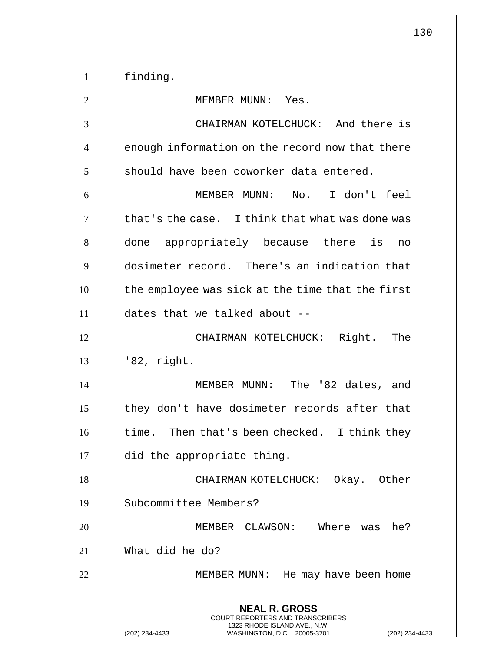**NEAL R. GROSS** COURT REPORTERS AND TRANSCRIBERS 1323 RHODE ISLAND AVE., N.W. (202) 234-4433 WASHINGTON, D.C. 20005-3701 (202) 234-4433 1 finding. 2 || MEMBER MUNN: Yes. 3 CHAIRMAN KOTELCHUCK: And there is 4 | enough information on the record now that there  $5$   $\parallel$  should have been coworker data entered. 6 MEMBER MUNN: No. I don't feel  $7$   $\parallel$  that's the case. I think that what was done was 8 done appropriately because there is no 9 dosimeter record. There's an indication that 10 | the employee was sick at the time that the first 11 dates that we talked about -- 12 || CHAIRMAN KOTELCHUCK: Right. The  $13$  | '82, right. 14 MEMBER MUNN: The '82 dates, and 15 || they don't have dosimeter records after that  $16$  || time. Then that's been checked. I think they 17 did the appropriate thing. 18 || CHAIRMAN KOTELCHUCK: Okay. Other 19 Subcommittee Members? 20 MEMBER CLAWSON: Where was he? 21 What did he do? 22 || MEMBER MUNN: He may have been home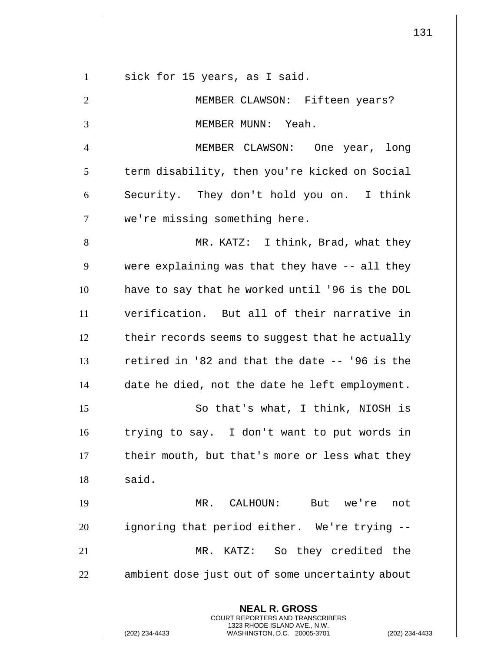|                | $1$ :                                                                                                                                                             |
|----------------|-------------------------------------------------------------------------------------------------------------------------------------------------------------------|
| $\mathbf{1}$   | sick for 15 years, as I said.                                                                                                                                     |
| $\overline{2}$ | MEMBER CLAWSON: Fifteen years?                                                                                                                                    |
| 3              | MEMBER MUNN: Yeah.                                                                                                                                                |
| $\overline{4}$ | MEMBER CLAWSON: One year, long                                                                                                                                    |
| 5              | term disability, then you're kicked on Social                                                                                                                     |
| 6              | Security. They don't hold you on. I think                                                                                                                         |
| $\overline{7}$ | we're missing something here.                                                                                                                                     |
| 8              | MR. KATZ: I think, Brad, what they                                                                                                                                |
| 9              | were explaining was that they have -- all they                                                                                                                    |
| 10             | have to say that he worked until '96 is the DOL                                                                                                                   |
| 11             | verification. But all of their narrative in                                                                                                                       |
| 12             | their records seems to suggest that he actually                                                                                                                   |
| 13             | retired in '82 and that the date -- '96 is the                                                                                                                    |
| 14             | date he died, not the date he left employment.                                                                                                                    |
| 15             | So that's what, I think, NIOSH is                                                                                                                                 |
| 16             | trying to say. I don't want to put words in                                                                                                                       |
| 17             | their mouth, but that's more or less what they                                                                                                                    |
| 18             | said.                                                                                                                                                             |
| 19             | MR. CALHOUN: But we're not                                                                                                                                        |
| 20             | ignoring that period either. We're trying --                                                                                                                      |
| 21             | MR. KATZ: So they credited the                                                                                                                                    |
| 22             | ambient dose just out of some uncertainty about                                                                                                                   |
|                | <b>NEAL R. GROSS</b><br><b>COURT REPORTERS AND TRANSCRIBERS</b><br>1323 RHODE ISLAND AVE., N.W.<br>(202) 234-4433<br>WASHINGTON, D.C. 20005-3701<br>$(202)$ 234-4 |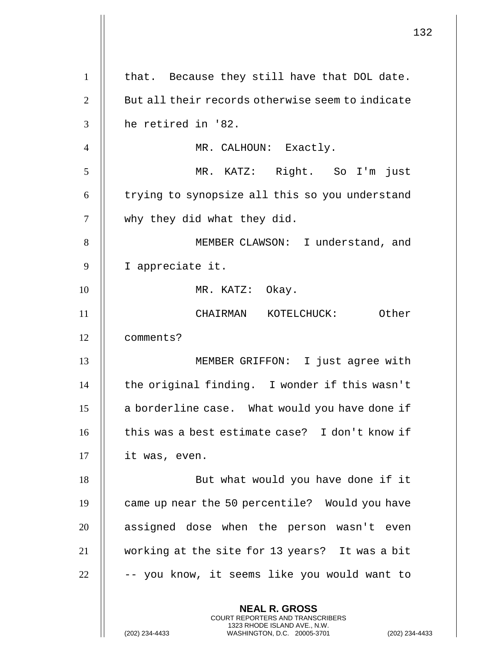|                | 132                                                                                                                                                         |
|----------------|-------------------------------------------------------------------------------------------------------------------------------------------------------------|
| $\mathbf{1}$   | that. Because they still have that DOL date.                                                                                                                |
| $\overline{2}$ | But all their records otherwise seem to indicate                                                                                                            |
| 3              | he retired in '82.                                                                                                                                          |
| $\overline{4}$ | MR. CALHOUN: Exactly.                                                                                                                                       |
| 5              | MR. KATZ: Right. So I'm just                                                                                                                                |
| 6              | trying to synopsize all this so you understand                                                                                                              |
| $\tau$         | why they did what they did.                                                                                                                                 |
| 8              | MEMBER CLAWSON: I understand, and                                                                                                                           |
| 9              | I appreciate it.                                                                                                                                            |
| 10             | MR. KATZ: Okay.                                                                                                                                             |
| 11             | CHAIRMAN KOTELCHUCK: Other                                                                                                                                  |
| 12             | comments?                                                                                                                                                   |
| 13             | MEMBER GRIFFON: I just agree with                                                                                                                           |
| 14             | the original finding. I wonder if this wasn't                                                                                                               |
| 15             | a borderline case. What would you have done if                                                                                                              |
| 16             | this was a best estimate case? I don't know if                                                                                                              |
| 17             | it was, even.                                                                                                                                               |
| 18             | But what would you have done if it                                                                                                                          |
| 19             | came up near the 50 percentile? Would you have                                                                                                              |
| 20             | assigned dose when the person wasn't even                                                                                                                   |
| 21             | working at the site for 13 years? It was a bit                                                                                                              |
| 22             | -- you know, it seems like you would want to                                                                                                                |
|                | <b>NEAL R. GROSS</b><br>COURT REPORTERS AND TRANSCRIBERS<br>1323 RHODE ISLAND AVE., N.W.<br>(202) 234-4433<br>WASHINGTON, D.C. 20005-3701<br>(202) 234-4433 |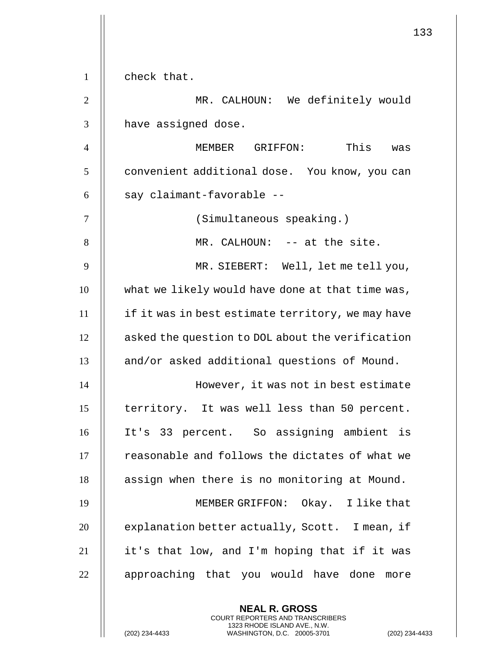|                | 133                                               |
|----------------|---------------------------------------------------|
| $\mathbf{1}$   | check that.                                       |
| $\overline{2}$ | MR. CALHOUN: We definitely would                  |
| 3              | have assigned dose.                               |
| $\overline{4}$ | This<br>MEMBER GRIFFON:<br>was                    |
| 5              | convenient additional dose. You know, you can     |
| 6              | say claimant-favorable --                         |
| 7              | (Simultaneous speaking.)                          |
| 8              | MR. CALHOUN: -- at the site.                      |
| 9              | MR. SIEBERT: Well, let me tell you,               |
| 10             | what we likely would have done at that time was,  |
| 11             | if it was in best estimate territory, we may have |
| 12             | asked the question to DOL about the verification  |
| 13             | and/or asked additional questions of Mound.       |
| 14             | However, it was not in best estimate              |
| 15             | territory. It was well less than 50 percent.      |
| 16             | It's 33 percent. So assigning ambient is          |
| 17             | reasonable and follows the dictates of what we    |
| 18             | assign when there is no monitoring at Mound.      |
| 19             | MEMBER GRIFFON: Okay. I like that                 |
| 20             | explanation better actually, Scott. I mean, if    |
| 21             | it's that low, and I'm hoping that if it was      |
| 22             | approaching that you would have done more         |
|                | <b>NEAL R. GROSS</b>                              |

COURT REPORTERS AND TRANSCRIBERS 1323 RHODE ISLAND AVE., N.W.

(202) 234-4433 WASHINGTON, D.C. 20005-3701 (202) 234-4433

 $\prod$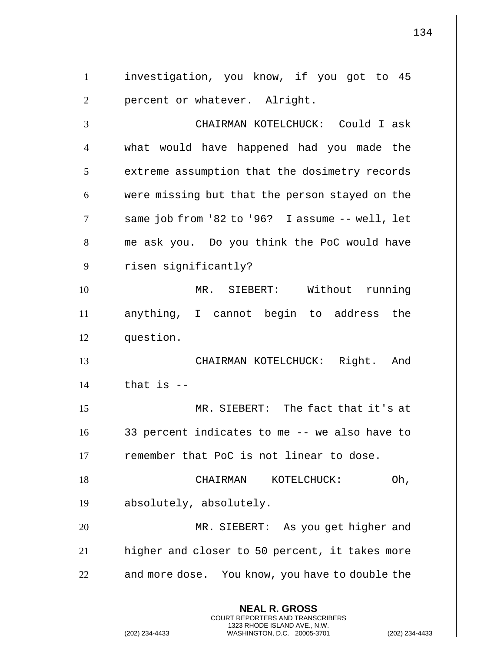**NEAL R. GROSS** COURT REPORTERS AND TRANSCRIBERS 1323 RHODE ISLAND AVE., N.W. (202) 234-4433 WASHINGTON, D.C. 20005-3701 (202) 234-4433 1 | investigation, you know, if you got to 45 | percent or whatever. Alright. CHAIRMAN KOTELCHUCK: Could I ask what would have happened had you made the  $\parallel$  extreme assumption that the dosimetry records  $\parallel$  were missing but that the person stayed on the same job from '82 to '96? I assume -- well, let 8 || me ask you. Do you think the PoC would have 9 | risen significantly? MR. SIEBERT: Without running anything, I cannot begin to address the question. CHAIRMAN KOTELCHUCK: Right. And | that is  $-$  MR. SIEBERT: The fact that it's at 33 percent indicates to me -- we also have to 17 || remember that PoC is not linear to dose. 18 || CHAIRMAN KOTELCHUCK: Oh, absolutely, absolutely. MR. SIEBERT: As you get higher and 21 | higher and closer to 50 percent, it takes more | and more dose. You know, you have to double the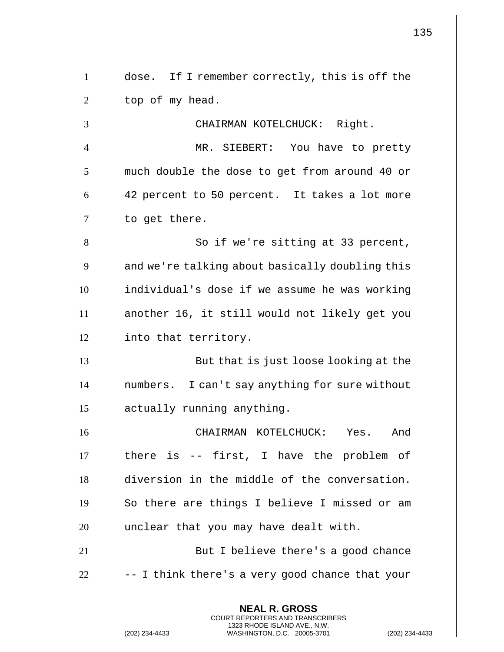|                | 135                                                                                                                                                                |
|----------------|--------------------------------------------------------------------------------------------------------------------------------------------------------------------|
| $\mathbf{1}$   | dose. If I remember correctly, this is off the                                                                                                                     |
| $\overline{2}$ | top of my head.                                                                                                                                                    |
| 3              | CHAIRMAN KOTELCHUCK: Right.                                                                                                                                        |
| 4              | MR. SIEBERT: You have to pretty                                                                                                                                    |
| 5              | much double the dose to get from around 40 or                                                                                                                      |
| 6              | 42 percent to 50 percent. It takes a lot more                                                                                                                      |
| $\overline{7}$ | to get there.                                                                                                                                                      |
| 8              | So if we're sitting at 33 percent,                                                                                                                                 |
| 9              | and we're talking about basically doubling this                                                                                                                    |
| 10             | individual's dose if we assume he was working                                                                                                                      |
| 11             | another 16, it still would not likely get you                                                                                                                      |
| 12             | into that territory.                                                                                                                                               |
| 13             | But that is just loose looking at the                                                                                                                              |
| 14             | numbers. I can't say anything for sure without                                                                                                                     |
| 15             | actually running anything.                                                                                                                                         |
| 16             | CHAIRMAN KOTELCHUCK:<br>Yes. And                                                                                                                                   |
| 17             | there is -- first, I have the problem of                                                                                                                           |
| 18             | diversion in the middle of the conversation.                                                                                                                       |
| 19             | So there are things I believe I missed or am                                                                                                                       |
| 20             | unclear that you may have dealt with.                                                                                                                              |
| 21             | But I believe there's a good chance                                                                                                                                |
| 22             | -- I think there's a very good chance that your                                                                                                                    |
|                | <b>NEAL R. GROSS</b><br><b>COURT REPORTERS AND TRANSCRIBERS</b><br>1323 RHODE ISLAND AVE., N.W.<br>(202) 234-4433<br>WASHINGTON, D.C. 20005-3701<br>(202) 234-4433 |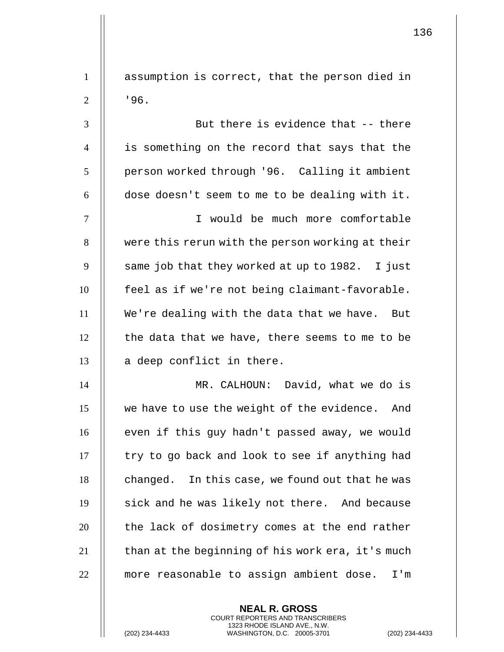1 | assumption is correct, that the person died in  $2 \parallel$  '96. 3 But there is evidence that -- there 4 is something on the record that says that the 5 | person worked through '96. Calling it ambient  $6$   $\parallel$  dose doesn't seem to me to be dealing with it. 7 I would be much more comfortable 8 | were this rerun with the person working at their  $9 \parallel$  same job that they worked at up to 1982. I just 10 | feel as if we're not being claimant-favorable. 11 We're dealing with the data that we have. But  $12$   $\parallel$  the data that we have, there seems to me to be  $13$  || a deep conflict in there. 14 MR. CALHOUN: David, what we do is 15 || we have to use the weight of the evidence. And 16 || even if this guy hadn't passed away, we would  $17$   $\parallel$  try to go back and look to see if anything had  $18$  | changed. In this case, we found out that he was 19 || sick and he was likely not there. And because

 $20$  || the lack of dosimetry comes at the end rather  $21$   $\parallel$  than at the beginning of his work era, it's much 22 more reasonable to assign ambient dose. I'm

> **NEAL R. GROSS** COURT REPORTERS AND TRANSCRIBERS 1323 RHODE ISLAND AVE., N.W.

(202) 234-4433 WASHINGTON, D.C. 20005-3701 (202) 234-4433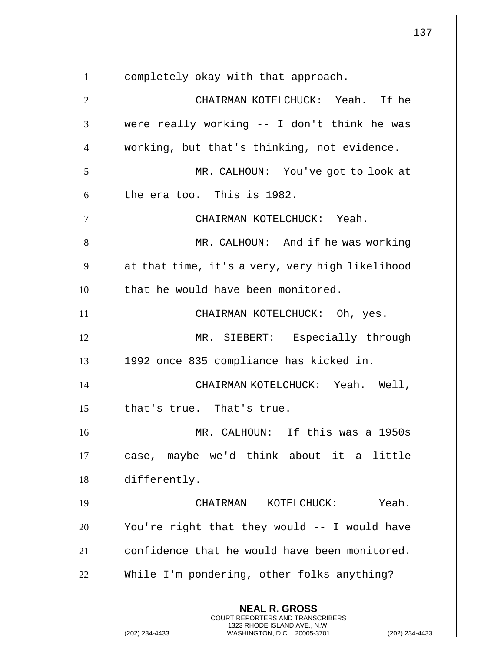**NEAL R. GROSS** COURT REPORTERS AND TRANSCRIBERS 1323 RHODE ISLAND AVE., N.W. (202) 234-4433 WASHINGTON, D.C. 20005-3701 (202) 234-4433 completely okay with that approach. CHAIRMAN KOTELCHUCK: Yeah. If he were really working -- I don't think he was working, but that's thinking, not evidence. MR. CALHOUN: You've got to look at || the era too. This is 1982. CHAIRMAN KOTELCHUCK: Yeah. MR. CALHOUN: And if he was working  $9 \parallel$  at that time, it's a very, very high likelihood 10 || that he would have been monitored. 11 || CHAIRMAN KOTELCHUCK: Oh, yes. MR. SIEBERT: Especially through 1992 once 835 compliance has kicked in. CHAIRMAN KOTELCHUCK: Yeah. Well, 15 | that's true. That's true. MR. CALHOUN: If this was a 1950s case, maybe we'd think about it a little differently. CHAIRMAN KOTELCHUCK: Yeah. || You're right that they would -- I would have  $\parallel$  confidence that he would have been monitored. While I'm pondering, other folks anything?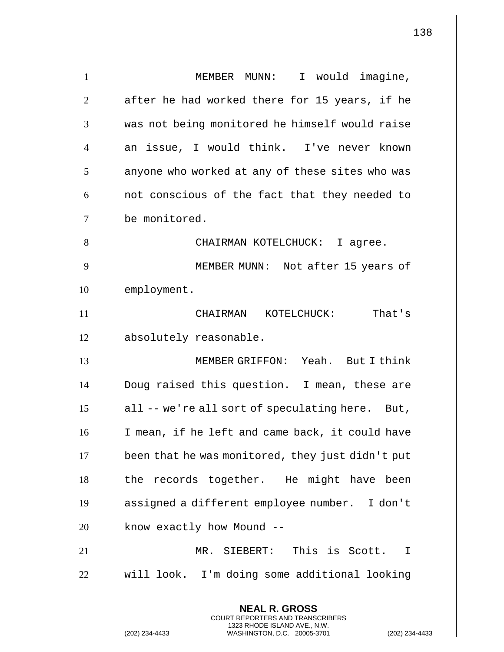**NEAL R. GROSS** COURT REPORTERS AND TRANSCRIBERS 1323 RHODE ISLAND AVE., N.W. (202) 234-4433 WASHINGTON, D.C. 20005-3701 (202) 234-4433 1 | MEMBER MUNN: I would imagine,  $2 \parallel$  after he had worked there for 15 years, if he 3 || was not being monitored he himself would raise 4 || an issue, I would think. I've never known  $5$  | anyone who worked at any of these sites who was  $6$  || not conscious of the fact that they needed to 7 be monitored. 8 CHAIRMAN KOTELCHUCK: I agree. 9 || MEMBER MUNN: Not after 15 years of 10 | employment. 11 CHAIRMAN KOTELCHUCK: That's 12 | absolutely reasonable. 13 MEMBER GRIFFON: Yeah. But I think 14 Doug raised this question. I mean, these are  $15$  | all -- we're all sort of speculating here. But, 16 || I mean, if he left and came back, it could have 17 been that he was monitored, they just didn't put 18 || the records together. He might have been 19 assigned a different employee number. I don't  $20$  || know exactly how Mound --21 MR. SIEBERT: This is Scott. I 22 | will look. I'm doing some additional looking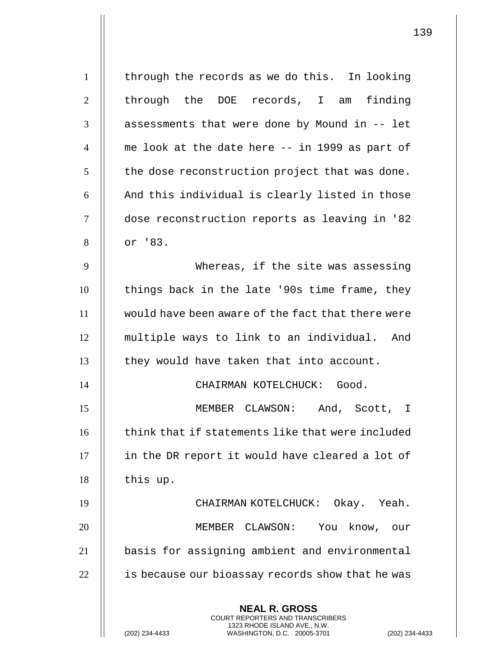| $\mathbf{1}$   | through the records as we do this. In looking                                                                                                                     |
|----------------|-------------------------------------------------------------------------------------------------------------------------------------------------------------------|
| $\overline{2}$ | through the DOE records, I am finding                                                                                                                             |
| 3              | assessments that were done by Mound in -- let                                                                                                                     |
| $\overline{4}$ | me look at the date here -- in 1999 as part of                                                                                                                    |
| 5              | the dose reconstruction project that was done.                                                                                                                    |
| 6              | And this individual is clearly listed in those                                                                                                                    |
| 7              | dose reconstruction reports as leaving in '82                                                                                                                     |
| 8              | or '83.                                                                                                                                                           |
| 9              | Whereas, if the site was assessing                                                                                                                                |
| 10             | things back in the late '90s time frame, they                                                                                                                     |
| 11             | would have been aware of the fact that there were                                                                                                                 |
| 12             | multiple ways to link to an individual. And                                                                                                                       |
| 13             | they would have taken that into account.                                                                                                                          |
| 14             | CHAIRMAN KOTELCHUCK: Good.                                                                                                                                        |
| 15             | MEMBER CLAWSON:<br>And, Scott, I                                                                                                                                  |
| 16             | think that if statements like that were included                                                                                                                  |
| 17             | in the DR report it would have cleared a lot of                                                                                                                   |
| 18             | this up.                                                                                                                                                          |
| 19             | CHAIRMAN KOTELCHUCK: Okay. Yeah.                                                                                                                                  |
| 20             | MEMBER CLAWSON: You know, our                                                                                                                                     |
| 21             | basis for assigning ambient and environmental                                                                                                                     |
| 22             | is because our bioassay records show that he was                                                                                                                  |
|                | <b>NEAL R. GROSS</b><br><b>COURT REPORTERS AND TRANSCRIBERS</b><br>1323 RHODE ISLAND AVE., N.W.<br>(202) 234-4433<br>WASHINGTON, D.C. 20005-3701<br>$(202)$ 234-4 |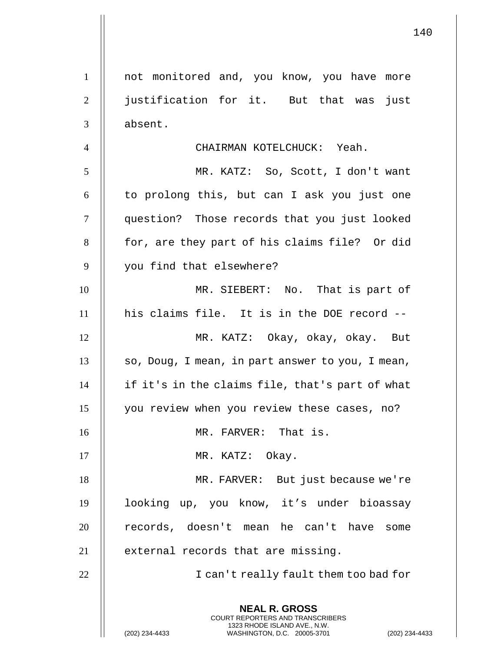**NEAL R. GROSS** COURT REPORTERS AND TRANSCRIBERS 1323 RHODE ISLAND AVE., N.W. (202) 234-4433 WASHINGTON, D.C. 20005-3701 (202) 234-4433 1 || not monitored and, you know, you have more 2 || justification for it. But that was just 3 II absent. 4 CHAIRMAN KOTELCHUCK: Yeah. 5 MR. KATZ: So, Scott, I don't want  $6 \parallel$  to prolong this, but can I ask you just one 7 question? Those records that you just looked 8 || for, are they part of his claims file? Or did 9 || you find that elsewhere? 10 MR. SIEBERT: No. That is part of 11 his claims file. It is in the DOE record -- 12 MR. KATZ: Okay, okay, okay. But  $13$  || so, Doug, I mean, in part answer to you, I mean,  $14$  || if it's in the claims file, that's part of what 15 you review when you review these cases, no? 16 || MR. FARVER: That is. 17 || MR. KATZ: Okay. 18 || MR. FARVER: But just because we're 19 looking up, you know, it's under bioassay 20 || records, doesn't mean he can't have some 21 | external records that are missing. 22 || I can't really fault them too bad for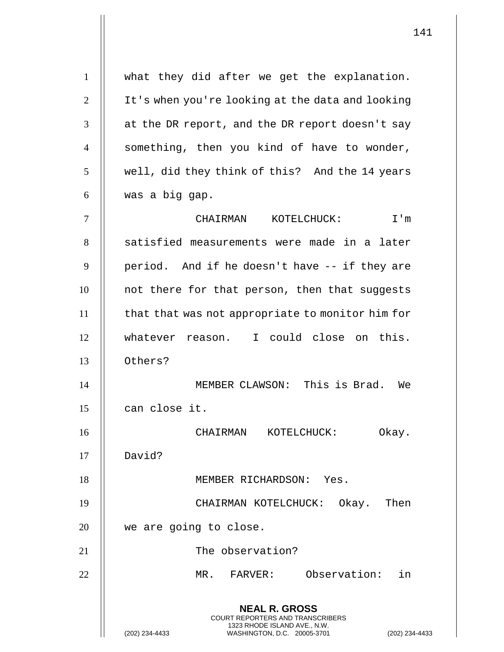**NEAL R. GROSS** COURT REPORTERS AND TRANSCRIBERS 1323 RHODE ISLAND AVE., N.W. (202) 234-4433 WASHINGTON, D.C. 20005-3701 (202) 234-4433 1 what they did after we get the explanation. 2 | It's when you're looking at the data and looking  $3$  | at the DR report, and the DR report doesn't say  $4$  | something, then you kind of have to wonder, 5 || well, did they think of this? And the 14 years  $6 \parallel$  was a big gap. 7 CHAIRMAN KOTELCHUCK: I'm 8 || satisfied measurements were made in a later  $9 \parallel$  period. And if he doesn't have -- if they are 10 || not there for that person, then that suggests 11 | that that was not appropriate to monitor him for 12 whatever reason. I could close on this. 13 Others? 14 MEMBER CLAWSON: This is Brad. We 15 || can close it. 16 CHAIRMAN KOTELCHUCK: Okay. 17 David? 18 || MEMBER RICHARDSON: Yes. 19 CHAIRMAN KOTELCHUCK: Okay. Then 20 || we are going to close. 21 || The observation? 22 MR. FARVER: Observation: in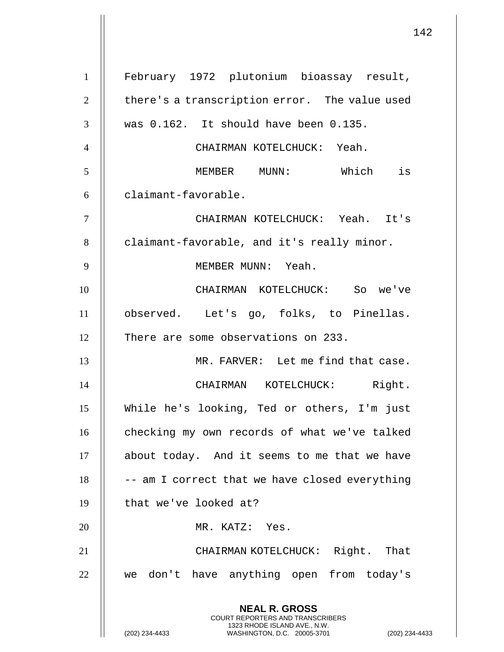**NEAL R. GROSS** COURT REPORTERS AND TRANSCRIBERS 1323 RHODE ISLAND AVE., N.W. (202) 234-4433 WASHINGTON, D.C. 20005-3701 (202) 234-4433 1 February 1972 plutonium bioassay result,  $2$  | there's a transcription error. The value used  $3$  || was 0.162. It should have been 0.135. 4 CHAIRMAN KOTELCHUCK: Yeah. 5 MEMBER MUNN: Which is 6 | claimant-favorable. 7 CHAIRMAN KOTELCHUCK: Yeah. It's  $8$   $\parallel$  claimant-favorable, and it's really minor. 9 MEMBER MUNN: Yeah. 10 CHAIRMAN KOTELCHUCK: So we've 11 observed. Let's go, folks, to Pinellas. 12 | There are some observations on 233. 13 MR. FARVER: Let me find that case. 14 || CHAIRMAN KOTELCHUCK: Right. 15 While he's looking, Ted or others, I'm just 16 | checking my own records of what we've talked 17 | about today. And it seems to me that we have  $18$   $\parallel$  -- am I correct that we have closed everything 19 || that we've looked at? 20 || MR. KATZ: Yes. 21 CHAIRMAN KOTELCHUCK: Right. That 22 || we don't have anything open from today's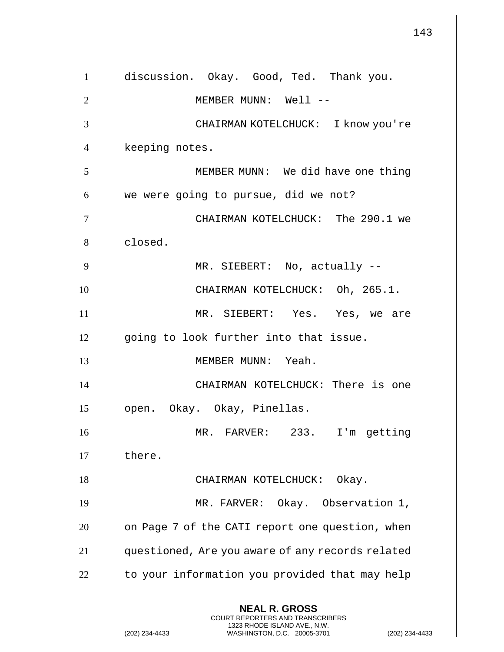143 **NEAL R. GROSS** COURT REPORTERS AND TRANSCRIBERS 1323 RHODE ISLAND AVE., N.W. (202) 234-4433 WASHINGTON, D.C. 20005-3701 (202) 234-4433 1 discussion. Okay. Good, Ted. Thank you. 2 || MEMBER MUNN: Well --3 CHAIRMAN KOTELCHUCK: I know you're 4 | keeping notes. 5 MEMBER MUNN: We did have one thing  $6$  || we were going to pursue, did we not? 7 CHAIRMAN KOTELCHUCK: The 290.1 we 8 | closed. 9 MR. SIEBERT: No, actually -- 10 CHAIRMAN KOTELCHUCK: Oh, 265.1. 11 MR. SIEBERT: Yes. Yes, we are 12 || going to look further into that issue. 13 MEMBER MUNN: Yeah. 14 CHAIRMAN KOTELCHUCK: There is one 15 || open. Okay. Okay, Pinellas. 16 MR. FARVER: 233. I'm getting  $17$   $\parallel$  there. 18 || CHAIRMAN KOTELCHUCK: Okay. 19 || MR. FARVER: Okay. Observation 1, 20 | on Page 7 of the CATI report one question, when 21 questioned, Are you aware of any records related  $22$   $\parallel$  to your information you provided that may help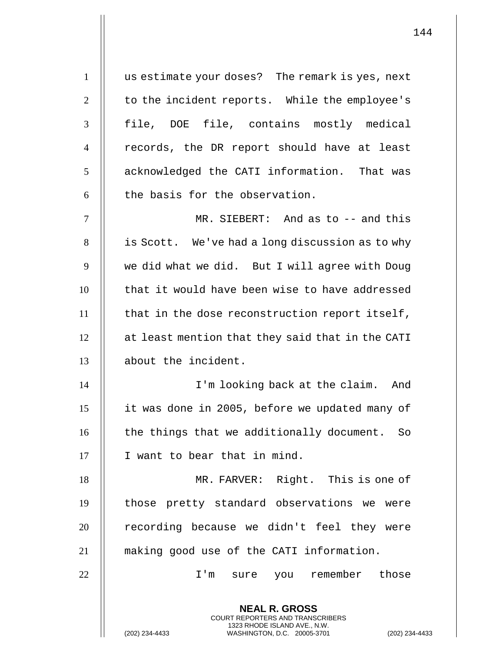1 | us estimate your doses? The remark is yes, next  $2 \parallel$  to the incident reports. While the employee's 3 H file, DOE file, contains mostly medical  $4 \parallel$  records, the DR report should have at least 5 | acknowledged the CATI information. That was  $6$  || the basis for the observation. 7 MR. SIEBERT: And as to -- and this

8 | is Scott. We've had a long discussion as to why 9 | we did what we did. But I will agree with Doug 10 || that it would have been wise to have addressed  $11$  || that in the dose reconstruction report itself, 12 at least mention that they said that in the CATI 13 about the incident.

 I'm looking back at the claim. And it was done in 2005, before we updated many of  $\parallel$  the things that we additionally document. So 17 || I want to bear that in mind.

18 MR. FARVER: Right. This is one of 19 || those pretty standard observations we were 20 || recording because we didn't feel they were 21 making good use of the CATI information.

22 I'm sure you remember those

**NEAL R. GROSS** COURT REPORTERS AND TRANSCRIBERS 1323 RHODE ISLAND AVE., N.W.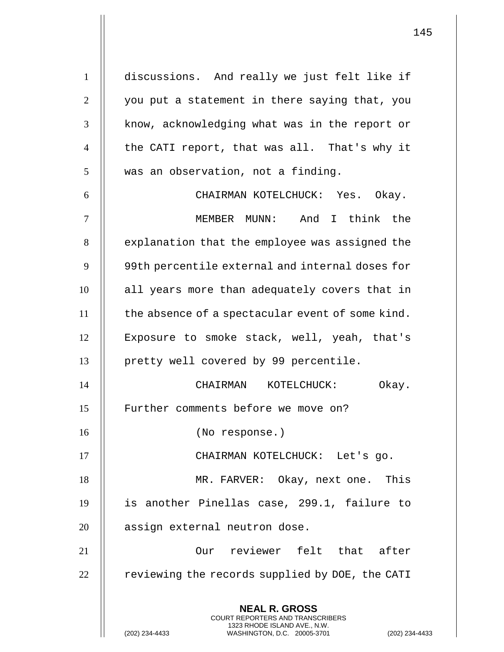**NEAL R. GROSS** COURT REPORTERS AND TRANSCRIBERS 1 discussions. And really we just felt like if  $2 \parallel$  you put a statement in there saying that, you 3 || know, acknowledging what was in the report or 4 || the CATI report, that was all. That's why it  $5 \parallel$  was an observation, not a finding. 6 CHAIRMAN KOTELCHUCK: Yes. Okay. 7 || MEMBER MUNN: And I think the 8 | explanation that the employee was assigned the 9 || 99th percentile external and internal doses for 10 || all years more than adequately covers that in  $11$   $\parallel$  the absence of a spectacular event of some kind. 12 || Exposure to smoke stack, well, yeah, that's 13 || pretty well covered by 99 percentile. 14 CHAIRMAN KOTELCHUCK: Okay. 15 || Further comments before we move on? 16 || (No response.) 17 CHAIRMAN KOTELCHUCK: Let's go. 18 || MR. FARVER: Okay, next one. This 19 is another Pinellas case, 299.1, failure to 20 || assign external neutron dose. 21 Our reviewer felt that after  $22$   $\parallel$  reviewing the records supplied by DOE, the CATI

1323 RHODE ISLAND AVE., N.W.

(202) 234-4433 WASHINGTON, D.C. 20005-3701 (202) 234-4433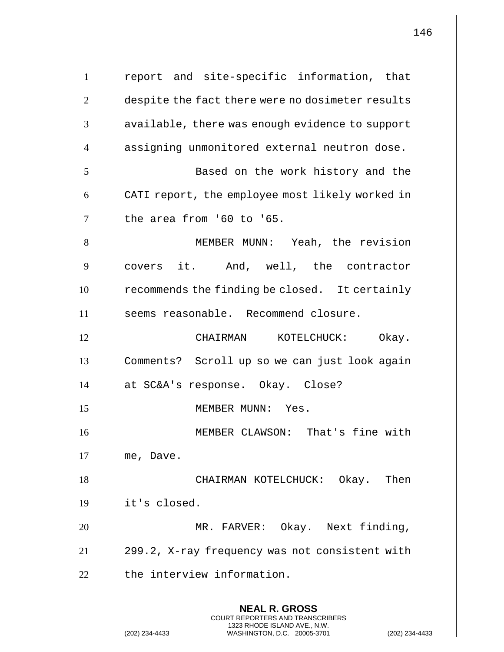**NEAL R. GROSS** COURT REPORTERS AND TRANSCRIBERS 1323 RHODE ISLAND AVE., N.W. (202) 234-4433 WASHINGTON, D.C. 20005-3701 (202) 234-4433 1 || report and site-specific information, that 2 | despite the fact there were no dosimeter results  $3 \parallel$  available, there was enough evidence to support 4 | assigning unmonitored external neutron dose. 5 || Based on the work history and the 6 || CATI report, the employee most likely worked in  $7$   $\parallel$  the area from '60 to '65. 8 MEMBER MUNN: Yeah, the revision 9 || covers it. And, well, the contractor  $10$   $\parallel$  recommends the finding be closed. It certainly 11 || seems reasonable. Recommend closure. 12 || CHAIRMAN KOTELCHUCK: Okay. 13 Comments? Scroll up so we can just look again 14 at SC&A's response. Okay. Close? 15 MEMBER MUNN: Yes. 16 MEMBER CLAWSON: That's fine with  $17$  || me, Dave. 18 CHAIRMAN KOTELCHUCK: Okay. Then 19 it's closed. 20 || MR. FARVER: Okay. Next finding, 21 299.2, X-ray frequency was not consistent with  $22$   $\parallel$  the interview information.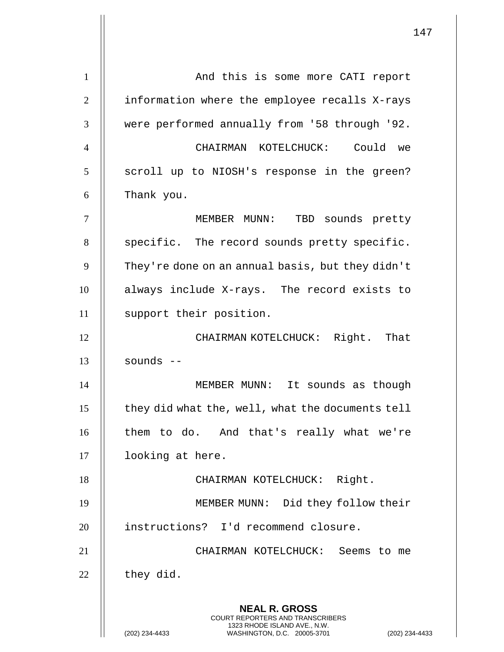| $\mathbf{1}$   | And this is some more CATI report                                                                                                        |
|----------------|------------------------------------------------------------------------------------------------------------------------------------------|
| $\overline{2}$ | information where the employee recalls X-rays                                                                                            |
| 3              | were performed annually from '58 through '92.                                                                                            |
| $\overline{4}$ | CHAIRMAN KOTELCHUCK: Could we                                                                                                            |
| 5              | scroll up to NIOSH's response in the green?                                                                                              |
| 6              | Thank you.                                                                                                                               |
| $\tau$         | MEMBER MUNN:<br>TBD sounds pretty                                                                                                        |
| 8              | specific. The record sounds pretty specific.                                                                                             |
| 9              | They're done on an annual basis, but they didn't                                                                                         |
| 10             | always include X-rays. The record exists to                                                                                              |
| 11             | support their position.                                                                                                                  |
| 12             | CHAIRMAN KOTELCHUCK: Right. That                                                                                                         |
| 13             | sounds $--$                                                                                                                              |
| 14             | MEMBER MUNN: It sounds as though                                                                                                         |
| 15             | they did what the, well, what the documents tell                                                                                         |
| 16             | them to do. And that's really what we're                                                                                                 |
| 17             | looking at here.                                                                                                                         |
| 18             | CHAIRMAN KOTELCHUCK: Right.                                                                                                              |
| 19             | MEMBER MUNN: Did they follow their                                                                                                       |
| 20             | instructions? I'd recommend closure.                                                                                                     |
| 21             | CHAIRMAN KOTELCHUCK: Seems to me                                                                                                         |
| 22             | they did.                                                                                                                                |
|                | <b>NEAL R. GROSS</b>                                                                                                                     |
|                | <b>COURT REPORTERS AND TRANSCRIBERS</b><br>1323 RHODE ISLAND AVE., N.W.<br>(202) 234-4433<br>WASHINGTON, D.C. 20005-3701<br>$(202)$ 234- |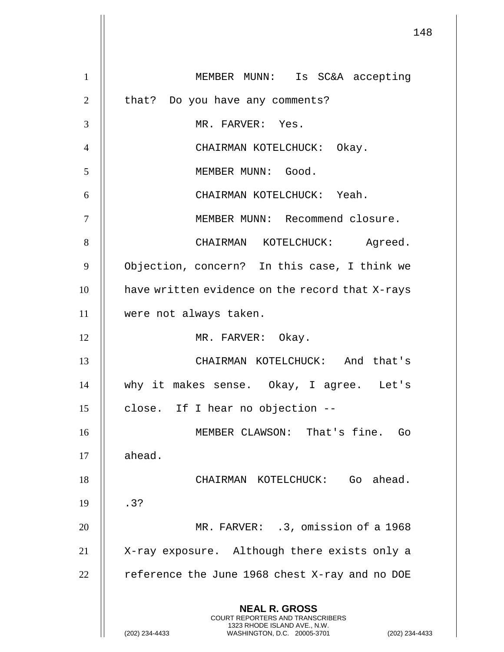**NEAL R. GROSS** COURT REPORTERS AND TRANSCRIBERS 1323 RHODE ISLAND AVE., N.W. (202) 234-4433 WASHINGTON, D.C. 20005-3701 (202) 234-4433 1 MEMBER MUNN: Is SC&A accepting  $2 \parallel$  that? Do you have any comments? 3 MR. FARVER: Yes. 4 CHAIRMAN KOTELCHUCK: Okay. 5 | MEMBER MUNN: Good. 6 CHAIRMAN KOTELCHUCK: Yeah. 7 MEMBER MUNN: Recommend closure. 8 CHAIRMAN KOTELCHUCK: Agreed. 9 || Objection, concern? In this case, I think we 10 | have written evidence on the record that X-rays 11 were not always taken. 12 || MR. FARVER: Okay. 13 CHAIRMAN KOTELCHUCK: And that's 14 why it makes sense. Okay, I agree. Let's  $15$  | close. If I hear no objection --16 MEMBER CLAWSON: That's fine. Go  $17$   $\parallel$  ahead. 18 CHAIRMAN KOTELCHUCK: Go ahead.  $19 \parallel .3?$ 20 || MR. FARVER: .3, omission of a 1968 21 || X-ray exposure. Although there exists only a 22  $\parallel$  reference the June 1968 chest X-ray and no DOE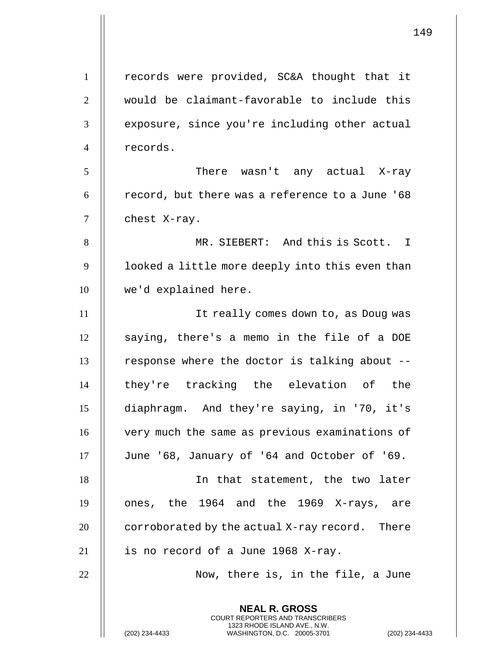|                | 1                                                                                                                                                                |
|----------------|------------------------------------------------------------------------------------------------------------------------------------------------------------------|
|                |                                                                                                                                                                  |
| $\mathbf{1}$   | records were provided, SC&A thought that it                                                                                                                      |
| $\mathbf{2}$   | would be claimant-favorable to include this                                                                                                                      |
| $\mathfrak{Z}$ | exposure, since you're including other actual                                                                                                                    |
| $\overline{4}$ | records.                                                                                                                                                         |
| 5              | There wasn't any actual X-ray                                                                                                                                    |
| 6              | record, but there was a reference to a June '68                                                                                                                  |
| $\tau$         | chest X-ray.                                                                                                                                                     |
| 8              | MR. SIEBERT: And this is Scott. I                                                                                                                                |
| 9              | looked a little more deeply into this even than                                                                                                                  |
| 10             | we'd explained here.                                                                                                                                             |
| 11             | It really comes down to, as Doug was                                                                                                                             |
| 12             | saying, there's a memo in the file of a DOE                                                                                                                      |
| 13             | response where the doctor is talking about --                                                                                                                    |
| 14             | they're tracking the elevation of the                                                                                                                            |
| 15             | diaphragm. And they're saying, in '70, it's                                                                                                                      |
| 16             | very much the same as previous examinations of                                                                                                                   |
| 17             | June '68, January of '64 and October of '69.                                                                                                                     |
| 18             | In that statement, the two later                                                                                                                                 |
| 19             | ones, the 1964 and the 1969 X-rays, are                                                                                                                          |
| 20             | corroborated by the actual X-ray record. There                                                                                                                   |
| 21             | is no record of a June 1968 X-ray.                                                                                                                               |
| 22             | Now, there is, in the file, a June                                                                                                                               |
|                | <b>NEAL R. GROSS</b><br><b>COURT REPORTERS AND TRANSCRIBERS</b><br>1323 RHODE ISLAND AVE., N.W.<br>(202) 234-4433<br>WASHINGTON, D.C. 20005-3701<br>$(202)$ 234- |

 $\mathbf{1}$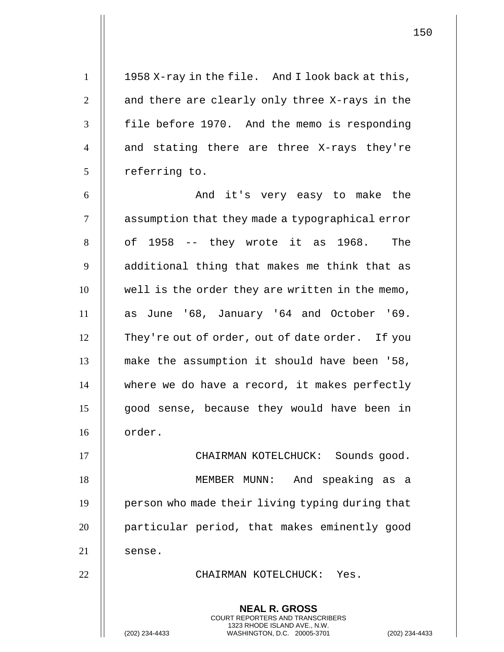1 | 1958 X-ray in the file. And I look back at this, 2 || and there are clearly only three X-rays in the 3 | file before 1970. And the memo is responding 4 || and stating there are three X-rays they're  $5$  | referring to. 6 And it's very easy to make the

7 | assumption that they made a typographical error  $8 \parallel$  of 1958 -- they wrote it as 1968. The 9 || additional thing that makes me think that as 10 || well is the order they are written in the memo, 11 as June '68, January '64 and October '69. 12 | They're out of order, out of date order. If you 13 make the assumption it should have been '58,  $14$   $\parallel$  where we do have a record, it makes perfectly 15 || good sense, because they would have been in 16 order.

17 CHAIRMAN KOTELCHUCK: Sounds good. 18 MEMBER MUNN: And speaking as a 19 | person who made their living typing during that 20 || particular period, that makes eminently good  $21$  | sense.

22 CHAIRMAN KOTELCHUCK: Yes.

**NEAL R. GROSS** COURT REPORTERS AND TRANSCRIBERS 1323 RHODE ISLAND AVE., N.W.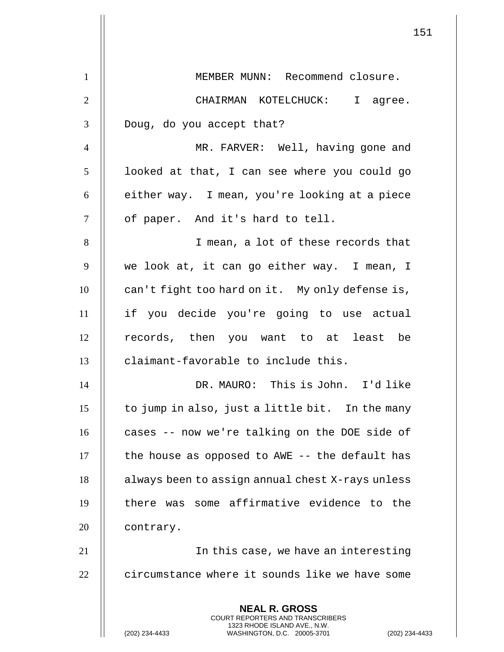|                | 151                                                                                                                                                         |
|----------------|-------------------------------------------------------------------------------------------------------------------------------------------------------------|
| $\mathbf{1}$   | MEMBER MUNN: Recommend closure.                                                                                                                             |
| $\overline{2}$ | CHAIRMAN KOTELCHUCK: I agree.                                                                                                                               |
| 3              | Doug, do you accept that?                                                                                                                                   |
| $\overline{4}$ | MR. FARVER: Well, having gone and                                                                                                                           |
| 5              | looked at that, I can see where you could go                                                                                                                |
| 6              | either way. I mean, you're looking at a piece                                                                                                               |
| 7              | of paper. And it's hard to tell.                                                                                                                            |
| 8              | I mean, a lot of these records that                                                                                                                         |
| 9              | we look at, it can go either way. I mean, I                                                                                                                 |
| 10             | can't fight too hard on it. My only defense is,                                                                                                             |
| 11             | if you decide you're going to use actual                                                                                                                    |
| 12             | records, then you want to at least be                                                                                                                       |
| 13             | claimant-favorable to include this.                                                                                                                         |
| 14             | DR. MAURO: This is John. I'd like                                                                                                                           |
| 15             | to jump in also, just a little bit. In the many                                                                                                             |
| 16             | cases -- now we're talking on the DOE side of                                                                                                               |
| 17             | the house as opposed to AWE -- the default has                                                                                                              |
| 18             | always been to assign annual chest X-rays unless                                                                                                            |
| 19             | there was some affirmative evidence to the                                                                                                                  |
| 20             | contrary.                                                                                                                                                   |
| 21             | In this case, we have an interesting                                                                                                                        |
| 22             | circumstance where it sounds like we have some                                                                                                              |
|                | <b>NEAL R. GROSS</b><br>COURT REPORTERS AND TRANSCRIBERS<br>1323 RHODE ISLAND AVE., N.W.<br>(202) 234-4433<br>(202) 234-4433<br>WASHINGTON, D.C. 20005-3701 |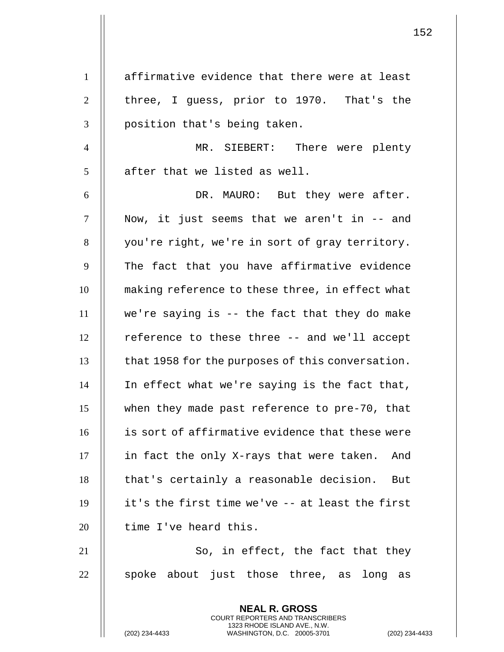1 || affirmative evidence that there were at least  $2 \parallel$  three, I quess, prior to 1970. That's the 3 || position that's being taken.

4 MR. SIEBERT: There were plenty  $5$   $\parallel$  after that we listed as well.

6 DR. MAURO: But they were after. 7 || Now, it just seems that we aren't in -- and 8 || you're right, we're in sort of gray territory. 9 || The fact that you have affirmative evidence 10 || making reference to these three, in effect what  $11$   $\parallel$  we're saying is -- the fact that they do make 12 | reference to these three -- and we'll accept 13 | that 1958 for the purposes of this conversation. 14 In effect what we're saying is the fact that, 15 when they made past reference to pre-70, that 16 is sort of affirmative evidence that these were  $17$  || in fact the only X-rays that were taken. And 18 || that's certainly a reasonable decision. But  $19$  || it's the first time we've -- at least the first  $20$  || time I've heard this.

 $21$   $\parallel$  So, in effect, the fact that they  $22$  || spoke about just those three, as long as

> **NEAL R. GROSS** COURT REPORTERS AND TRANSCRIBERS 1323 RHODE ISLAND AVE., N.W.

(202) 234-4433 WASHINGTON, D.C. 20005-3701 (202) 234-4433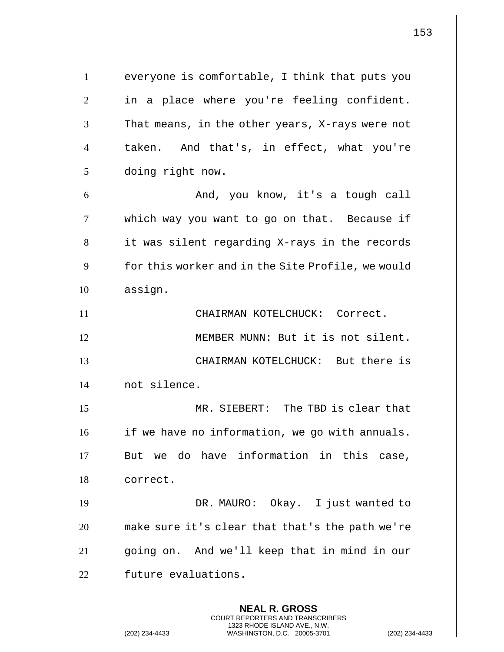**NEAL R. GROSS** 1 | everyone is comfortable, I think that puts you 2 || in a place where you're feeling confident.  $3$   $\parallel$  That means, in the other years, X-rays were not 4 || taken. And that's, in effect, what you're 5 doing right now. 6 And, you know, it's a tough call 7 | which way you want to go on that. Because if 8 || it was silent regarding X-rays in the records 9 | for this worker and in the Site Profile, we would 10 | assign. 11 || CHAIRMAN KOTELCHUCK: Correct. 12 || MEMBER MUNN: But it is not silent. 13 CHAIRMAN KOTELCHUCK: But there is 14 not silence. 15 MR. SIEBERT: The TBD is clear that 16 | if we have no information, we go with annuals.  $17$   $\parallel$  But we do have information in this case, 18 | correct. 19 DR. MAURO: Okay. I just wanted to 20 | make sure it's clear that that's the path we're 21 going on. And we'll keep that in mind in our 22 | future evaluations.

> COURT REPORTERS AND TRANSCRIBERS 1323 RHODE ISLAND AVE., N.W.

(202) 234-4433 WASHINGTON, D.C. 20005-3701 (202) 234-4433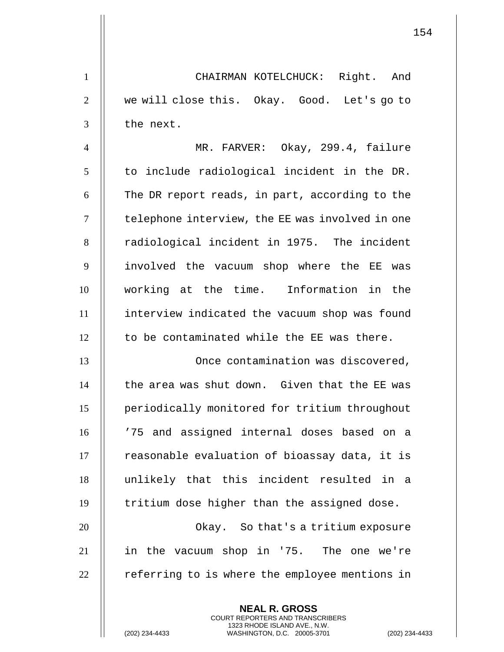1 || CHAIRMAN KOTELCHUCK: Right. And 2 || we will close this. Okay. Good. Let's go to  $3$  | the next.

 MR. FARVER: Okay, 299.4, failure | to include radiological incident in the DR. | The DR report reads, in part, according to the 7 | telephone interview, the EE was involved in one 8 || radiological incident in 1975. The incident 9 || involved the vacuum shop where the EE was working at the time. Information in the interview indicated the vacuum shop was found  $\parallel$  to be contaminated while the EE was there.

13 || Christian Contamination was discovered,  $14$   $\parallel$  the area was shut down. Given that the EE was 15 periodically monitored for tritium throughout 16 || '75 and assigned internal doses based on a  $17$   $\parallel$  reasonable evaluation of bioassay data, it is 18 unlikely that this incident resulted in a 19 || tritium dose higher than the assigned dose.

20 || Chay. So that's a tritium exposure 21 in the vacuum shop in '75. The one we're  $22$   $\parallel$  referring to is where the employee mentions in

> **NEAL R. GROSS** COURT REPORTERS AND TRANSCRIBERS 1323 RHODE ISLAND AVE., N.W.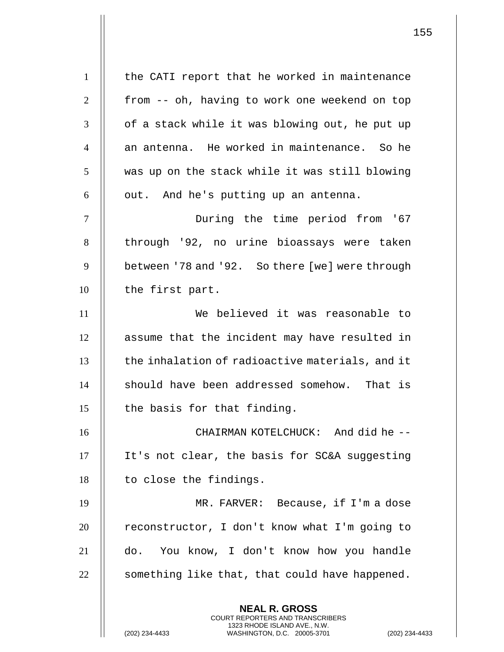**NEAL R. GROSS** 1 | the CATI report that he worked in maintenance 2 | from -- oh, having to work one weekend on top  $\parallel$  of a stack while it was blowing out, he put up  $\parallel$  an antenna. He worked in maintenance. So he  $\parallel$  was up on the stack while it was still blowing  $6 \parallel$  out. And he's putting up an antenna. During the time period from '67 8 || through '92, no urine bioassays were taken 9 | between '78 and '92. So there [we] were through 10 | the first part. We believed it was reasonable to 12 || assume that the incident may have resulted in  $\parallel$  the inhalation of radioactive materials, and it  $\parallel$  should have been addressed somehow. That is  $\parallel$  the basis for that finding. 16 || CHAIRMAN KOTELCHUCK: And did he -- It's not clear, the basis for SC&A suggesting || to close the findings. MR. FARVER: Because, if I'm a dose | reconstructor, I don't know what I'm going to do. You know, I don't know how you handle  $\parallel$  something like that, that could have happened.

> COURT REPORTERS AND TRANSCRIBERS 1323 RHODE ISLAND AVE., N.W.

(202) 234-4433 WASHINGTON, D.C. 20005-3701 (202) 234-4433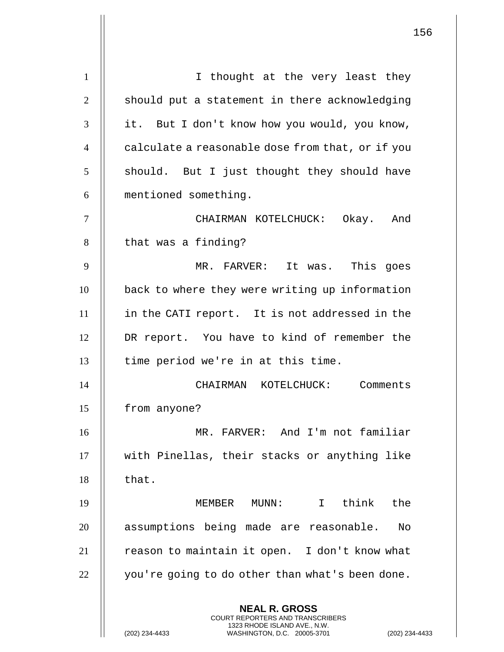**NEAL R. GROSS** COURT REPORTERS AND TRANSCRIBERS 1323 RHODE ISLAND AVE., N.W. 1 || I thought at the very least they  $\parallel$  should put a statement in there acknowledging 3 || it. But I don't know how you would, you know, 4 | calculate a reasonable dose from that, or if you || should. But I just thought they should have mentioned something. CHAIRMAN KOTELCHUCK: Okay. And | that was a finding? MR. FARVER: It was. This goes **back** to where they were writing up information in the CATI report. It is not addressed in the DR report. You have to kind of remember the || time period we're in at this time. CHAIRMAN KOTELCHUCK: Comments 15 | from anyone? MR. FARVER: And I'm not familiar with Pinellas, their stacks or anything like  $\parallel$  that. MEMBER MUNN: I think the 20 || assumptions being made are reasonable. No 21 | reason to maintain it open. I don't know what | you're going to do other than what's been done.

(202) 234-4433 WASHINGTON, D.C. 20005-3701 (202) 234-4433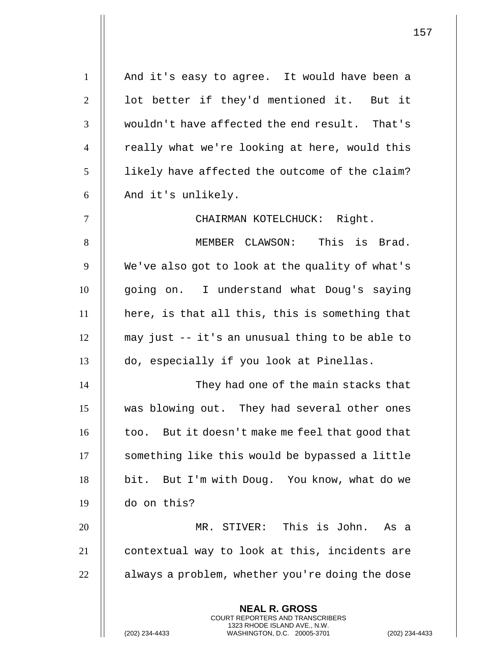| $\mathbf{1}$   | And it's easy to agree. It would have been a                                                                                                               |
|----------------|------------------------------------------------------------------------------------------------------------------------------------------------------------|
| $\overline{2}$ | lot better if they'd mentioned it. But it                                                                                                                  |
| 3              | wouldn't have affected the end result. That's                                                                                                              |
| $\overline{4}$ | really what we're looking at here, would this                                                                                                              |
| 5              | likely have affected the outcome of the claim?                                                                                                             |
| 6              | And it's unlikely.                                                                                                                                         |
| $\overline{7}$ | CHAIRMAN KOTELCHUCK: Right.                                                                                                                                |
| 8              | MEMBER CLAWSON: This is Brad.                                                                                                                              |
| 9              | We've also got to look at the quality of what's                                                                                                            |
| 10             | going on. I understand what Doug's saying                                                                                                                  |
| 11             | here, is that all this, this is something that                                                                                                             |
| 12             | may just -- it's an unusual thing to be able to                                                                                                            |
| 13             | do, especially if you look at Pinellas.                                                                                                                    |
| 14             | They had one of the main stacks that                                                                                                                       |
| 15             | was blowing out. They had several other ones                                                                                                               |
| 16             | too. But it doesn't make me feel that good that                                                                                                            |
| 17             | something like this would be bypassed a little                                                                                                             |
| 18             | bit. But I'm with Doug. You know, what do we                                                                                                               |
| 19             | do on this?                                                                                                                                                |
| 20             | MR. STIVER: This is John. As a                                                                                                                             |
| 21             | contextual way to look at this, incidents are                                                                                                              |
| 22             | always a problem, whether you're doing the dose                                                                                                            |
|                | <b>NEAL R. GROSS</b><br>COURT REPORTERS AND TRANSCRIBERS<br>1323 RHODE ISLAND AVE., N.W.<br>(202) 234-4433<br>WASHINGTON, D.C. 20005-3701<br>$(202)$ 234-4 |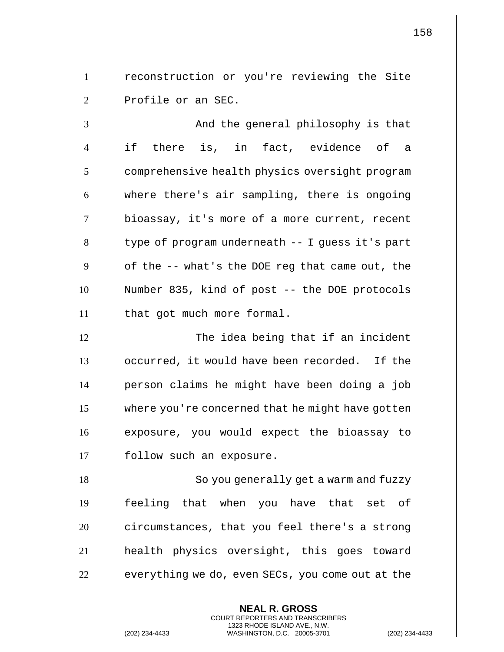1 || reconstruction or you're reviewing the Site 2 || Profile or an SEC.

3 || And the general philosophy is that 4 if there is, in fact, evidence of a 5 | comprehensive health physics oversight program 6  $\parallel$  where there's air sampling, there is ongoing 7 bioassay, it's more of a more current, recent  $8 \parallel$  type of program underneath  $-$  I guess it's part  $9$  | of the -- what's the DOE reg that came out, the 10 Number 835, kind of post -- the DOE protocols 11 || that got much more formal.

12 || The idea being that if an incident 13 | occurred, it would have been recorded. If the 14 person claims he might have been doing a job 15 where you're concerned that he might have gotten 16 || exposure, you would expect the bioassay to 17 || follow such an exposure.

18 || So you generally get a warm and fuzzy feeling that when you have that set of  $\parallel$  circumstances, that you feel there's a strong health physics oversight, this goes toward  $\parallel$  everything we do, even SECs, you come out at the

> **NEAL R. GROSS** COURT REPORTERS AND TRANSCRIBERS 1323 RHODE ISLAND AVE., N.W.

(202) 234-4433 WASHINGTON, D.C. 20005-3701 (202) 234-4433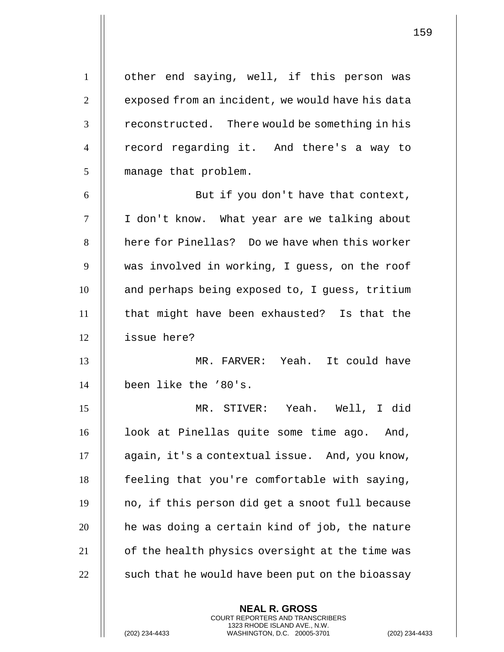1 | other end saying, well, if this person was 2 | exposed from an incident, we would have his data  $3$   $\parallel$  reconstructed. There would be something in his 4 || record regarding it. And there's a way to 5 | manage that problem.

6 || But if you don't have that context, I don't know. What year are we talking about **h** here for Pinellas? Do we have when this worker was involved in working, I guess, on the roof 10 | and perhaps being exposed to, I quess, tritium that might have been exhausted? Is that the issue here?

13 MR. FARVER: Yeah. It could have 14 been like the '80's.

 MR. STIVER: Yeah. Well, I did 16 | look at Pinellas quite some time ago. And, 17 | again, it's a contextual issue. And, you know, | feeling that you're comfortable with saying, || no, if this person did get a snoot full because | he was doing a certain kind of job, the nature 21 | of the health physics oversight at the time was  $\parallel$  such that he would have been put on the bioassay

> **NEAL R. GROSS** COURT REPORTERS AND TRANSCRIBERS 1323 RHODE ISLAND AVE., N.W.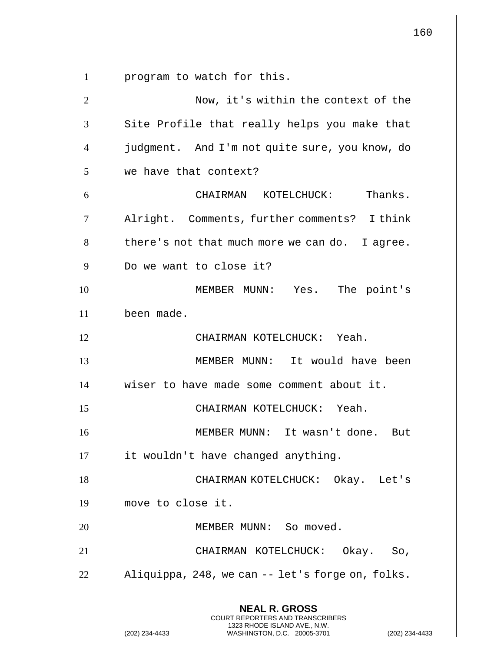**NEAL R. GROSS** COURT REPORTERS AND TRANSCRIBERS 1 | program to watch for this. Now, it's within the context of the 3 || Site Profile that really helps you make that judgment. And I'm not quite sure, you know, do we have that context? CHAIRMAN KOTELCHUCK: Thanks. Alright. Comments, further comments? I think | there's not that much more we can do. I agree. 9 || Do we want to close it? MEMBER MUNN: Yes. The point's been made. 12 || CHAIRMAN KOTELCHUCK: Yeah. MEMBER MUNN: It would have been wiser to have made some comment about it. CHAIRMAN KOTELCHUCK: Yeah. MEMBER MUNN: It wasn't done. But 17 | it wouldn't have changed anything. 18 || CHAIRMAN KOTELCHUCK: Okay. Let's move to close it. 20 || MEMBER MUNN: So moved. CHAIRMAN KOTELCHUCK: Okay. So,  $\parallel$  Aliquippa, 248, we can  $-$  let's forge on, folks.

1323 RHODE ISLAND AVE., N.W.

(202) 234-4433 WASHINGTON, D.C. 20005-3701 (202) 234-4433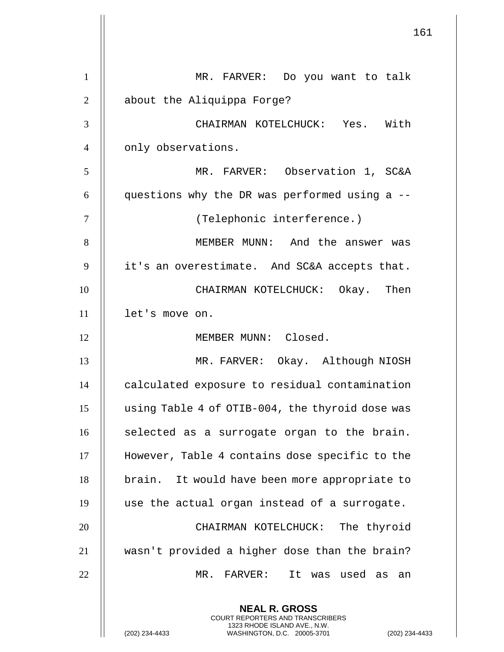| $\mathbf{1}$   | MR. FARVER: Do you want to talk                                                                                                   |
|----------------|-----------------------------------------------------------------------------------------------------------------------------------|
| $\overline{2}$ | about the Aliquippa Forge?                                                                                                        |
| 3              | CHAIRMAN KOTELCHUCK: Yes. With                                                                                                    |
| $\overline{4}$ | only observations.                                                                                                                |
| 5              | MR. FARVER: Observation 1, SC&A                                                                                                   |
| 6              | questions why the DR was performed using a --                                                                                     |
| $\tau$         | (Telephonic interference.)                                                                                                        |
| 8              | MEMBER MUNN: And the answer was                                                                                                   |
| 9              | it's an overestimate. And SC&A accepts that.                                                                                      |
| 10             | CHAIRMAN KOTELCHUCK: Okay. Then                                                                                                   |
| 11             | let's move on.                                                                                                                    |
| 12             | MEMBER MUNN: Closed.                                                                                                              |
| 13             | MR. FARVER: Okay. Although NIOSH                                                                                                  |
| 14             | calculated exposure to residual contamination                                                                                     |
| 15             | using Table 4 of OTIB-004, the thyroid dose was                                                                                   |
| 16             | selected as a surrogate organ to the brain.                                                                                       |
| 17             | However, Table 4 contains dose specific to the                                                                                    |
| 18             | brain. It would have been more appropriate to                                                                                     |
| 19             | use the actual organ instead of a surrogate.                                                                                      |
| 20             | CHAIRMAN KOTELCHUCK: The thyroid                                                                                                  |
| 21             | wasn't provided a higher dose than the brain?                                                                                     |
| 22             | MR. FARVER:<br>It was used as an                                                                                                  |
|                | <b>NEAL R. GROSS</b>                                                                                                              |
|                | COURT REPORTERS AND TRANSCRIBERS<br>1323 RHODE ISLAND AVE., N.W.<br>(202) 234-4433<br>WASHINGTON, D.C. 20005-3701<br>(202) 234-44 |

 $\overline{\phantom{a}}$  $\mathsf{l}\mathsf{l}$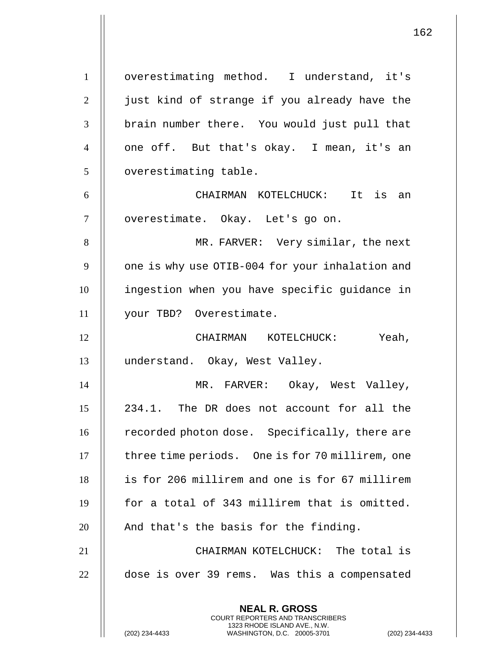**NEAL R. GROSS** COURT REPORTERS AND TRANSCRIBERS 1 | overestimating method. I understand, it's 2 || just kind of strange if you already have the 3 || brain number there. You would just pull that 4 || one off. But that's okay. I mean, it's an 5 | overestimating table. 6 CHAIRMAN KOTELCHUCK: It is an 7 || overestimate. Okay. Let's go on. 8 || MR. FARVER: Very similar, the next 9 | one is why use OTIB-004 for your inhalation and 10 ingestion when you have specific guidance in 11 your TBD? Overestimate. 12 CHAIRMAN KOTELCHUCK: Yeah, 13 understand. Okay, West Valley. 14 || MR. FARVER: Okay, West Valley, 15 234.1. The DR does not account for all the 16 | recorded photon dose. Specifically, there are 17 | three time periods. One is for 70 millirem, one 18 is for 206 millirem and one is for 67 millirem  $19$  || for a total of 343 millirem that is omitted.  $20$  || And that's the basis for the finding. 21 CHAIRMAN KOTELCHUCK: The total is 22 | dose is over 39 rems. Was this a compensated

1323 RHODE ISLAND AVE., N.W.

162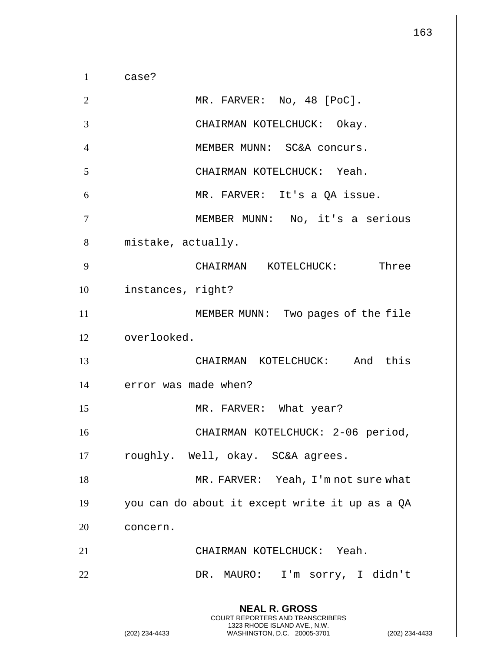**NEAL R. GROSS** COURT REPORTERS AND TRANSCRIBERS 1323 RHODE ISLAND AVE., N.W. (202) 234-4433 WASHINGTON, D.C. 20005-3701 (202) 234-4433  $1 \parallel$  case? 2 || MR. FARVER: No, 48 [PoC]. 3 || CHAIRMAN KOTELCHUCK: Okay. 4 | | MEMBER MUNN: SC&A concurs. 5 CHAIRMAN KOTELCHUCK: Yeah. 6 MR. FARVER: It's a QA issue. 7 MEMBER MUNN: No, it's a serious 8 | mistake, actually. 9 CHAIRMAN KOTELCHUCK: Three 10 | instances, right? 11 || MEMBER MUNN: Two pages of the file 12 overlooked. 13 CHAIRMAN KOTELCHUCK: And this 14 | error was made when? 15 || MR. FARVER: What year? 16 CHAIRMAN KOTELCHUCK: 2-06 period, 17 || roughly. Well, okay. SC&A agrees. 18 || MR. FARVER: Yeah, I'm not sure what 19 you can do about it except write it up as a QA 20 | concern. 21 || CHAIRMAN KOTELCHUCK: Yeah. 22 || DR. MAURO: I'm sorry, I didn't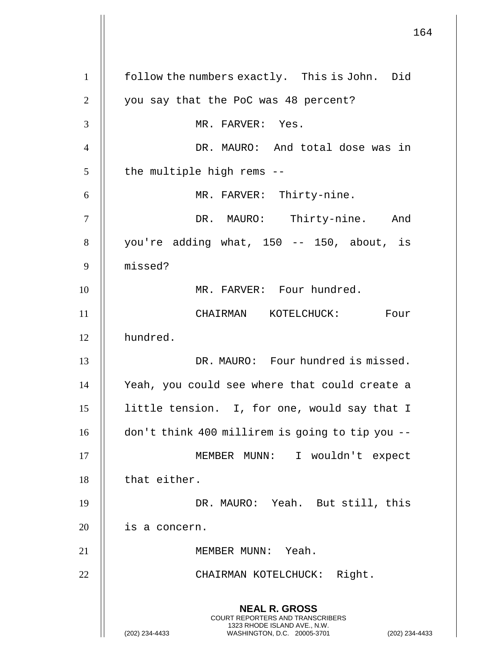**NEAL R. GROSS** COURT REPORTERS AND TRANSCRIBERS 1323 RHODE ISLAND AVE., N.W. (202) 234-4433 WASHINGTON, D.C. 20005-3701 (202) 234-4433 1 | follow the numbers exactly. This is John. Did 2 | you say that the PoC was 48 percent? 3 MR. FARVER: Yes. 4 || DR. MAURO: And total dose was in  $5$  || the multiple high rems --6 MR. FARVER: Thirty-nine. 7 DR. MAURO: Thirty-nine. And  $8 \parallel$  you're adding what, 150 -- 150, about, is 9 missed? 10 || MR. FARVER: Four hundred. 11 || CHAIRMAN KOTELCHUCK: Four 12 hundred. 13 || DR. MAURO: Four hundred is missed. 14 Yeah, you could see where that could create a 15 | little tension. I, for one, would say that I 16 don't think 400 millirem is going to tip you -- 17 MEMBER MUNN: I wouldn't expect  $18$  || that either. 19 || DR. MAURO: Yeah. But still, this 20 | is a concern. 21 || MEMBER MUNN: Yeah. 22 || CHAIRMAN KOTELCHUCK: Right.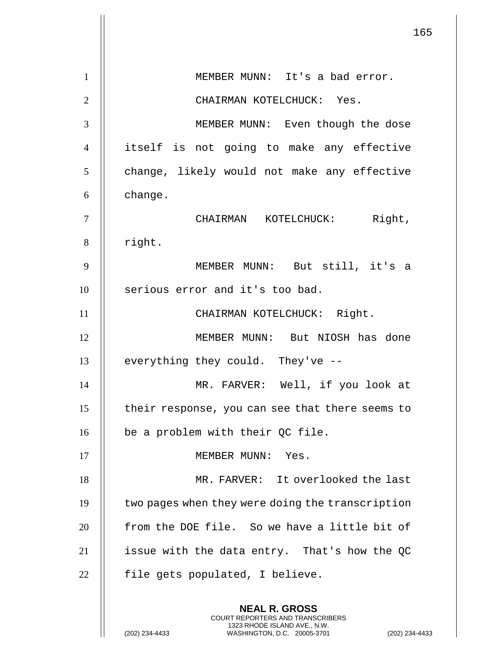165 **NEAL R. GROSS** COURT REPORTERS AND TRANSCRIBERS 1323 RHODE ISLAND AVE., N.W. 1 | MEMBER MUNN: It's a bad error. 2 CHAIRMAN KOTELCHUCK: Yes. 3 MEMBER MUNN: Even though the dose 4 itself is not going to make any effective 5 | change, likely would not make any effective  $6 \parallel$  change. 7 CHAIRMAN KOTELCHUCK: Right,  $8$  || right. 9 MEMBER MUNN: But still, it's a 10 || serious error and it's too bad. 11 || CHAIRMAN KOTELCHUCK: Right. 12 MEMBER MUNN: But NIOSH has done  $13$   $\parallel$  everything they could. They've --14 MR. FARVER: Well, if you look at 15 | their response, you can see that there seems to 16  $\parallel$  be a problem with their QC file. 17 || MEMBER MUNN: Yes. 18 MR. FARVER: It overlooked the last  $19$   $\parallel$  two pages when they were doing the transcription  $20$   $\parallel$  from the DOE file. So we have a little bit of 21  $\parallel$  issue with the data entry. That's how the QC  $22$  || file gets populated, I believe.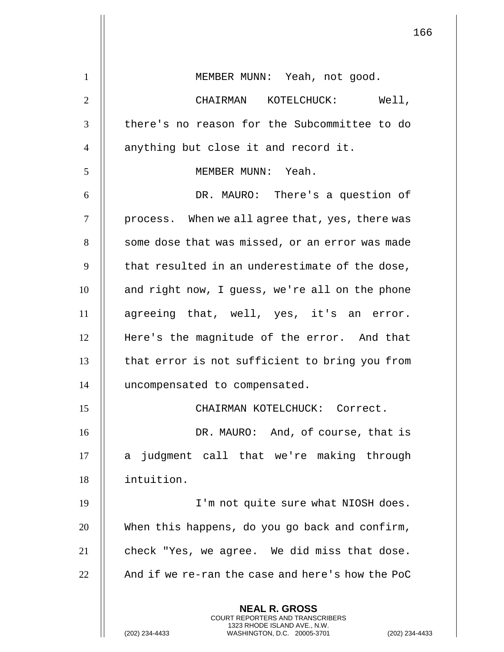**NEAL R. GROSS** COURT REPORTERS AND TRANSCRIBERS 1323 RHODE ISLAND AVE., N.W. 1 || MEMBER MUNN: Yeah, not good. 2 CHAIRMAN KOTELCHUCK: Well, 3 || there's no reason for the Subcommittee to do 4 || anything but close it and record it. 5 MEMBER MUNN: Yeah. 6 DR. MAURO: There's a question of  $7$  | process. When we all agree that, yes, there was 8 | some dose that was missed, or an error was made  $9$   $\parallel$  that resulted in an underestimate of the dose, 10 || and right now, I guess, we're all on the phone 11 agreeing that, well, yes, it's an error. 12 Here's the magnitude of the error. And that 13 || that error is not sufficient to bring you from 14 uncompensated to compensated. 15 CHAIRMAN KOTELCHUCK: Correct. 16 || DR. MAURO: And, of course, that is 17 || a judgment call that we're making through 18 intuition. 19 || I'm not quite sure what NIOSH does. 20 || When this happens, do you go back and confirm,  $21$  || check "Yes, we agree. We did miss that dose. 22  $\parallel$  And if we re-ran the case and here's how the PoC

(202) 234-4433 WASHINGTON, D.C. 20005-3701 (202) 234-4433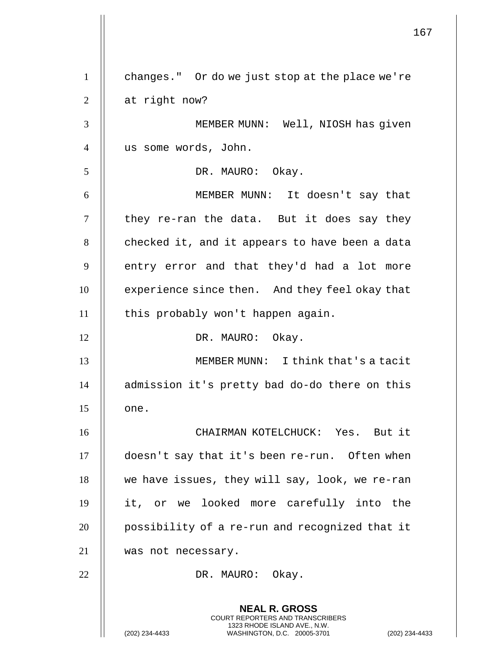**NEAL R. GROSS** COURT REPORTERS AND TRANSCRIBERS 1323 RHODE ISLAND AVE., N.W. 1 changes." Or do we just stop at the place we're  $2 \parallel$  at right now? 3 MEMBER MUNN: Well, NIOSH has given 4 us some words, John. 5 || DR. MAURO: Okay. 6 MEMBER MUNN: It doesn't say that  $7$  || they re-ran the data. But it does say they  $8$  | checked it, and it appears to have been a data  $9$   $\parallel$  entry error and that they'd had a lot more 10 | experience since then. And they feel okay that 11 | this probably won't happen again. 12 || DR. MAURO: Okay. 13 MEMBER MUNN: I think that's a tacit 14 || admission it's pretty bad do-do there on this  $15$   $\parallel$  one. 16 CHAIRMAN KOTELCHUCK: Yes. But it 17 doesn't say that it's been re-run. Often when  $18$  | we have issues, they will say, look, we re-ran 19 it, or we looked more carefully into the 20 | possibility of a re-run and recognized that it 21 was not necessary. 22 || DR. MAURO: Okay.

(202) 234-4433 WASHINGTON, D.C. 20005-3701 (202) 234-4433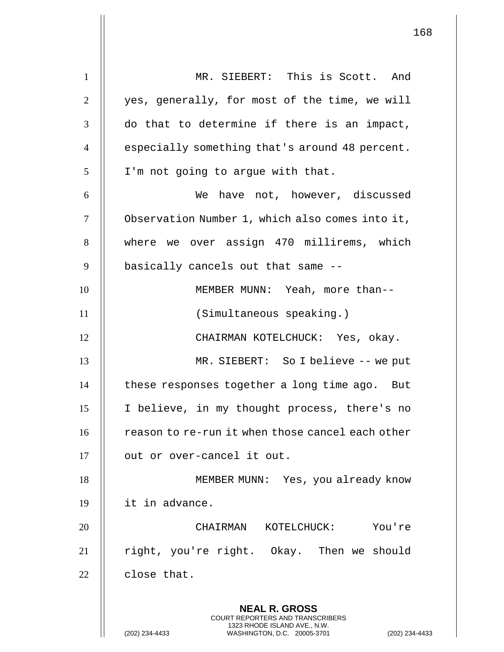**NEAL R. GROSS** COURT REPORTERS AND TRANSCRIBERS 1323 RHODE ISLAND AVE., N.W. 1 || MR. SIEBERT: This is Scott. And  $2 \parallel$  yes, generally, for most of the time, we will  $3$   $\parallel$  do that to determine if there is an impact, 4 | especially something that's around 48 percent.  $5 \parallel$  I'm not going to argue with that. 6 We have not, however, discussed 7 | Observation Number 1, which also comes into it, 8 Where we over assign 470 millirems, which  $9$   $\parallel$  basically cancels out that same --10 || MEMBER MUNN: Yeah, more than--11 || (Simultaneous speaking.) 12 CHAIRMAN KOTELCHUCK: Yes, okay. 13 MR. SIEBERT: So I believe -- we put  $14$   $\parallel$  these responses together a long time ago. But 15 I believe, in my thought process, there's no  $16$   $\parallel$  reason to re-run it when those cancel each other 17 || out or over-cancel it out. 18 || MEMBER MUNN: Yes, you already know 19 it in advance. 20 CHAIRMAN KOTELCHUCK: You're 21 | right, you're right. Okay. Then we should  $22$  | close that.

(202) 234-4433 WASHINGTON, D.C. 20005-3701 (202) 234-4433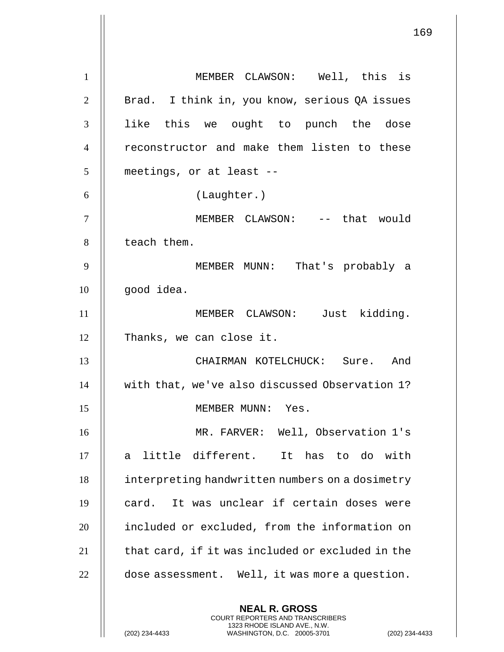**NEAL R. GROSS** COURT REPORTERS AND TRANSCRIBERS 1323 RHODE ISLAND AVE., N.W. 1 || MEMBER CLAWSON: Well, this is 2 || Brad. I think in, you know, serious OA issues 3 || like this we ought to punch the dose 4 || reconstructor and make them listen to these 5 | meetings, or at least --6 (Laughter.) 7 MEMBER CLAWSON: -- that would  $8$  | teach them. 9 MEMBER MUNN: That's probably a  $10$  | qood idea. 11 MEMBER CLAWSON: Just kidding. 12 || Thanks, we can close it. 13 CHAIRMAN KOTELCHUCK: Sure. And 14 || with that, we've also discussed Observation 1? 15 MEMBER MUNN: Yes. 16 MR. FARVER: Well, Observation 1's  $17$   $\parallel$  a little different. It has to do with 18 | interpreting handwritten numbers on a dosimetry  $19$   $\parallel$  card. It was unclear if certain doses were 20 included or excluded, from the information on  $21$   $\parallel$  that card, if it was included or excluded in the  $22$  | dose assessment. Well, it was more a question.

(202) 234-4433 WASHINGTON, D.C. 20005-3701 (202) 234-4433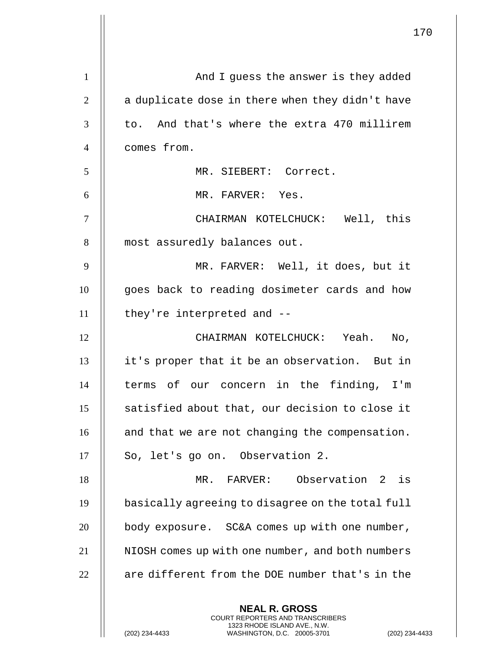|                | 170                                                                                                                                                                |
|----------------|--------------------------------------------------------------------------------------------------------------------------------------------------------------------|
| $\mathbf{1}$   | And I guess the answer is they added                                                                                                                               |
| $\overline{2}$ | a duplicate dose in there when they didn't have                                                                                                                    |
| 3              | to. And that's where the extra 470 millirem                                                                                                                        |
| $\overline{4}$ | comes from.                                                                                                                                                        |
| 5              | MR. SIEBERT: Correct.                                                                                                                                              |
| 6              | MR. FARVER: Yes.                                                                                                                                                   |
| $\tau$         | CHAIRMAN KOTELCHUCK: Well, this                                                                                                                                    |
| 8              | most assuredly balances out.                                                                                                                                       |
| 9              | MR. FARVER: Well, it does, but it                                                                                                                                  |
| 10             | goes back to reading dosimeter cards and how                                                                                                                       |
| 11             | they're interpreted and --                                                                                                                                         |
| 12             | CHAIRMAN KOTELCHUCK: Yeah.<br>$\overline{N}$ .                                                                                                                     |
| 13             | it's proper that it be an observation. But in                                                                                                                      |
| 14             | terms of our concern in the<br>finding, I'm                                                                                                                        |
| 15             | satisfied about that, our decision to close it                                                                                                                     |
| 16             | and that we are not changing the compensation.                                                                                                                     |
| 17             | So, let's go on. Observation 2.                                                                                                                                    |
| 18             | MR. FARVER: Observation 2 is                                                                                                                                       |
| 19             | basically agreeing to disagree on the total full                                                                                                                   |
| 20             | body exposure. SC&A comes up with one number,                                                                                                                      |
| 21             | NIOSH comes up with one number, and both numbers                                                                                                                   |
| 22             | are different from the DOE number that's in the                                                                                                                    |
|                | <b>NEAL R. GROSS</b><br><b>COURT REPORTERS AND TRANSCRIBERS</b><br>1323 RHODE ISLAND AVE., N.W.<br>(202) 234-4433<br>WASHINGTON, D.C. 20005-3701<br>(202) 234-4433 |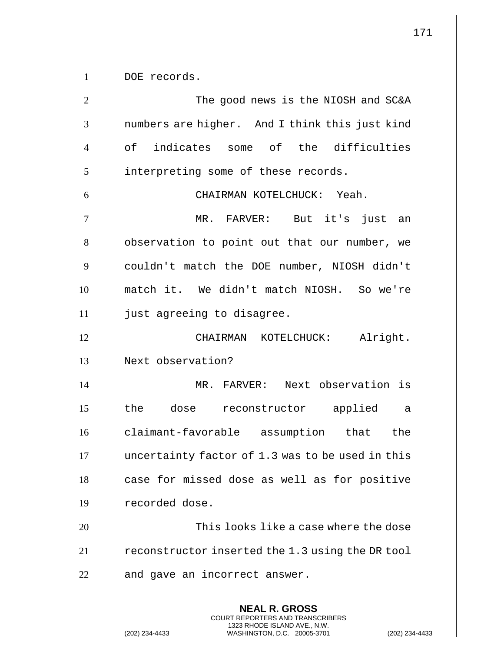**NEAL R. GROSS** COURT REPORTERS AND TRANSCRIBERS 1323 RHODE ISLAND AVE., N.W. (202) 234-4433 WASHINGTON, D.C. 20005-3701 (202) 234-4433 1 | DOE records. 2 || The good news is the NIOSH and SC&A 3 || numbers are higher. And I think this just kind 4 || of indicates some of the difficulties 5 | interpreting some of these records. 6 CHAIRMAN KOTELCHUCK: Yeah. 7 MR. FARVER: But it's just an 8 | observation to point out that our number, we 9 couldn't match the DOE number, NIOSH didn't 10 match it. We didn't match NIOSH. So we're 11 just agreeing to disagree. 12 CHAIRMAN KOTELCHUCK: Alright. 13 Next observation? 14 MR. FARVER: Next observation is 15 || the dose reconstructor applied a 16 claimant-favorable assumption that the 17 uncertainty factor of 1.3 was to be used in this 18 || case for missed dose as well as for positive 19 || recorded dose. 20 **This looks like a case where the dose** 21 | reconstructor inserted the 1.3 using the DR tool  $22$   $\parallel$  and gave an incorrect answer.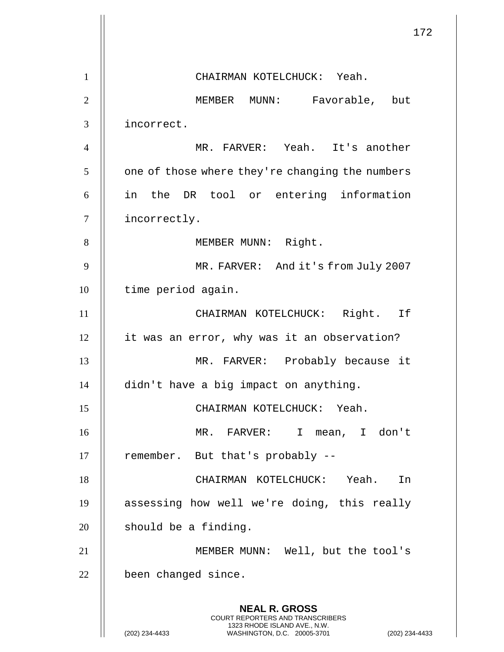|                | 172                                                                                                                                                                |
|----------------|--------------------------------------------------------------------------------------------------------------------------------------------------------------------|
| $\mathbf{1}$   | CHAIRMAN KOTELCHUCK: Yeah.                                                                                                                                         |
| $\overline{2}$ | MEMBER MUNN: Favorable, but                                                                                                                                        |
| 3              | incorrect.                                                                                                                                                         |
| $\overline{4}$ | MR. FARVER: Yeah. It's another                                                                                                                                     |
| 5              | one of those where they're changing the numbers                                                                                                                    |
| 6              | in the DR tool or entering information                                                                                                                             |
| 7              | incorrectly.                                                                                                                                                       |
| 8              | MEMBER MUNN: Right.                                                                                                                                                |
| 9              | MR. FARVER: And it's from July 2007                                                                                                                                |
| 10             | time period again.                                                                                                                                                 |
| 11             | CHAIRMAN KOTELCHUCK: Right. If                                                                                                                                     |
| 12             | it was an error, why was it an observation?                                                                                                                        |
| 13             | MR. FARVER: Probably because it                                                                                                                                    |
| 14             | didn't have a big impact on anything.                                                                                                                              |
| 15             | CHAIRMAN KOTELCHUCK: Yeah.                                                                                                                                         |
| 16             | MR. FARVER: I mean, I don't                                                                                                                                        |
| 17             | remember. But that's probably --                                                                                                                                   |
| 18             | CHAIRMAN KOTELCHUCK: Yeah.<br>In                                                                                                                                   |
| 19             | assessing how well we're doing, this really                                                                                                                        |
| 20             | should be a finding.                                                                                                                                               |
| 21             | MEMBER MUNN: Well, but the tool's                                                                                                                                  |
| 22             | been changed since.                                                                                                                                                |
|                | <b>NEAL R. GROSS</b><br><b>COURT REPORTERS AND TRANSCRIBERS</b><br>1323 RHODE ISLAND AVE., N.W.<br>(202) 234-4433<br>(202) 234-4433<br>WASHINGTON, D.C. 20005-3701 |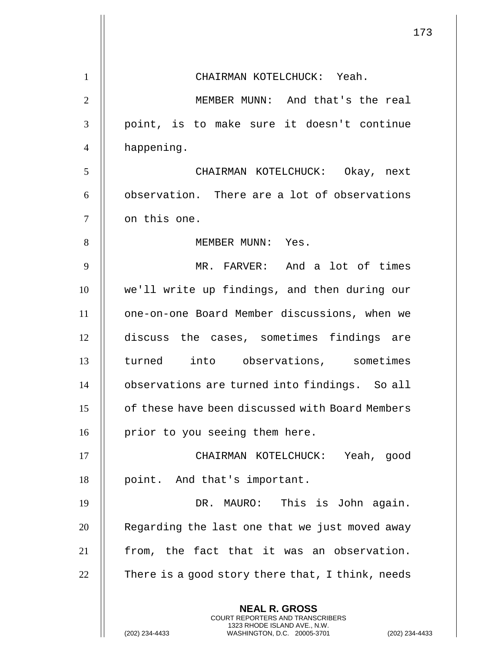|                | 173                                                                                                                                                                |
|----------------|--------------------------------------------------------------------------------------------------------------------------------------------------------------------|
| $\mathbf{1}$   | CHAIRMAN KOTELCHUCK: Yeah.                                                                                                                                         |
| $\overline{2}$ | MEMBER MUNN: And that's the real                                                                                                                                   |
| 3              | point, is to make sure it doesn't continue                                                                                                                         |
| $\overline{4}$ | happening.                                                                                                                                                         |
| 5              | CHAIRMAN KOTELCHUCK: Okay, next                                                                                                                                    |
| 6              | observation. There are a lot of observations                                                                                                                       |
| 7              | on this one.                                                                                                                                                       |
| 8              | MEMBER MUNN: Yes.                                                                                                                                                  |
| 9              | MR. FARVER: And a lot of times                                                                                                                                     |
| 10             | we'll write up findings, and then during our                                                                                                                       |
| 11             | one-on-one Board Member discussions, when we                                                                                                                       |
| 12             | discuss the cases, sometimes findings are                                                                                                                          |
| 13             | turned into observations, sometimes                                                                                                                                |
| 14             | observations are turned into findings. So all                                                                                                                      |
| 15             | of these have been discussed with Board Members                                                                                                                    |
| 16             | prior to you seeing them here.                                                                                                                                     |
| 17             | CHAIRMAN KOTELCHUCK: Yeah, good                                                                                                                                    |
| 18             | point. And that's important.                                                                                                                                       |
| 19             | DR. MAURO: This is John again.                                                                                                                                     |
| 20             | Regarding the last one that we just moved away                                                                                                                     |
| 21             | from, the fact that it was an observation.                                                                                                                         |
| 22             | There is a good story there that, I think, needs                                                                                                                   |
|                | <b>NEAL R. GROSS</b><br><b>COURT REPORTERS AND TRANSCRIBERS</b><br>1323 RHODE ISLAND AVE., N.W.<br>(202) 234-4433<br>WASHINGTON, D.C. 20005-3701<br>(202) 234-4433 |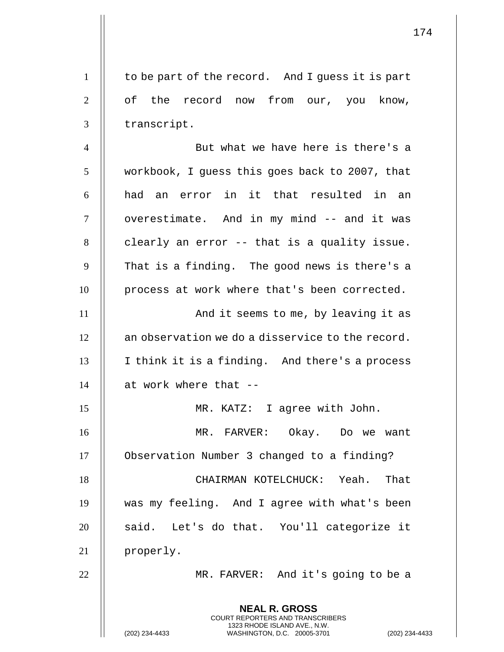**NEAL R. GROSS** COURT REPORTERS AND TRANSCRIBERS 1323 RHODE ISLAND AVE., N.W. 1 | to be part of the record. And I guess it is part  $2 \parallel$  of the record now from our, you know, 3 | transcript. 4 || But what we have here is there's a 5 | workbook, I guess this goes back to 2007, that  $6$   $\parallel$  had an error in it that resulted in an 7 || overestimate. And in my mind -- and it was  $8$   $\parallel$  clearly an error -- that is a quality issue.  $9$  || That is a finding. The good news is there's a 10 || process at work where that's been corrected. 11 || **And it seems to me, by leaving it as**  $12$   $\parallel$  an observation we do a disservice to the record.  $13$  || I think it is a finding. And there's a process 14  $\parallel$  at work where that --15 MR. KATZ: I agree with John. 16 MR. FARVER: Okay. Do we want 17 Observation Number 3 changed to a finding? 18 CHAIRMAN KOTELCHUCK: Yeah. That 19 was my feeling. And I agree with what's been 20 || said. Let's do that. You'll categorize it 21 || properly. 22 MR. FARVER: And it's going to be a

(202) 234-4433 WASHINGTON, D.C. 20005-3701 (202) 234-4433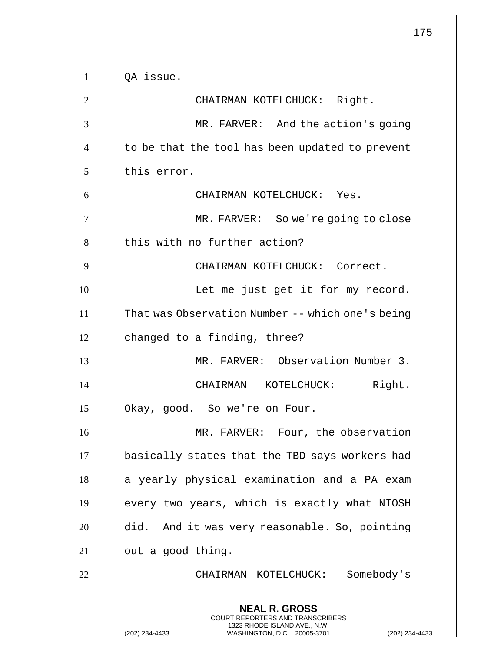|                | 175                                                                                                                                                                |
|----------------|--------------------------------------------------------------------------------------------------------------------------------------------------------------------|
| $\mathbf{1}$   | OA issue.                                                                                                                                                          |
| $\overline{2}$ | CHAIRMAN KOTELCHUCK: Right.                                                                                                                                        |
| 3              | MR. FARVER: And the action's going                                                                                                                                 |
| $\overline{4}$ | to be that the tool has been updated to prevent                                                                                                                    |
| 5              | this error.                                                                                                                                                        |
| 6              | CHAIRMAN KOTELCHUCK: Yes.                                                                                                                                          |
| 7              | MR. FARVER: So we're going to close                                                                                                                                |
| 8              | this with no further action?                                                                                                                                       |
| 9              | CHAIRMAN KOTELCHUCK: Correct.                                                                                                                                      |
| 10             | Let me just get it for my record.                                                                                                                                  |
| 11             | That was Observation Number -- which one's being                                                                                                                   |
| 12             | changed to a finding, three?                                                                                                                                       |
| 13             | MR. FARVER: Observation Number 3.                                                                                                                                  |
| 14             | Right.<br>CHAIRMAN KOTELCHUCK:                                                                                                                                     |
| 15             | Okay, good. So we're on Four.                                                                                                                                      |
| 16             | MR. FARVER: Four, the observation                                                                                                                                  |
| 17             | basically states that the TBD says workers had                                                                                                                     |
| 18             | a yearly physical examination and a PA exam                                                                                                                        |
| 19             | every two years, which is exactly what NIOSH                                                                                                                       |
| 20             | did. And it was very reasonable. So, pointing                                                                                                                      |
| 21             | out a good thing.                                                                                                                                                  |
| 22             | CHAIRMAN KOTELCHUCK: Somebody's                                                                                                                                    |
|                | <b>NEAL R. GROSS</b><br><b>COURT REPORTERS AND TRANSCRIBERS</b><br>1323 RHODE ISLAND AVE., N.W.<br>(202) 234-4433<br>WASHINGTON, D.C. 20005-3701<br>(202) 234-4433 |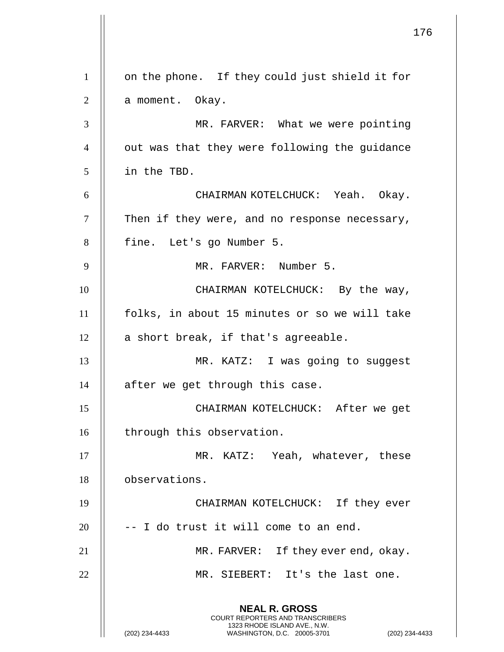**NEAL R. GROSS** COURT REPORTERS AND TRANSCRIBERS 1323 RHODE ISLAND AVE., N.W. (202) 234-4433 WASHINGTON, D.C. 20005-3701 (202) 234-4433 1 || on the phone. If they could just shield it for 2 | a moment. Okay. 3 MR. FARVER: What we were pointing 4 | out was that they were following the guidance 5 in the TBD. 6 CHAIRMAN KOTELCHUCK: Yeah. Okay.  $7$  | Then if they were, and no response necessary, 8 | fine. Let's go Number 5. 9 || MR. FARVER: Number 5. 10 || CHAIRMAN KOTELCHUCK: By the way, 11 folks, in about 15 minutes or so we will take  $12$  || a short break, if that's agreeable. 13 MR. KATZ: I was going to suggest  $14$  | after we get through this case. 15 CHAIRMAN KOTELCHUCK: After we get 16 || through this observation. 17 || MR. KATZ: Yeah, whatever, these 18 observations. 19 CHAIRMAN KOTELCHUCK: If they ever  $20$  ||  $-$  I do trust it will come to an end. 21 MR. FARVER: If they ever end, okay. 22 MR. SIEBERT: It's the last one.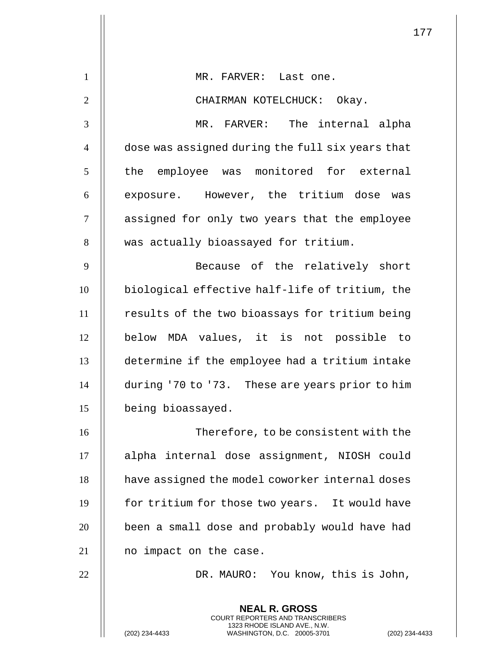|                | 177                                                                                                                                                         |
|----------------|-------------------------------------------------------------------------------------------------------------------------------------------------------------|
| $\mathbf{1}$   | MR. FARVER: Last one.                                                                                                                                       |
| $\overline{2}$ | CHAIRMAN KOTELCHUCK: Okay.                                                                                                                                  |
| 3              | MR. FARVER: The internal alpha                                                                                                                              |
| $\overline{4}$ | dose was assigned during the full six years that                                                                                                            |
| 5              | the employee was monitored for external                                                                                                                     |
| 6              | exposure. However, the tritium dose was                                                                                                                     |
| $\tau$         | assigned for only two years that the employee                                                                                                               |
| 8              | was actually bioassayed for tritium.                                                                                                                        |
| 9              | Because of the relatively short                                                                                                                             |
| 10             | biological effective half-life of tritium, the                                                                                                              |
| 11             | results of the two bioassays for tritium being                                                                                                              |
| 12             | below MDA values, it is not possible to                                                                                                                     |
| 13             | determine if the employee had a tritium intake                                                                                                              |
| 14             | during '70 to '73. These are years prior to him                                                                                                             |
| 15             | being bioassayed.                                                                                                                                           |
| 16             | Therefore, to be consistent with the                                                                                                                        |
| 17             | alpha internal dose assignment, NIOSH could                                                                                                                 |
| 18             | have assigned the model coworker internal doses                                                                                                             |
| 19             | for tritium for those two years. It would have                                                                                                              |
| 20             | been a small dose and probably would have had                                                                                                               |
| 21             | no impact on the case.                                                                                                                                      |
| 22             | DR. MAURO: You know, this is John,                                                                                                                          |
|                | <b>NEAL R. GROSS</b><br>COURT REPORTERS AND TRANSCRIBERS<br>1323 RHODE ISLAND AVE., N.W.<br>(202) 234-4433<br>WASHINGTON, D.C. 20005-3701<br>(202) 234-4433 |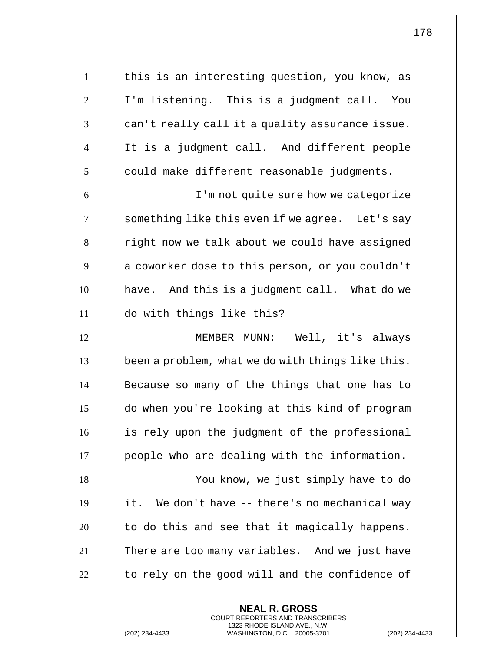| $\mathbf{1}$   | this is an interesting question, you know, as       |
|----------------|-----------------------------------------------------|
| $\overline{2}$ | I'm listening. This is a judgment call. You         |
| 3              | can't really call it a quality assurance issue.     |
| $\overline{4}$ | It is a judgment call. And different people         |
| 5              | could make different reasonable judgments.          |
| 6              | I'm not quite sure how we categorize                |
| $\overline{7}$ | something like this even if we agree. Let's say     |
| 8              | right now we talk about we could have assigned      |
| 9              | a coworker dose to this person, or you couldn't     |
| 10             | have. And this is a judgment call. What do we       |
| 11             | do with things like this?                           |
| 12             | MEMBER MUNN: Well, it's always                      |
| 13             | been a problem, what we do with things like this.   |
| 14             | Because so many of the things that one has to       |
| 15             | do when you're looking at this kind of program      |
| 16             | is rely upon the judgment of the professional       |
| 17             | people who are dealing with the information.        |
| 18             |                                                     |
|                | You know, we just simply have to do                 |
|                | We don't have $-$ -there's no mechanical way<br>it. |
|                | to do this and see that it magically happens.       |
| 19<br>20<br>21 | There are too many variables. And we just have      |
| 22             | to rely on the good will and the confidence of      |

**NEAL R. GROSS** COURT REPORTERS AND TRANSCRIBERS 1323 RHODE ISLAND AVE., N.W.

(202) 234-4433 WASHINGTON, D.C. 20005-3701 (202) 234-4433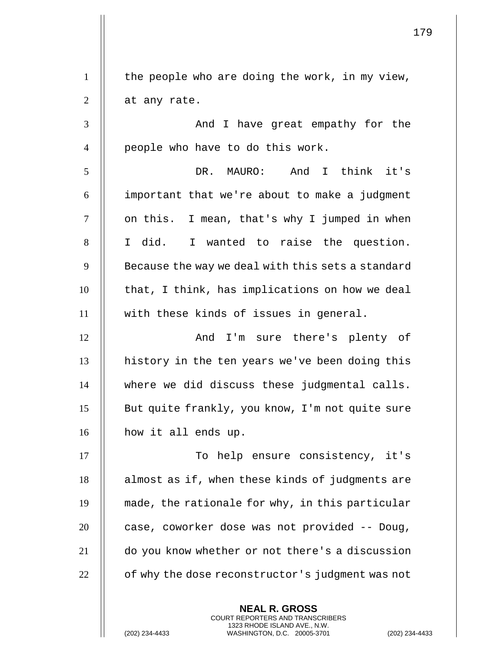**NEAL R. GROSS** COURT REPORTERS AND TRANSCRIBERS  $1 \parallel$  the people who are doing the work, in my view,  $2 \parallel$  at any rate. 3 And I have great empathy for the  $4 \parallel$  people who have to do this work. 5 DR. MAURO: And I think it's  $6$  || important that we're about to make a judgment 7 || on this. I mean, that's why I jumped in when 8 I did. I wanted to raise the question.  $9$   $\parallel$  Because the way we deal with this sets a standard  $10$  || that, I think, has implications on how we deal 11 with these kinds of issues in general. 12 And I'm sure there's plenty of 13 || history in the ten years we've been doing this 14 where we did discuss these judgmental calls. 15 || But quite frankly, you know, I'm not quite sure 16 | how it all ends up. 17 || To help ensure consistency, it's 18 || almost as if, when these kinds of judgments are 19 made, the rationale for why, in this particular 20  $\parallel$  case, coworker dose was not provided -- Doug, 21 do you know whether or not there's a discussion 22 | of why the dose reconstructor's judgment was not

1323 RHODE ISLAND AVE., N.W.

(202) 234-4433 WASHINGTON, D.C. 20005-3701 (202) 234-4433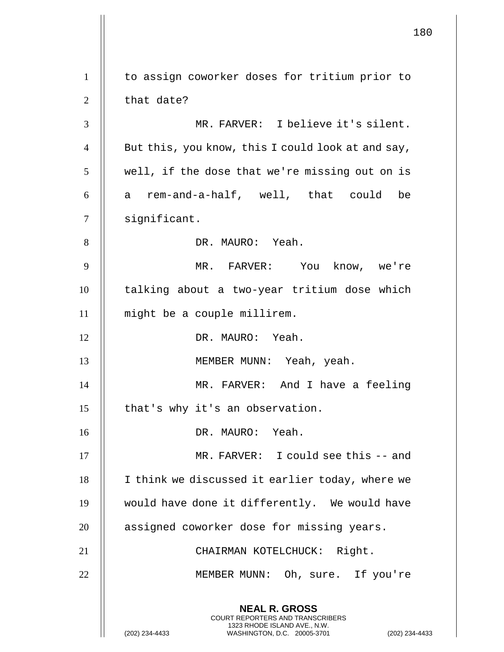**NEAL R. GROSS** COURT REPORTERS AND TRANSCRIBERS 1323 RHODE ISLAND AVE., N.W. (202) 234-4433 WASHINGTON, D.C. 20005-3701 (202) 234-4433 1 | to assign coworker doses for tritium prior to  $2 \parallel$  that date? 3 MR. FARVER: I believe it's silent.  $4 \parallel$  But this, you know, this I could look at and say, 5 || well, if the dose that we're missing out on is  $6 \parallel a$  rem-and-a-half, well, that could be 7 | significant. 8 || DR. MAURO: Yeah. 9 MR. FARVER: You know, we're 10 talking about a two-year tritium dose which 11 might be a couple millirem. 12 DR. MAURO: Yeah. 13 || MEMBER MUNN: Yeah, yeah. 14 MR. FARVER: And I have a feeling 15 || that's why it's an observation. 16 DR. MAURO: Yeah. 17 || MR. FARVER: I could see this -- and 18 || I think we discussed it earlier today, where we 19 would have done it differently. We would have 20 || assigned coworker dose for missing years. 21 CHAIRMAN KOTELCHUCK: Right. 22 || MEMBER MUNN: Oh, sure. If you're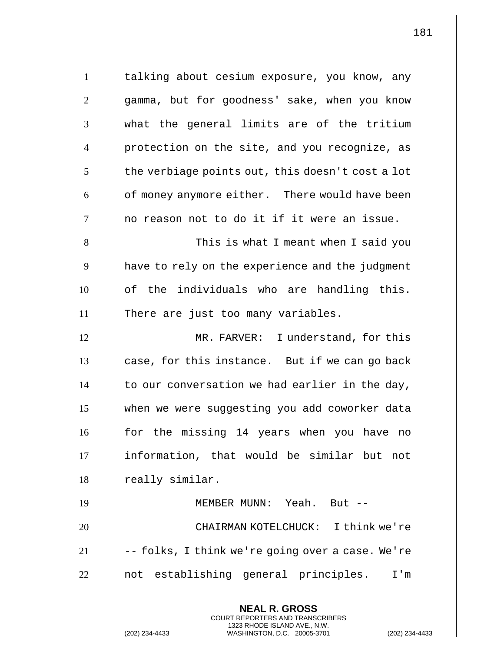**NEAL R. GROSS** COURT REPORTERS AND TRANSCRIBERS 1323 RHODE ISLAND AVE., N.W. 1 | talking about cesium exposure, you know, any 2 || qamma, but for goodness' sake, when you know 3 || what the general limits are of the tritium 4 protection on the site, and you recognize, as  $5 \parallel$  the verbiage points out, this doesn't cost a lot  $6 \parallel$  of money anymore either. There would have been  $7$   $\parallel$  no reason not to do it if it were an issue. 8 This is what I meant when I said you  $9$   $\parallel$  have to rely on the experience and the judgment 10 || of the individuals who are handling this. 11 || There are just too many variables. 12 MR. FARVER: I understand, for this  $13$  | case, for this instance. But if we can go back  $14$  | to our conversation we had earlier in the day, 15 when we were suggesting you add coworker data 16 || for the missing 14 years when you have no 17 information, that would be similar but not 18 | really similar. 19 MEMBER MUNN: Yeah. But -- 20 CHAIRMAN KOTELCHUCK: I think we're  $21$   $||$  -- folks, I think we're going over a case. We're 22 || not establishing general principles. I'm

(202) 234-4433 WASHINGTON, D.C. 20005-3701 (202) 234-4433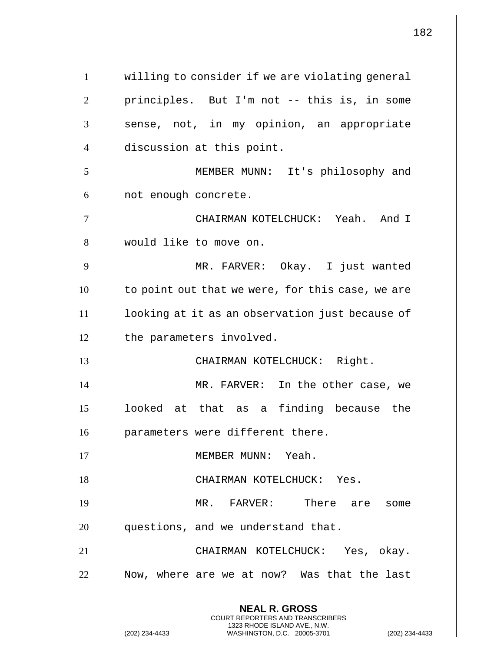**NEAL R. GROSS** COURT REPORTERS AND TRANSCRIBERS 1323 RHODE ISLAND AVE., N.W. (202) 234-4433 WASHINGTON, D.C. 20005-3701 (202) 234-4433 1 willing to consider if we are violating general 2 || principles. But I'm not -- this is, in some 3 || sense, not, in my opinion, an appropriate 4 | discussion at this point. 5 MEMBER MUNN: It's philosophy and  $6$  | not enough concrete. 7 CHAIRMAN KOTELCHUCK: Yeah. And I 8 would like to move on. 9 MR. FARVER: Okay. I just wanted  $10$  | to point out that we were, for this case, we are 11 looking at it as an observation just because of 12 | the parameters involved. 13 || CHAIRMAN KOTELCHUCK: Right. 14 MR. FARVER: In the other case, we 15 looked at that as a finding because the 16 | parameters were different there. 17 || MEMBER MUNN: Yeah. 18 || CHAIRMAN KOTELCHUCK: Yes. 19 MR. FARVER: There are some 20 | questions, and we understand that. 21 CHAIRMAN KOTELCHUCK: Yes, okay. 22 || Now, where are we at now? Was that the last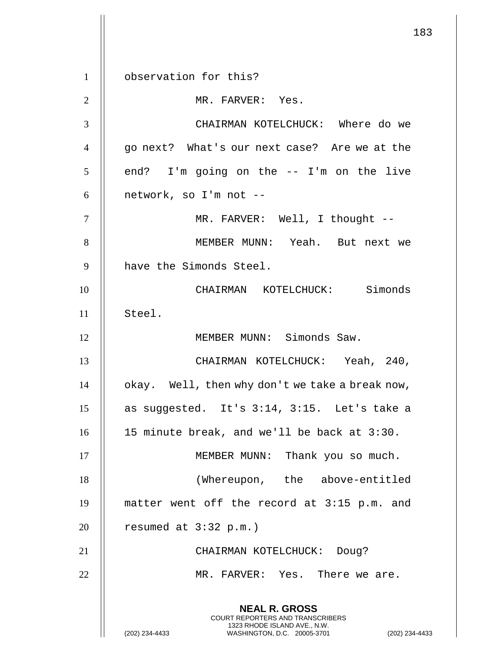**NEAL R. GROSS** COURT REPORTERS AND TRANSCRIBERS 1323 RHODE ISLAND AVE., N.W. (202) 234-4433 WASHINGTON, D.C. 20005-3701 (202) 234-4433 1 | observation for this? 2 || MR. FARVER: Yes. 3 CHAIRMAN KOTELCHUCK: Where do we 4 || go next? What's our next case? Are we at the  $5 \parallel$  end? I'm going on the -- I'm on the live  $6$  || network, so I'm not --7 MR. FARVER: Well, I thought -- 8 MEMBER MUNN: Yeah. But next we 9 | have the Simonds Steel. 10 CHAIRMAN KOTELCHUCK: Simonds 11 Steel. 12 || MEMBER MUNN: Simonds Saw. 13 CHAIRMAN KOTELCHUCK: Yeah, 240,  $14$  | okay. Well, then why don't we take a break now, 15  $\parallel$  as suggested. It's 3:14, 3:15. Let's take a 16 15 minute break, and we'll be back at 3:30. 17 || MEMBER MUNN: Thank you so much. 18 (Whereupon, the above-entitled 19 matter went off the record at 3:15 p.m. and 20  $\parallel$  resumed at 3:32 p.m.) 21 || CHAIRMAN KOTELCHUCK: Doug? 22 MR. FARVER: Yes. There we are.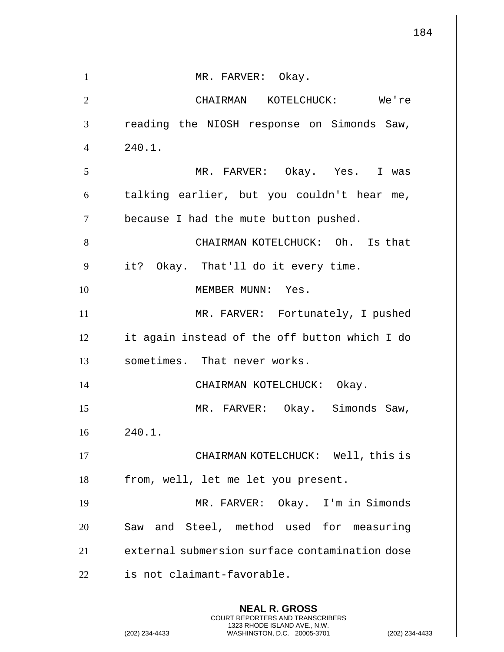|                | 184                                                                                                                                                                |
|----------------|--------------------------------------------------------------------------------------------------------------------------------------------------------------------|
|                |                                                                                                                                                                    |
| $\mathbf{1}$   | MR. FARVER: Okay.                                                                                                                                                  |
| $\mathbf{2}$   | CHAIRMAN KOTELCHUCK: We're                                                                                                                                         |
| 3              | reading the NIOSH response on Simonds Saw,                                                                                                                         |
| $\overline{4}$ | 240.1.                                                                                                                                                             |
| 5              | MR. FARVER: Okay. Yes. I was                                                                                                                                       |
| 6              | talking earlier, but you couldn't hear me,                                                                                                                         |
| $\tau$         | because I had the mute button pushed.                                                                                                                              |
| 8              | CHAIRMAN KOTELCHUCK: Oh. Is that                                                                                                                                   |
| 9              | it? Okay. That'll do it every time.                                                                                                                                |
| 10             | MEMBER MUNN: Yes.                                                                                                                                                  |
| 11             | MR. FARVER: Fortunately, I pushed                                                                                                                                  |
| 12             | it again instead of the off button which I do                                                                                                                      |
| 13             | sometimes. That never works.                                                                                                                                       |
| 14             | CHAIRMAN KOTELCHUCK: Okay.                                                                                                                                         |
| 15             | MR. FARVER: Okay. Simonds Saw,                                                                                                                                     |
| 16             | 240.1.                                                                                                                                                             |
| 17             | CHAIRMAN KOTELCHUCK: Well, this is                                                                                                                                 |
| 18             | from, well, let me let you present.                                                                                                                                |
| 19             | MR. FARVER: Okay. I'm in Simonds                                                                                                                                   |
| 20             | Saw and Steel, method used for measuring                                                                                                                           |
| 21             | external submersion surface contamination dose                                                                                                                     |
| 22             | is not claimant-favorable.                                                                                                                                         |
|                | <b>NEAL R. GROSS</b><br><b>COURT REPORTERS AND TRANSCRIBERS</b><br>1323 RHODE ISLAND AVE., N.W.<br>(202) 234-4433<br>WASHINGTON, D.C. 20005-3701<br>(202) 234-4433 |

 $\overline{4}$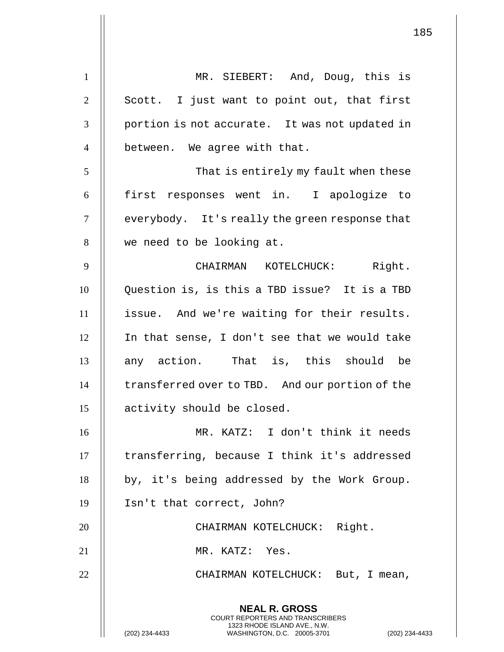**NEAL R. GROSS** COURT REPORTERS AND TRANSCRIBERS 1323 RHODE ISLAND AVE., N.W. 1 || MR. SIEBERT: And, Doug, this is  $2 \parallel$  Scott. I just want to point out, that first  $3 \parallel$  portion is not accurate. It was not updated in  $4 \parallel$  between. We agree with that. 5 || That is entirely my fault when these 6 first responses went in. I apologize to  $7$   $\parallel$  everybody. It's really the green response that 8 || we need to be looking at. 9 CHAIRMAN KOTELCHUCK: Right. 10 | Question is, is this a TBD issue? It is a TBD 11 issue. And we're waiting for their results. 12 In that sense, I don't see that we would take 13 any action. That is, this should be 14 | transferred over to TBD. And our portion of the 15 || activity should be closed. 16 MR. KATZ: I don't think it needs 17 || transferring, because I think it's addressed  $18$  | by, it's being addressed by the Work Group. 19 Isn't that correct, John? 20 || CHAIRMAN KOTELCHUCK: Right. 21 || MR. KATZ: Yes. 22 CHAIRMAN KOTELCHUCK: But, I mean,

(202) 234-4433 WASHINGTON, D.C. 20005-3701 (202) 234-4433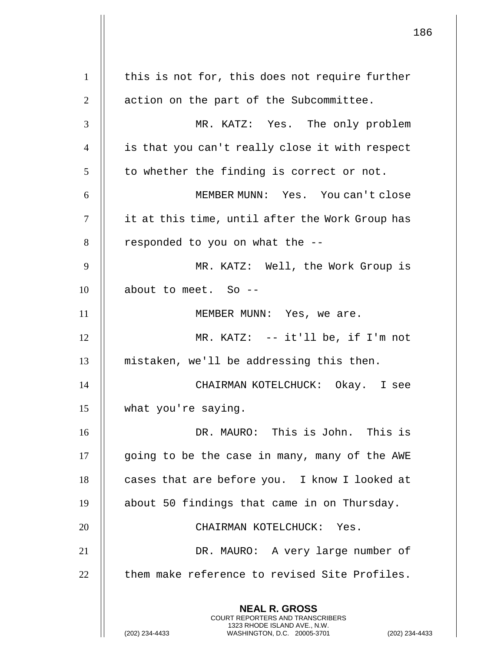**NEAL R. GROSS** COURT REPORTERS AND TRANSCRIBERS 1323 RHODE ISLAND AVE., N.W. (202) 234-4433 WASHINGTON, D.C. 20005-3701 (202) 234-4433 | this is not for, this does not require further 2 || action on the part of the Subcommittee. MR. KATZ: Yes. The only problem is that you can't really close it with respect | to whether the finding is correct or not. MEMBER MUNN: Yes. You can't close it at this time, until after the Work Group has || responded to you on what the  $-$ - MR. KATZ: Well, the Work Group is 10 | about to meet. So --11 || MEMBER MUNN: Yes, we are. MR. KATZ: -- it'll be, if I'm not mistaken, we'll be addressing this then. CHAIRMAN KOTELCHUCK: Okay. I see what you're saying. DR. MAURO: This is John. This is 17 | going to be the case in many, many of the AWE 18 | cases that are before you. I know I looked at about 50 findings that came in on Thursday. 20 || CHAIRMAN KOTELCHUCK: Yes. DR. MAURO: A very large number of  $\parallel$  them make reference to revised Site Profiles.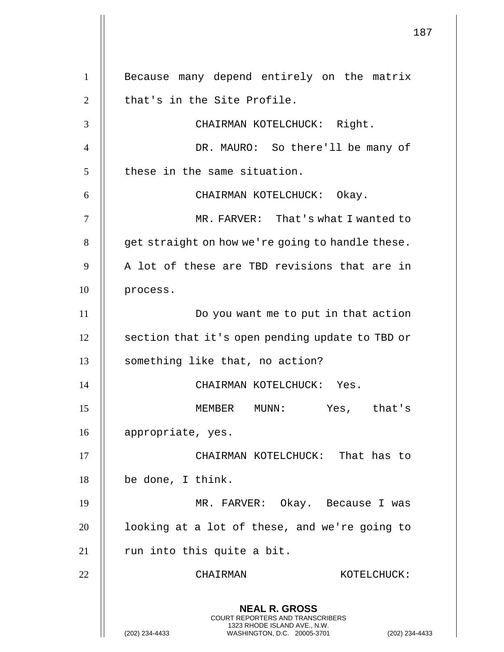**NEAL R. GROSS** COURT REPORTERS AND TRANSCRIBERS 1323 RHODE ISLAND AVE., N.W. (202) 234-4433 WASHINGTON, D.C. 20005-3701 (202) 234-4433 1 || Because many depend entirely on the matrix  $\parallel$  that's in the Site Profile. CHAIRMAN KOTELCHUCK: Right. DR. MAURO: So there'll be many of || these in the same situation. CHAIRMAN KOTELCHUCK: Okay. MR. FARVER: That's what I wanted to | get straight on how we're going to handle these.  $\parallel$  A lot of these are TBD revisions that are in 10 | process. Do you want me to put in that action 12 | section that it's open pending update to TBD or 13 || something like that, no action? CHAIRMAN KOTELCHUCK: Yes. MEMBER MUNN: Yes, that's appropriate, yes. 17 || CHAIRMAN KOTELCHUCK: That has to be done, I think. MR. FARVER: Okay. Because I was | looking at a lot of these, and we're going to || run into this quite a bit. 22 | CHAIRMAN KOTELCHUCK: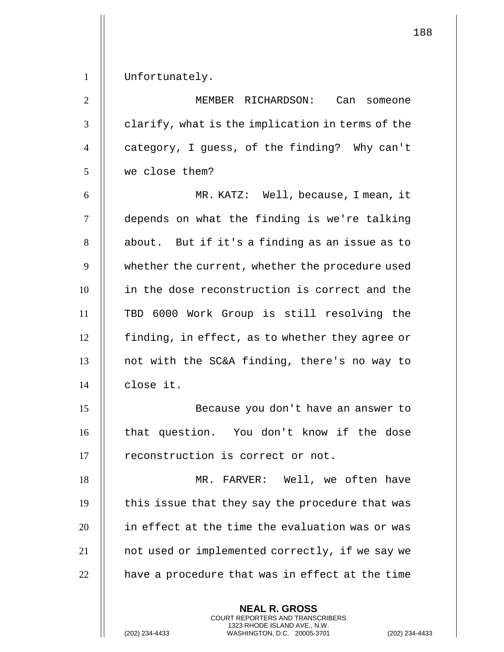1 | Unfortunately.

 MEMBER RICHARDSON: Can someone  $\parallel$  clarify, what is the implication in terms of the  $\parallel$  category, I guess, of the finding? Why can't we close them?

 MR. KATZ: Well, because, I mean, it 7 | depends on what the finding is we're talking | about. But if it's a finding as an issue as to 9 | whether the current, whether the procedure used 10 || in the dose reconstruction is correct and the TBD 6000 Work Group is still resolving the | finding, in effect, as to whether they agree or  $\parallel$  not with the SC&A finding, there's no way to close it.

15 Because you don't have an answer to 16 || that question. You don't know if the dose 17 || reconstruction is correct or not.

 MR. FARVER: Well, we often have | this issue that they say the procedure that was in effect at the time the evaluation was or was 21 | not used or implemented correctly, if we say we  $\parallel$  have a procedure that was in effect at the time

> **NEAL R. GROSS** COURT REPORTERS AND TRANSCRIBERS 1323 RHODE ISLAND AVE., N.W.

188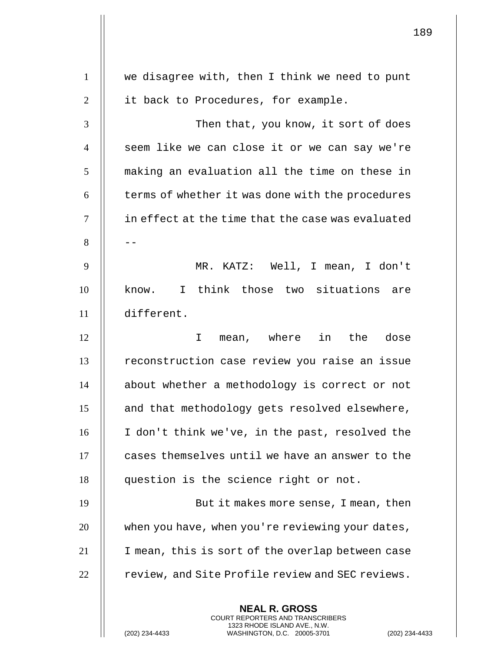|                | 189                                                                                                                                                         |  |
|----------------|-------------------------------------------------------------------------------------------------------------------------------------------------------------|--|
| $\mathbf{1}$   | we disagree with, then I think we need to punt                                                                                                              |  |
| $\overline{2}$ | it back to Procedures, for example.                                                                                                                         |  |
| 3              | Then that, you know, it sort of does                                                                                                                        |  |
| $\overline{4}$ | seem like we can close it or we can say we're                                                                                                               |  |
| 5              | making an evaluation all the time on these in                                                                                                               |  |
| 6              | terms of whether it was done with the procedures                                                                                                            |  |
| $\tau$         | in effect at the time that the case was evaluated                                                                                                           |  |
| 8              |                                                                                                                                                             |  |
| 9              | MR. KATZ: Well, I mean, I don't                                                                                                                             |  |
| 10             | know. I think those two situations are                                                                                                                      |  |
| 11             | different.                                                                                                                                                  |  |
| 12             | mean, where in the dose<br>I                                                                                                                                |  |
| 13             | reconstruction case review you raise an issue                                                                                                               |  |
| 14             | about whether a methodology is correct or not                                                                                                               |  |
| 15             | and that methodology gets resolved elsewhere,                                                                                                               |  |
| 16             | I don't think we've, in the past, resolved the                                                                                                              |  |
| 17             | cases themselves until we have an answer to the                                                                                                             |  |
| 18             | question is the science right or not.                                                                                                                       |  |
| 19             | But it makes more sense, I mean, then                                                                                                                       |  |
| 20             | when you have, when you're reviewing your dates,                                                                                                            |  |
| 21             | I mean, this is sort of the overlap between case                                                                                                            |  |
| 22             | review, and Site Profile review and SEC reviews.                                                                                                            |  |
|                | <b>NEAL R. GROSS</b><br>COURT REPORTERS AND TRANSCRIBERS<br>1323 RHODE ISLAND AVE., N.W.<br>(202) 234-4433<br>WASHINGTON, D.C. 20005-3701<br>(202) 234-4433 |  |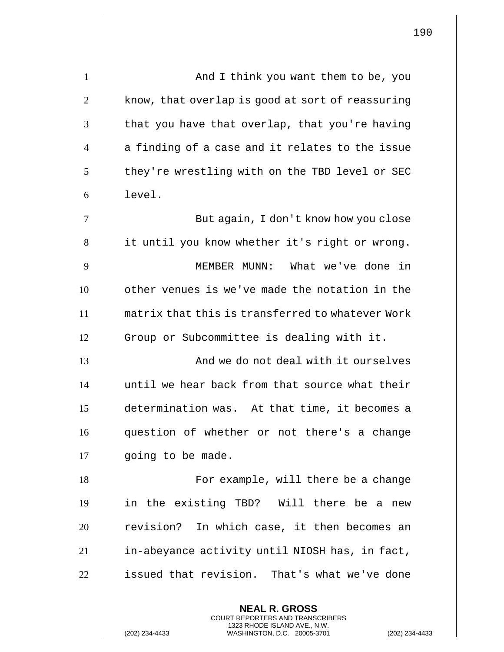| $\mathbf{1}$   | And I think you want them to be, you             |
|----------------|--------------------------------------------------|
| $\overline{2}$ | know, that overlap is good at sort of reassuring |
| 3              | that you have that overlap, that you're having   |
| $\overline{4}$ | a finding of a case and it relates to the issue  |
| 5              | they're wrestling with on the TBD level or SEC   |
| 6              | level.                                           |
| 7              | But again, I don't know how you close            |
| 8              | it until you know whether it's right or wrong.   |
| 9              | MEMBER MUNN: What we've done in                  |
| 10             | other venues is we've made the notation in the   |
| 11             | matrix that this is transferred to whatever Work |
| 12             | Group or Subcommittee is dealing with it.        |
| 13             | And we do not deal with it ourselves             |
| 14             | until we hear back from that source what their   |
| 15             | determination was. At that time, it becomes a    |
| 16             | question of whether or not there's a change      |
| 17             | going to be made.                                |
| 18             | For example, will there be a change              |
| 19             | in the existing TBD? Will there be a new         |
| 20             | revision? In which case, it then becomes an      |
| 21             | in-abeyance activity until NIOSH has, in fact,   |
| 22             | issued that revision. That's what we've done     |
|                |                                                  |

**NEAL R. GROSS** COURT REPORTERS AND TRANSCRIBERS 1323 RHODE ISLAND AVE., N.W.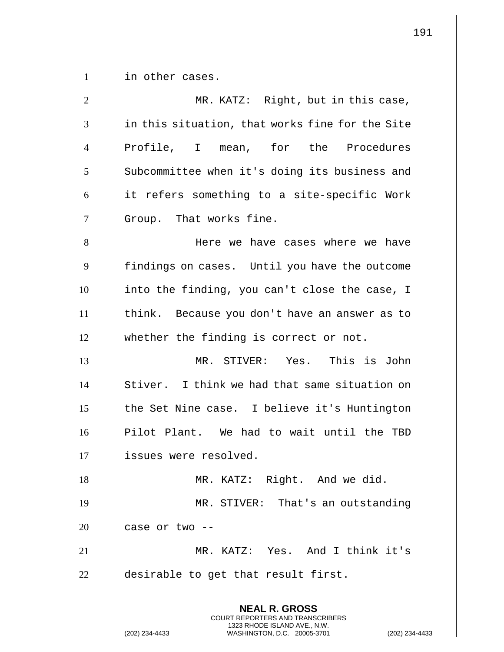$1 \parallel$  in other cases.

| $\overline{2}$ | MR. KATZ: Right, but in this case,                                                       |
|----------------|------------------------------------------------------------------------------------------|
| 3              | in this situation, that works fine for the Site                                          |
| $\overline{4}$ | Profile, I mean, for the Procedures                                                      |
| 5              | Subcommittee when it's doing its business and                                            |
| 6              | it refers something to a site-specific Work                                              |
| $\overline{7}$ | Group. That works fine.                                                                  |
| 8              | Here we have cases where we have                                                         |
| 9              | findings on cases. Until you have the outcome                                            |
| 10             | into the finding, you can't close the case, I                                            |
| 11             | think. Because you don't have an answer as to                                            |
| 12             | whether the finding is correct or not.                                                   |
| 13             | MR. STIVER: Yes. This is John                                                            |
| 14             | Stiver. I think we had that same situation on                                            |
| 15             | the Set Nine case. I believe it's Huntington                                             |
| 16             | Pilot Plant. We had to wait until the TBD                                                |
| 17             | issues were resolved.                                                                    |
| 18             | MR. KATZ: Right. And we did.                                                             |
| 19             | MR. STIVER: That's an outstanding                                                        |
| 20             | case or two --                                                                           |
| 21             | MR. KATZ: Yes. And I think it's                                                          |
| 22             | desirable to get that result first.                                                      |
|                |                                                                                          |
|                | <b>NEAL R. GROSS</b><br>COURT REPORTERS AND TRANSCRIBERS<br>1323 RHODE ISLAND AVE., N.W. |
|                | (202) 234-4433<br>WASHINGTON, D.C. 20005-3701<br>$(202)$ 234-4                           |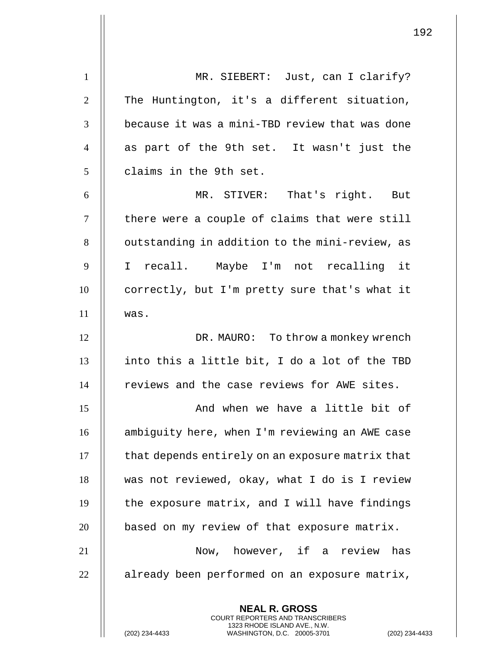**NEAL R. GROSS** 1 || MR. SIEBERT: Just, can I clarify?  $2$   $\parallel$  The Huntington, it's a different situation,  $3$   $\parallel$  because it was a mini-TBD review that was done  $4$   $\parallel$  as part of the 9th set. It wasn't just the 5 | claims in the 9th set. 6 MR. STIVER: That's right. But 7 | there were a couple of claims that were still 8 | outstanding in addition to the mini-review, as 9 I recall. Maybe I'm not recalling it 10 | correctly, but I'm pretty sure that's what it  $11$  was. 12 | DR. MAURO: To throw a monkey wrench  $13$  || into this a little bit, I do a lot of the TBD 14 || reviews and the case reviews for AWE sites. 15 And when we have a little bit of 16 ambiguity here, when I'm reviewing an AWE case 17 | that depends entirely on an exposure matrix that 18 was not reviewed, okay, what I do is I review  $19$   $\parallel$  the exposure matrix, and I will have findings  $20$  | based on my review of that exposure matrix. 21 Now, however, if a review has  $22$  | already been performed on an exposure matrix,

> COURT REPORTERS AND TRANSCRIBERS 1323 RHODE ISLAND AVE., N.W.

(202) 234-4433 WASHINGTON, D.C. 20005-3701 (202) 234-4433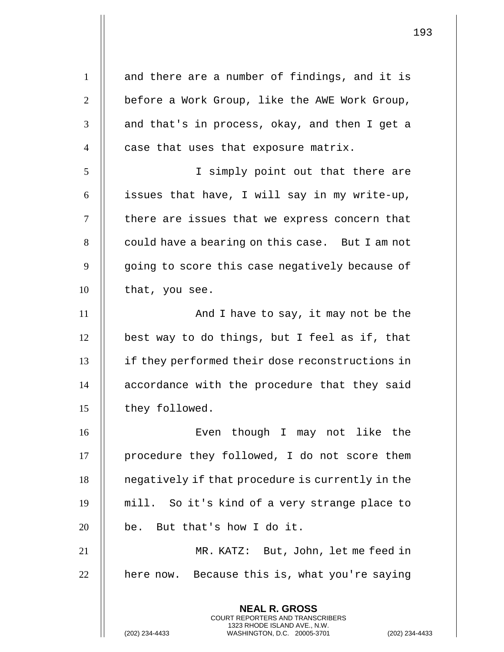**NEAL R. GROSS** COURT REPORTERS AND TRANSCRIBERS 1323 RHODE ISLAND AVE., N.W.  $1 \parallel$  and there are a number of findings, and it is  $2 \parallel$  before a Work Group, like the AWE Work Group,  $3 \parallel$  and that's in process, okay, and then I get a  $4$   $\parallel$  case that uses that exposure matrix. 5 I simply point out that there are 6  $\parallel$  issues that have, I will say in my write-up, 7 || there are issues that we express concern that 8 | could have a bearing on this case. But I am not  $9$   $\parallel$  going to score this case negatively because of 10 | that, you see. 11 || **And I have to say, it may not be the**  $12$  | best way to do things, but I feel as if, that 13 if they performed their dose reconstructions in 14 || accordance with the procedure that they said 15 | they followed. 16 Even though I may not like the 17 | procedure they followed, I do not score them 18 | negatively if that procedure is currently in the 19 mill. So it's kind of a very strange place to  $20$  || be. But that's how I do it. 21 MR. KATZ: But, John, let me feed in  $22$  | here now. Because this is, what you're saying

(202) 234-4433 WASHINGTON, D.C. 20005-3701 (202) 234-4433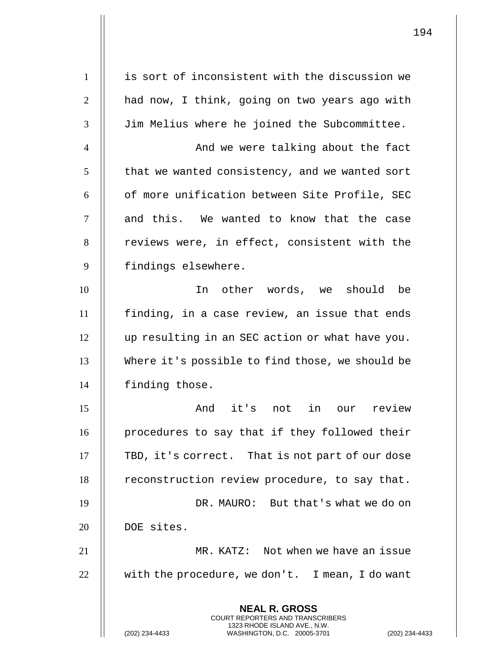**NEAL R. GROSS** COURT REPORTERS AND TRANSCRIBERS 1323 RHODE ISLAND AVE., N.W. (202) 234-4433 WASHINGTON, D.C. 20005-3701 (202) 234-4433 1 | is sort of inconsistent with the discussion we  $2 \parallel$  had now, I think, going on two years ago with 3 Jim Melius where he joined the Subcommittee. 4 And we were talking about the fact  $5$   $\parallel$  that we wanted consistency, and we wanted sort  $6$   $\parallel$  of more unification between Site Profile, SEC 7 || and this. We wanted to know that the case 8 | reviews were, in effect, consistent with the 9 | findings elsewhere. 10 In other words, we should be 11 finding, in a case review, an issue that ends 12 up resulting in an SEC action or what have you. 13 Where it's possible to find those, we should be 14 | finding those. 15 And it's not in our review 16 || procedures to say that if they followed their 17  $\parallel$  TBD, it's correct. That is not part of our dose  $18$  | reconstruction review procedure, to say that. 19 DR. MAURO: But that's what we do on 20 || DOE sites. 21 MR. KATZ: Not when we have an issue  $22$  | with the procedure, we don't. I mean, I do want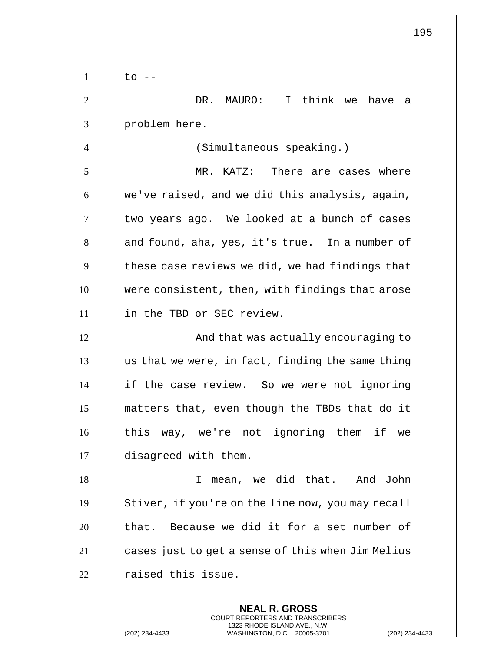|                | 195                                               |
|----------------|---------------------------------------------------|
| $\mathbf{1}$   | to -                                              |
| $\overline{2}$ | I think we have<br>DR. MAURO:<br>a                |
| 3              | problem here.                                     |
| 4              | (Simultaneous speaking.)                          |
| 5              | MR. KATZ:<br>There are cases where                |
| 6              | we've raised, and we did this analysis, again,    |
| 7              | two years ago. We looked at a bunch of cases      |
| 8              | and found, aha, yes, it's true. In a number of    |
| 9              | these case reviews we did, we had findings that   |
| 10             | were consistent, then, with findings that arose   |
| 11             | in the TBD or SEC review.                         |
| 12             | And that was actually encouraging to              |
| 13             | us that we were, in fact, finding the same thing  |
| 14             | if the case review. So we were not ignoring       |
| 15             | matters that, even though the TBDs that do it     |
| 16             | this way, we're not ignoring them if we           |
| 17             | disagreed with them.                              |
| 18             | mean, we did that. And John<br>I.                 |
| 19             | Stiver, if you're on the line now, you may recall |
| 20             | that. Because we did it for a set number of       |
| 21             | cases just to get a sense of this when Jim Melius |
| 22             | raised this issue.                                |
|                |                                                   |

**NEAL R. GROSS** COURT REPORTERS AND TRANSCRIBERS 1323 RHODE ISLAND AVE., N.W.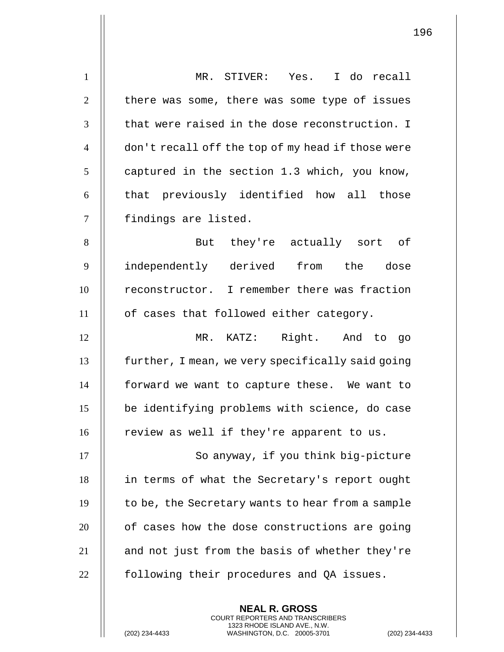| $\mathbf{1}$   | MR. STIVER: Yes. I do recall                      |
|----------------|---------------------------------------------------|
| $\overline{2}$ | there was some, there was some type of issues     |
| 3              | that were raised in the dose reconstruction. I    |
| $\overline{4}$ | don't recall off the top of my head if those were |
| 5              | captured in the section 1.3 which, you know,      |
| 6              | that previously identified how all those          |
| $\overline{7}$ | findings are listed.                              |
| 8              | But they're actually sort of                      |
| 9              | independently derived<br>from the dose            |
| 10             | reconstructor. I remember there was fraction      |
| 11             | of cases that followed either category.           |
| 12             | MR. KATZ: Right. And to go                        |
| 13             | further, I mean, we very specifically said going  |
| 14             | forward we want to capture these. We want to      |
| 15             | be identifying problems with science, do case     |
| 16             | review as well if they're apparent to us.         |
| 17             | So anyway, if you think big-picture               |
| 18             | in terms of what the Secretary's report ought     |
| 19             | to be, the Secretary wants to hear from a sample  |
| 20             | of cases how the dose constructions are going     |
| 21             | and not just from the basis of whether they're    |
| 22             | following their procedures and QA issues.         |
|                |                                                   |

**NEAL R. GROSS** COURT REPORTERS AND TRANSCRIBERS 1323 RHODE ISLAND AVE., N.W.

(202) 234-4433 WASHINGTON, D.C. 20005-3701 (202) 234-4433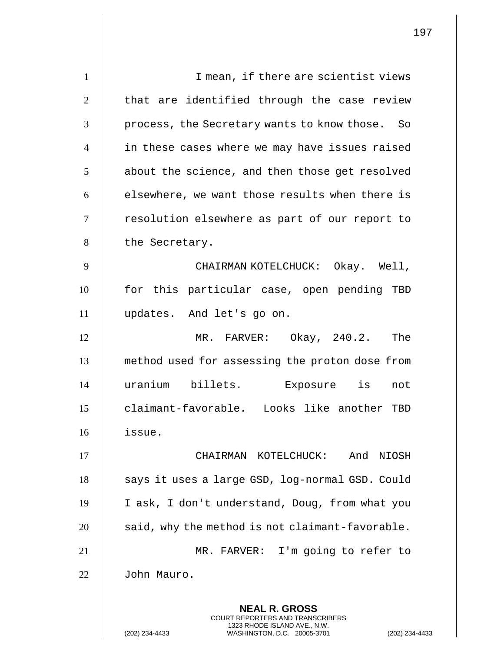**NEAL R. GROSS** COURT REPORTERS AND TRANSCRIBERS 1323 RHODE ISLAND AVE., N.W. 1 || I mean, if there are scientist views  $2$   $\parallel$  that are identified through the case review 3 || process, the Secretary wants to know those. So 4 || in these cases where we may have issues raised  $5$  | about the science, and then those get resolved  $6$   $\parallel$  elsewhere, we want those results when there is 7 | resolution elsewhere as part of our report to 8 | the Secretary. 9 CHAIRMAN KOTELCHUCK: Okay. Well, 10 || for this particular case, open pending TBD 11 updates. And let's go on. 12 MR. FARVER: Okay, 240.2. The 13 method used for assessing the proton dose from 14 uranium billets. Exposure is not 15 claimant-favorable. Looks like another TBD 16 issue. 17 CHAIRMAN KOTELCHUCK: And NIOSH 18 | says it uses a large GSD, log-normal GSD. Could 19 I ask, I don't understand, Doug, from what you  $20$  | said, why the method is not claimant-favorable. 21 MR. FARVER: I'm going to refer to 22 John Mauro.

(202) 234-4433 WASHINGTON, D.C. 20005-3701 (202) 234-4433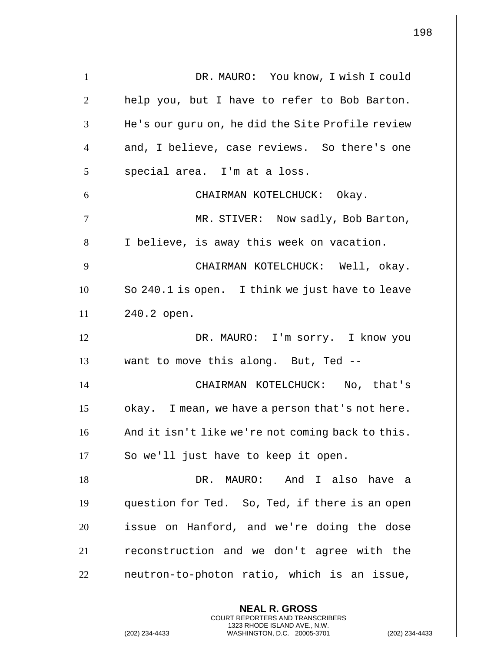| $\mathbf{1}$   | DR. MAURO: You know, I wish I could                                                            |
|----------------|------------------------------------------------------------------------------------------------|
| 2              | help you, but I have to refer to Bob Barton.                                                   |
| 3              | He's our guru on, he did the Site Profile review                                               |
| $\overline{4}$ | and, I believe, case reviews. So there's one                                                   |
| 5              | special area. I'm at a loss.                                                                   |
| 6              | CHAIRMAN KOTELCHUCK: Okay.                                                                     |
| $\tau$         | MR. STIVER: Now sadly, Bob Barton,                                                             |
| 8              | I believe, is away this week on vacation.                                                      |
| 9              | CHAIRMAN KOTELCHUCK: Well, okay.                                                               |
| 10             | So 240.1 is open. I think we just have to leave                                                |
| 11             | 240.2 open.                                                                                    |
| 12             | DR. MAURO: I'm sorry. I know you                                                               |
| 13             | want to move this along. But, Ted --                                                           |
| 14             | CHAIRMAN KOTELCHUCK: No, that's                                                                |
| 15             | okay. I mean, we have a person that's not here.                                                |
| 16             | And it isn't like we're not coming back to this.                                               |
| 17             | So we'll just have to keep it open.                                                            |
| 18             | DR. MAURO: And I also have a                                                                   |
| 19             | question for Ted. So, Ted, if there is an open                                                 |
| 20             | issue on Hanford, and we're doing the dose                                                     |
| 21             | reconstruction and we don't agree with the                                                     |
| 22             | neutron-to-photon ratio, which is an issue,                                                    |
|                | <b>NEAL R. GROSS</b><br>COURT REPORTERS AND TRANSCRIBERS                                       |
|                | 1323 RHODE ISLAND AVE., N.W.<br>(202) 234-4433<br>WASHINGTON, D.C. 20005-3701<br>$(202)$ 234-4 |

 $\overline{\phantom{a}}$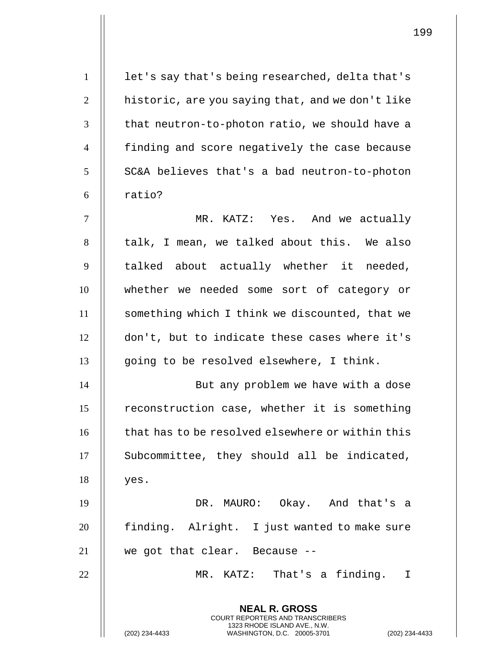**NEAL R. GROSS** COURT REPORTERS AND TRANSCRIBERS 1323 RHODE ISLAND AVE., N.W. 1 | let's say that's being researched, delta that's 2  $\parallel$  historic, are you saying that, and we don't like  $3$   $\parallel$  that neutron-to-photon ratio, we should have a 4 finding and score negatively the case because  $5$  | SC&A believes that's a bad neutron-to-photon  $6 \parallel$  ratio? 7 MR. KATZ: Yes. And we actually 8 || talk, I mean, we talked about this. We also  $9$   $\parallel$  talked about actually whether it needed, 10 whether we needed some sort of category or 11 something which I think we discounted, that we 12 don't, but to indicate these cases where it's 13 || going to be resolved elsewhere, I think. 14 || But any problem we have with a dose 15 | reconstruction case, whether it is something  $16$   $\parallel$  that has to be resolved elsewhere or within this 17 || Subcommittee, they should all be indicated,  $18$  | yes. 19 DR. MAURO: Okay. And that's a 20 || finding. Alright. I just wanted to make sure 21 we got that clear. Because -- 22 || MR. KATZ: That's a finding. I

(202) 234-4433 WASHINGTON, D.C. 20005-3701 (202) 234-4433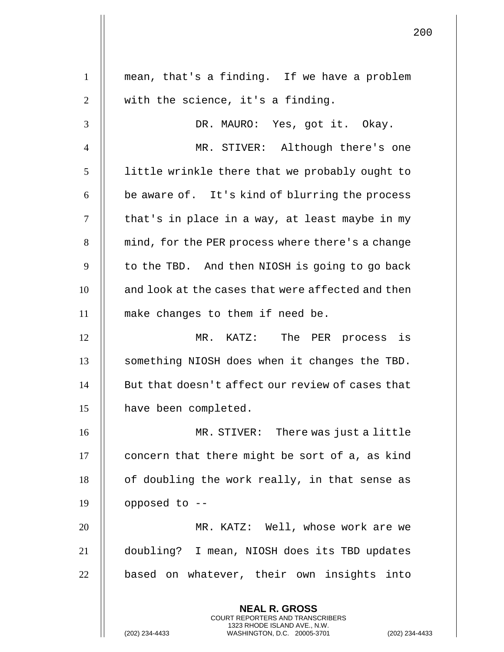**NEAL R. GROSS** COURT REPORTERS AND TRANSCRIBERS 1 mean, that's a finding. If we have a problem  $2 \parallel$  with the science, it's a finding. 3 DR. MAURO: Yes, got it. Okay. 4 MR. STIVER: Although there's one 5 | little wrinkle there that we probably ought to  $6 \parallel$  be aware of. It's kind of blurring the process  $7 \parallel$  that's in place in a way, at least maybe in my 8 | mind, for the PER process where there's a change  $9$   $\parallel$  to the TBD. And then NIOSH is going to go back 10 || and look at the cases that were affected and then 11 make changes to them if need be. 12 MR. KATZ: The PER process is 13 || something NIOSH does when it changes the TBD.  $14$   $\parallel$  But that doesn't affect our review of cases that 15 | have been completed. 16 MR. STIVER: There was just a little  $17$  | concern that there might be sort of a, as kind  $18$  | of doubling the work really, in that sense as 19  $\parallel$  opposed to --20 MR. KATZ: Well, whose work are we 21 doubling? I mean, NIOSH does its TBD updates 22 || based on whatever, their own insights into

1323 RHODE ISLAND AVE., N.W.

(202) 234-4433 WASHINGTON, D.C. 20005-3701 (202) 234-4433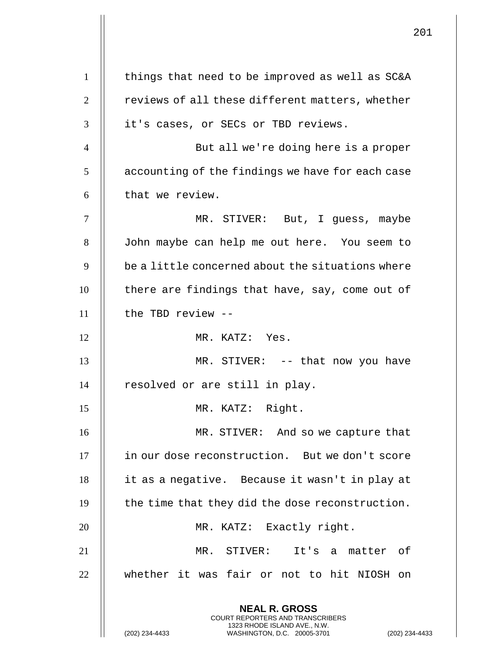| $\mathbf{1}$   | things that need to be improved as well as SC&A                                                                                                                   |
|----------------|-------------------------------------------------------------------------------------------------------------------------------------------------------------------|
| $\overline{2}$ | reviews of all these different matters, whether                                                                                                                   |
| 3              | it's cases, or SECs or TBD reviews.                                                                                                                               |
| $\overline{4}$ | But all we're doing here is a proper                                                                                                                              |
| 5              | accounting of the findings we have for each case                                                                                                                  |
| 6              | that we review.                                                                                                                                                   |
| $\tau$         | MR. STIVER: But, I guess, maybe                                                                                                                                   |
| 8              | John maybe can help me out here. You seem to                                                                                                                      |
| 9              | be a little concerned about the situations where                                                                                                                  |
| 10             | there are findings that have, say, come out of                                                                                                                    |
| 11             | the TBD review --                                                                                                                                                 |
| 12             | MR. KATZ: Yes.                                                                                                                                                    |
| 13             | MR. STIVER: -- that now you have                                                                                                                                  |
| 14             | resolved or are still in play.                                                                                                                                    |
| 15             | MR. KATZ: Right.                                                                                                                                                  |
| 16             | MR. STIVER: And so we capture that                                                                                                                                |
| 17             | in our dose reconstruction. But we don't score                                                                                                                    |
| 18             | it as a negative. Because it wasn't in play at                                                                                                                    |
| 19             | the time that they did the dose reconstruction.                                                                                                                   |
| 20             | MR. KATZ: Exactly right.                                                                                                                                          |
| 21             | MR. STIVER: It's a matter of                                                                                                                                      |
| 22             | whether it was fair or not to hit NIOSH on                                                                                                                        |
|                | <b>NEAL R. GROSS</b><br><b>COURT REPORTERS AND TRANSCRIBERS</b><br>1323 RHODE ISLAND AVE., N.W.<br>(202) 234-4433<br>WASHINGTON, D.C. 20005-3701<br>$(202)$ 234-4 |

 $\mathop{||}$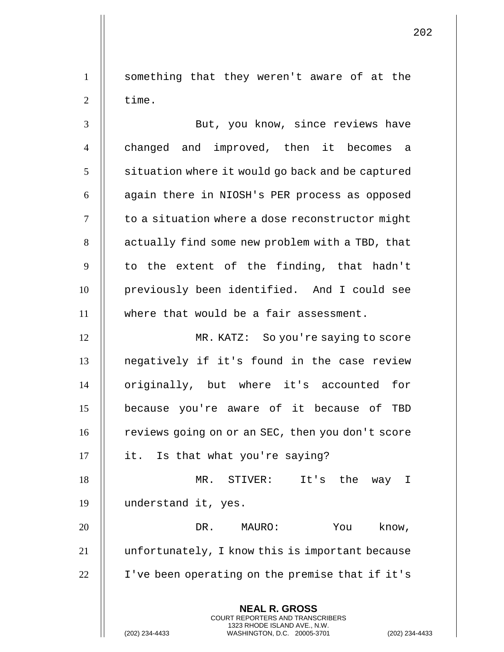1 something that they weren't aware of at the  $2 \parallel$  time.

3 But, you know, since reviews have 4 || changed and improved, then it becomes a  $5 \parallel$  situation where it would go back and be captured  $6$  | again there in NIOSH's PER process as opposed 7 | to a situation where a dose reconstructor might 8 | actually find some new problem with a TBD, that  $9 \parallel$  to the extent of the finding, that hadn't 10 previously been identified. And I could see 11 where that would be a fair assessment.

12 MR. KATZ: So you're saying to score 13 negatively if it's found in the case review 14 || originally, but where it's accounted for 15 because you're aware of it because of TBD 16 | reviews going on or an SEC, then you don't score 17 || it. Is that what you're saying?

18 MR. STIVER: It's the way I 19 understand it, yes.

20 DR. MAURO: You know, 21 | unfortunately, I know this is important because 22 | I've been operating on the premise that if it's

> **NEAL R. GROSS** COURT REPORTERS AND TRANSCRIBERS 1323 RHODE ISLAND AVE., N.W.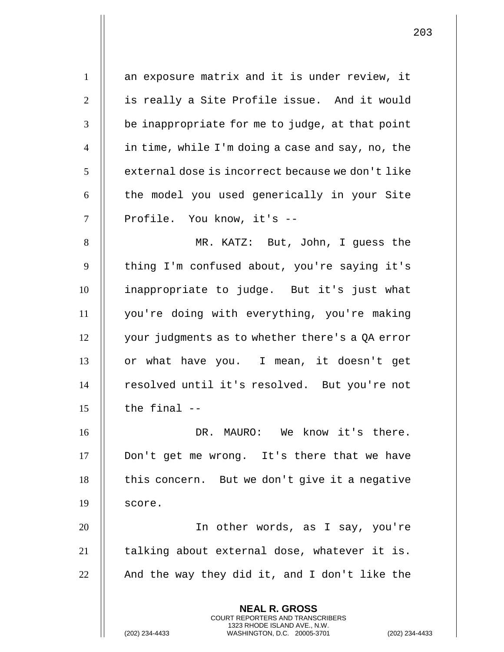**NEAL R. GROSS** COURT REPORTERS AND TRANSCRIBERS 1 || an exposure matrix and it is under review, it 2 | is really a Site Profile issue. And it would  $3 \parallel$  be inappropriate for me to judge, at that point 4 in time, while I'm doing a case and say, no, the  $5 \parallel$  external dose is incorrect because we don't like 6 | the model you used generically in your Site 7 || Profile. You know, it's --8 || MR. KATZ: But, John, I quess the 9 || thing I'm confused about, you're saying it's 10 inappropriate to judge. But it's just what 11 you're doing with everything, you're making 12 your judgments as to whether there's a QA error 13 || or what have you. I mean, it doesn't get 14 || resolved until it's resolved. But you're not  $15$   $\parallel$  the final  $-$ 16 DR. MAURO: We know it's there. 17 Don't get me wrong. It's there that we have  $18$  | this concern. But we don't give it a negative  $19$  score. 20 In other words, as I say, you're  $21$  || talking about external dose, whatever it is. 22  $\parallel$  And the way they did it, and I don't like the

1323 RHODE ISLAND AVE., N.W.

(202) 234-4433 WASHINGTON, D.C. 20005-3701 (202) 234-4433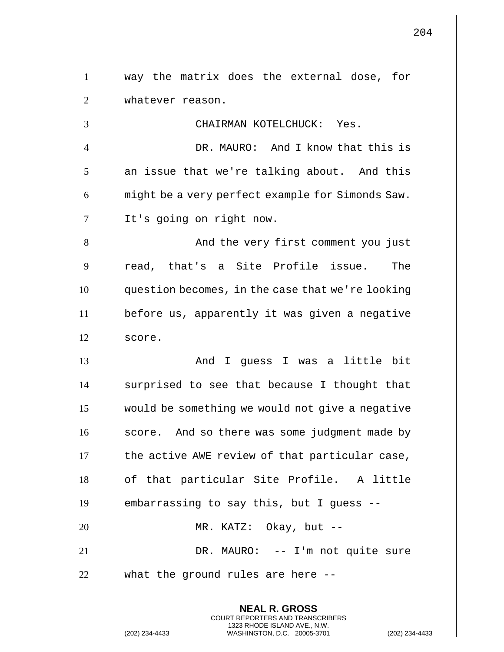**NEAL R. GROSS** COURT REPORTERS AND TRANSCRIBERS 1323 RHODE ISLAND AVE., N.W. 1 way the matrix does the external dose, for 2 | whatever reason. 3 CHAIRMAN KOTELCHUCK: Yes. 4 DR. MAURO: And I know that this is  $5$  || an issue that we're talking about. And this  $6$   $\parallel$  might be a very perfect example for Simonds Saw. 7 It's going on right now. 8 And the very first comment you just 9 || read, that's a Site Profile issue. The 10 question becomes, in the case that we're looking 11 before us, apparently it was given a negative 12 | score. 13 And I guess I was a little bit 14 | surprised to see that because I thought that 15 would be something we would not give a negative 16 || score. And so there was some judgment made by  $17$   $\parallel$  the active AWE review of that particular case, 18 || of that particular Site Profile. A little 19  $\parallel$  embarrassing to say this, but I guess --20 || MR. KATZ: Okay, but --21 DR. MAURO: -- I'm not quite sure  $22$   $\parallel$  what the ground rules are here --

(202) 234-4433 WASHINGTON, D.C. 20005-3701 (202) 234-4433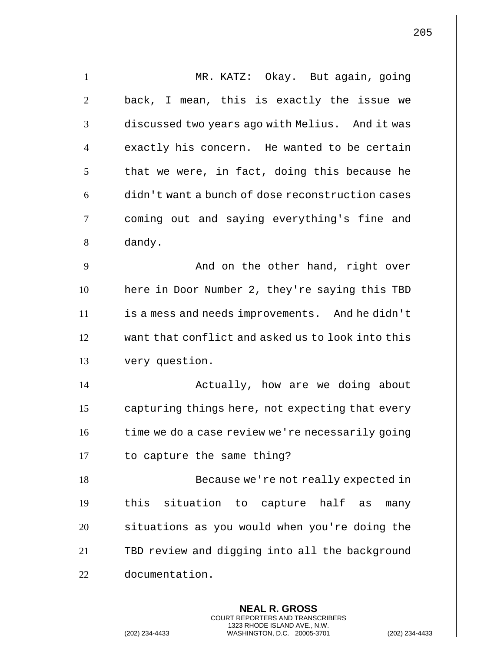| $\mathbf{1}$   | MR. KATZ: Okay. But again, going                         |
|----------------|----------------------------------------------------------|
| $\overline{2}$ | back, I mean, this is exactly the issue we               |
| 3              | discussed two years ago with Melius. And it was          |
| $\overline{4}$ | exactly his concern. He wanted to be certain             |
| 5              | that we were, in fact, doing this because he             |
| 6              | didn't want a bunch of dose reconstruction cases         |
| $\tau$         | coming out and saying everything's fine and              |
| 8              | dandy.                                                   |
| 9              | And on the other hand, right over                        |
| 10             | here in Door Number 2, they're saying this TBD           |
| 11             | is a mess and needs improvements. And he didn't          |
| 12             | want that conflict and asked us to look into this        |
| 13             | very question.                                           |
| 14             | Actually, how are we doing about                         |
| 15             | capturing things here, not expecting that every          |
| 16             | time we do a case review we're necessarily going         |
| 17             | to capture the same thing?                               |
| 18             | Because we're not really expected in                     |
| 19             | this situation to capture half<br>as<br>many             |
| 20             | situations as you would when you're doing the            |
| 21             | TBD review and digging into all the background           |
| 22             | documentation.                                           |
|                | <b>NEAL R. GROSS</b><br>COURT REPORTERS AND TRANSCRIBERS |

1323 RHODE ISLAND AVE., N.W.

(202) 234-4433 WASHINGTON, D.C. 20005-3701 (202) 234-4433

 $\prod$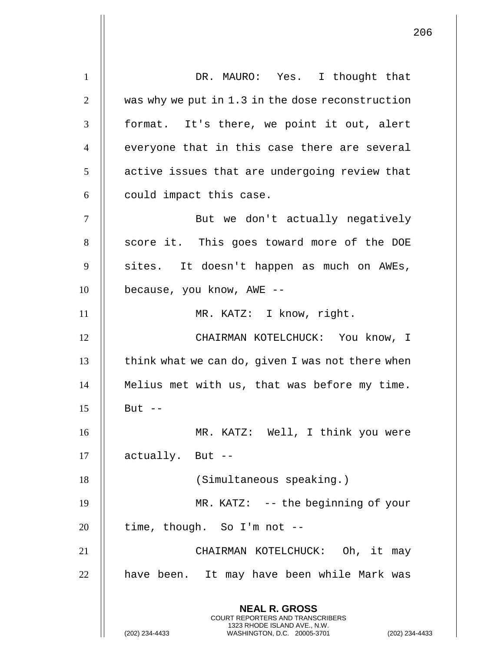**NEAL R. GROSS** COURT REPORTERS AND TRANSCRIBERS 1323 RHODE ISLAND AVE., N.W. 1 || DR. MAURO: Yes. I thought that 2  $\parallel$  was why we put in 1.3 in the dose reconstruction 3 || format. It's there, we point it out, alert  $4$   $\parallel$  everyone that in this case there are several  $5$  | active issues that are undergoing review that  $6$  || could impact this case. 7 || But we don't actually negatively 8 || score it. This goes toward more of the DOE 9 || sites. It doesn't happen as much on AWEs,  $10$  | because, you know, AWE --11 || MR. KATZ: I know, right. 12 CHAIRMAN KOTELCHUCK: You know, I  $13$   $\parallel$  think what we can do, given I was not there when 14 Melius met with us, that was before my time.  $15$   $\parallel$  But  $-$ 16 || MR. KATZ: Well, I think you were  $17$  || actually. But  $-$ 18 || (Simultaneous speaking.) 19 || MR. KATZ: -- the beginning of your  $20$  | time, though. So I'm not --21 CHAIRMAN KOTELCHUCK: Oh, it may 22 || have been. It may have been while Mark was

(202) 234-4433 WASHINGTON, D.C. 20005-3701 (202) 234-4433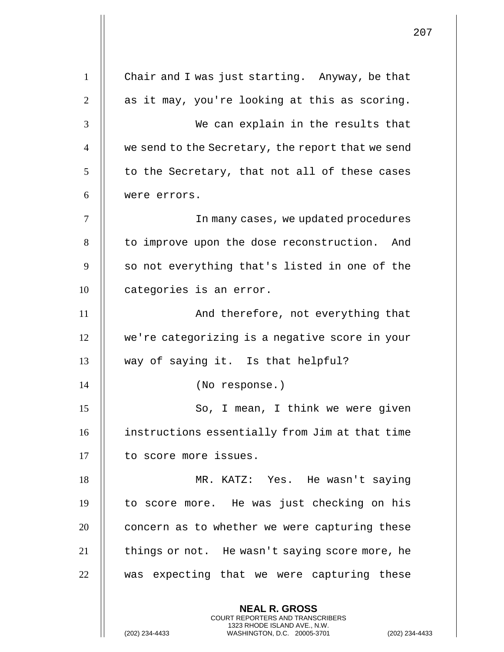**NEAL R. GROSS** COURT REPORTERS AND TRANSCRIBERS 1323 RHODE ISLAND AVE., N.W. 1 Chair and I was just starting. Anyway, be that  $2 \parallel$  as it may, you're looking at this as scoring. 3 We can explain in the results that 4 | we send to the Secretary, the report that we send  $5$  || to the Secretary, that not all of these cases 6 were errors. 7 In many cases, we updated procedures 8 | to improve upon the dose reconstruction. And  $9$   $\parallel$  so not everything that's listed in one of the 10 | categories is an error. 11 || **And therefore, not everything that** 12 we're categorizing is a negative score in your 13 way of saying it. Is that helpful? 14 (No response.) 15 So, I mean, I think we were given 16 | instructions essentially from Jim at that time 17 | to score more issues. 18 || MR. KATZ: Yes. He wasn't saying 19 to score more. He was just checking on his  $20$   $\parallel$  concern as to whether we were capturing these 21 | things or not. He wasn't saying score more, he  $22$   $\parallel$  was expecting that we were capturing these

(202) 234-4433 WASHINGTON, D.C. 20005-3701 (202) 234-4433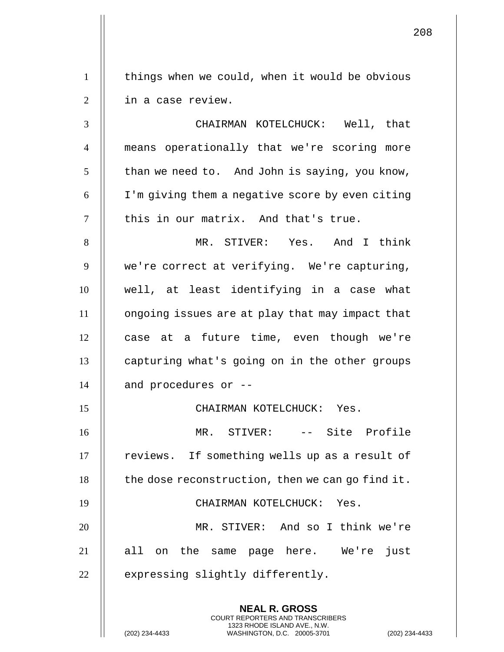1 | things when we could, when it would be obvious 2 | in a case review.

 CHAIRMAN KOTELCHUCK: Well, that means operationally that we're scoring more | than we need to. And John is saying, you know,  $6 \parallel$  I'm giving them a negative score by even citing  $\parallel$  this in our matrix. And that's true.

8 MR. STIVER: Yes. And I think 9 | we're correct at verifying. We're capturing, 10 well, at least identifying in a case what 11 ongoing issues are at play that may impact that 12 || case at a future time, even though we're 13 | capturing what's going on in the other groups  $14$  || and procedures or  $-$ 

15 CHAIRMAN KOTELCHUCK: Yes.

**NEAL R. GROSS** COURT REPORTERS AND TRANSCRIBERS 1323 RHODE ISLAND AVE., N.W.

 MR. STIVER: -- Site Profile 17 | reviews. If something wells up as a result of | the dose reconstruction, then we can go find it. CHAIRMAN KOTELCHUCK: Yes. MR. STIVER: And so I think we're 21 || all on the same page here. We're just

 $22$   $\parallel$  expressing slightly differently.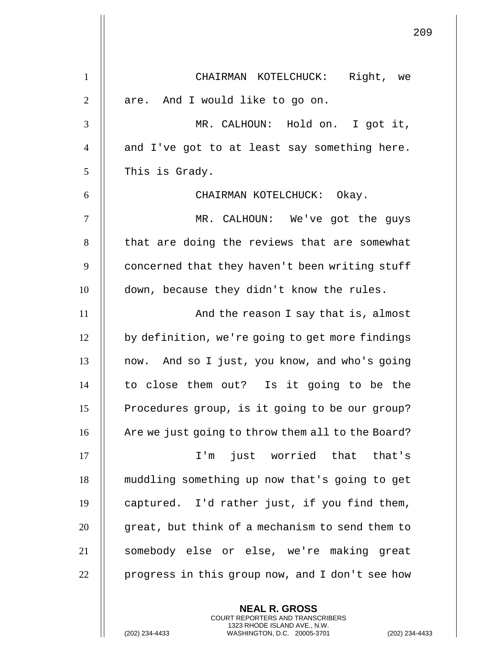|                | 209                                               |
|----------------|---------------------------------------------------|
| $\mathbf{1}$   | CHAIRMAN KOTELCHUCK: Right, we                    |
| $\overline{2}$ | are. And I would like to go on.                   |
| 3              | MR. CALHOUN: Hold on. I got it,                   |
| $\overline{4}$ | and I've got to at least say something here.      |
| 5              | This is Grady.                                    |
| 6              | CHAIRMAN KOTELCHUCK: Okay.                        |
| $\tau$         | MR. CALHOUN: We've got the guys                   |
| 8              | that are doing the reviews that are somewhat      |
| 9              | concerned that they haven't been writing stuff    |
| 10             | down, because they didn't know the rules.         |
| 11             | And the reason I say that is, almost              |
| 12             | by definition, we're going to get more findings   |
| 13             | And so I just, you know, and who's going<br>now.  |
| 14             | to close them out? Is it going to be the          |
| 15             | Procedures group, is it going to be our group?    |
| 16             | Are we just going to throw them all to the Board? |
| 17             | just worried that that's<br>$I'$ m                |
| 18             | muddling something up now that's going to get     |
| 19             | captured. I'd rather just, if you find them,      |
| 20             | great, but think of a mechanism to send them to   |
| 21             | somebody else or else, we're making great         |
| 22             | progress in this group now, and I don't see how   |

**NEAL R. GROSS** COURT REPORTERS AND TRANSCRIBERS 1323 RHODE ISLAND AVE., N.W.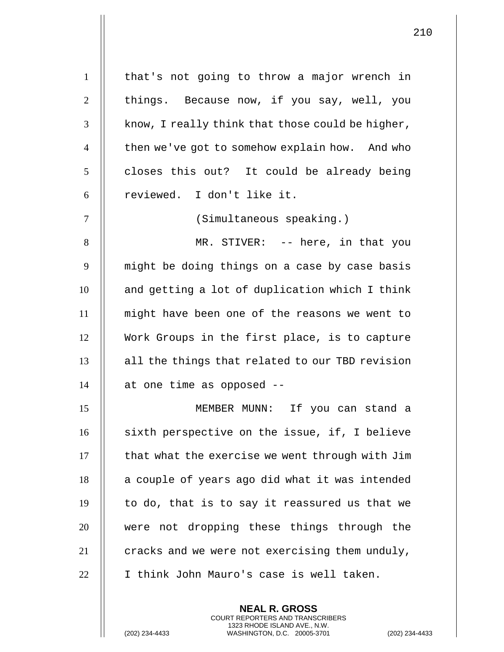1 | that's not going to throw a major wrench in  $2 \parallel$  things. Because now, if you say, well, you  $3$  | know, I really think that those could be higher, 4 | then we've got to somehow explain how. And who  $5 \parallel$  closes this out? It could be already being 6 || reviewed. I don't like it. 7 (Simultaneous speaking.) 8 MR. STIVER: -- here, in that you 9 || might be doing things on a case by case basis  $10$   $\parallel$  and getting a lot of duplication which I think 11 might have been one of the reasons we went to 12 Work Groups in the first place, is to capture 13 || all the things that related to our TBD revision  $14$  | at one time as opposed  $-$ 15 MEMBER MUNN: If you can stand a 16 || sixth perspective on the issue, if, I believe  $17$   $\parallel$  that what the exercise we went through with Jim  $18$  | a couple of years ago did what it was intended  $19$  || to do, that is to say it reassured us that we 20 || were not dropping these things through the 21  $\parallel$  cracks and we were not exercising them unduly,

22 || I think John Mauro's case is well taken.

**NEAL R. GROSS** COURT REPORTERS AND TRANSCRIBERS 1323 RHODE ISLAND AVE., N.W.

(202) 234-4433 WASHINGTON, D.C. 20005-3701 (202) 234-4433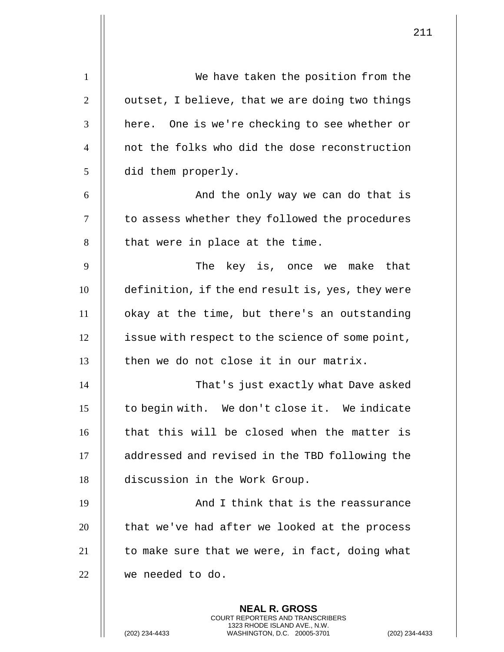| $\mathbf{1}$   | We have taken the position from the              |
|----------------|--------------------------------------------------|
| $\overline{2}$ | outset, I believe, that we are doing two things  |
| 3              | here. One is we're checking to see whether or    |
| $\overline{4}$ | not the folks who did the dose reconstruction    |
| 5              | did them properly.                               |
| 6              | And the only way we can do that is               |
| $\tau$         | to assess whether they followed the procedures   |
| 8              | that were in place at the time.                  |
| 9              | The key is, once we make that                    |
| 10             | definition, if the end result is, yes, they were |
| 11             | okay at the time, but there's an outstanding     |
| 12             | issue with respect to the science of some point, |
| 13             | then we do not close it in our matrix.           |
| 14             | That's just exactly what Dave asked              |
| 15             | to begin with. We don't close it. We indicate    |
| 16             | that this will be closed when the matter is      |
| 17             | addressed and revised in the TBD following the   |
| 18             | discussion in the Work Group.                    |
| 19             | And I think that is the reassurance              |
| 20             | that we've had after we looked at the process    |
| 21             | to make sure that we were, in fact, doing what   |
| 22             | we needed to do.                                 |
|                | <b>NEAL R. GROSS</b>                             |
|                |                                                  |

COURT REPORTERS AND TRANSCRIBERS 1323 RHODE ISLAND AVE., N.W.

(202) 234-4433 WASHINGTON, D.C. 20005-3701 (202) 234-4433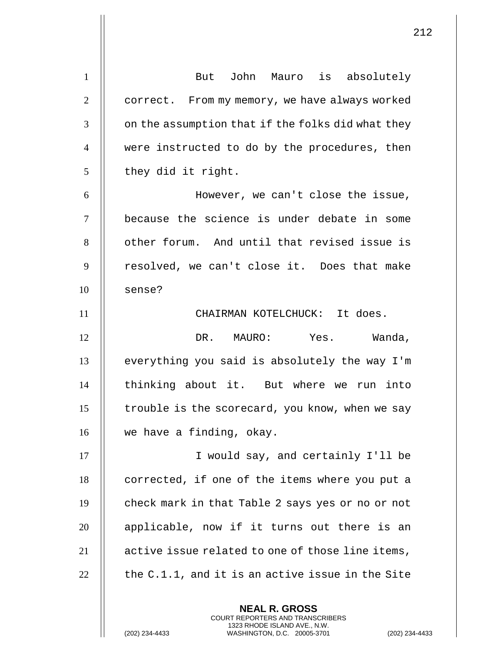1 | But John Mauro is absolutely 2 | correct. From my memory, we have always worked  $3 \parallel$  on the assumption that if the folks did what they 4 were instructed to do by the procedures, then  $5 \parallel$  they did it right. 6 However, we can't close the issue, 7 because the science is under debate in some 8 || other forum. And until that revised issue is  $9$  || resolved, we can't close it. Does that make  $10$  | sense? 11 CHAIRMAN KOTELCHUCK: It does. 12 DR. MAURO: Yes. Wanda,  $13$   $\parallel$  everything you said is absolutely the way I'm 14 || thinking about it. But where we run into  $15$  | trouble is the scorecard, you know, when we say 16 || we have a finding, okay. 17 || I would say, and certainly I'll be 18 | corrected, if one of the items where you put a 19 | check mark in that Table 2 says yes or no or not 20 || applicable, now if it turns out there is an 21 **d** active issue related to one of those line items, 22  $\parallel$  the C.1.1, and it is an active issue in the Site

> **NEAL R. GROSS** COURT REPORTERS AND TRANSCRIBERS 1323 RHODE ISLAND AVE., N.W.

(202) 234-4433 WASHINGTON, D.C. 20005-3701 (202) 234-4433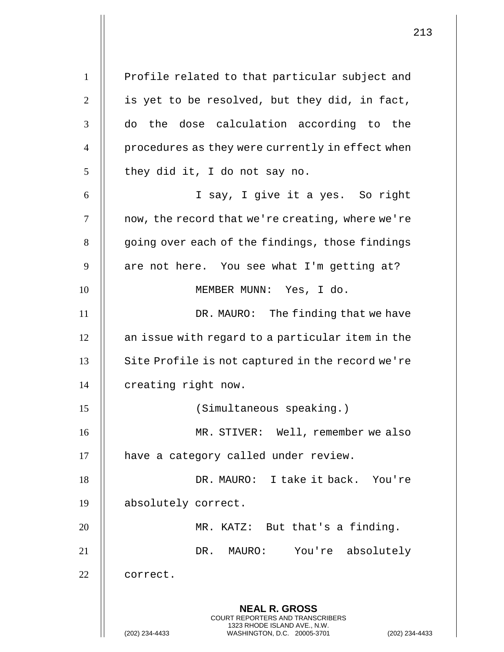**NEAL R. GROSS** COURT REPORTERS AND TRANSCRIBERS 1323 RHODE ISLAND AVE., N.W. 1 | Profile related to that particular subject and  $2 \parallel$  is yet to be resolved, but they did, in fact,  $3$   $\parallel$  do the dose calculation according to the 4 || procedures as they were currently in effect when  $5 \parallel$  they did it, I do not say no. 6 I say, I give it a yes. So right  $7 \parallel$  now, the record that we're creating, where we're  $8$   $\parallel$  going over each of the findings, those findings  $9 \parallel$  are not here. You see what I'm getting at? 10 || MEMBER MUNN: Yes, I do. 11 || DR. MAURO: The finding that we have 12 | an issue with regard to a particular item in the  $13$   $\parallel$  Site Profile is not captured in the record we're 14 | creating right now. 15 (Simultaneous speaking.) 16 MR. STIVER: Well, remember we also 17 || have a category called under review. 18 DR. MAURO: I take it back. You're 19 absolutely correct. 20 MR. KATZ: But that's a finding. 21 DR. MAURO: You're absolutely 22 | correct.

(202) 234-4433 WASHINGTON, D.C. 20005-3701 (202) 234-4433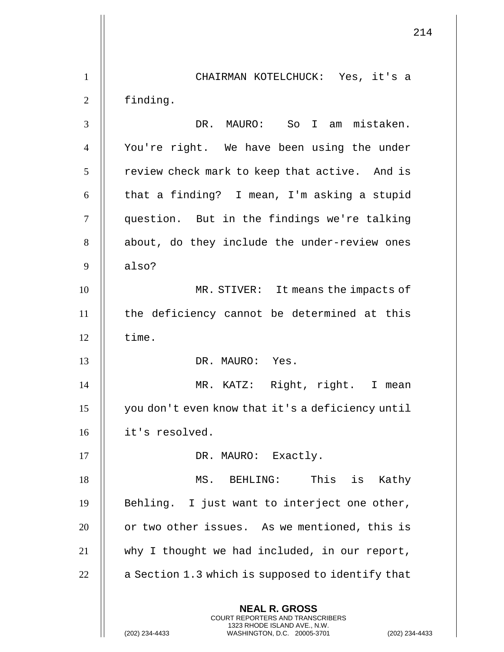**NEAL R. GROSS** COURT REPORTERS AND TRANSCRIBERS 1323 RHODE ISLAND AVE., N.W. (202) 234-4433 WASHINGTON, D.C. 20005-3701 (202) 234-4433 CHAIRMAN KOTELCHUCK: Yes, it's a finding. DR. MAURO: So I am mistaken. You're right. We have been using the under | review check mark to keep that active. And is || that a finding? I mean, I'm asking a stupid 7 || question. But in the findings we're talking 8 || about, do they include the under-review ones  $9 \parallel$  also? MR. STIVER: It means the impacts of  $\parallel$  the deficiency cannot be determined at this  $\parallel$  time. DR. MAURO: Yes. MR. KATZ: Right, right. I mean you don't even know that it's a deficiency until it's resolved. 17 || DR. MAURO: Exactly. MS. BEHLING: This is Kathy  $\parallel$  Behling. I just want to interject one other, **or two other issues.** As we mentioned, this is why I thought we had included, in our report, | a Section 1.3 which is supposed to identify that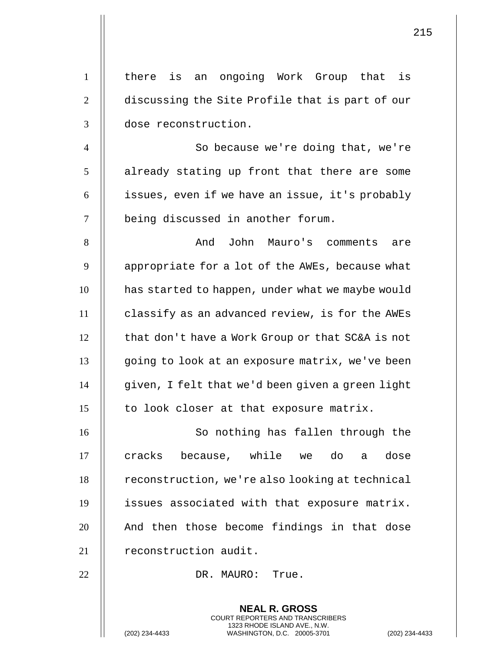| there is an ongoing Work Group that is                                                                                                   |
|------------------------------------------------------------------------------------------------------------------------------------------|
| discussing the Site Profile that is part of our                                                                                          |
| dose reconstruction.                                                                                                                     |
| So because we're doing that, we're                                                                                                       |
| already stating up front that there are some                                                                                             |
| issues, even if we have an issue, it's probably                                                                                          |
| being discussed in another forum.                                                                                                        |
| John Mauro's comments<br>And<br>are                                                                                                      |
| appropriate for a lot of the AWEs, because what                                                                                          |
| has started to happen, under what we maybe would                                                                                         |
| classify as an advanced review, is for the AWEs                                                                                          |
| that don't have a Work Group or that SC&A is not                                                                                         |
| going to look at an exposure matrix, we've been                                                                                          |
| given, I felt that we'd been given a green light                                                                                         |
| to look closer at that exposure matrix.                                                                                                  |
| So nothing has fallen through the                                                                                                        |
| because, while we do a<br>cracks<br>dose                                                                                                 |
| reconstruction, we're also looking at technical                                                                                          |
| issues associated with that exposure matrix.                                                                                             |
| And then those become findings in that dose                                                                                              |
| reconstruction audit.                                                                                                                    |
| DR. MAURO: True.                                                                                                                         |
| <b>NEAL R. GROSS</b>                                                                                                                     |
| <b>COURT REPORTERS AND TRANSCRIBERS</b><br>1323 RHODE ISLAND AVE., N.W.<br>(202) 234-4433<br>WASHINGTON, D.C. 20005-3701<br>$(202)$ 234- |
|                                                                                                                                          |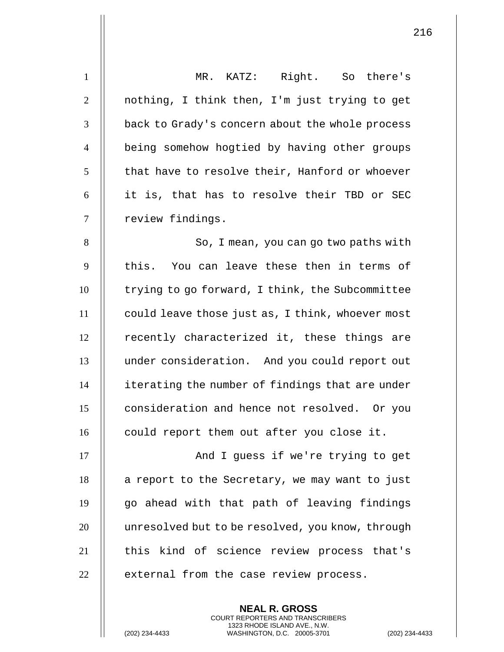| $\mathbf{1}$   | MR. KATZ: Right. So there's                      |
|----------------|--------------------------------------------------|
| $\mathfrak{2}$ | nothing, I think then, I'm just trying to get    |
| 3              | back to Grady's concern about the whole process  |
| $\overline{4}$ | being somehow hogtied by having other groups     |
| 5              | that have to resolve their, Hanford or whoever   |
| 6              | it is, that has to resolve their TBD or SEC      |
| $\tau$         | review findings.                                 |
| 8              | So, I mean, you can go two paths with            |
| 9              | this. You can leave these then in terms of       |
| 10             | trying to go forward, I think, the Subcommittee  |
| 11             | could leave those just as, I think, whoever most |
| 12             | recently characterized it, these things are      |
| 13             | under consideration. And you could report out    |
| 14             | iterating the number of findings that are under  |
| 15             | consideration and hence not resolved. Or you     |
| 16             | could report them out after you close it.        |
| 17             | And I guess if we're trying to get               |
| 18             | a report to the Secretary, we may want to just   |
| 19             | go ahead with that path of leaving findings      |
| 20             | unresolved but to be resolved, you know, through |
| 21             | this kind of science review process that's       |
| 22             | external from the case review process.           |
|                |                                                  |

**NEAL R. GROSS** COURT REPORTERS AND TRANSCRIBERS 1323 RHODE ISLAND AVE., N.W.

(202) 234-4433 WASHINGTON, D.C. 20005-3701 (202) 234-4433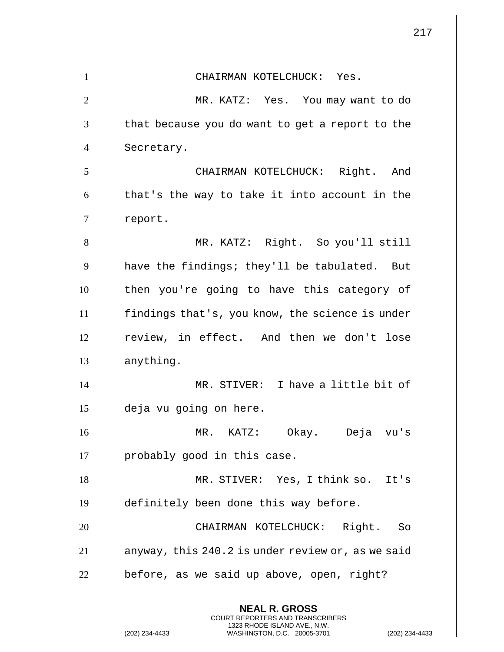|                | 217                                                                                                                                                                |
|----------------|--------------------------------------------------------------------------------------------------------------------------------------------------------------------|
| $\mathbf{1}$   | CHAIRMAN KOTELCHUCK: Yes.                                                                                                                                          |
| $\overline{2}$ | MR. KATZ: Yes. You may want to do                                                                                                                                  |
| 3              | that because you do want to get a report to the                                                                                                                    |
| $\overline{4}$ | Secretary.                                                                                                                                                         |
| 5              | CHAIRMAN KOTELCHUCK: Right. And                                                                                                                                    |
| 6              | that's the way to take it into account in the                                                                                                                      |
| $\tau$         | report.                                                                                                                                                            |
| 8              | MR. KATZ: Right. So you'll still                                                                                                                                   |
| 9              | have the findings; they'll be tabulated. But                                                                                                                       |
| 10             | then you're going to have this category of                                                                                                                         |
| 11             | findings that's, you know, the science is under                                                                                                                    |
| 12             | review, in effect. And then we don't lose                                                                                                                          |
| 13             | anything.                                                                                                                                                          |
| 14             | MR. STIVER: I have a little bit of                                                                                                                                 |
| 15             | deja vu going on here.                                                                                                                                             |
| 16             | Okay. Deja vu's<br>MR. KATZ:                                                                                                                                       |
| 17             | probably good in this case.                                                                                                                                        |
| 18             | MR. STIVER: Yes, I think so. It's                                                                                                                                  |
| 19             | definitely been done this way before.                                                                                                                              |
| 20             | CHAIRMAN KOTELCHUCK: Right. So                                                                                                                                     |
| 21             | anyway, this 240.2 is under review or, as we said                                                                                                                  |
| 22             | before, as we said up above, open, right?                                                                                                                          |
|                | <b>NEAL R. GROSS</b><br><b>COURT REPORTERS AND TRANSCRIBERS</b><br>1323 RHODE ISLAND AVE., N.W.<br>(202) 234-4433<br>WASHINGTON, D.C. 20005-3701<br>(202) 234-4433 |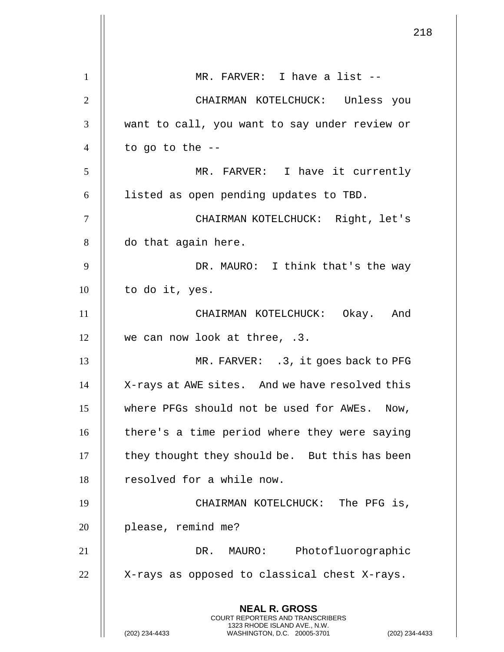|                | 218                                                                                             |
|----------------|-------------------------------------------------------------------------------------------------|
| 1              | MR. FARVER: I have a list --                                                                    |
| $\overline{2}$ | CHAIRMAN KOTELCHUCK: Unless you                                                                 |
| 3              | want to call, you want to say under review or                                                   |
| $\overline{4}$ | to go to the $-$ -                                                                              |
| 5              | MR. FARVER: I have it currently                                                                 |
| 6              | listed as open pending updates to TBD.                                                          |
| 7              | CHAIRMAN KOTELCHUCK: Right, let's                                                               |
| 8              | do that again here.                                                                             |
| 9              | DR. MAURO: I think that's the way                                                               |
| 10             | to do it, yes.                                                                                  |
| 11             | CHAIRMAN KOTELCHUCK: Okay. And                                                                  |
| 12             | we can now look at three, .3.                                                                   |
| 13             | MR. FARVER: .3, it goes back to PFG                                                             |
| 14             | X-rays at AWE sites. And we have resolved this                                                  |
| 15             | where PFGs should not be used for AWEs. Now,                                                    |
| 16             | there's a time period where they were saying                                                    |
| 17             | they thought they should be. But this has been                                                  |
| 18             | resolved for a while now.                                                                       |
| 19             | CHAIRMAN KOTELCHUCK: The PFG is,                                                                |
| 20             | please, remind me?                                                                              |
| 21             | Photofluorographic<br>DR. MAURO:                                                                |
| 22             | X-rays as opposed to classical chest X-rays.                                                    |
|                | <b>NEAL R. GROSS</b><br><b>COURT REPORTERS AND TRANSCRIBERS</b>                                 |
|                | 1323 RHODE ISLAND AVE., N.W.<br>(202) 234-4433<br>WASHINGTON, D.C. 20005-3701<br>(202) 234-4433 |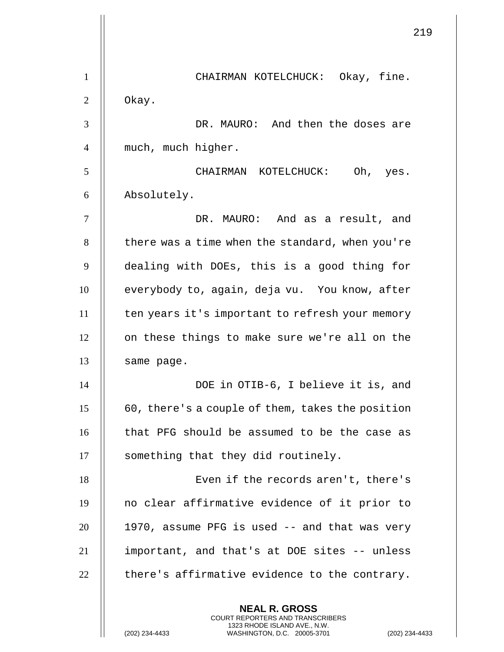|                | 219                                                                                                                                                                |
|----------------|--------------------------------------------------------------------------------------------------------------------------------------------------------------------|
| 1              | CHAIRMAN KOTELCHUCK: Okay, fine.                                                                                                                                   |
| $\overline{2}$ | Okay.                                                                                                                                                              |
| 3              | DR. MAURO: And then the doses are                                                                                                                                  |
| 4              | much, much higher.                                                                                                                                                 |
| 5              | CHAIRMAN KOTELCHUCK:<br>Oh, yes.                                                                                                                                   |
| 6              | Absolutely.                                                                                                                                                        |
| 7              | DR. MAURO: And as a result, and                                                                                                                                    |
| 8              | there was a time when the standard, when you're                                                                                                                    |
| 9              | dealing with DOEs, this is a good thing for                                                                                                                        |
| 10             | everybody to, again, deja vu. You know, after                                                                                                                      |
| 11             | ten years it's important to refresh your memory                                                                                                                    |
| 12             | on these things to make sure we're all on the                                                                                                                      |
| 13             | same page.                                                                                                                                                         |
| 14             | DOE in OTIB-6, I believe it is, and                                                                                                                                |
| 15             | 60, there's a couple of them, takes the position                                                                                                                   |
| 16             | that PFG should be assumed to be the case as                                                                                                                       |
| 17             | something that they did routinely.                                                                                                                                 |
| 18             | Even if the records aren't, there's                                                                                                                                |
| 19             | no clear affirmative evidence of it prior to                                                                                                                       |
| 20             | 1970, assume PFG is used -- and that was very                                                                                                                      |
| 21             | important, and that's at DOE sites -- unless                                                                                                                       |
| 22             | there's affirmative evidence to the contrary.                                                                                                                      |
|                | <b>NEAL R. GROSS</b><br><b>COURT REPORTERS AND TRANSCRIBERS</b><br>1323 RHODE ISLAND AVE., N.W.<br>(202) 234-4433<br>WASHINGTON, D.C. 20005-3701<br>(202) 234-4433 |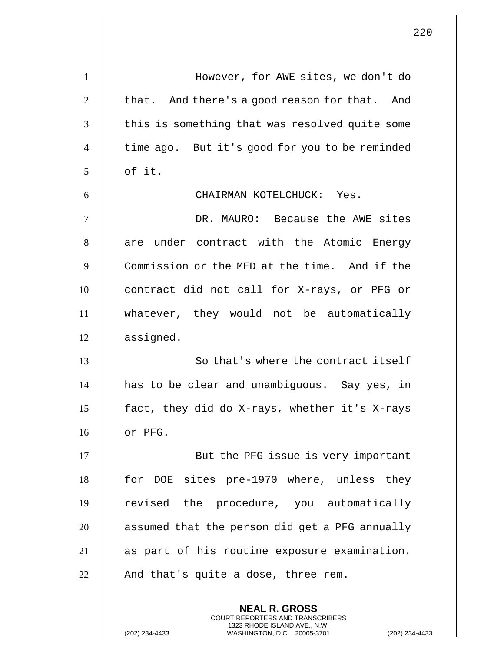| $\mathbf{1}$   | However, for AWE sites, we don't do            |
|----------------|------------------------------------------------|
| $\overline{2}$ | that. And there's a good reason for that. And  |
| 3              | this is something that was resolved quite some |
| $\overline{4}$ | time ago. But it's good for you to be reminded |
| 5              | of it.                                         |
| 6              | CHAIRMAN KOTELCHUCK: Yes.                      |
| $\tau$         | DR. MAURO: Because the AWE sites               |
| 8              | are under contract with the Atomic Energy      |
| 9              | Commission or the MED at the time. And if the  |
| 10             | contract did not call for X-rays, or PFG or    |
| 11             | whatever, they would not be automatically      |
| 12             | assigned.                                      |
| 13             | So that's where the contract itself            |
| 14             | has to be clear and unambiguous. Say yes, in   |
| 15             | fact, they did do X-rays, whether it's X-rays  |
| 16             | or PFG.                                        |
| 17             | But the PFG issue is very important            |
| 18             | for DOE sites pre-1970 where, unless they      |
| 19             | revised the procedure, you automatically       |
| 20             | assumed that the person did get a PFG annually |
| 21             | as part of his routine exposure examination.   |
| 22             | And that's quite a dose, three rem.            |
|                | <b>NEAL R. GROSS</b>                           |

COURT REPORTERS AND TRANSCRIBERS 1323 RHODE ISLAND AVE., N.W.

(202) 234-4433 WASHINGTON, D.C. 20005-3701 (202) 234-4433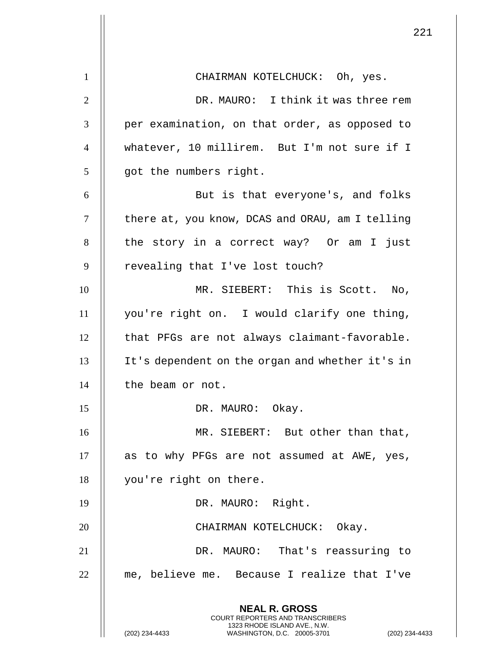221 **NEAL R. GROSS** COURT REPORTERS AND TRANSCRIBERS 1323 RHODE ISLAND AVE., N.W. 1 || CHAIRMAN KOTELCHUCK: Oh, yes. 2 DR. MAURO: I think it was three rem  $3$  || per examination, on that order, as opposed to 4 whatever, 10 millirem. But I'm not sure if I 5 || got the numbers right. 6 || But is that everyone's, and folks 7 | there at, you know, DCAS and ORAU, am I telling 8 || the story in a correct way? Or am I just  $9$  | revealing that I've lost touch? 10 MR. SIEBERT: This is Scott. No, 11 you're right on. I would clarify one thing,  $12$   $\parallel$  that PFGs are not always claimant-favorable. 13 It's dependent on the organ and whether it's in 14 | the beam or not. 15 || DR. MAURO: Okay. 16 MR. SIEBERT: But other than that,  $17$  | as to why PFGs are not assumed at AWE, yes, 18 | you're right on there. 19 || DR. MAURO: Right. 20 || CHAIRMAN KOTELCHUCK: Okay. 21 DR. MAURO: That's reassuring to 22 || me, believe me. Because I realize that I've

(202) 234-4433 WASHINGTON, D.C. 20005-3701 (202) 234-4433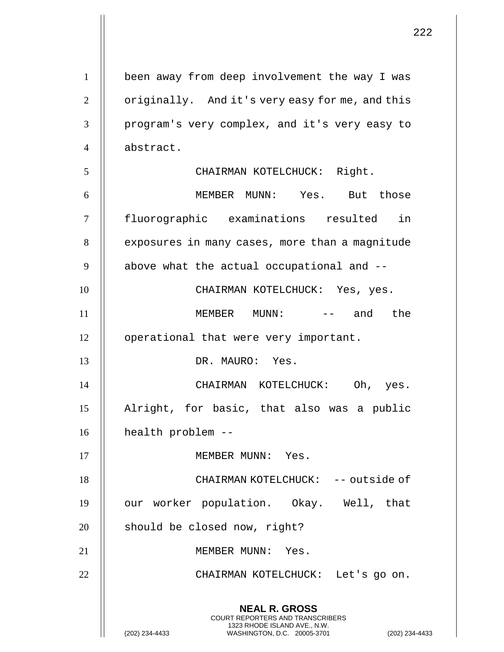**NEAL R. GROSS** COURT REPORTERS AND TRANSCRIBERS 1323 RHODE ISLAND AVE., N.W. (202) 234-4433 WASHINGTON, D.C. 20005-3701 (202) 234-4433 1 | been away from deep involvement the way I was 2 | originally. And it's very easy for me, and this 3 | program's very complex, and it's very easy to 4 abstract. 5 || CHAIRMAN KOTELCHUCK: Right. 6 MEMBER MUNN: Yes. But those 7 fluorographic examinations resulted in 8 | exposures in many cases, more than a magnitude  $9$   $\parallel$  above what the actual occupational and  $-$ 10 CHAIRMAN KOTELCHUCK: Yes, yes. 11 MEMBER MUNN: -- and the 12 | operational that were very important. 13 DR. MAURO: Yes. 14 CHAIRMAN KOTELCHUCK: Oh, yes. 15 Alright, for basic, that also was a public 16 | health problem --17 || MEMBER MUNN: Yes. 18 CHAIRMAN KOTELCHUCK: -- outside of 19 || our worker population. Okay. Well, that  $20$  | should be closed now, right? 21 || MEMBER MUNN: Yes. 22 || CHAIRMAN KOTELCHUCK: Let's go on.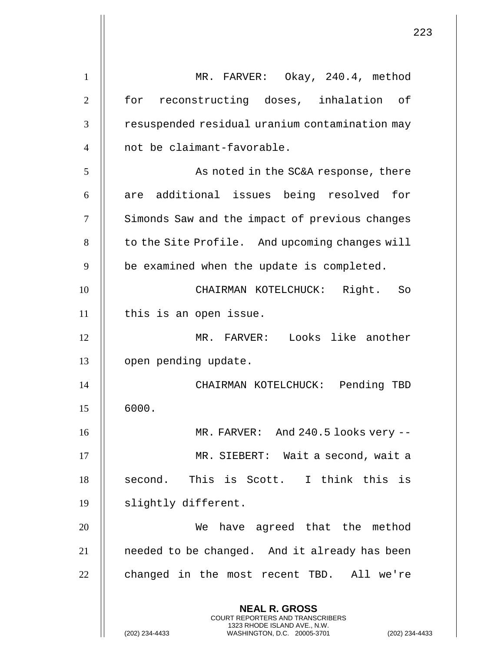**NEAL R. GROSS** COURT REPORTERS AND TRANSCRIBERS 1323 RHODE ISLAND AVE., N.W. (202) 234-4433 WASHINGTON, D.C. 20005-3701 (202) 234-4433 1 MR. FARVER: Okay, 240.4, method 2 || for reconstructing doses, inhalation of 3 | resuspended residual uranium contamination may 4 || not be claimant-favorable. 5 || As noted in the SC&A response, there  $6 \parallel$  are additional issues being resolved for 7 | Simonds Saw and the impact of previous changes  $8$   $\parallel$  to the Site Profile. And upcoming changes will  $9$   $\parallel$  be examined when the update is completed. 10 CHAIRMAN KOTELCHUCK: Right. So  $11$  | this is an open issue. 12 MR. FARVER: Looks like another 13 | open pending update. 14 CHAIRMAN KOTELCHUCK: Pending TBD  $15 \parallel 6000.$ 16 MR. FARVER: And 240.5 looks very -- 17 MR. SIEBERT: Wait a second, wait a  $18$  || second. This is Scott. I think this is 19 | slightly different. 20 || We have agreed that the method 21 || needed to be changed. And it already has been 22 || changed in the most recent TBD. All we're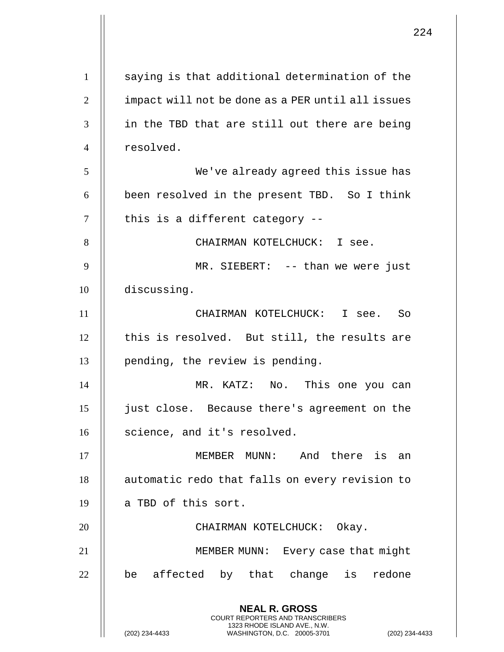|                | 224                                                                                             |
|----------------|-------------------------------------------------------------------------------------------------|
| $\mathbf{1}$   | saying is that additional determination of the                                                  |
| $\overline{2}$ | impact will not be done as a PER until all issues                                               |
| 3              | in the TBD that are still out there are being                                                   |
| $\overline{4}$ | resolved.                                                                                       |
| 5              | We've already agreed this issue has                                                             |
| 6              | been resolved in the present TBD. So I think                                                    |
| 7              | this is a different category --                                                                 |
| 8              | CHAIRMAN KOTELCHUCK: I see.                                                                     |
| 9              | MR. SIEBERT: -- than we were just                                                               |
| 10             | discussing.                                                                                     |
| 11             | CHAIRMAN KOTELCHUCK: I see. So                                                                  |
| 12             | this is resolved. But still, the results are                                                    |
| 13             | pending, the review is pending.                                                                 |
| 14             | MR. KATZ: No.<br>This one you can                                                               |
| 15             | just close. Because there's agreement on the                                                    |
| 16             | science, and it's resolved.                                                                     |
| 17             | MEMBER MUNN: And there is an                                                                    |
| 18             | automatic redo that falls on every revision to                                                  |
| 19             | a TBD of this sort.                                                                             |
| 20             | CHAIRMAN KOTELCHUCK: Okay.                                                                      |
| 21             | MEMBER MUNN: Every case that might                                                              |
| 22             | be affected by that change is redone                                                            |
|                | <b>NEAL R. GROSS</b><br><b>COURT REPORTERS AND TRANSCRIBERS</b>                                 |
|                | 1323 RHODE ISLAND AVE., N.W.<br>(202) 234-4433<br>WASHINGTON, D.C. 20005-3701<br>(202) 234-4433 |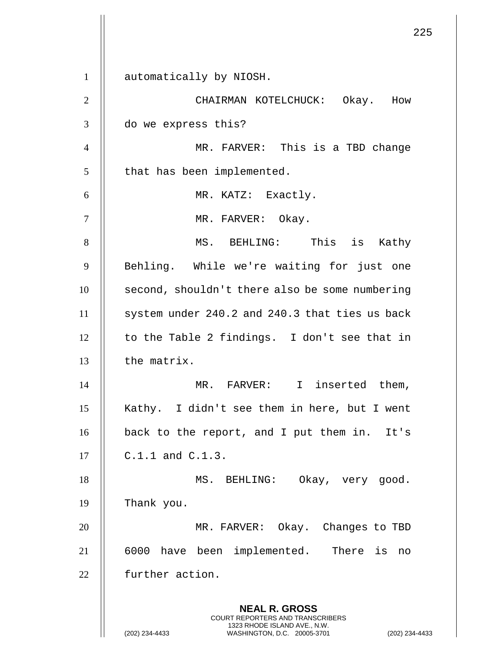1 | automatically by NIOSH.

**NEAL R. GROSS** COURT REPORTERS AND TRANSCRIBERS 1323 RHODE ISLAND AVE., N.W. 2 CHAIRMAN KOTELCHUCK: Okay. How 3 do we express this? 4 MR. FARVER: This is a TBD change  $5$  | that has been implemented. 6 || MR. KATZ: Exactly. 7 || MR. FARVER: Okay. 8 || MS. BEHLING: This is Kathy 9 || Behling. While we're waiting for just one 10 || second, shouldn't there also be some numbering  $11$  | system under 240.2 and 240.3 that ties us back  $12$  | to the Table 2 findings. I don't see that in  $13$   $\parallel$  the matrix. 14 MR. FARVER: I inserted them, 15 || Kathy. I didn't see them in here, but I went 16 | back to the report, and I put them in. It's  $17 \parallel$  C.1.1 and C.1.3. 18 || MS. BEHLING: Okay, very good. 19 Thank you. 20 MR. FARVER: Okay. Changes to TBD 21 || 6000 have been implemented. There is no 22 | further action.

(202) 234-4433 WASHINGTON, D.C. 20005-3701 (202) 234-4433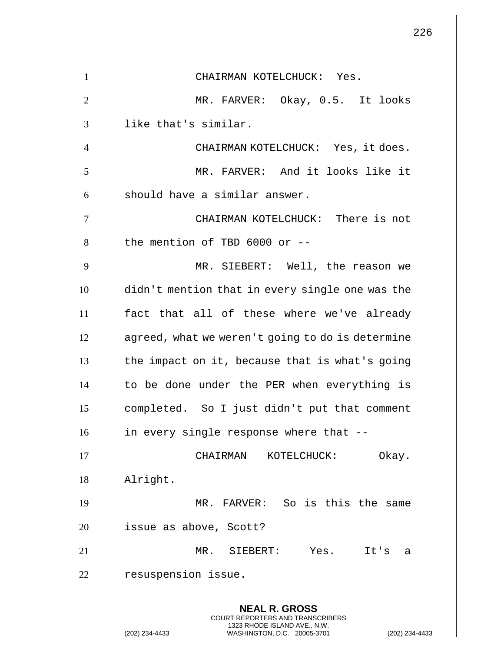|                | 226                                                                                                                                                                |
|----------------|--------------------------------------------------------------------------------------------------------------------------------------------------------------------|
| 1              | CHAIRMAN KOTELCHUCK: Yes.                                                                                                                                          |
| $\mathbf{2}$   | MR. FARVER: Okay, 0.5. It looks                                                                                                                                    |
| 3              | like that's similar.                                                                                                                                               |
| $\overline{4}$ | CHAIRMAN KOTELCHUCK: Yes, it does.                                                                                                                                 |
| 5              | MR. FARVER: And it looks like it                                                                                                                                   |
| 6              | should have a similar answer.                                                                                                                                      |
| 7              | CHAIRMAN KOTELCHUCK: There is not                                                                                                                                  |
| 8              | the mention of TBD $6000$ or $-$                                                                                                                                   |
| 9              | MR. SIEBERT: Well, the reason we                                                                                                                                   |
| 10             | didn't mention that in every single one was the                                                                                                                    |
| 11             | fact that all of these where we've already                                                                                                                         |
| 12             | agreed, what we weren't going to do is determine                                                                                                                   |
| 13             | the impact on it, because that is what's going                                                                                                                     |
| 14             | to be done under the PER when everything is                                                                                                                        |
| 15             | completed. So I just didn't put that comment                                                                                                                       |
| 16             | in every single response where that --                                                                                                                             |
| 17             | Okay.<br>CHAIRMAN<br>KOTELCHUCK:                                                                                                                                   |
| 18             | Alright.                                                                                                                                                           |
| 19             | MR. FARVER: So is this the same                                                                                                                                    |
| 20             | issue as above, Scott?                                                                                                                                             |
| 21             | MR. SIEBERT: Yes. It's<br>a                                                                                                                                        |
| 22             | resuspension issue.                                                                                                                                                |
|                | <b>NEAL R. GROSS</b><br><b>COURT REPORTERS AND TRANSCRIBERS</b><br>1323 RHODE ISLAND AVE., N.W.<br>(202) 234-4433<br>WASHINGTON, D.C. 20005-3701<br>(202) 234-4433 |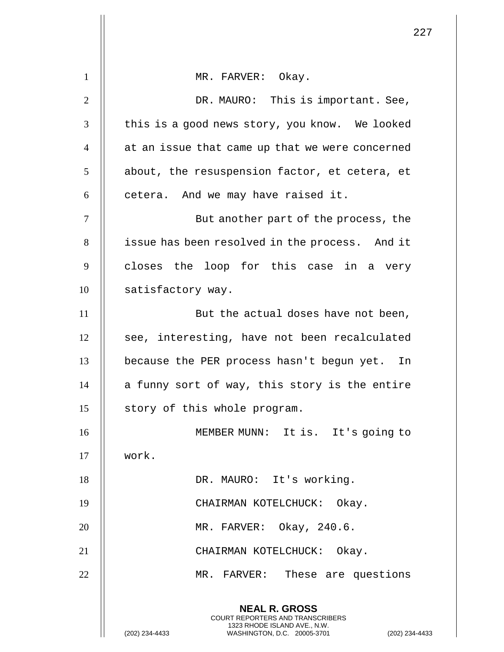|                | 227                                                                                                                                                         |
|----------------|-------------------------------------------------------------------------------------------------------------------------------------------------------------|
| $\mathbf{1}$   | MR. FARVER: Okay.                                                                                                                                           |
| $\overline{2}$ | DR. MAURO: This is important. See,                                                                                                                          |
| 3              | this is a good news story, you know. We looked                                                                                                              |
| $\overline{4}$ | at an issue that came up that we were concerned                                                                                                             |
| 5              | about, the resuspension factor, et cetera, et                                                                                                               |
| 6              | cetera. And we may have raised it.                                                                                                                          |
| $\overline{7}$ | But another part of the process, the                                                                                                                        |
| 8              | issue has been resolved in the process. And it                                                                                                              |
| 9              | closes the loop for this case in a very                                                                                                                     |
| 10             | satisfactory way.                                                                                                                                           |
| 11             | But the actual doses have not been,                                                                                                                         |
| 12             | see, interesting, have not been recalculated                                                                                                                |
| 13             | because the PER process hasn't begun yet.<br>In                                                                                                             |
| 14             | a funny sort of way, this story is the entire                                                                                                               |
| 15             | story of this whole program.                                                                                                                                |
| 16             | MEMBER MUNN: It is. It's going to                                                                                                                           |
| 17             | work.                                                                                                                                                       |
| 18             | DR. MAURO: It's working.                                                                                                                                    |
| 19             | CHAIRMAN KOTELCHUCK: Okay.                                                                                                                                  |
| 20             | MR. FARVER: Okay, 240.6.                                                                                                                                    |
| 21             | CHAIRMAN KOTELCHUCK: Okay.                                                                                                                                  |
| 22             | MR. FARVER: These are questions                                                                                                                             |
|                | <b>NEAL R. GROSS</b><br>COURT REPORTERS AND TRANSCRIBERS<br>1323 RHODE ISLAND AVE., N.W.<br>(202) 234-4433<br>WASHINGTON, D.C. 20005-3701<br>(202) 234-4433 |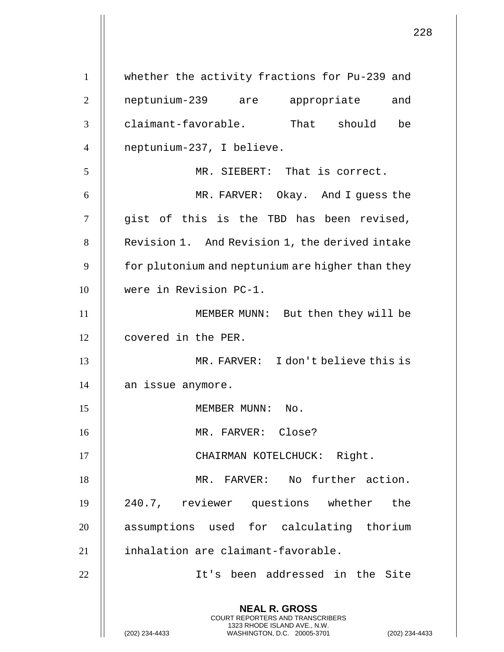|                | 2:                                                                                                                                                                |
|----------------|-------------------------------------------------------------------------------------------------------------------------------------------------------------------|
| $\mathbf{1}$   | whether the activity fractions for Pu-239 and                                                                                                                     |
|                |                                                                                                                                                                   |
| $\overline{2}$ | neptunium-239 are appropriate and                                                                                                                                 |
| 3              | claimant-favorable. That should<br>be                                                                                                                             |
| $\overline{4}$ | neptunium-237, I believe.                                                                                                                                         |
| 5              | MR. SIEBERT: That is correct.                                                                                                                                     |
| 6              | MR. FARVER: Okay. And I guess the                                                                                                                                 |
| 7              | gist of this is the TBD has been revised,                                                                                                                         |
| 8              | Revision 1. And Revision 1, the derived intake                                                                                                                    |
| 9              | for plutonium and neptunium are higher than they                                                                                                                  |
| 10             | were in Revision PC-1.                                                                                                                                            |
| 11             | MEMBER MUNN: But then they will be                                                                                                                                |
| 12             | covered in the PER.                                                                                                                                               |
| 13             | MR. FARVER: I don't believe this is                                                                                                                               |
| 14             | an issue anymore.                                                                                                                                                 |
| 15             | MEMBER MUNN: No.                                                                                                                                                  |
| 16             | MR. FARVER: Close?                                                                                                                                                |
| 17             | CHAIRMAN KOTELCHUCK: Right.                                                                                                                                       |
| 18             | MR. FARVER: No further action.                                                                                                                                    |
| 19             | 240.7, reviewer questions whether the                                                                                                                             |
| 20             | assumptions used for calculating thorium                                                                                                                          |
| 21             | inhalation are claimant-favorable.                                                                                                                                |
| 22             | It's been addressed in the Site                                                                                                                                   |
|                | <b>NEAL R. GROSS</b><br><b>COURT REPORTERS AND TRANSCRIBERS</b><br>1323 RHODE ISLAND AVE., N.W.<br>(202) 234-4433<br>WASHINGTON, D.C. 20005-3701<br>$(202)$ 234-4 |

 $\overline{\mathsf{I}}$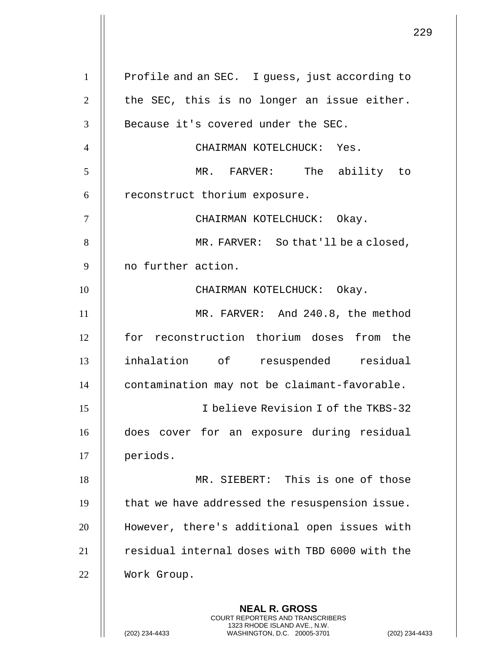| $\mathbf{1}$   | Profile and an SEC. I guess, just according to           |
|----------------|----------------------------------------------------------|
| $\overline{2}$ | the SEC, this is no longer an issue either.              |
| 3              | Because it's covered under the SEC.                      |
| $\overline{4}$ | CHAIRMAN KOTELCHUCK: Yes.                                |
| 5              | MR. FARVER: The ability to                               |
| 6              | reconstruct thorium exposure.                            |
| $\overline{7}$ | CHAIRMAN KOTELCHUCK: Okay.                               |
| 8              | MR. FARVER: So that'll be a closed,                      |
| 9              | no further action.                                       |
| 10             | CHAIRMAN KOTELCHUCK: Okay.                               |
| 11             | MR. FARVER: And 240.8, the method                        |
| 12             | for reconstruction thorium doses from the                |
| 13             | inhalation of resuspended residual                       |
| 14             | contamination may not be claimant-favorable.             |
| 15             | I believe Revision I of the TKBS-32                      |
| 16             | does cover for an exposure during residual               |
| 17             | periods.                                                 |
| 18             | MR. SIEBERT: This is one of those                        |
| 19             | that we have addressed the resuspension issue.           |
| 20             | However, there's additional open issues with             |
| 21             | residual internal doses with TBD 6000 with the           |
| 22             | Work Group.                                              |
|                | <b>NEAL R. GROSS</b><br>COURT REPORTERS AND TRANSCRIBERS |

1323 RHODE ISLAND AVE., N.W.

(202) 234-4433 WASHINGTON, D.C. 20005-3701 (202) 234-4433

 $\prod$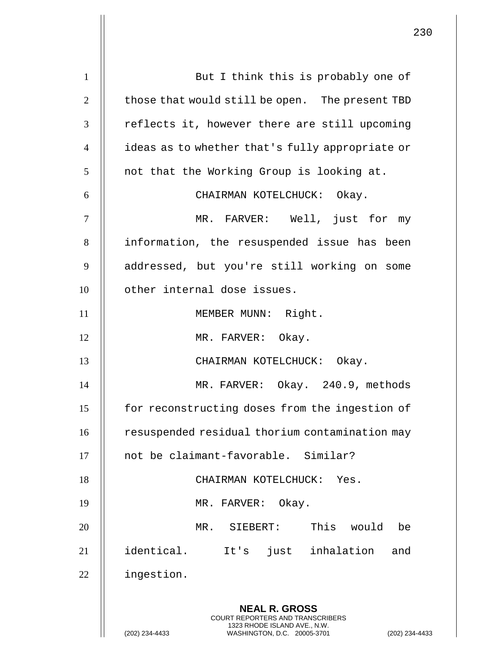**NEAL R. GROSS** COURT REPORTERS AND TRANSCRIBERS 1323 RHODE ISLAND AVE., N.W. (202) 234-4433 WASHINGTON, D.C. 20005-3701 (202) 234-4433 1 || But I think this is probably one of 2  $\parallel$  those that would still be open. The present TBD 3 || reflects it, however there are still upcoming 4 ideas as to whether that's fully appropriate or  $5$  | not that the Working Group is looking at. 6 CHAIRMAN KOTELCHUCK: Okay. 7 MR. FARVER: Well, just for my 8 || information, the resuspended issue has been 9 | addressed, but you're still working on some 10 || other internal dose issues. 11 || MEMBER MUNN: Right. 12 || MR. FARVER: Okay. 13 || CHAIRMAN KOTELCHUCK: Okay. 14 MR. FARVER: Okay. 240.9, methods 15 | for reconstructing doses from the ingestion of 16 | resuspended residual thorium contamination may 17 || not be claimant-favorable. Similar? 18 || CHAIRMAN KOTELCHUCK: Yes. 19 || MR. FARVER: Okay. 20 MR. SIEBERT: This would be 21 identical. It's just inhalation and 22 | ingestion.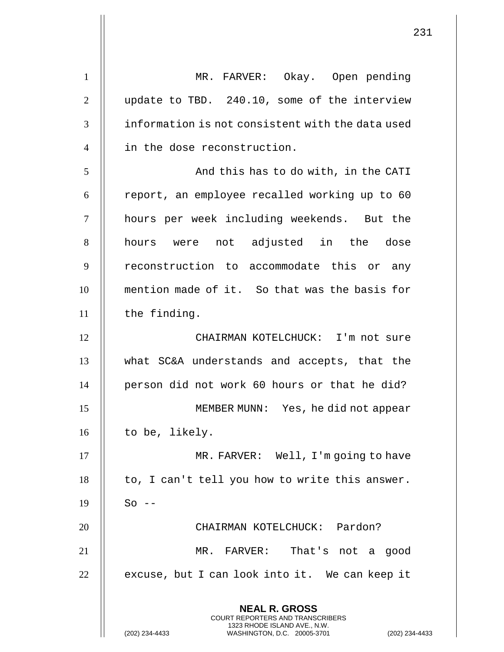**NEAL R. GROSS** COURT REPORTERS AND TRANSCRIBERS 1323 RHODE ISLAND AVE., N.W. 1 || MR. FARVER: Okay. Open pending 2 | update to TBD. 240.10, some of the interview 3 **i** information is not consistent with the data used 4 || in the dose reconstruction. 5 And this has to do with, in the CATI  $6$  | report, an employee recalled working up to 60 7 hours per week including weekends. But the 8 || hours were not adjusted in the dose 9 || reconstruction to accommodate this or any 10 mention made of it. So that was the basis for  $11$  | the finding. 12 CHAIRMAN KOTELCHUCK: I'm not sure 13 what SC&A understands and accepts, that the 14 | person did not work 60 hours or that he did? 15 MEMBER MUNN: Yes, he did not appear  $16$  | to be, likely. 17 || MR. FARVER: Well, I'm going to have  $18$  | to, I can't tell you how to write this answer.  $19$   $\parallel$  So --20 || CHAIRMAN KOTELCHUCK: Pardon? 21 MR. FARVER: That's not a good  $22$  | excuse, but I can look into it. We can keep it

(202) 234-4433 WASHINGTON, D.C. 20005-3701 (202) 234-4433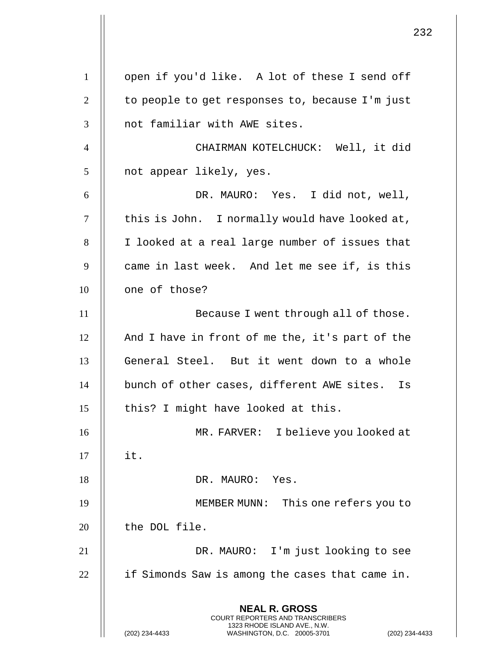**NEAL R. GROSS** COURT REPORTERS AND TRANSCRIBERS 1323 RHODE ISLAND AVE., N.W. (202) 234-4433 WASHINGTON, D.C. 20005-3701 (202) 234-4433 1 || open if you'd like. A lot of these I send off 2  $\parallel$  to people to get responses to, because I'm just 3 || not familiar with AWE sites. 4 CHAIRMAN KOTELCHUCK: Well, it did 5 || not appear likely, yes. 6 DR. MAURO: Yes. I did not, well, 7 || this is John. I normally would have looked at, 8 | I looked at a real large number of issues that  $9 \parallel$  came in last week. And let me see if, is this 10 | one of those? 11 || Because I went through all of those.  $12$  | And I have in front of me the, it's part of the 13 || General Steel. But it went down to a whole 14 | bunch of other cases, different AWE sites. Is  $15$  || this? I might have looked at this. 16 MR. FARVER: I believe you looked at  $17$   $\parallel$  it. 18 || DR. MAURO: Yes. 19 MEMBER MUNN: This one refers you to 20 | the DOL file. 21 DR. MAURO: I'm just looking to see  $22$  || if Simonds Saw is among the cases that came in.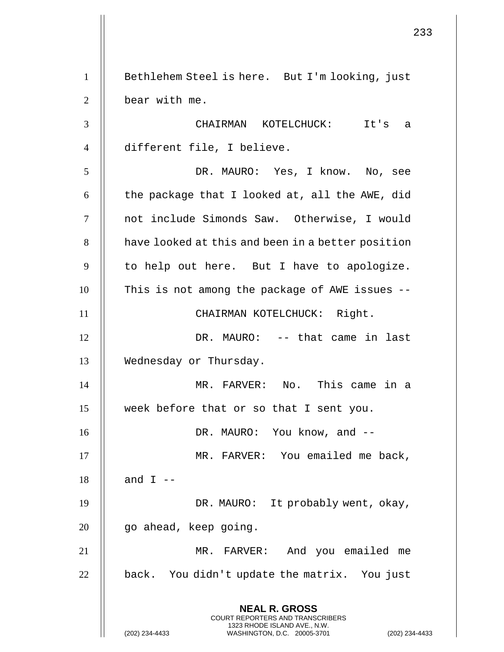**NEAL R. GROSS** COURT REPORTERS AND TRANSCRIBERS 1323 RHODE ISLAND AVE., N.W. (202) 234-4433 WASHINGTON, D.C. 20005-3701 (202) 234-4433 1 | Bethlehem Steel is here. But I'm looking, just 2 | bear with me. 3 CHAIRMAN KOTELCHUCK: It's a 4 different file, I believe. 5 DR. MAURO: Yes, I know. No, see 6  $\parallel$  the package that I looked at, all the AWE, did 7 || not include Simonds Saw. Otherwise, I would 8 | have looked at this and been in a better position  $9$  || to help out here. But I have to apologize.  $10$   $\parallel$  This is not among the package of AWE issues --11 || CHAIRMAN KOTELCHUCK: Right. 12 DR. MAURO: -- that came in last 13 Wednesday or Thursday. 14 MR. FARVER: No. This came in a 15 week before that or so that I sent you. 16 DR. MAURO: You know, and -- 17 || MR. FARVER: You emailed me back, 18  $\parallel$  and I --19 || DR. MAURO: It probably went, okay, 20 | go ahead, keep going. 21 MR. FARVER: And you emailed me  $22$  || back. You didn't update the matrix. You just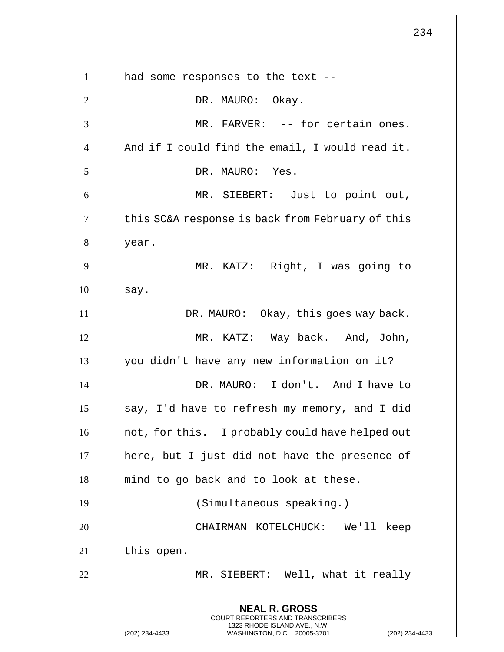|                | 234                                                                                                                                                         |
|----------------|-------------------------------------------------------------------------------------------------------------------------------------------------------------|
| $\mathbf{1}$   | had some responses to the text --                                                                                                                           |
| $\overline{2}$ | DR. MAURO: Okay.                                                                                                                                            |
|                |                                                                                                                                                             |
| 3              | MR. FARVER: -- for certain ones.                                                                                                                            |
| $\overline{4}$ | And if I could find the email, I would read it.                                                                                                             |
| 5              | DR. MAURO: Yes.                                                                                                                                             |
| 6              | MR. SIEBERT: Just to point out,                                                                                                                             |
| $\tau$         | this SC&A response is back from February of this                                                                                                            |
| 8              | year.                                                                                                                                                       |
| 9              | MR. KATZ: Right, I was going to                                                                                                                             |
| 10             | say.                                                                                                                                                        |
| 11             | DR. MAURO: Okay, this goes way back.                                                                                                                        |
| 12             | MR. KATZ: Way back. And, John,                                                                                                                              |
| 13             | you didn't have any new information on it?                                                                                                                  |
| 14             | DR. MAURO: I don't. And I have to                                                                                                                           |
| 15             | say, I'd have to refresh my memory, and I did                                                                                                               |
| 16             | not, for this. I probably could have helped out                                                                                                             |
| 17             | here, but I just did not have the presence of                                                                                                               |
| 18             | mind to go back and to look at these.                                                                                                                       |
| 19             | (Simultaneous speaking.)                                                                                                                                    |
| 20             | CHAIRMAN KOTELCHUCK: We'll keep                                                                                                                             |
| 21             | this open.                                                                                                                                                  |
| 22             | MR. SIEBERT: Well, what it really                                                                                                                           |
|                | <b>NEAL R. GROSS</b><br>COURT REPORTERS AND TRANSCRIBERS<br>1323 RHODE ISLAND AVE., N.W.<br>(202) 234-4433<br>WASHINGTON, D.C. 20005-3701<br>(202) 234-4433 |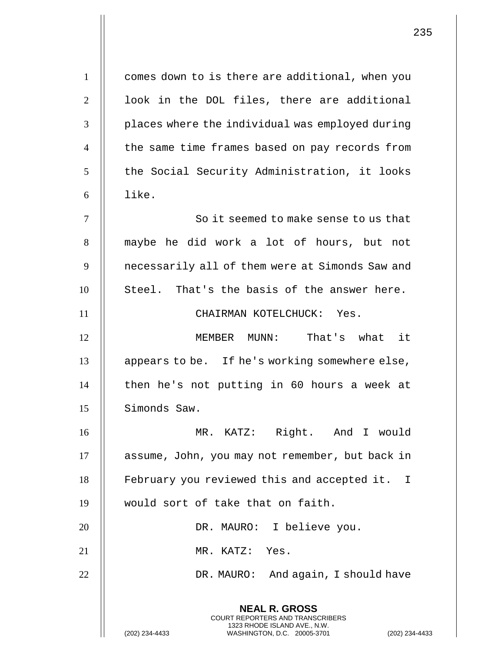| $\mathbf{1}$   | comes down to is there are additional, when you          |
|----------------|----------------------------------------------------------|
| $\mathbf{2}$   | look in the DOL files, there are additional              |
| 3              | places where the individual was employed during          |
| $\overline{4}$ | the same time frames based on pay records from           |
| 5              | the Social Security Administration, it looks             |
| 6              | like.                                                    |
| $\tau$         | So it seemed to make sense to us that                    |
| 8              | maybe he did work a lot of hours, but not                |
| 9              | necessarily all of them were at Simonds Saw and          |
| 10             | Steel. That's the basis of the answer here.              |
| 11             | CHAIRMAN KOTELCHUCK: Yes.                                |
| 12             | MEMBER MUNN: That's what it                              |
| 13             | appears to be. If he's working somewhere else,           |
| 14             | then he's not putting in 60 hours a week at              |
| 15             | Simonds Saw.                                             |
| 16             | MR. KATZ: Right. And I would                             |
| 17             | assume, John, you may not remember, but back in          |
| 18             | February you reviewed this and accepted it. I            |
| 19             | would sort of take that on faith.                        |
| 20             | DR. MAURO: I believe you.                                |
| 21             | MR. KATZ: Yes.                                           |
| 22             | DR. MAURO: And again, I should have                      |
|                | <b>NEAL R. GROSS</b><br>COURT REPORTERS AND TRANSCRIBERS |

1323 RHODE ISLAND AVE., N.W.

(202) 234-4433 WASHINGTON, D.C. 20005-3701 (202) 234-4433

 $\parallel$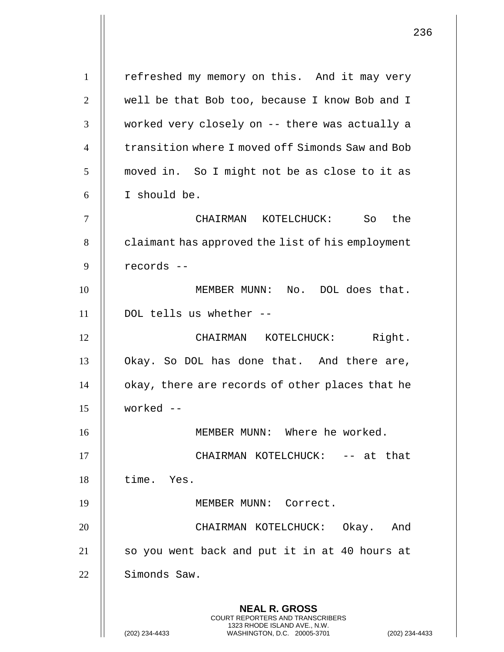**NEAL R. GROSS** COURT REPORTERS AND TRANSCRIBERS 1323 RHODE ISLAND AVE., N.W. (202) 234-4433 WASHINGTON, D.C. 20005-3701 (202) 234-4433 1 | refreshed my memory on this. And it may very 2 | well be that Bob too, because I know Bob and I 3 || worked very closely on -- there was actually a 4 | transition where I moved off Simonds Saw and Bob  $5 \parallel$  moved in. So I might not be as close to it as 6 I should be. 7 CHAIRMAN KOTELCHUCK: So the 8 | claimant has approved the list of his employment 9 records -- 10 MEMBER MUNN: No. DOL does that. 11 DOL tells us whether -- 12 || CHAIRMAN KOTELCHUCK: Right. 13 | Okay. So DOL has done that. And there are, 14 | okay, there are records of other places that he 15 worked -- 16 MEMBER MUNN: Where he worked. 17 CHAIRMAN KOTELCHUCK: -- at that 18 time. Yes. 19 MEMBER MUNN: Correct. 20 CHAIRMAN KOTELCHUCK: Okay. And 21 || so you went back and put it in at 40 hours at 22 Simonds Saw.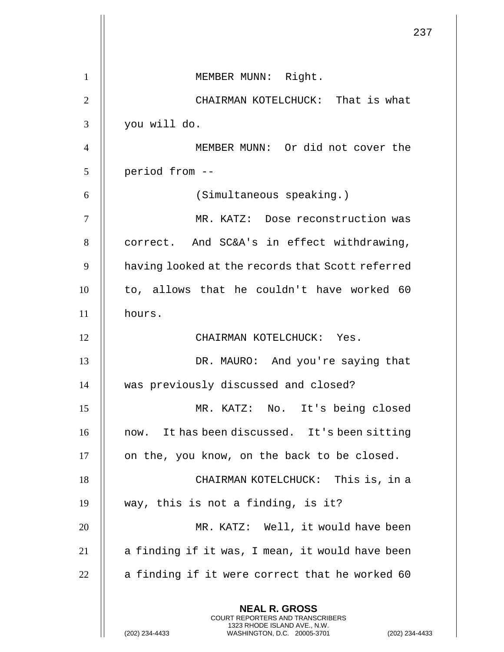|                | 237                                                                                                                                                                |
|----------------|--------------------------------------------------------------------------------------------------------------------------------------------------------------------|
| 1              | MEMBER MUNN: Right.                                                                                                                                                |
| $\overline{2}$ | CHAIRMAN KOTELCHUCK: That is what                                                                                                                                  |
| 3              | you will do.                                                                                                                                                       |
| $\overline{4}$ | MEMBER MUNN: Or did not cover the                                                                                                                                  |
| 5              | period from --                                                                                                                                                     |
| 6              | (Simultaneous speaking.)                                                                                                                                           |
| 7              | MR. KATZ: Dose reconstruction was                                                                                                                                  |
| 8              | correct. And SC&A's in effect withdrawing,                                                                                                                         |
| 9              | having looked at the records that Scott referred                                                                                                                   |
| 10             | to, allows that he couldn't have worked 60                                                                                                                         |
| 11             | hours.                                                                                                                                                             |
| 12             | CHAIRMAN KOTELCHUCK: Yes.                                                                                                                                          |
| 13             | DR. MAURO: And you're saying that                                                                                                                                  |
| 14             | was previously discussed and closed?                                                                                                                               |
| 15             | MR. KATZ: No. It's being closed                                                                                                                                    |
| 16             | now. It has been discussed. It's been sitting                                                                                                                      |
| 17             | on the, you know, on the back to be closed.                                                                                                                        |
| 18             | CHAIRMAN KOTELCHUCK: This is, in a                                                                                                                                 |
| 19             | way, this is not a finding, is it?                                                                                                                                 |
| 20             | MR. KATZ: Well, it would have been                                                                                                                                 |
| 21             | a finding if it was, I mean, it would have been                                                                                                                    |
| 22             | a finding if it were correct that he worked 60                                                                                                                     |
|                | <b>NEAL R. GROSS</b><br><b>COURT REPORTERS AND TRANSCRIBERS</b><br>1323 RHODE ISLAND AVE., N.W.<br>(202) 234-4433<br>WASHINGTON, D.C. 20005-3701<br>(202) 234-4433 |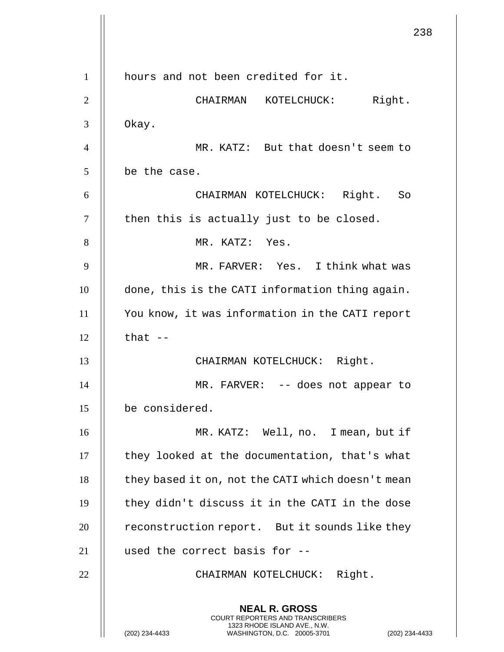238 **NEAL R. GROSS** COURT REPORTERS AND TRANSCRIBERS 1323 RHODE ISLAND AVE., N.W. (202) 234-4433 WASHINGTON, D.C. 20005-3701 (202) 234-4433 1 | hours and not been credited for it. 2 CHAIRMAN KOTELCHUCK: Right.  $3 \parallel$  Okay. 4 MR. KATZ: But that doesn't seem to  $5$  | be the case. 6 CHAIRMAN KOTELCHUCK: Right. So  $7$   $\parallel$  then this is actually just to be closed. 8 || MR. KATZ: Yes. 9 || MR. FARVER: Yes. I think what was 10 | done, this is the CATI information thing again. 11 You know, it was information in the CATI report  $12$   $\parallel$  that  $-$ 13 || CHAIRMAN KOTELCHUCK: Right. 14 || MR. FARVER: -- does not appear to 15 be considered. 16 MR. KATZ: Well, no. I mean, but if  $17$   $\parallel$  they looked at the documentation, that's what  $18$  | they based it on, not the CATI which doesn't mean 19  $\parallel$  they didn't discuss it in the CATI in the dose  $20$  | reconstruction report. But it sounds like they 21 used the correct basis for -- 22 || CHAIRMAN KOTELCHUCK: Right.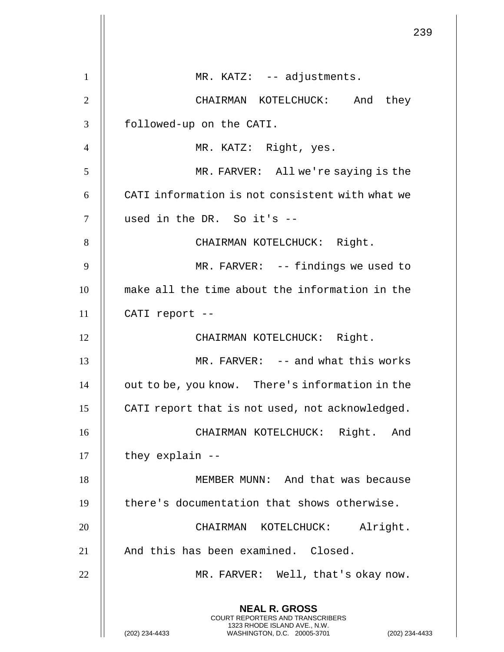|                | 239                                                                                                                                                                |
|----------------|--------------------------------------------------------------------------------------------------------------------------------------------------------------------|
| $\mathbf{1}$   | MR. KATZ: -- adjustments.                                                                                                                                          |
| $\overline{2}$ | CHAIRMAN KOTELCHUCK: And they                                                                                                                                      |
| 3              | followed-up on the CATI.                                                                                                                                           |
| $\overline{4}$ | MR. KATZ: Right, yes.                                                                                                                                              |
| 5              | MR. FARVER: All we're saying is the                                                                                                                                |
| 6              | CATI information is not consistent with what we                                                                                                                    |
| $\tau$         | used in the DR. So it's --                                                                                                                                         |
| 8              | CHAIRMAN KOTELCHUCK: Right.                                                                                                                                        |
| 9              |                                                                                                                                                                    |
|                | MR. FARVER: -- findings we used to                                                                                                                                 |
| 10             | make all the time about the information in the                                                                                                                     |
| 11             | CATI report --                                                                                                                                                     |
| 12             | CHAIRMAN KOTELCHUCK: Right.                                                                                                                                        |
| 13             | MR. FARVER: -- and what this works                                                                                                                                 |
| 14             | out to be, you know. There's information in the                                                                                                                    |
| 15             | CATI report that is not used, not acknowledged.                                                                                                                    |
| 16             | CHAIRMAN KOTELCHUCK: Right. And                                                                                                                                    |
| 17             | they explain --                                                                                                                                                    |
| 18             | MEMBER MUNN: And that was because                                                                                                                                  |
| 19             | there's documentation that shows otherwise.                                                                                                                        |
| 20             | Alright.<br>CHAIRMAN KOTELCHUCK:                                                                                                                                   |
| 21             | And this has been examined. Closed.                                                                                                                                |
| 22             | MR. FARVER: Well, that's okay now.                                                                                                                                 |
|                | <b>NEAL R. GROSS</b><br><b>COURT REPORTERS AND TRANSCRIBERS</b><br>1323 RHODE ISLAND AVE., N.W.<br>(202) 234-4433<br>WASHINGTON, D.C. 20005-3701<br>(202) 234-4433 |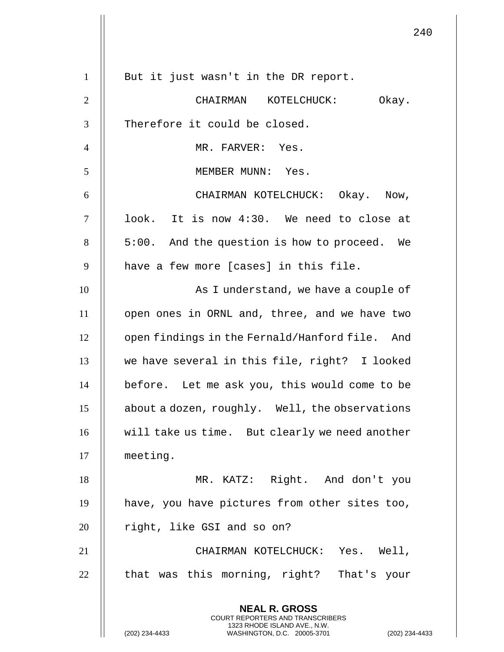|                | 24                                                                                                                                                        |
|----------------|-----------------------------------------------------------------------------------------------------------------------------------------------------------|
| $\mathbf{1}$   | But it just wasn't in the DR report.                                                                                                                      |
| $\overline{2}$ | CHAIRMAN KOTELCHUCK:<br>Okay.                                                                                                                             |
| 3              | Therefore it could be closed.                                                                                                                             |
| $\overline{4}$ | MR. FARVER: Yes.                                                                                                                                          |
| 5              | MEMBER MUNN: Yes.                                                                                                                                         |
| 6              | CHAIRMAN KOTELCHUCK: Okay. Now,                                                                                                                           |
| $\tau$         | look. It is now 4:30. We need to close at                                                                                                                 |
| 8              | 5:00. And the question is how to proceed. We                                                                                                              |
| 9              | have a few more [cases] in this file.                                                                                                                     |
| 10             |                                                                                                                                                           |
|                | As I understand, we have a couple of                                                                                                                      |
| 11             | open ones in ORNL and, three, and we have two                                                                                                             |
| 12             | open findings in the Fernald/Hanford file. And                                                                                                            |
| 13             | we have several in this file, right? I looked                                                                                                             |
| 14             | before. Let me ask you, this would come to be                                                                                                             |
| 15             | about a dozen, roughly. Well, the observations                                                                                                            |
| 16             | will take us time. But clearly we need another                                                                                                            |
| 17             | meeting.                                                                                                                                                  |
| 18             | MR. KATZ: Right. And don't you                                                                                                                            |
| 19             | have, you have pictures from other sites too,                                                                                                             |
| 20             | right, like GSI and so on?                                                                                                                                |
| 21             | CHAIRMAN KOTELCHUCK: Yes. Well,                                                                                                                           |
| 22             | that was this morning, right? That's your                                                                                                                 |
|                | <b>NEAL R. GROSS</b><br>COURT REPORTERS AND TRANSCRIBERS<br>1323 RHODE ISLAND AVE., N.W.<br>(202) 234-4433<br>WASHINGTON, D.C. 20005-3701<br>(202) 234-44 |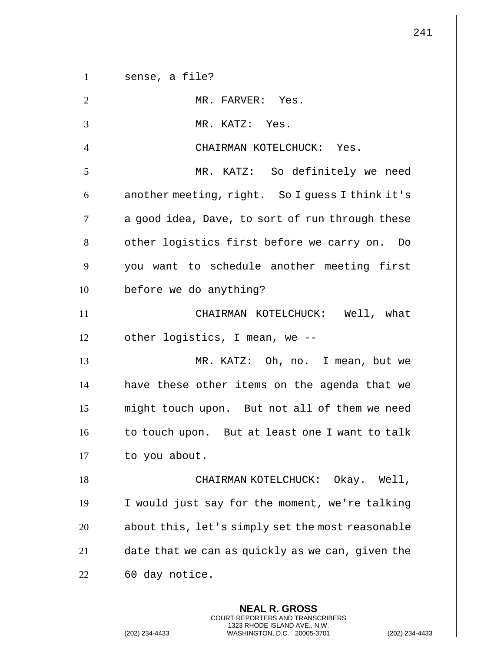| $\mathbf{1}$   | sense, a file?                                   |
|----------------|--------------------------------------------------|
| $\mathfrak{2}$ | MR. FARVER: Yes.                                 |
| 3              | MR. KATZ: Yes.                                   |
| $\overline{4}$ | CHAIRMAN KOTELCHUCK: Yes.                        |
| 5              | MR. KATZ: So definitely we need                  |
| 6              | another meeting, right. So I guess I think it's  |
| $\tau$         | a good idea, Dave, to sort of run through these  |
| 8              | other logistics first before we carry on. Do     |
| 9              | you want to schedule another meeting first       |
| 10             | before we do anything?                           |
| 11             | CHAIRMAN KOTELCHUCK: Well, what                  |
| 12             | other logistics, I mean, we --                   |
| 13             | MR. KATZ: Oh, no. I mean, but we                 |
| 14             | have these other items on the agenda that we     |
| 15             | might touch upon. But not all of them we need    |
| 16             | to touch upon. But at least one I want to talk   |
| 17             | to you about.                                    |
| 18             | CHAIRMAN KOTELCHUCK: Okay. Well,                 |
| 19             | I would just say for the moment, we're talking   |
| 20             | about this, let's simply set the most reasonable |
| 21             | date that we can as quickly as we can, given the |
| 22             | 60 day notice.                                   |
|                | <b>NEAL R. GROSS</b>                             |

COURT REPORTERS AND TRANSCRIBERS 1323 RHODE ISLAND AVE., N.W.

(202) 234-4433 WASHINGTON, D.C. 20005-3701 (202) 234-4433

 $\prod$ 

 $\overline{\mathsf{I}}$  $\mathsf{l}\mathsf{l}$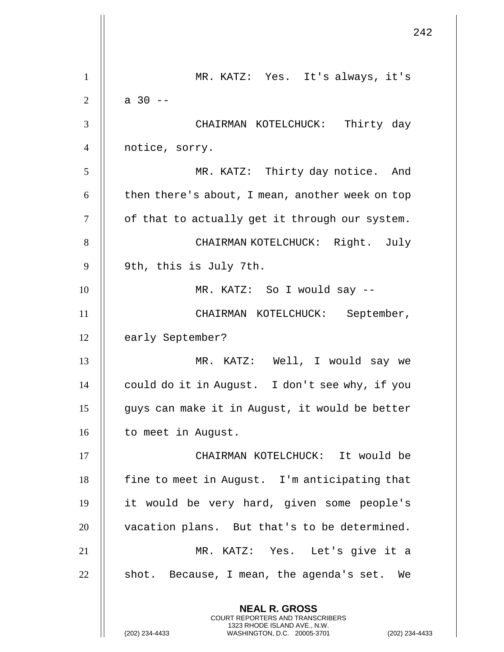|                | 242                                                                                                                                                         |
|----------------|-------------------------------------------------------------------------------------------------------------------------------------------------------------|
| $\mathbf{1}$   | MR. KATZ: Yes. It's always, it's                                                                                                                            |
| $\overline{2}$ | $a \ 30 - -$                                                                                                                                                |
| 3              | CHAIRMAN KOTELCHUCK: Thirty day                                                                                                                             |
| $\overline{4}$ | notice, sorry.                                                                                                                                              |
| 5              | MR. KATZ: Thirty day notice. And                                                                                                                            |
| 6              | then there's about, I mean, another week on top                                                                                                             |
| $\tau$         | of that to actually get it through our system.                                                                                                              |
| 8              | CHAIRMAN KOTELCHUCK: Right. July                                                                                                                            |
| 9              | 9th, this is July 7th.                                                                                                                                      |
| 10             | MR. KATZ: So I would say --                                                                                                                                 |
| 11             | CHAIRMAN KOTELCHUCK: September,                                                                                                                             |
| 12             | early September?                                                                                                                                            |
| 13             | MR. KATZ: Well, I would say we                                                                                                                              |
| 14             | could do it in August. I don't see why, if you                                                                                                              |
| 15             | guys can make it in August, it would be better                                                                                                              |
| 16             | to meet in August.                                                                                                                                          |
| 17             | CHAIRMAN KOTELCHUCK: It would be                                                                                                                            |
| 18             | fine to meet in August. I'm anticipating that                                                                                                               |
| 19             | it would be very hard, given some people's                                                                                                                  |
| 20             | vacation plans. But that's to be determined.                                                                                                                |
| 21             | MR. KATZ: Yes. Let's give it a                                                                                                                              |
| 22             | shot. Because, I mean, the agenda's set. We                                                                                                                 |
|                | <b>NEAL R. GROSS</b><br>COURT REPORTERS AND TRANSCRIBERS<br>1323 RHODE ISLAND AVE., N.W.<br>(202) 234-4433<br>(202) 234-4433<br>WASHINGTON, D.C. 20005-3701 |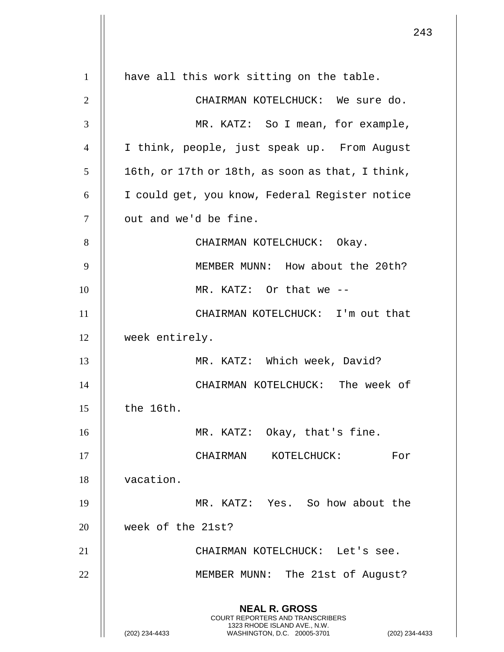**NEAL R. GROSS** COURT REPORTERS AND TRANSCRIBERS 1323 RHODE ISLAND AVE., N.W. (202) 234-4433 WASHINGTON, D.C. 20005-3701 (202) 234-4433 1 | have all this work sitting on the table. 2 CHAIRMAN KOTELCHUCK: We sure do. 3 MR. KATZ: So I mean, for example, 4 I think, people, just speak up. From August  $5 \parallel$  16th, or 17th or 18th, as soon as that, I think, 6 | I could get, you know, Federal Register notice 7 || out and we'd be fine. 8 || CHAIRMAN KOTELCHUCK: Okay. 9 MEMBER MUNN: How about the 20th? 10 || MR. KATZ: Or that we --11 || CHAIRMAN KOTELCHUCK: I'm out that 12 week entirely. 13 || MR. KATZ: Which week, David? 14 CHAIRMAN KOTELCHUCK: The week of  $15$   $\parallel$  the 16th. 16 MR. KATZ: Okay, that's fine. 17 CHAIRMAN KOTELCHUCK: For 18 vacation. 19 MR. KATZ: Yes. So how about the 20 week of the 21st? 21 CHAIRMAN KOTELCHUCK: Let's see. 22 || MEMBER MUNN: The 21st of August?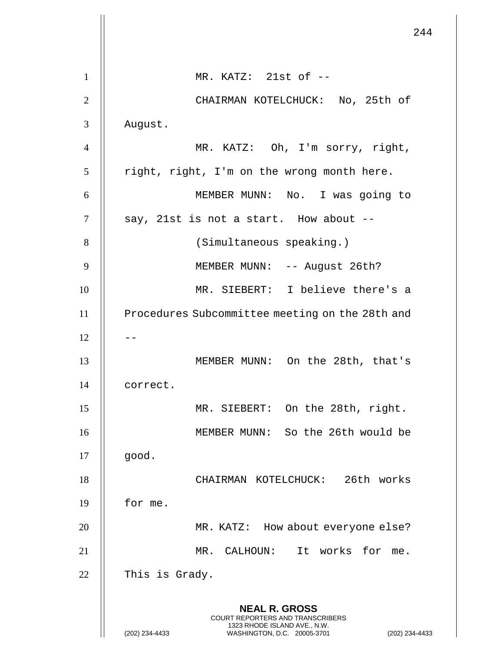|                | 244                                                                                                                                                         |
|----------------|-------------------------------------------------------------------------------------------------------------------------------------------------------------|
|                |                                                                                                                                                             |
| 1              | MR. KATZ: 21st of --                                                                                                                                        |
| $\overline{2}$ | CHAIRMAN KOTELCHUCK: No, 25th of                                                                                                                            |
| 3              | August.                                                                                                                                                     |
| $\overline{4}$ | MR. KATZ: Oh, I'm sorry, right,                                                                                                                             |
| 5              | right, right, I'm on the wrong month here.                                                                                                                  |
| 6              | MEMBER MUNN: No. I was going to                                                                                                                             |
| 7              | say, 21st is not a start. How about --                                                                                                                      |
| 8              | (Simultaneous speaking.)                                                                                                                                    |
| 9              | MEMBER MUNN: -- August 26th?                                                                                                                                |
| 10             | MR. SIEBERT: I believe there's a                                                                                                                            |
| 11             | Procedures Subcommittee meeting on the 28th and                                                                                                             |
| 12             |                                                                                                                                                             |
| 13             | MEMBER MUNN: On the 28th, that's                                                                                                                            |
| 14             | correct.                                                                                                                                                    |
| 15             | MR. SIEBERT: On the 28th, right.                                                                                                                            |
| 16             | MEMBER MUNN: So the 26th would be                                                                                                                           |
| 17             | good.                                                                                                                                                       |
| 18             | CHAIRMAN KOTELCHUCK: 26th works                                                                                                                             |
| 19             | for me.                                                                                                                                                     |
| 20             | MR. KATZ: How about everyone else?                                                                                                                          |
| 21             | CALHOUN: It works for me.<br>MR.                                                                                                                            |
| 22             | This is Grady.                                                                                                                                              |
|                | <b>NEAL R. GROSS</b><br>COURT REPORTERS AND TRANSCRIBERS<br>1323 RHODE ISLAND AVE., N.W.<br>(202) 234-4433<br>WASHINGTON, D.C. 20005-3701<br>(202) 234-4433 |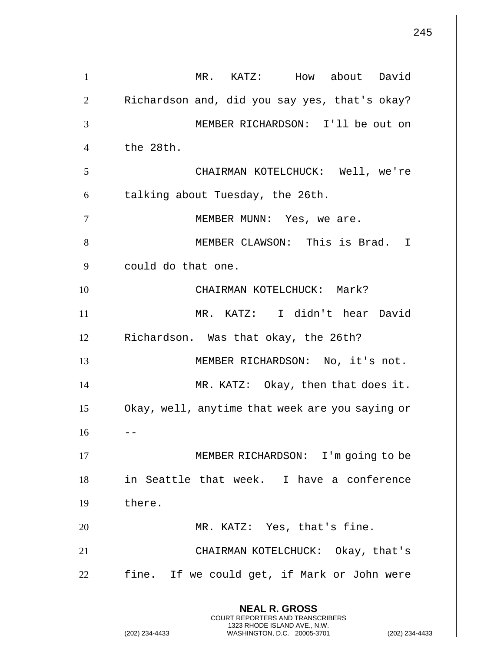**NEAL R. GROSS** COURT REPORTERS AND TRANSCRIBERS 1323 RHODE ISLAND AVE., N.W. (202) 234-4433 WASHINGTON, D.C. 20005-3701 (202) 234-4433 1 MR. KATZ: How about David 2 | Richardson and, did you say yes, that's okay? 3 MEMBER RICHARDSON: I'll be out on  $4 \parallel$  the 28th. 5 CHAIRMAN KOTELCHUCK: Well, we're  $6$  || talking about Tuesday, the 26th. 7 || MEMBER MUNN: Yes, we are. 8 || MEMBER CLAWSON: This is Brad. I 9 || could do that one. 10 || CHAIRMAN KOTELCHUCK: Mark? 11 MR. KATZ: I didn't hear David 12 | Richardson. Was that okay, the 26th? 13 || MEMBER RICHARDSON: No, it's not. 14 || MR. KATZ: Okay, then that does it. 15 | Okay, well, anytime that week are you saying or  $16$   $||$   $-$ 17 || MEMBER RICHARDSON: I'm going to be 18 in Seattle that week. I have a conference  $19$   $\parallel$  there. 20 || MR. KATZ: Yes, that's fine. 21 CHAIRMAN KOTELCHUCK: Okay, that's  $22$  || fine. If we could get, if Mark or John were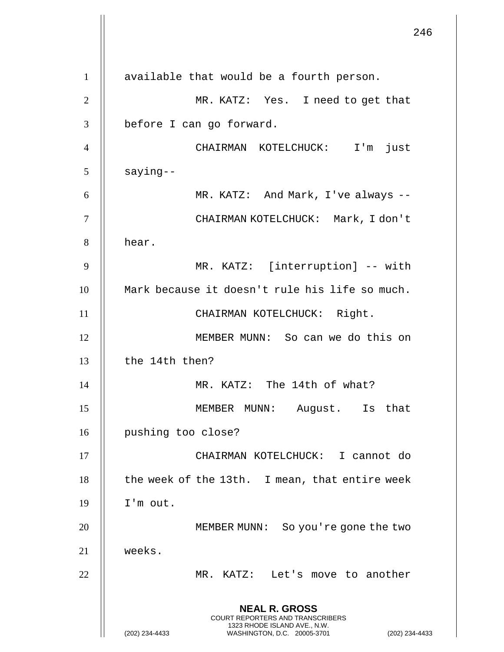246 **NEAL R. GROSS** COURT REPORTERS AND TRANSCRIBERS 1323 RHODE ISLAND AVE., N.W. (202) 234-4433 WASHINGTON, D.C. 20005-3701 (202) 234-4433 1 || available that would be a fourth person. 2 MR. KATZ: Yes. I need to get that 3 | before I can go forward. 4 CHAIRMAN KOTELCHUCK: I'm just  $5$  | saying--6 MR. KATZ: And Mark, I've always -- 7 CHAIRMAN KOTELCHUCK: Mark, I don't 8 | hear. 9 MR. KATZ: [interruption] -- with 10 || Mark because it doesn't rule his life so much. 11 || CHAIRMAN KOTELCHUCK: Right. 12 MEMBER MUNN: So can we do this on 13  $\parallel$  the 14th then? 14 MR. KATZ: The 14th of what? 15 MEMBER MUNN: August. Is that 16 | pushing too close? 17 CHAIRMAN KOTELCHUCK: I cannot do  $18$  | the week of the 13th. I mean, that entire week 19 I'm out. 20 || MEMBER MUNN: So you're gone the two 21 weeks. 22 MR. KATZ: Let's move to another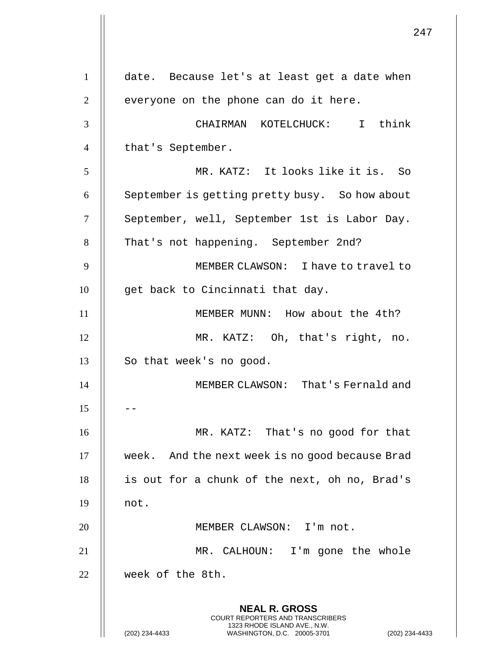**NEAL R. GROSS** COURT REPORTERS AND TRANSCRIBERS 1323 RHODE ISLAND AVE., N.W. (202) 234-4433 WASHINGTON, D.C. 20005-3701 (202) 234-4433 1 date. Because let's at least get a date when  $2 \parallel$  everyone on the phone can do it here. 3 CHAIRMAN KOTELCHUCK: I think 4 || that's September. 5 MR. KATZ: It looks like it is. So 6 | September is getting pretty busy. So how about 7 | September, well, September 1st is Labor Day. 8 || That's not happening. September 2nd? 9 MEMBER CLAWSON: I have to travel to  $10$  | qet back to Cincinnati that day. 11 MEMBER MUNN: How about the 4th? 12 MR. KATZ: Oh, that's right, no. 13 || So that week's no good. 14 || MEMBER CLAWSON: That's Fernald and  $15$ 16 || MR. KATZ: That's no good for that 17 | week. And the next week is no good because Brad 18 || is out for a chunk of the next, oh no, Brad's  $19$   $\parallel$  not. 20 || MEMBER CLAWSON: I'm not. 21 || MR. CALHOUN: I'm gone the whole 22 week of the 8th.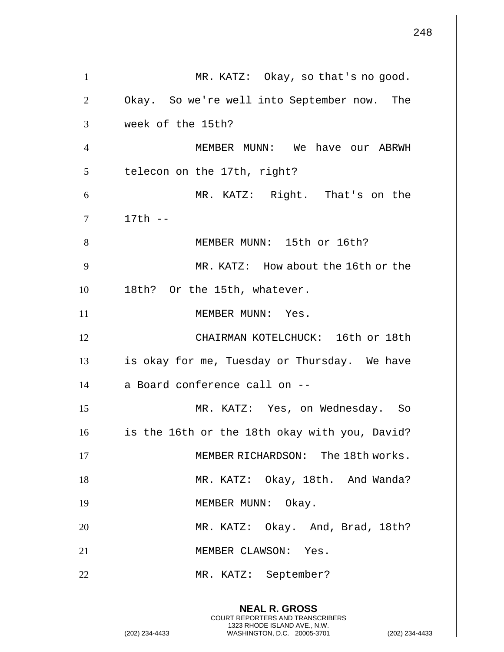**NEAL R. GROSS** COURT REPORTERS AND TRANSCRIBERS 1323 RHODE ISLAND AVE., N.W. (202) 234-4433 WASHINGTON, D.C. 20005-3701 (202) 234-4433 1 | MR. KATZ: Okay, so that's no good. 2 | Okay. So we're well into September now. The 3 week of the 15th? 4 MEMBER MUNN: We have our ABRWH  $5 \parallel$  telecon on the 17th, right? 6 MR. KATZ: Right. That's on the 7 17th -- 8 || MEMBER MUNN: 15th or 16th? 9 MR. KATZ: How about the 16th or the 10 || 18th? Or the 15th, whatever. 11 || MEMBER MUNN: Yes. 12 || CHAIRMAN KOTELCHUCK: 16th or 18th 13 is okay for me, Tuesday or Thursday. We have  $14$  | a Board conference call on  $-$ 15 MR. KATZ: Yes, on Wednesday. So 16 | is the 16th or the 18th okay with you, David? 17 || MEMBER RICHARDSON: The 18th works. 18 || MR. KATZ: Okay, 18th. And Wanda? 19 || MEMBER MUNN: Okay. 20 || MR. KATZ: Okay. And, Brad, 18th? 21 || MEMBER CLAWSON: Yes. 22 || MR. KATZ: September?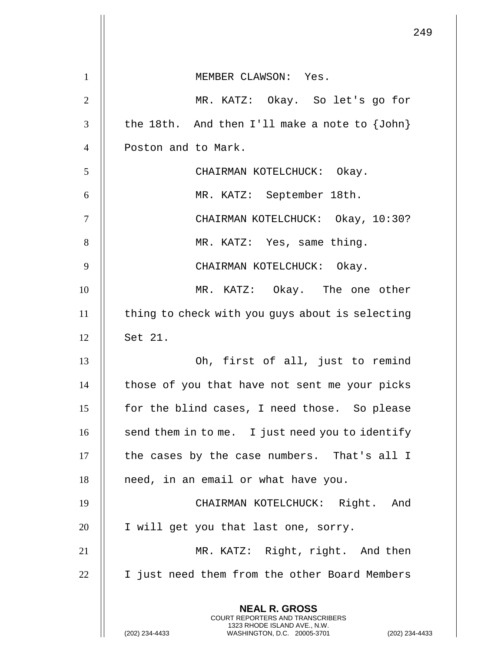|                | 249                                                                                                                                                         |
|----------------|-------------------------------------------------------------------------------------------------------------------------------------------------------------|
| $\mathbf{1}$   | MEMBER CLAWSON: Yes.                                                                                                                                        |
| $\overline{2}$ | MR. KATZ: Okay. So let's go for                                                                                                                             |
| 3              | the 18th. And then I'll make a note to $\{John\}$                                                                                                           |
| $\overline{4}$ | Poston and to Mark.                                                                                                                                         |
| 5              | CHAIRMAN KOTELCHUCK: Okay.                                                                                                                                  |
| 6              | MR. KATZ: September 18th.                                                                                                                                   |
| $\tau$         | CHAIRMAN KOTELCHUCK: Okay, 10:30?                                                                                                                           |
| 8              | MR. KATZ: Yes, same thing.                                                                                                                                  |
| 9              | CHAIRMAN KOTELCHUCK: Okay.                                                                                                                                  |
| 10             | MR. KATZ: Okay. The one other                                                                                                                               |
| 11             | thing to check with you guys about is selecting                                                                                                             |
| 12             | Set 21.                                                                                                                                                     |
| 13             | Oh, first of all, just to remind                                                                                                                            |
| 14             | those of you that have not sent me your picks                                                                                                               |
| 15             | for the blind cases, I need those. So please                                                                                                                |
| 16             | send them in to me. I just need you to identify                                                                                                             |
| 17             | the cases by the case numbers. That's all I                                                                                                                 |
| 18             | need, in an email or what have you.                                                                                                                         |
| 19             | CHAIRMAN KOTELCHUCK: Right. And                                                                                                                             |
| 20             | I will get you that last one, sorry.                                                                                                                        |
| 21             | MR. KATZ: Right, right. And then                                                                                                                            |
| 22             | I just need them from the other Board Members                                                                                                               |
|                | <b>NEAL R. GROSS</b><br>COURT REPORTERS AND TRANSCRIBERS<br>1323 RHODE ISLAND AVE., N.W.<br>(202) 234-4433<br>WASHINGTON, D.C. 20005-3701<br>(202) 234-4433 |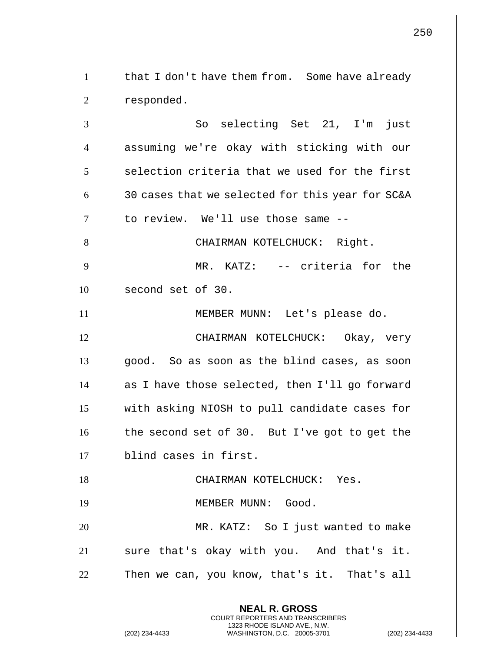**NEAL R. GROSS** COURT REPORTERS AND TRANSCRIBERS 1323 RHODE ISLAND AVE., N.W. (202) 234-4433 WASHINGTON, D.C. 20005-3701 (202) 234-4433 1 | that I don't have them from. Some have already 2 | responded. 3 || So selecting Set 21, I'm just 4 || assuming we're okay with sticking with our  $5$   $\parallel$  selection criteria that we used for the first 6  $\parallel$  30 cases that we selected for this year for SC&A 7 || to review. We'll use those same --8 || CHAIRMAN KOTELCHUCK: Right. 9 || MR. KATZ: -- criteria for the  $10$  | second set of 30. 11 MEMBER MUNN: Let's please do. 12 CHAIRMAN KOTELCHUCK: Okay, very  $13$  ||  $900d$ . So as soon as the blind cases, as soon 14  $\parallel$  as I have those selected, then I'll go forward 15 with asking NIOSH to pull candidate cases for 16  $\parallel$  the second set of 30. But I've got to get the 17 blind cases in first. 18 || CHAIRMAN KOTELCHUCK: Yes. 19 MEMBER MUNN: Good. 20 || MR. KATZ: So I just wanted to make 21 || sure that's okay with you. And that's it.  $22$  | Then we can, you know, that's it. That's all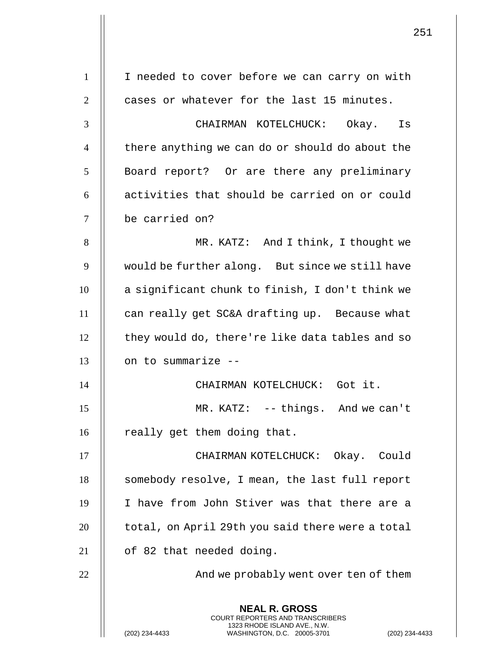|                | 251                                                                                                                                                                |
|----------------|--------------------------------------------------------------------------------------------------------------------------------------------------------------------|
| $\mathbf{1}$   | I needed to cover before we can carry on with                                                                                                                      |
| $\overline{2}$ | cases or whatever for the last 15 minutes.                                                                                                                         |
| 3              | CHAIRMAN KOTELCHUCK: Okay. Is                                                                                                                                      |
| $\overline{4}$ | there anything we can do or should do about the                                                                                                                    |
| 5              | Board report? Or are there any preliminary                                                                                                                         |
| 6              | activities that should be carried on or could                                                                                                                      |
| 7              | be carried on?                                                                                                                                                     |
| 8              | MR. KATZ: And I think, I thought we                                                                                                                                |
|                |                                                                                                                                                                    |
| 9              | would be further along. But since we still have                                                                                                                    |
| 10             | a significant chunk to finish, I don't think we                                                                                                                    |
| 11             | can really get SC&A drafting up. Because what                                                                                                                      |
| 12             | they would do, there're like data tables and so                                                                                                                    |
| 13             | on to summarize --                                                                                                                                                 |
| 14             | CHAIRMAN KOTELCHUCK: Got it.                                                                                                                                       |
| 15             | MR. KATZ: -- things. And we can't                                                                                                                                  |
| 16             | really get them doing that.                                                                                                                                        |
| 17             | CHAIRMAN KOTELCHUCK: Okay. Could                                                                                                                                   |
| 18             | somebody resolve, I mean, the last full report                                                                                                                     |
| 19             | I have from John Stiver was that there are a                                                                                                                       |
| 20             | total, on April 29th you said there were a total                                                                                                                   |
| 21             | of 82 that needed doing.                                                                                                                                           |
| 22             | And we probably went over ten of them                                                                                                                              |
|                | <b>NEAL R. GROSS</b><br><b>COURT REPORTERS AND TRANSCRIBERS</b><br>1323 RHODE ISLAND AVE., N.W.<br>WASHINGTON, D.C. 20005-3701<br>(202) 234-4433<br>(202) 234-4433 |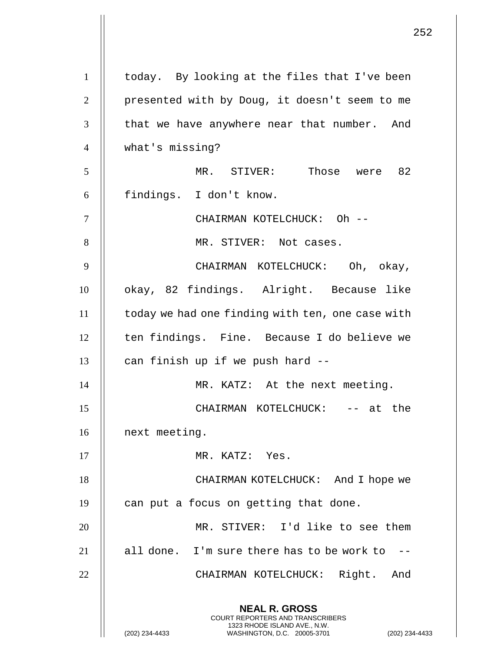|                | 252                                                                                                                                                         |
|----------------|-------------------------------------------------------------------------------------------------------------------------------------------------------------|
| $\mathbf{1}$   | today. By looking at the files that I've been                                                                                                               |
| $\overline{2}$ | presented with by Doug, it doesn't seem to me                                                                                                               |
| 3              | that we have anywhere near that number. And                                                                                                                 |
| $\overline{4}$ | what's missing?                                                                                                                                             |
| 5              | MR. STIVER: Those were 82                                                                                                                                   |
| 6              | findings. I don't know.                                                                                                                                     |
| $\overline{7}$ | CHAIRMAN KOTELCHUCK: Oh --                                                                                                                                  |
| 8              | MR. STIVER: Not cases.                                                                                                                                      |
| 9              | CHAIRMAN KOTELCHUCK: Oh, okay,                                                                                                                              |
| 10             | okay, 82 findings. Alright. Because like                                                                                                                    |
| 11             | today we had one finding with ten, one case with                                                                                                            |
| 12             | ten findings. Fine. Because I do believe we                                                                                                                 |
| 13             | can finish up if we push hard --                                                                                                                            |
| 14             | MR. KATZ: At the next meeting.                                                                                                                              |
| 15             | CHAIRMAN KOTELCHUCK: -- at the                                                                                                                              |
| 16             | next meeting.                                                                                                                                               |
| 17             | MR. KATZ: Yes.                                                                                                                                              |
| 18             | CHAIRMAN KOTELCHUCK: And I hope we                                                                                                                          |
| 19             | can put a focus on getting that done.                                                                                                                       |
| 20             | MR. STIVER: I'd like to see them                                                                                                                            |
| 21             | all done. I'm sure there has to be work to $-$ -                                                                                                            |
| 22             | CHAIRMAN KOTELCHUCK: Right. And                                                                                                                             |
|                | <b>NEAL R. GROSS</b><br>COURT REPORTERS AND TRANSCRIBERS<br>1323 RHODE ISLAND AVE., N.W.<br>(202) 234-4433<br>WASHINGTON, D.C. 20005-3701<br>(202) 234-4433 |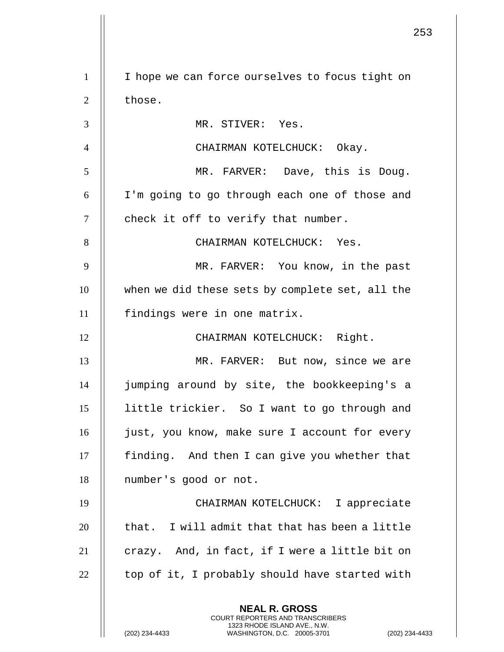**NEAL R. GROSS** COURT REPORTERS AND TRANSCRIBERS 1323 RHODE ISLAND AVE., N.W. 1 | I hope we can force ourselves to focus tight on  $2 \parallel$  those. 3 MR. STIVER: Yes. 4 CHAIRMAN KOTELCHUCK: Okay. 5 MR. FARVER: Dave, this is Doug. 6 I'm going to go through each one of those and  $7$  | check it off to verify that number. 8 CHAIRMAN KOTELCHUCK: Yes. 9 || MR. FARVER: You know, in the past 10 when we did these sets by complete set, all the 11 || findings were in one matrix. 12 || CHAIRMAN KOTELCHUCK: Right. 13 || MR. FARVER: But now, since we are 14 jumping around by site, the bookkeeping's a 15 little trickier. So I want to go through and 16 || just, you know, make sure I account for every 17 | finding. And then I can give you whether that 18 | number's good or not. 19 CHAIRMAN KOTELCHUCK: I appreciate  $20$   $\parallel$  that. I will admit that that has been a little 21  $\parallel$  crazy. And, in fact, if I were a little bit on  $22$  | top of it, I probably should have started with

(202) 234-4433 WASHINGTON, D.C. 20005-3701 (202) 234-4433

253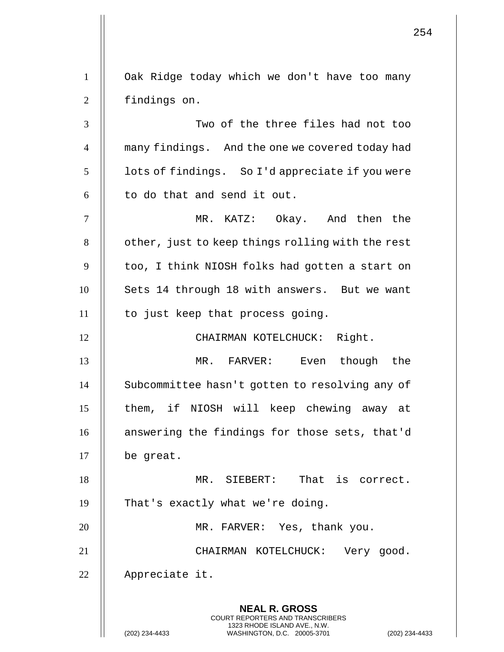**NEAL R. GROSS** COURT REPORTERS AND TRANSCRIBERS 1323 RHODE ISLAND AVE., N.W. (202) 234-4433 WASHINGTON, D.C. 20005-3701 (202) 234-4433 1 Oak Ridge today which we don't have too many 2 | findings on. 3 Two of the three files had not too 4 many findings. And the one we covered today had  $5 \parallel$  lots of findings. So I'd appreciate if you were  $6$  || to do that and send it out. 7 MR. KATZ: Okay. And then the  $8$  |  $\circ$  other, just to keep things rolling with the rest  $9$   $\parallel$  too, I think NIOSH folks had gotten a start on 10 || Sets 14 through 18 with answers. But we want 11 || to just keep that process going. 12 || CHAIRMAN KOTELCHUCK: Right. 13 MR. FARVER: Even though the 14 | Subcommittee hasn't gotten to resolving any of 15 || them, if NIOSH will keep chewing away at 16 || answering the findings for those sets, that'd 17 be great. 18 MR. SIEBERT: That is correct. 19 || That's exactly what we're doing. 20 || MR. FARVER: Yes, thank you. 21 CHAIRMAN KOTELCHUCK: Very good. 22 | Appreciate it.

254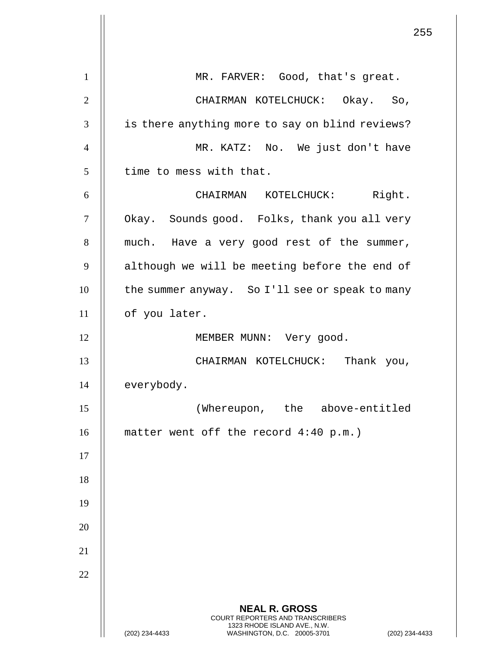|                | 255                                                                                                                                                         |
|----------------|-------------------------------------------------------------------------------------------------------------------------------------------------------------|
| $\mathbf{1}$   | MR. FARVER: Good, that's great.                                                                                                                             |
| $\overline{2}$ | CHAIRMAN KOTELCHUCK: Okay. So,                                                                                                                              |
| 3              | is there anything more to say on blind reviews?                                                                                                             |
| $\overline{4}$ | MR. KATZ: No. We just don't have                                                                                                                            |
| 5              | time to mess with that.                                                                                                                                     |
| 6              | CHAIRMAN KOTELCHUCK: Right.                                                                                                                                 |
| $\tau$         | Okay. Sounds good. Folks, thank you all very                                                                                                                |
| 8              | much. Have a very good rest of the summer,                                                                                                                  |
| 9              | although we will be meeting before the end of                                                                                                               |
| 10             | the summer anyway. So I'll see or speak to many                                                                                                             |
| 11             | of you later.                                                                                                                                               |
| 12             | MEMBER MUNN: Very good.                                                                                                                                     |
| 13             | CHAIRMAN KOTELCHUCK: Thank you,                                                                                                                             |
| 14             | everybody.                                                                                                                                                  |
| 15             | (Whereupon, the<br>above-entitled                                                                                                                           |
| 16             | matter went off the record $4:40$ p.m.)                                                                                                                     |
| 17             |                                                                                                                                                             |
| 18             |                                                                                                                                                             |
| 19             |                                                                                                                                                             |
| 20             |                                                                                                                                                             |
| 21             |                                                                                                                                                             |
| 22             |                                                                                                                                                             |
|                | <b>NEAL R. GROSS</b><br>COURT REPORTERS AND TRANSCRIBERS<br>1323 RHODE ISLAND AVE., N.W.<br>(202) 234-4433<br>WASHINGTON, D.C. 20005-3701<br>(202) 234-4433 |